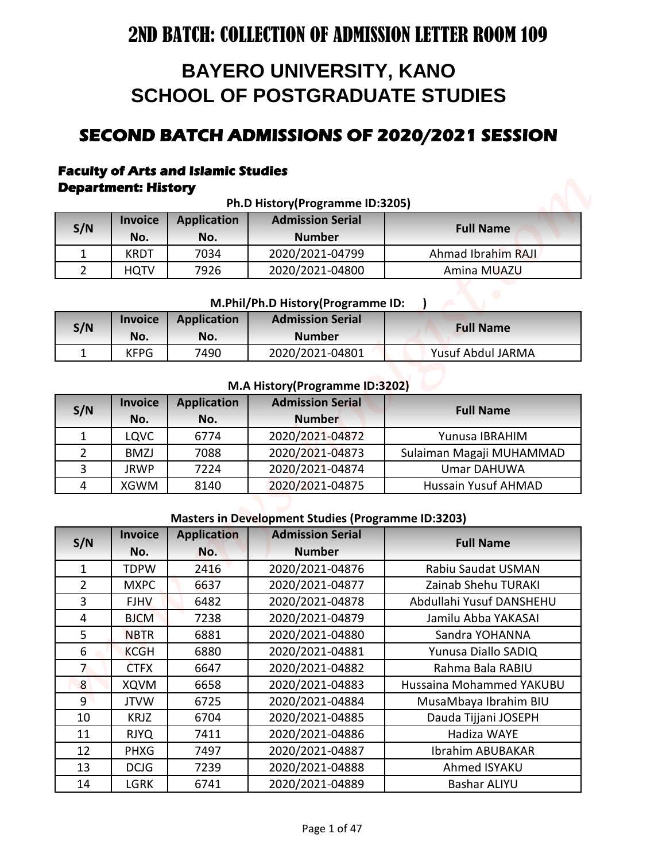# **BAYERO UNIVERSITY, KANO SCHOOL OF POSTGRADUATE STUDIES**

# **SECOND BATCH ADMISSIONS OF 2020/2021 SESSION**

#### **Faculty of Arts and Islamic Studies Department: History**

| Ph.D History(Programme ID:3205) |                                                                                     |      |                 |                    |  |  |
|---------------------------------|-------------------------------------------------------------------------------------|------|-----------------|--------------------|--|--|
| S/N                             | <b>Admission Serial</b><br><b>Application</b><br><b>Invoice</b><br><b>Full Name</b> |      |                 |                    |  |  |
|                                 | No.                                                                                 | No.  | <b>Number</b>   |                    |  |  |
|                                 | <b>KRDT</b>                                                                         | 7034 | 2020/2021-04799 | Ahmad Ibrahim RAJI |  |  |
|                                 | <b>HQTV</b>                                                                         | 7926 | 2020/2021-04800 | Amina MUAZU        |  |  |

#### **M.Phil/Ph.D History(Programme ID: )**

| S/N | <b>Invoice</b><br>No. | <b>Application</b><br>No. | <b>Admission Serial</b><br><b>Number</b> | <b>Full Name</b>  |
|-----|-----------------------|---------------------------|------------------------------------------|-------------------|
|     | <b>KFPG</b>           | 7490                      | 2020/2021-04801                          | Yusuf Abdul JARMA |

#### **M.A History(Programme ID:3202)**

| S/N | <b>Invoice</b><br>No. | <b>Application</b><br>No. | <b>Admission Serial</b><br><b>Number</b> | <b>Full Name</b>           |
|-----|-----------------------|---------------------------|------------------------------------------|----------------------------|
|     | LQVC                  | 6774                      | 2020/2021-04872                          | Yunusa IBRAHIM             |
|     | <b>BMZJ</b>           | 7088                      | 2020/2021-04873                          | Sulaiman Magaji MUHAMMAD   |
| 3   | <b>JRWP</b>           | 7224                      | 2020/2021-04874                          | Umar DAHUWA                |
| 4   | XGWM                  | 8140                      | 2020/2021-04875                          | <b>Hussain Yusuf AHMAD</b> |

#### **Masters in Development Studies (Programme ID:3203)**

|                |                            |                                            | <b>BAYERO UNIVERSITY, KANO</b><br><b>SCHOOL OF POSTGRADUATE STUDIES</b> |                                              |
|----------------|----------------------------|--------------------------------------------|-------------------------------------------------------------------------|----------------------------------------------|
|                |                            |                                            |                                                                         |                                              |
|                |                            |                                            |                                                                         |                                              |
|                |                            |                                            |                                                                         | SECOND BATCH ADMISSIONS OF 2020/2021 SESSION |
|                |                            |                                            |                                                                         |                                              |
|                |                            | <b>Faculty of Arts and Islamic Studies</b> |                                                                         |                                              |
|                | <b>Department: History</b> |                                            |                                                                         |                                              |
|                | <b>Invoice</b>             | <b>Application</b>                         | Ph.D History(Programme ID:3205)<br><b>Admission Serial</b>              |                                              |
| S/N            | No.                        | No.                                        | <b>Number</b>                                                           | <b>Full Name</b>                             |
| $\mathbf{1}$   | <b>KRDT</b>                | 7034                                       | 2020/2021-04799                                                         | Ahmad Ibrahim RAJI                           |
| $\overline{2}$ | <b>HQTV</b>                | 7926                                       | 2020/2021-04800                                                         | Amina MUAZU                                  |
|                |                            |                                            |                                                                         |                                              |
|                |                            |                                            | M.Phil/Ph.D History(Programme ID:                                       |                                              |
| S/N            | <b>Invoice</b><br>No.      | <b>Application</b><br>No.                  | <b>Admission Serial</b><br><b>Number</b>                                | <b>Full Name</b>                             |
| $\mathbf{1}$   | <b>KFPG</b>                | 7490                                       | 2020/2021-04801                                                         | <b>Yusuf Abdul JARMA</b>                     |
|                |                            |                                            |                                                                         |                                              |
|                |                            |                                            | M.A History (Programme ID:3202)                                         |                                              |
| S/N            | <b>Invoice</b>             | <b>Application</b>                         | <b>Admission Serial</b>                                                 | <b>Full Name</b>                             |
|                | No.                        | No.                                        | <b>Number</b>                                                           |                                              |
| $\mathbf{1}$   | <b>LQVC</b>                | 6774                                       | 2020/2021-04872                                                         | Yunusa IBRAHIM                               |
| 2              | <b>BMZJ</b>                | 7088                                       | 2020/2021-04873                                                         | Sulaiman Magaji MUHAMMAD                     |
| $\overline{3}$ | <b>JRWP</b>                | 7224                                       | 2020/2021-04874                                                         | <b>Umar DAHUWA</b>                           |
| 4              | <b>XGWM</b>                | 8140                                       | 2020/2021-04875                                                         | <b>Hussain Yusuf AHMAD</b>                   |
|                |                            |                                            | <b>Masters in Development Studies (Programme ID:3203)</b>               |                                              |
|                | <b>Invoice</b>             | <b>Application</b>                         | <b>Admission Serial</b>                                                 |                                              |
| S/N            | No.                        | No.                                        | <b>Number</b>                                                           | <b>Full Name</b>                             |
| $\mathbf{1}$   | <b>TDPW</b>                | 2416                                       | 2020/2021-04876                                                         | Rabiu Saudat USMAN                           |
| $\overline{2}$ | <b>MXPC</b>                | 6637                                       | 2020/2021-04877                                                         | Zainab Shehu TURAKI                          |
| 3              | <b>FJHV</b>                | 6482                                       | 2020/2021-04878                                                         | Abdullahi Yusuf DANSHEHU                     |
| $\overline{4}$ | <b>BJCM</b>                | 7238                                       | 2020/2021-04879                                                         | Jamilu Abba YAKASAI                          |
| 5              | <b>NBTR</b>                | 6881                                       | 2020/2021-04880                                                         | Sandra YOHANNA                               |
| 6              | <b>KCGH</b>                | 6880                                       | 2020/2021-04881                                                         | Yunusa Diallo SADIQ                          |
| 7              | <b>CTFX</b>                | 6647                                       | 2020/2021-04882                                                         | Rahma Bala RABIU                             |
| 8              | <b>XQVM</b>                | 6658                                       | 2020/2021-04883                                                         | Hussaina Mohammed YAKUBU                     |
| 9              | <b>JTVW</b>                | 6725                                       | 2020/2021-04884                                                         | MusaMbaya Ibrahim BIU                        |
| 10             | <b>KRJZ</b>                | 6704                                       | 2020/2021-04885                                                         | Dauda Tijjani JOSEPH                         |
| 11             | <b>RJYQ</b>                | 7411                                       | 2020/2021-04886                                                         | Hadiza WAYE                                  |
| 12             | <b>PHXG</b>                | 7497                                       | 2020/2021-04887                                                         | Ibrahim ABUBAKAR                             |
|                | <b>DCJG</b>                | 7239                                       | 2020/2021-04888                                                         | Ahmed ISYAKU                                 |
| 13             |                            |                                            |                                                                         |                                              |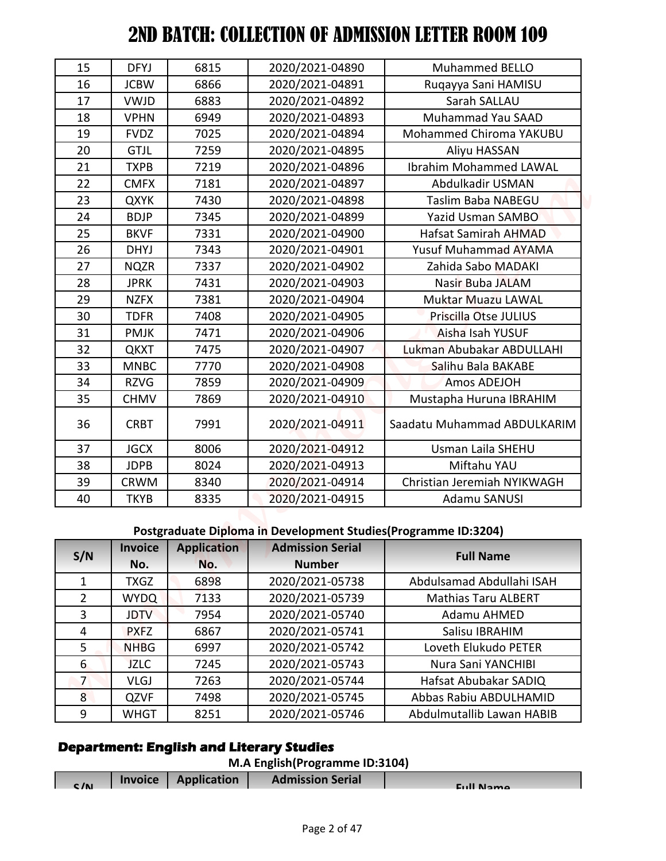|                | <b>Invoice</b>             | <b>Application</b>        | M.A English(Programme ID:3104)<br><b>Admission Serial</b>       |                                        |
|----------------|----------------------------|---------------------------|-----------------------------------------------------------------|----------------------------------------|
|                |                            |                           | <b>Department: English and Literary Studies</b>                 |                                        |
| 9              | WHGT                       | 8251                      | 2020/2021-05746                                                 | Abdulmutallib Lawan HABIB              |
| 8              | <b>QZVF</b>                | 7498                      | 2020/2021-05745                                                 | Abbas Rabiu ABDULHAMID                 |
| $\overline{7}$ | <b>VLGJ</b>                | 7263                      | 2020/2021-05744                                                 | Hafsat Abubakar SADIQ                  |
| 6              | <b>JZLC</b>                | 7245                      | 2020/2021-05743                                                 | Nura Sani YANCHIBI                     |
| 5              | <b>NHBG</b>                | 6997                      | 2020/2021-05742                                                 | Loveth Elukudo PETER                   |
| 4              | <b>PXFZ</b>                | 6867                      | 2020/2021-05741                                                 | Salisu IBRAHIM                         |
| 3              | <b>JDTV</b>                | 7954                      | 2020/2021-05740                                                 | Adamu AHMED                            |
| $\overline{2}$ | <b>WYDQ</b>                | 7133                      | 2020/2021-05739                                                 | <b>Mathias Taru ALBERT</b>             |
| $\mathbf{1}$   | <b>TXGZ</b>                | 6898                      | 2020/2021-05738                                                 | Abdulsamad Abdullahi ISAH              |
| S/N            | <b>Invoice</b><br>No.      | <b>Application</b><br>No. | <b>Admission Serial</b><br><b>Number</b>                        | <b>Full Name</b>                       |
|                |                            |                           | Postgraduate Diploma in Development Studies (Programme ID:3204) |                                        |
| 40             | <b>TKYB</b>                | 8335                      | 2020/2021-04915                                                 | <b>Adamu SANUSI</b>                    |
| 39             | <b>CRWM</b>                | 8340                      | 2020/2021-04914                                                 | Christian Jeremiah NYIKWAGH            |
| 38             | <b>JDPB</b>                | 8024                      | 2020/2021-04913                                                 | Miftahu YAU                            |
| 37             | <b>JGCX</b>                | 8006                      | 2020/2021-04912                                                 | Usman Laila SHEHU                      |
| 36             | <b>CRBT</b>                | 7991                      | 2020/2021-04911                                                 | Saadatu Muhammad ABDULKARIM            |
|                | <b>CHMV</b>                | 7869                      | 2020/2021-04910                                                 | Mustapha Huruna IBRAHIM                |
| 35             |                            |                           |                                                                 |                                        |
| 34             | <b>RZVG</b>                | 7859                      | 2020/2021-04909                                                 | Amos ADEJOH                            |
| 33             | <b>MNBC</b>                | 7770                      | 2020/2021-04908                                                 | Salihu Bala BAKABE                     |
| 32             | <b>QKXT</b>                | 7475                      | 2020/2021-04907                                                 | Lukman Abubakar ABDULLAHI              |
| 31             | <b>PMJK</b>                | 7471                      | 2020/2021-04906                                                 | Aisha Isah YUSUF                       |
| 30             | <b>TDFR</b>                | 7408                      | 2020/2021-04905                                                 | Priscilla Otse JULIUS                  |
| 29             | <b>NZFX</b>                | 7381                      | 2020/2021-04904                                                 | <b>Muktar Muazu LAWAL</b>              |
| 28             | <b>JPRK</b>                | 7431                      | 2020/2021-04903                                                 | Nasir Buba JALAM                       |
| 27             | <b>NQZR</b>                | 7337                      | 2020/2021-04902                                                 | Zahida Sabo MADAKI                     |
| 26             | <b>DHYJ</b>                | 7343                      | 2020/2021-04901                                                 | Yusuf Muhammad AYAMA                   |
| 25             | <b>BKVF</b>                | 7331                      | 2020/2021-04900                                                 | <b>Hafsat Samirah AHMAD</b>            |
| 23<br>24       | <b>BDJP</b>                | 7345                      | 2020/2021-04899                                                 | Yazid Usman SAMBO                      |
| 22             | <b>CMFX</b><br><b>QXYK</b> | 7181<br>7430              | 2020/2021-04897<br>2020/2021-04898                              | Abdulkadir USMAN<br>Taslim Baba NABEGU |
| 21             | <b>TXPB</b>                | 7219                      | 2020/2021-04896                                                 | <b>Ibrahim Mohammed LAWAL</b>          |
| 20             | <b>GTJL</b>                | 7259                      | 2020/2021-04895                                                 | Aliyu HASSAN                           |
| 19             | <b>FVDZ</b>                | 7025                      | 2020/2021-04894                                                 | Mohammed Chiroma YAKUBU                |
| 18             | <b>VPHN</b>                | 6949                      | 2020/2021-04893                                                 | Muhammad Yau SAAD                      |
| 17             | <b>VWJD</b>                | 6883                      | 2020/2021-04892                                                 | Sarah SALLAU                           |
| 16             | <b>JCBW</b>                | 6866                      | 2020/2021-04891                                                 | Ruqayya Sani HAMISU                    |
| 15             | <b>DFYJ</b>                | 6815                      | 2020/2021-04890                                                 | Muhammed BELLO                         |

## **Postgraduate Diploma in Development Studies(Programme ID:3204)**

| S/N            | <b>Invoice</b> | <b>Application</b> | <b>Admission Serial</b> | <b>Full Name</b>           |  |
|----------------|----------------|--------------------|-------------------------|----------------------------|--|
|                | No.            | No.                | <b>Number</b>           |                            |  |
| 1              | <b>TXGZ</b>    | 6898               | 2020/2021-05738         | Abdulsamad Abdullahi ISAH  |  |
| 2              | <b>WYDQ</b>    | 7133               | 2020/2021-05739         | <b>Mathias Taru ALBERT</b> |  |
| 3              | <b>JDTV</b>    | 7954               | 2020/2021-05740         | Adamu AHMED                |  |
| 4              | <b>PXFZ</b>    | 6867               | 2020/2021-05741         | Salisu IBRAHIM             |  |
| 5              | <b>NHBG</b>    | 6997               | 2020/2021-05742         | Loveth Elukudo PETER       |  |
| 6              | <b>JZLC</b>    | 7245               | 2020/2021-05743         | Nura Sani YANCHIBI         |  |
| $\overline{7}$ | <b>VLGJ</b>    | 7263               | 2020/2021-05744         | Hafsat Abubakar SADIQ      |  |
| 8              | <b>QZVF</b>    | 7498               | 2020/2021-05745         | Abbas Rabiu ABDULHAMID     |  |
| 9              | <b>WHGT</b>    | 8251               | 2020/2021-05746         | Abdulmutallib Lawan HABIB  |  |

# **Department: English and Literary Studies**

| M.A English(Programme ID:3104) |  |  |
|--------------------------------|--|--|
|--------------------------------|--|--|

| c/n | Invoice   Application | <b>Admission Serial</b> | Eull Namo |
|-----|-----------------------|-------------------------|-----------|
|     |                       |                         |           |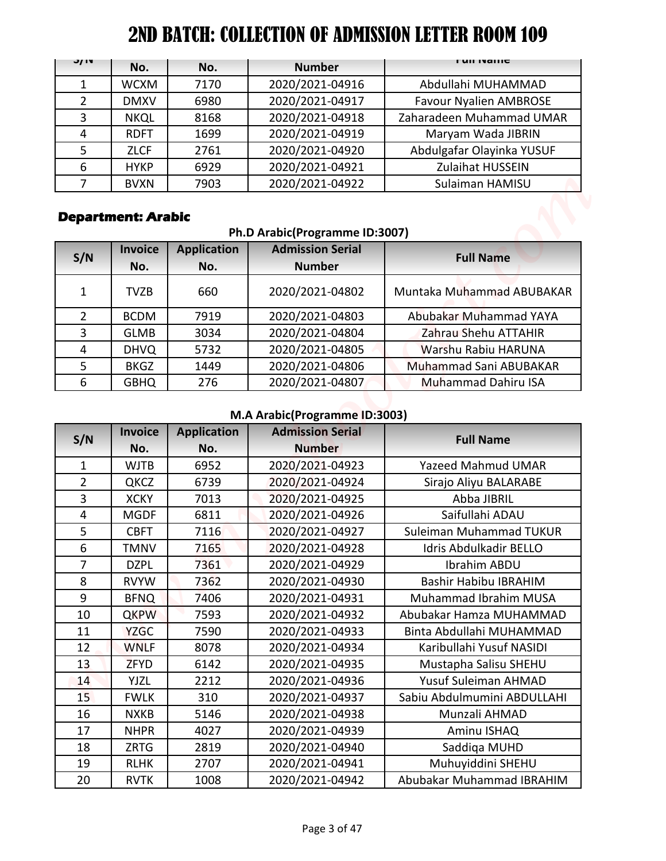| J/IV          | No.         | No.  | <b>Number</b>   | <b>FUILIVALLIC</b>            |
|---------------|-------------|------|-----------------|-------------------------------|
|               | <b>WCXM</b> | 7170 | 2020/2021-04916 | Abdullahi MUHAMMAD            |
| $\mathcal{P}$ | <b>DMXV</b> | 6980 | 2020/2021-04917 | <b>Favour Nyalien AMBROSE</b> |
| 3             | <b>NKQL</b> | 8168 | 2020/2021-04918 | Zaharadeen Muhammad UMAR      |
| 4             | <b>RDFT</b> | 1699 | 2020/2021-04919 | Maryam Wada JIBRIN            |
| 5             | <b>ZLCF</b> | 2761 | 2020/2021-04920 | Abdulgafar Olayinka YUSUF     |
| 6             | <b>HYKP</b> | 6929 | 2020/2021-04921 | Zulaihat HUSSEIN              |
|               | <b>BVXN</b> | 7903 | 2020/2021-04922 | Sulaiman HAMISU               |

# **Department: Arabic**

#### **Ph.D Arabic(Programme ID:3007)**

| S/N           | <b>Invoice</b><br>No. | <b>Application</b><br>No. | <b>Admission Serial</b><br><b>Number</b> | <b>Full Name</b>           |
|---------------|-----------------------|---------------------------|------------------------------------------|----------------------------|
| 1             | <b>TVZB</b>           | 660                       | 2020/2021-04802                          | Muntaka Muhammad ABUBAKAR  |
| $\mathcal{P}$ | <b>BCDM</b>           | 7919                      | 2020/2021-04803                          | Abubakar Muhammad YAYA     |
| 3             | <b>GLMB</b>           | 3034                      | 2020/2021-04804                          | Zahrau Shehu ATTAHIR       |
| 4             | <b>DHVQ</b>           | 5732                      | 2020/2021-04805                          | Warshu Rabiu HARUNA        |
| 5             | <b>BKGZ</b>           | 1449                      | 2020/2021-04806                          | Muhammad Sani ABUBAKAR     |
| 6             | <b>GBHQ</b>           | 276                       | 2020/2021-04807                          | <b>Muhammad Dahiru ISA</b> |

## **M.A Arabic(Programme ID:3003)**

| J/ IV<br>$\mathbf{1}$<br>$\overline{2}$<br>3 | No.                        |                    |                                                          | <b>FUILIVAILLE</b>                                   |
|----------------------------------------------|----------------------------|--------------------|----------------------------------------------------------|------------------------------------------------------|
|                                              |                            | No.                | <b>Number</b>                                            |                                                      |
|                                              | <b>WCXM</b>                | 7170               | 2020/2021-04916                                          | Abdullahi MUHAMMAD                                   |
|                                              | <b>DMXV</b>                | 6980               | 2020/2021-04917                                          | <b>Favour Nyalien AMBROSE</b>                        |
|                                              | <b>NKQL</b>                | 8168               | 2020/2021-04918                                          | Zaharadeen Muhammad UMAR                             |
| 4                                            | <b>RDFT</b>                | 1699               | 2020/2021-04919                                          | Maryam Wada JIBRIN                                   |
| 5                                            | <b>ZLCF</b>                | 2761               | 2020/2021-04920                                          | Abdulgafar Olayinka YUSUF                            |
| 6                                            | <b>HYKP</b>                | 6929               | 2020/2021-04921                                          | <b>Zulaihat HUSSEIN</b>                              |
| 7                                            | <b>BVXN</b>                | 7903               | 2020/2021-04922                                          | Sulaiman HAMISU                                      |
|                                              | <b>Department: Arabic</b>  |                    | Ph.D Arabic(Programme ID:3007)                           |                                                      |
| S/N                                          | <b>Invoice</b>             | <b>Application</b> | <b>Admission Serial</b>                                  | <b>Full Name</b>                                     |
|                                              | No.                        | No.                | <b>Number</b>                                            |                                                      |
| 1                                            | <b>TVZB</b>                | 660                | 2020/2021-04802                                          | Muntaka Muhammad ABUBAKAR                            |
| $\overline{2}$                               | <b>BCDM</b>                | 7919               | 2020/2021-04803                                          | Abubakar Muhammad YAYA                               |
| 3                                            | <b>GLMB</b>                | 3034               | 2020/2021-04804                                          | Zahrau Shehu ATTAHIR                                 |
| 4                                            | <b>DHVQ</b>                | 5732               | 2020/2021-04805                                          | Warshu Rabiu HARUNA                                  |
| 5                                            | <b>BKGZ</b>                | 1449               | 2020/2021-04806                                          | Muhammad Sani ABUBAKAR                               |
| 6                                            | <b>GBHQ</b>                | 276                | 2020/2021-04807                                          | <b>Muhammad Dahiru ISA</b>                           |
|                                              |                            |                    |                                                          |                                                      |
|                                              | <b>Invoice</b>             | <b>Application</b> | M.A Arabic(Programme ID:3003)<br><b>Admission Serial</b> |                                                      |
| S/N                                          |                            | No.                | <b>Number</b>                                            | <b>Full Name</b>                                     |
|                                              |                            |                    |                                                          |                                                      |
|                                              | No.                        |                    |                                                          |                                                      |
| $\mathbf{1}$                                 | <b>WJTB</b>                | 6952               | 2020/2021-04923                                          | <b>Yazeed Mahmud UMAR</b>                            |
| $\overline{2}$                               | QKCZ                       | 6739               | 2020/2021-04924                                          | Sirajo Aliyu BALARABE                                |
| $\overline{3}$                               | <b>XCKY</b>                | 7013               | 2020/2021-04925                                          | Abba JIBRIL                                          |
| $\overline{4}$                               | <b>MGDF</b>                | 6811               | 2020/2021-04926                                          | Saifullahi ADAU                                      |
| 5                                            | <b>CBFT</b>                | 7116               | 2020/2021-04927                                          | Suleiman Muhammad TUKUR                              |
| 6<br>$\overline{7}$                          | <b>TMNV</b>                | 7165               | 2020/2021-04928                                          | Idris Abdulkadir BELLO                               |
|                                              | <b>DZPL</b>                | 7361               | 2020/2021-04929                                          | Ibrahim ABDU<br><b>Bashir Habibu IBRAHIM</b>         |
| 8<br>9                                       | <b>RVYW</b>                | 7362<br>7406       | 2020/2021-04930<br>2020/2021-04931                       | Muhammad Ibrahim MUSA                                |
| 10                                           | <b>BFNQ</b>                | 7593               |                                                          | Abubakar Hamza MUHAMMAD                              |
|                                              | <b>QKPW</b>                |                    | 2020/2021-04932                                          |                                                      |
| 11<br>12                                     | <b>YZGC</b><br><b>WNLF</b> | 7590<br>8078       | 2020/2021-04933<br>2020/2021-04934                       | Binta Abdullahi MUHAMMAD<br>Karibullahi Yusuf NASIDI |
| 13                                           | <b>ZFYD</b>                | 6142               | 2020/2021-04935                                          | Mustapha Salisu SHEHU                                |
| 14                                           | <b>YJZL</b>                | 2212               | 2020/2021-04936                                          | Yusuf Suleiman AHMAD                                 |
| 15                                           | <b>FWLK</b>                | 310                | 2020/2021-04937                                          | Sabiu Abdulmumini ABDULLAHI                          |
| 16                                           | <b>NXKB</b>                | 5146               | 2020/2021-04938                                          | Munzali AHMAD                                        |
| 17                                           | <b>NHPR</b>                | 4027               | 2020/2021-04939                                          |                                                      |
|                                              |                            |                    |                                                          | Aminu ISHAQ                                          |
| 18<br>19                                     | <b>ZRTG</b><br><b>RLHK</b> | 2819<br>2707       | 2020/2021-04940<br>2020/2021-04941                       | Saddiga MUHD<br>Muhuyiddini SHEHU                    |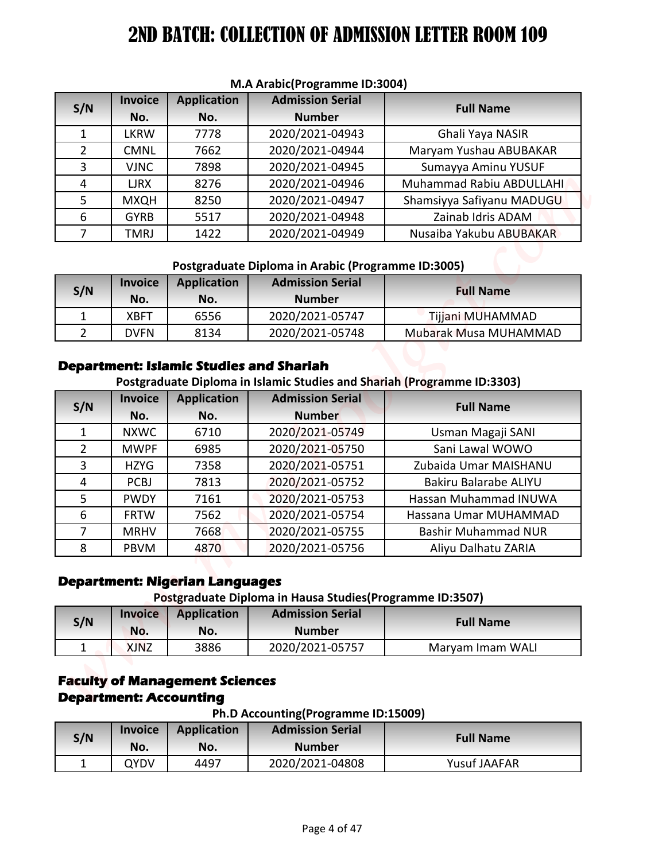| S/N           | <b>Invoice</b> | <b>Application</b> | <b>Admission Serial</b> | <b>Full Name</b>          |  |
|---------------|----------------|--------------------|-------------------------|---------------------------|--|
|               | No.            | No.                | <b>Number</b>           |                           |  |
|               | <b>LKRW</b>    | 7778               | 2020/2021-04943         | Ghali Yaya NASIR          |  |
| $\mathcal{P}$ | <b>CMNL</b>    | 7662               | 2020/2021-04944         | Maryam Yushau ABUBAKAR    |  |
| 3             | <b>VJNC</b>    | 7898               | 2020/2021-04945         | Sumayya Aminu YUSUF       |  |
| 4             | <b>LJRX</b>    | 8276               | 2020/2021-04946         | Muhammad Rabiu ABDULLAHI  |  |
| 5.            | <b>MXQH</b>    | 8250               | 2020/2021-04947         | Shamsiyya Safiyanu MADUGU |  |
| 6             | <b>GYRB</b>    | 5517               | 2020/2021-04948         | Zainab Idris ADAM         |  |
|               | TMRJ           | 1422               | 2020/2021-04949         | Nusaiba Yakubu ABUBAKAR   |  |

#### **M.A Arabic(Programme ID:3004)**

#### **Postgraduate Diploma in Arabic (Programme ID:3005)**

| S/N | <b>Invoice</b><br>No. | <b>Application</b><br>No. | <b>Admission Serial</b><br><b>Number</b> | <b>Full Name</b>             |
|-----|-----------------------|---------------------------|------------------------------------------|------------------------------|
|     | <b>XBFT</b>           | 6556                      | 2020/2021-05747                          | Tijjani MUHAMMAD             |
|     | <b>DVFN</b>           | 8134                      | 2020/2021-05748                          | <b>Mubarak Musa MUHAMMAD</b> |

#### **Department: Islamic Studies and Shariah**

| <b>Admission Serial</b><br><b>Invoice</b><br><b>Application</b><br><b>Full Name</b><br><b>Number</b><br>No.<br>No.<br>7778<br>2020/2021-04943<br><b>LKRW</b><br>Ghali Yaya NASIR<br><b>CMNL</b><br>7662<br>2020/2021-04944<br>2020/2021-04945<br><b>VJNC</b><br>7898<br>Sumayya Aminu YUSUF<br>8276<br>2020/2021-04946<br><b>LJRX</b><br>8250<br>2020/2021-04947<br><b>MXQH</b><br>2020/2021-04948<br>Zainab Idris ADAM<br><b>GYRB</b><br>5517<br>2020/2021-04949<br><b>TMRJ</b><br>1422<br>Postgraduate Diploma in Arabic (Programme ID:3005)<br><b>Admission Serial</b><br><b>Invoice</b><br><b>Application</b><br><b>Full Name</b><br><b>Number</b><br>No.<br>No.<br>2020/2021-05747<br>6556<br>Tijjani MUHAMMAD<br><b>XBFT</b><br>$\overline{2}$<br>2020/2021-05748<br>Mubarak Musa MUHAMMAD<br><b>DVFN</b><br>8134<br><b>Department: Islamic Studies and Shariah</b><br>Postgraduate Diploma in Islamic Studies and Shariah (Programme ID:3303)<br><b>Admission Serial</b><br><b>Invoice</b><br><b>Application</b><br><b>Full Name</b><br><b>Number</b><br>No.<br>No.<br><b>NXWC</b><br>6710<br>2020/2021-05749<br>Usman Magaji SANI<br>2020/2021-05750<br>Sani Lawal WOWO<br><b>MWPF</b><br>6985<br><b>HZYG</b><br>7358<br>2020/2021-05751<br>Zubaida Umar MAISHANU<br>2020/2021-05752<br><b>PCBJ</b><br>7813<br><b>Bakiru Balarabe ALIYU</b><br>2020/2021-05753<br><b>PWDY</b><br>7161<br>2020/2021-05754<br><b>FRTW</b><br>7562<br><b>MRHV</b><br>7668<br>2020/2021-05755<br><b>Bashir Muhammad NUR</b><br>2020/2021-05756<br><b>PBVM</b><br>4870<br>Aliyu Dalhatu ZARIA<br><b>Department: Nigerian Languages</b><br>Postgraduate Diploma in Hausa Studies (Programme ID:3507)<br><b>Admission Serial</b><br><b>Invoice</b><br><b>Application</b><br><b>Full Name</b><br><b>Number</b><br>No.<br>No.<br>3886<br>2020/2021-05757<br>Maryam Imam WALI<br><b>XJNZ</b><br><b>Faculty of Management Sciences</b><br><b>Department: Accounting</b><br>Ph.D Accounting(Programme ID:15009)<br><b>Admission Serial</b><br><b>Application</b><br><b>Invoice</b><br><b>Full Name</b><br><b>Number</b><br>No.<br>No. |                |  | M.A Arabic(Programme ID:3004) |                           |
|-------------------------------------------------------------------------------------------------------------------------------------------------------------------------------------------------------------------------------------------------------------------------------------------------------------------------------------------------------------------------------------------------------------------------------------------------------------------------------------------------------------------------------------------------------------------------------------------------------------------------------------------------------------------------------------------------------------------------------------------------------------------------------------------------------------------------------------------------------------------------------------------------------------------------------------------------------------------------------------------------------------------------------------------------------------------------------------------------------------------------------------------------------------------------------------------------------------------------------------------------------------------------------------------------------------------------------------------------------------------------------------------------------------------------------------------------------------------------------------------------------------------------------------------------------------------------------------------------------------------------------------------------------------------------------------------------------------------------------------------------------------------------------------------------------------------------------------------------------------------------------------------------------------------------------------------------------------------------------------------------------------------------------------------------------------------------------------------------------------------|----------------|--|-------------------------------|---------------------------|
|                                                                                                                                                                                                                                                                                                                                                                                                                                                                                                                                                                                                                                                                                                                                                                                                                                                                                                                                                                                                                                                                                                                                                                                                                                                                                                                                                                                                                                                                                                                                                                                                                                                                                                                                                                                                                                                                                                                                                                                                                                                                                                                   |                |  |                               |                           |
|                                                                                                                                                                                                                                                                                                                                                                                                                                                                                                                                                                                                                                                                                                                                                                                                                                                                                                                                                                                                                                                                                                                                                                                                                                                                                                                                                                                                                                                                                                                                                                                                                                                                                                                                                                                                                                                                                                                                                                                                                                                                                                                   | S/N            |  |                               |                           |
|                                                                                                                                                                                                                                                                                                                                                                                                                                                                                                                                                                                                                                                                                                                                                                                                                                                                                                                                                                                                                                                                                                                                                                                                                                                                                                                                                                                                                                                                                                                                                                                                                                                                                                                                                                                                                                                                                                                                                                                                                                                                                                                   | 1              |  |                               |                           |
|                                                                                                                                                                                                                                                                                                                                                                                                                                                                                                                                                                                                                                                                                                                                                                                                                                                                                                                                                                                                                                                                                                                                                                                                                                                                                                                                                                                                                                                                                                                                                                                                                                                                                                                                                                                                                                                                                                                                                                                                                                                                                                                   | $\overline{2}$ |  |                               | Maryam Yushau ABUBAKAR    |
|                                                                                                                                                                                                                                                                                                                                                                                                                                                                                                                                                                                                                                                                                                                                                                                                                                                                                                                                                                                                                                                                                                                                                                                                                                                                                                                                                                                                                                                                                                                                                                                                                                                                                                                                                                                                                                                                                                                                                                                                                                                                                                                   | 3              |  |                               |                           |
|                                                                                                                                                                                                                                                                                                                                                                                                                                                                                                                                                                                                                                                                                                                                                                                                                                                                                                                                                                                                                                                                                                                                                                                                                                                                                                                                                                                                                                                                                                                                                                                                                                                                                                                                                                                                                                                                                                                                                                                                                                                                                                                   | 4              |  |                               | Muhammad Rabiu ABDULLAHI  |
|                                                                                                                                                                                                                                                                                                                                                                                                                                                                                                                                                                                                                                                                                                                                                                                                                                                                                                                                                                                                                                                                                                                                                                                                                                                                                                                                                                                                                                                                                                                                                                                                                                                                                                                                                                                                                                                                                                                                                                                                                                                                                                                   | 5              |  |                               | Shamsiyya Safiyanu MADUGU |
|                                                                                                                                                                                                                                                                                                                                                                                                                                                                                                                                                                                                                                                                                                                                                                                                                                                                                                                                                                                                                                                                                                                                                                                                                                                                                                                                                                                                                                                                                                                                                                                                                                                                                                                                                                                                                                                                                                                                                                                                                                                                                                                   | 6              |  |                               |                           |
|                                                                                                                                                                                                                                                                                                                                                                                                                                                                                                                                                                                                                                                                                                                                                                                                                                                                                                                                                                                                                                                                                                                                                                                                                                                                                                                                                                                                                                                                                                                                                                                                                                                                                                                                                                                                                                                                                                                                                                                                                                                                                                                   | $\overline{7}$ |  |                               | Nusaiba Yakubu ABUBAKAR   |
|                                                                                                                                                                                                                                                                                                                                                                                                                                                                                                                                                                                                                                                                                                                                                                                                                                                                                                                                                                                                                                                                                                                                                                                                                                                                                                                                                                                                                                                                                                                                                                                                                                                                                                                                                                                                                                                                                                                                                                                                                                                                                                                   |                |  |                               |                           |
|                                                                                                                                                                                                                                                                                                                                                                                                                                                                                                                                                                                                                                                                                                                                                                                                                                                                                                                                                                                                                                                                                                                                                                                                                                                                                                                                                                                                                                                                                                                                                                                                                                                                                                                                                                                                                                                                                                                                                                                                                                                                                                                   |                |  |                               |                           |
|                                                                                                                                                                                                                                                                                                                                                                                                                                                                                                                                                                                                                                                                                                                                                                                                                                                                                                                                                                                                                                                                                                                                                                                                                                                                                                                                                                                                                                                                                                                                                                                                                                                                                                                                                                                                                                                                                                                                                                                                                                                                                                                   | S/N            |  |                               |                           |
|                                                                                                                                                                                                                                                                                                                                                                                                                                                                                                                                                                                                                                                                                                                                                                                                                                                                                                                                                                                                                                                                                                                                                                                                                                                                                                                                                                                                                                                                                                                                                                                                                                                                                                                                                                                                                                                                                                                                                                                                                                                                                                                   |                |  |                               |                           |
|                                                                                                                                                                                                                                                                                                                                                                                                                                                                                                                                                                                                                                                                                                                                                                                                                                                                                                                                                                                                                                                                                                                                                                                                                                                                                                                                                                                                                                                                                                                                                                                                                                                                                                                                                                                                                                                                                                                                                                                                                                                                                                                   | 1              |  |                               |                           |
|                                                                                                                                                                                                                                                                                                                                                                                                                                                                                                                                                                                                                                                                                                                                                                                                                                                                                                                                                                                                                                                                                                                                                                                                                                                                                                                                                                                                                                                                                                                                                                                                                                                                                                                                                                                                                                                                                                                                                                                                                                                                                                                   |                |  |                               |                           |
|                                                                                                                                                                                                                                                                                                                                                                                                                                                                                                                                                                                                                                                                                                                                                                                                                                                                                                                                                                                                                                                                                                                                                                                                                                                                                                                                                                                                                                                                                                                                                                                                                                                                                                                                                                                                                                                                                                                                                                                                                                                                                                                   | S/N            |  |                               |                           |
|                                                                                                                                                                                                                                                                                                                                                                                                                                                                                                                                                                                                                                                                                                                                                                                                                                                                                                                                                                                                                                                                                                                                                                                                                                                                                                                                                                                                                                                                                                                                                                                                                                                                                                                                                                                                                                                                                                                                                                                                                                                                                                                   | 1              |  |                               |                           |
|                                                                                                                                                                                                                                                                                                                                                                                                                                                                                                                                                                                                                                                                                                                                                                                                                                                                                                                                                                                                                                                                                                                                                                                                                                                                                                                                                                                                                                                                                                                                                                                                                                                                                                                                                                                                                                                                                                                                                                                                                                                                                                                   | $\overline{2}$ |  |                               |                           |
|                                                                                                                                                                                                                                                                                                                                                                                                                                                                                                                                                                                                                                                                                                                                                                                                                                                                                                                                                                                                                                                                                                                                                                                                                                                                                                                                                                                                                                                                                                                                                                                                                                                                                                                                                                                                                                                                                                                                                                                                                                                                                                                   | 3              |  |                               |                           |
|                                                                                                                                                                                                                                                                                                                                                                                                                                                                                                                                                                                                                                                                                                                                                                                                                                                                                                                                                                                                                                                                                                                                                                                                                                                                                                                                                                                                                                                                                                                                                                                                                                                                                                                                                                                                                                                                                                                                                                                                                                                                                                                   | 4              |  |                               |                           |
|                                                                                                                                                                                                                                                                                                                                                                                                                                                                                                                                                                                                                                                                                                                                                                                                                                                                                                                                                                                                                                                                                                                                                                                                                                                                                                                                                                                                                                                                                                                                                                                                                                                                                                                                                                                                                                                                                                                                                                                                                                                                                                                   | 5              |  |                               | Hassan Muhammad INUWA     |
|                                                                                                                                                                                                                                                                                                                                                                                                                                                                                                                                                                                                                                                                                                                                                                                                                                                                                                                                                                                                                                                                                                                                                                                                                                                                                                                                                                                                                                                                                                                                                                                                                                                                                                                                                                                                                                                                                                                                                                                                                                                                                                                   | 6              |  |                               | Hassana Umar MUHAMMAD     |
|                                                                                                                                                                                                                                                                                                                                                                                                                                                                                                                                                                                                                                                                                                                                                                                                                                                                                                                                                                                                                                                                                                                                                                                                                                                                                                                                                                                                                                                                                                                                                                                                                                                                                                                                                                                                                                                                                                                                                                                                                                                                                                                   | 7              |  |                               |                           |
|                                                                                                                                                                                                                                                                                                                                                                                                                                                                                                                                                                                                                                                                                                                                                                                                                                                                                                                                                                                                                                                                                                                                                                                                                                                                                                                                                                                                                                                                                                                                                                                                                                                                                                                                                                                                                                                                                                                                                                                                                                                                                                                   | 8              |  |                               |                           |
|                                                                                                                                                                                                                                                                                                                                                                                                                                                                                                                                                                                                                                                                                                                                                                                                                                                                                                                                                                                                                                                                                                                                                                                                                                                                                                                                                                                                                                                                                                                                                                                                                                                                                                                                                                                                                                                                                                                                                                                                                                                                                                                   |                |  |                               |                           |
|                                                                                                                                                                                                                                                                                                                                                                                                                                                                                                                                                                                                                                                                                                                                                                                                                                                                                                                                                                                                                                                                                                                                                                                                                                                                                                                                                                                                                                                                                                                                                                                                                                                                                                                                                                                                                                                                                                                                                                                                                                                                                                                   | S/N            |  |                               |                           |
|                                                                                                                                                                                                                                                                                                                                                                                                                                                                                                                                                                                                                                                                                                                                                                                                                                                                                                                                                                                                                                                                                                                                                                                                                                                                                                                                                                                                                                                                                                                                                                                                                                                                                                                                                                                                                                                                                                                                                                                                                                                                                                                   | 1              |  |                               |                           |
|                                                                                                                                                                                                                                                                                                                                                                                                                                                                                                                                                                                                                                                                                                                                                                                                                                                                                                                                                                                                                                                                                                                                                                                                                                                                                                                                                                                                                                                                                                                                                                                                                                                                                                                                                                                                                                                                                                                                                                                                                                                                                                                   |                |  |                               |                           |
|                                                                                                                                                                                                                                                                                                                                                                                                                                                                                                                                                                                                                                                                                                                                                                                                                                                                                                                                                                                                                                                                                                                                                                                                                                                                                                                                                                                                                                                                                                                                                                                                                                                                                                                                                                                                                                                                                                                                                                                                                                                                                                                   |                |  |                               |                           |
|                                                                                                                                                                                                                                                                                                                                                                                                                                                                                                                                                                                                                                                                                                                                                                                                                                                                                                                                                                                                                                                                                                                                                                                                                                                                                                                                                                                                                                                                                                                                                                                                                                                                                                                                                                                                                                                                                                                                                                                                                                                                                                                   |                |  |                               |                           |
|                                                                                                                                                                                                                                                                                                                                                                                                                                                                                                                                                                                                                                                                                                                                                                                                                                                                                                                                                                                                                                                                                                                                                                                                                                                                                                                                                                                                                                                                                                                                                                                                                                                                                                                                                                                                                                                                                                                                                                                                                                                                                                                   |                |  |                               |                           |
| <b>Yusuf JAAFAR</b><br>$\mathbf{1}$<br>2020/2021-04808<br>QYDV<br>4497                                                                                                                                                                                                                                                                                                                                                                                                                                                                                                                                                                                                                                                                                                                                                                                                                                                                                                                                                                                                                                                                                                                                                                                                                                                                                                                                                                                                                                                                                                                                                                                                                                                                                                                                                                                                                                                                                                                                                                                                                                            | S/N            |  |                               |                           |

# **Department: Nigerian Languages**

#### **Postgraduate Diploma in Hausa Studies(Programme ID:3507)**

| S/N | <b>Invoice</b><br>No. | <b>Application</b><br>No. | <b>Admission Serial</b><br><b>Number</b> | <b>Full Name</b> |
|-----|-----------------------|---------------------------|------------------------------------------|------------------|
|     | XJNZ                  | 3886                      | 2020/2021-05757                          | Maryam Imam WALI |

# **Faculty of Management Sciences Department: Accounting**

**Ph.D Accounting(Programme ID:15009)**

| S/N | <b>Invoice</b><br>No. | Application<br>No. | <b>Admission Serial</b><br><b>Number</b> | <b>Full Name</b> |
|-----|-----------------------|--------------------|------------------------------------------|------------------|
|     | VUYC                  | 4497               | 2020/2021-04808                          | Yusuf JAAFAR     |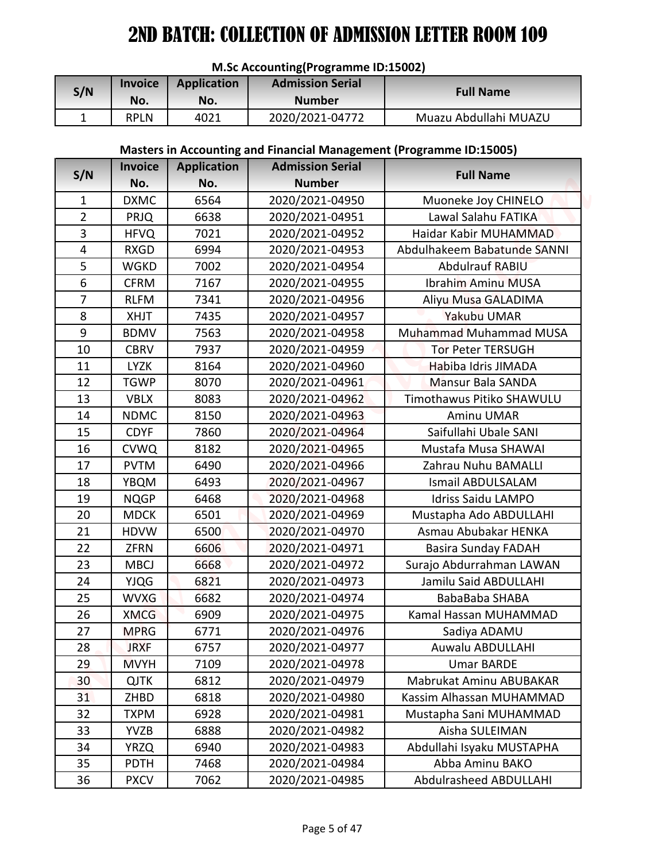|     | <b>IVI.SC ACCOUTILITY (FTOGTATITIE TD.15002)</b> |                    |                                          |                       |  |  |  |  |  |
|-----|--------------------------------------------------|--------------------|------------------------------------------|-----------------------|--|--|--|--|--|
| S/N | <b>Invoice</b><br>No.                            | Application<br>No. | <b>Admission Serial</b><br><b>Number</b> | <b>Full Name</b>      |  |  |  |  |  |
|     |                                                  |                    |                                          |                       |  |  |  |  |  |
|     | <b>RPLN</b>                                      | 4021               | 2020/2021-04772                          | Muazu Abdullahi MUAZU |  |  |  |  |  |

## **M.Sc Accounting(Programme ID:15002)**

## **Masters in Accounting and Financial Management (Programme ID:15005)**

|                |                            |                    | M.Sc Accounting(Programme ID:15002) |                                                                     |
|----------------|----------------------------|--------------------|-------------------------------------|---------------------------------------------------------------------|
| S/N            | <b>Invoice</b>             | <b>Application</b> | <b>Admission Serial</b>             | <b>Full Name</b>                                                    |
|                | No.                        | No.                | <b>Number</b>                       |                                                                     |
| $\mathbf{1}$   | <b>RPLN</b>                | 4021               | 2020/2021-04772                     | Muazu Abdullahi MUAZU                                               |
|                |                            |                    |                                     |                                                                     |
|                |                            |                    |                                     | Masters in Accounting and Financial Management (Programme ID:15005) |
| S/N            | <b>Invoice</b>             | <b>Application</b> | <b>Admission Serial</b>             | <b>Full Name</b>                                                    |
|                | No.                        | No.                | <b>Number</b>                       |                                                                     |
| $\mathbf{1}$   | <b>DXMC</b>                | 6564               | 2020/2021-04950                     | Muoneke Joy CHINELO                                                 |
| $\overline{2}$ | <b>PRJQ</b>                | 6638               | 2020/2021-04951                     | Lawal Salahu FATIKA                                                 |
| 3              | <b>HFVQ</b>                | 7021               | 2020/2021-04952                     | Haidar Kabir MUHAMMAD                                               |
| 4              | <b>RXGD</b>                | 6994               | 2020/2021-04953                     | Abdulhakeem Babatunde SANNI                                         |
| 5              | <b>WGKD</b>                | 7002               | 2020/2021-04954                     | <b>Abdulrauf RABIU</b>                                              |
| 6              | <b>CFRM</b>                | 7167               | 2020/2021-04955                     | <b>Ibrahim Aminu MUSA</b>                                           |
| $\overline{7}$ | <b>RLFM</b>                | 7341               | 2020/2021-04956                     | Aliyu Musa GALADIMA                                                 |
| 8              | <b>XHJT</b>                | 7435               | 2020/2021-04957                     | Yakubu UMAR                                                         |
| 9              | <b>BDMV</b>                | 7563               | 2020/2021-04958                     | Muhammad Muhammad MUSA                                              |
| 10             | <b>CBRV</b>                | 7937               | 2020/2021-04959                     | <b>Tor Peter TERSUGH</b>                                            |
| 11             | <b>LYZK</b>                | 8164               | 2020/2021-04960                     | Habiba Idris JIMADA                                                 |
| 12             | <b>TGWP</b>                | 8070               | 2020/2021-04961                     | Mansur Bala SANDA                                                   |
| 13             | <b>VBLX</b>                | 8083               | 2020/2021-04962                     | Timothawus Pitiko SHAWULU                                           |
| 14             | <b>NDMC</b>                | 8150<br>7860       | 2020/2021-04963                     | Aminu UMAR<br>Saifullahi Ubale SANI                                 |
| 15<br>16       | <b>CDYF</b><br><b>CVWQ</b> | 8182               | 2020/2021-04964<br>2020/2021-04965  | Mustafa Musa SHAWAI                                                 |
| 17             | <b>PVTM</b>                | 6490               | 2020/2021-04966                     | Zahrau Nuhu BAMALLI                                                 |
| 18             | YBQM                       | 6493               | 2020/2021-04967                     | <b>Ismail ABDULSALAM</b>                                            |
| 19             | <b>NQGP</b>                | 6468               | 2020/2021-04968                     | <b>Idriss Saidu LAMPO</b>                                           |
| 20             | <b>MDCK</b>                | 6501               | 2020/2021-04969                     | Mustapha Ado ABDULLAHI                                              |
| 21             | <b>HDVW</b>                | 6500               | 2020/2021-04970                     | Asmau Abubakar HENKA                                                |
| 22             | <b>ZFRN</b>                | 6606               | 2020/2021-04971                     | <b>Basira Sunday FADAH</b>                                          |
| 23             | <b>MBCJ</b>                | 6668               | 2020/2021-04972                     | Surajo Abdurrahman LAWAN                                            |
| 24             | <b>YJQG</b>                | 6821               | 2020/2021-04973                     | Jamilu Said ABDULLAHI                                               |
| 25             | <b>WVXG</b>                | 6682               | 2020/2021-04974                     | BabaBaba SHABA                                                      |
| 26             | <b>XMCG</b>                | 6909               | 2020/2021-04975                     | Kamal Hassan MUHAMMAD                                               |
| 27             | <b>MPRG</b>                | 6771               | 2020/2021-04976                     | Sadiya ADAMU                                                        |
| 28             | <b>JRXF</b>                | 6757               | 2020/2021-04977                     | Auwalu ABDULLAHI                                                    |
| 29             | <b>MVYH</b>                | 7109               | 2020/2021-04978                     | <b>Umar BARDE</b>                                                   |
| 30             | <b>QJTK</b>                | 6812               | 2020/2021-04979                     | Mabrukat Aminu ABUBAKAR                                             |
| 31             | ZHBD                       | 6818               | 2020/2021-04980                     | Kassim Alhassan MUHAMMAD                                            |
| 32             | <b>TXPM</b>                | 6928               | 2020/2021-04981                     | Mustapha Sani MUHAMMAD                                              |
| 33             | <b>YVZB</b>                | 6888               | 2020/2021-04982                     | Aisha SULEIMAN                                                      |
| 34             | <b>YRZQ</b>                | 6940               | 2020/2021-04983                     | Abdullahi Isyaku MUSTAPHA                                           |
| 35             | <b>PDTH</b>                | 7468               | 2020/2021-04984                     | Abba Aminu BAKO                                                     |
| 36             | <b>PXCV</b>                | 7062               | 2020/2021-04985                     | Abdulrasheed ABDULLAHI                                              |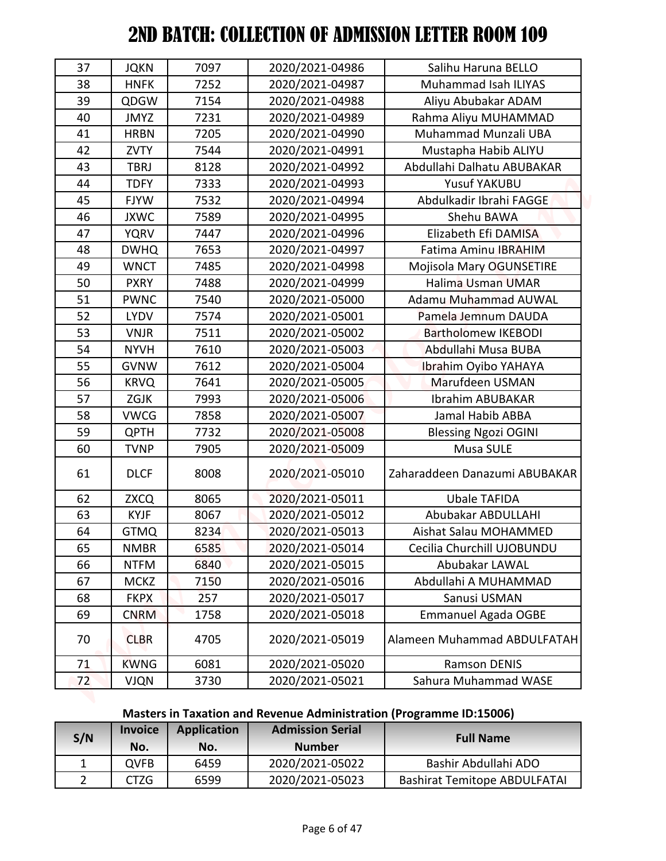| 42           | <b>ZVTY</b>    | 7544               | 2020/2021-04991         | Mustapha Habib ALIYU                                                |
|--------------|----------------|--------------------|-------------------------|---------------------------------------------------------------------|
| 41           | <b>HRBN</b>    | 7205               | 2020/2021-04990         | Muhammad Munzali UBA                                                |
| 43           | <b>TBRJ</b>    | 8128               | 2020/2021-04992         | Abdullahi Dalhatu ABUBAKAR                                          |
| 44           | <b>TDFY</b>    | 7333               | 2020/2021-04993         | <b>Yusuf YAKUBU</b>                                                 |
| 45           | <b>FJYW</b>    | 7532               | 2020/2021-04994         | Abdulkadir Ibrahi FAGGE                                             |
| 46           | <b>JXWC</b>    | 7589               | 2020/2021-04995         | Shehu BAWA                                                          |
| 47           | <b>YQRV</b>    | 7447               | 2020/2021-04996         | Elizabeth Efi DAMISA                                                |
| 48           | <b>DWHQ</b>    | 7653               | 2020/2021-04997         | <b>Fatima Aminu IBRAHIM</b>                                         |
| 49           | <b>WNCT</b>    | 7485               | 2020/2021-04998         | Mojisola Mary OGUNSETIRE                                            |
| 50           | <b>PXRY</b>    | 7488               | 2020/2021-04999         | Halima Usman UMAR                                                   |
| 51           | <b>PWNC</b>    | 7540               | 2020/2021-05000         | Adamu Muhammad AUWAL                                                |
| 52           | <b>LYDV</b>    | 7574               | 2020/2021-05001         | Pamela Jemnum DAUDA                                                 |
| 53           | <b>VNJR</b>    | 7511               | 2020/2021-05002         | <b>Bartholomew IKEBODI</b>                                          |
| 54           | <b>NYVH</b>    | 7610               | 2020/2021-05003         | Abdullahi Musa BUBA                                                 |
| 55           | <b>GVNW</b>    | 7612               | 2020/2021-05004         | Ibrahim Oyibo YAHAYA                                                |
| 56           | <b>KRVQ</b>    | 7641               | 2020/2021-05005         | Marufdeen USMAN                                                     |
| 57           | ZGJK           | 7993               | 2020/2021-05006         | <b>Ibrahim ABUBAKAR</b>                                             |
| 58           | <b>VWCG</b>    | 7858               | 2020/2021-05007         | Jamal Habib ABBA                                                    |
| 59           | <b>QPTH</b>    | 7732               | 2020/2021-05008         | <b>Blessing Ngozi OGINI</b>                                         |
| 60           | <b>TVNP</b>    | 7905               | 2020/2021-05009         | Musa SULE                                                           |
| 61           | <b>DLCF</b>    | 8008               | 2020/2021-05010         | Zaharaddeen Danazumi ABUBAKAR                                       |
| 62           | <b>ZXCQ</b>    | 8065               | 2020/2021-05011         | <b>Ubale TAFIDA</b>                                                 |
| 63           | <b>KYJF</b>    | 8067               | 2020/2021-05012         | Abubakar ABDULLAHI                                                  |
| 64           | <b>GTMQ</b>    | 8234               | 2020/2021-05013         | Aishat Salau MOHAMMED                                               |
| 65           | <b>NMBR</b>    | 6585               | 2020/2021-05014         | Cecilia Churchill UJOBUNDU                                          |
| 66           | <b>NTFM</b>    | 6840               | 2020/2021-05015         | Abubakar LAWAL                                                      |
| 67           | <b>MCKZ</b>    | 7150               | 2020/2021-05016         | Abdullahi A MUHAMMAD                                                |
| 68           | <b>FKPX</b>    | 257                | 2020/2021-05017         | Sanusi USMAN                                                        |
| 69           | <b>CNRM</b>    | 1758               | 2020/2021-05018         | <b>Emmanuel Agada OGBE</b>                                          |
| 70           | <b>CLBR</b>    | 4705               | 2020/2021-05019         | Alameen Muhammad ABDULFATAH                                         |
| 71           | <b>KWNG</b>    | 6081               | 2020/2021-05020         | <b>Ramson DENIS</b>                                                 |
| 72           | <b>VJQN</b>    | 3730               | 2020/2021-05021         | Sahura Muhammad WASE                                                |
|              |                |                    |                         | Masters in Taxation and Revenue Administration (Programme ID:15006) |
|              | <b>Invoice</b> | <b>Application</b> | <b>Admission Serial</b> |                                                                     |
| S/N          | No.            | No.                | <b>Number</b>           | <b>Full Name</b>                                                    |
| $\mathbf{1}$ | <b>QVFB</b>    | 6459               | 2020/2021-05022         | Bashir Abdullahi ADO                                                |
| $2^{\circ}$  | <b>CTZG</b>    | 6599               | 2020/2021-05023         | <b>Bashirat Temitope ABDULFATAI</b>                                 |

# **Masters in Taxation and Revenue Administration (Programme ID:15006)**

| S/N | <b>Invoice</b><br>No. | <b>Application</b><br>No. | <b>Admission Serial</b><br><b>Number</b> | <b>Full Name</b>                    |
|-----|-----------------------|---------------------------|------------------------------------------|-------------------------------------|
|     | <b>OVFB</b>           | 6459                      | 2020/2021-05022                          | Bashir Abdullahi ADO                |
|     | CTZG                  | 6599                      | 2020/2021-05023                          | <b>Bashirat Temitope ABDULFATAI</b> |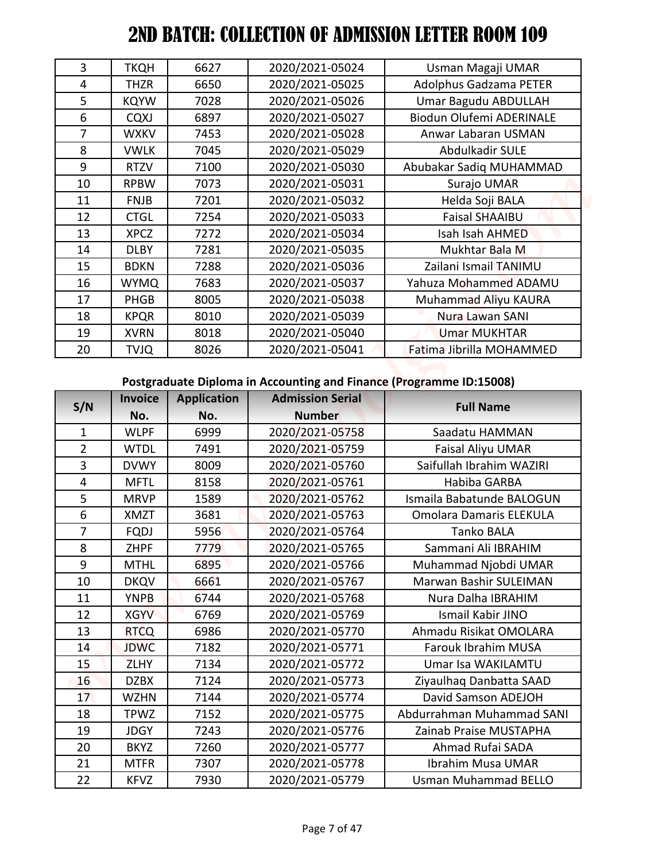| 3              | <b>TKQH</b> | 6627 | 2020/2021-05024 | Usman Magaji UMAR               |
|----------------|-------------|------|-----------------|---------------------------------|
| 4              | <b>THZR</b> | 6650 | 2020/2021-05025 | <b>Adolphus Gadzama PETER</b>   |
| 5              | <b>KQYW</b> | 7028 | 2020/2021-05026 | Umar Bagudu ABDULLAH            |
| 6              | <b>CQXJ</b> | 6897 | 2020/2021-05027 | <b>Biodun Olufemi ADERINALE</b> |
| $\overline{7}$ | <b>WXKV</b> | 7453 | 2020/2021-05028 | Anwar Labaran USMAN             |
| 8              | <b>VWLK</b> | 7045 | 2020/2021-05029 | Abdulkadir SULE                 |
| 9              | <b>RTZV</b> | 7100 | 2020/2021-05030 | Abubakar Sadiq MUHAMMAD         |
| 10             | <b>RPBW</b> | 7073 | 2020/2021-05031 | Surajo UMAR                     |
| 11             | <b>FNJB</b> | 7201 | 2020/2021-05032 | Helda Soji BALA                 |
| 12             | <b>CTGL</b> | 7254 | 2020/2021-05033 | <b>Faisal SHAAIBU</b>           |
| 13             | <b>XPCZ</b> | 7272 | 2020/2021-05034 | Isah Isah AHMED                 |
| 14             | <b>DLBY</b> | 7281 | 2020/2021-05035 | Mukhtar Bala M                  |
| 15             | <b>BDKN</b> | 7288 | 2020/2021-05036 | Zailani Ismail TANIMU           |
| 16             | <b>WYMQ</b> | 7683 | 2020/2021-05037 | Yahuza Mohammed ADAMU           |
| 17             | PHGB        | 8005 | 2020/2021-05038 | Muhammad Aliyu KAURA            |
| 18             | <b>KPQR</b> | 8010 | 2020/2021-05039 | Nura Lawan SANI                 |
| 19             | <b>XVRN</b> | 8018 | 2020/2021-05040 | <b>Umar MUKHTAR</b>             |
| 20             | <b>TVJQ</b> | 8026 | 2020/2021-05041 | Fatima Jibrilla MOHAMMED        |

#### **Postgraduate Diploma in Accounting and Finance (Programme ID:15008)**

| 3              | <b>TKQH</b>                | 6627               | 2020/2021-05024                    | Usman Magaji UMAR                                                   |
|----------------|----------------------------|--------------------|------------------------------------|---------------------------------------------------------------------|
| 4              | <b>THZR</b>                | 6650               | 2020/2021-05025                    | Adolphus Gadzama PETER                                              |
| 5              | <b>KQYW</b>                | 7028               | 2020/2021-05026                    | Umar Bagudu ABDULLAH                                                |
| 6              | <b>CQXJ</b>                | 6897               | 2020/2021-05027                    | Biodun Olufemi ADERINALE                                            |
| $\overline{7}$ | <b>WXKV</b>                | 7453               | 2020/2021-05028                    | Anwar Labaran USMAN                                                 |
| 8              | <b>VWLK</b>                | 7045               | 2020/2021-05029                    | Abdulkadir SULE                                                     |
| 9              | <b>RTZV</b>                | 7100               | 2020/2021-05030                    | Abubakar Sadiq MUHAMMAD                                             |
| 10             | <b>RPBW</b>                | 7073               | 2020/2021-05031                    | Surajo UMAR                                                         |
| 11             | <b>FNJB</b>                | 7201               | 2020/2021-05032                    | Helda Soji BALA                                                     |
| 12             | <b>CTGL</b>                | 7254               | 2020/2021-05033                    | <b>Faisal SHAAIBU</b>                                               |
| 13             | <b>XPCZ</b>                | 7272               | 2020/2021-05034                    | Isah Isah AHMED                                                     |
| 14             | <b>DLBY</b>                | 7281               | 2020/2021-05035                    | Mukhtar Bala M                                                      |
| 15             | <b>BDKN</b>                | 7288               | 2020/2021-05036                    | Zailani Ismail TANIMU                                               |
| 16             | <b>WYMQ</b>                | 7683               | 2020/2021-05037                    | Yahuza Mohammed ADAMU                                               |
| 17             | <b>PHGB</b>                | 8005               | 2020/2021-05038                    | Muhammad Aliyu KAURA                                                |
| 18             | <b>KPQR</b>                | 8010               | 2020/2021-05039                    | Nura Lawan SANI                                                     |
| 19             | <b>XVRN</b>                | 8018               | 2020/2021-05040                    | <b>Umar MUKHTAR</b>                                                 |
| 20             | <b>TVJQ</b>                | 8026               | 2020/2021-05041                    | Fatima Jibrilla MOHAMMED                                            |
|                |                            |                    |                                    |                                                                     |
|                | <b>Invoice</b>             | <b>Application</b> | <b>Admission Serial</b>            | Postgraduate Diploma in Accounting and Finance (Programme ID:15008) |
| S/N            | No.                        | No.                | <b>Number</b>                      | <b>Full Name</b>                                                    |
| $\mathbf 1$    | <b>WLPF</b>                | 6999               | 2020/2021-05758                    | Saadatu HAMMAN                                                      |
| $\overline{2}$ | <b>WTDL</b>                | 7491               | 2020/2021-05759                    | Faisal Aliyu UMAR                                                   |
| 3              | <b>DVWY</b>                | 8009               | 2020/2021-05760                    | Saifullah Ibrahim WAZIRI                                            |
| $\overline{4}$ | <b>MFTL</b>                | 8158               | 2020/2021-05761                    | Habiba GARBA                                                        |
| 5              | <b>MRVP</b>                | 1589               | 2020/2021-05762                    | Ismaila Babatunde BALOGUN                                           |
| 6              | XMZT                       | 3681               | 2020/2021-05763                    | <b>Omolara Damaris ELEKULA</b>                                      |
| $\overline{7}$ | <b>FQDJ</b>                | 5956               | 2020/2021-05764                    | Tanko BALA                                                          |
| 8              | <b>ZHPF</b>                | 7779               | 2020/2021-05765                    | Sammani Ali IBRAHIM                                                 |
| 9              | <b>MTHL</b>                | 6895               | 2020/2021-05766                    | Muhammad Njobdi UMAR                                                |
| 10             | <b>DKQV</b>                | 6661               | 2020/2021-05767                    | Marwan Bashir SULEIMAN                                              |
| 11             | <b>YNPB</b>                | 6744               | 2020/2021-05768                    | Nura Dalha IBRAHIM                                                  |
| 12             | <b>XGYV</b>                | 6769               | 2020/2021-05769                    | Ismail Kabir JINO                                                   |
| 13             | <b>RTCQ</b>                | 6986               | 2020/2021-05770                    | Ahmadu Risikat OMOLARA                                              |
| 14             | <b>JDWC</b>                | 7182               | 2020/2021-05771                    | Farouk Ibrahim MUSA                                                 |
| 15             | <b>ZLHY</b>                | 7134               | 2020/2021-05772                    | Umar Isa WAKILAMTU                                                  |
| 16             | <b>DZBX</b>                | 7124               | 2020/2021-05773                    | Ziyaulhaq Danbatta SAAD                                             |
| 17             | <b>WZHN</b>                | 7144               | 2020/2021-05774                    | David Samson ADEJOH                                                 |
| 18             | TPWZ                       | 7152               | 2020/2021-05775                    | Abdurrahman Muhammad SANI                                           |
| 19             | <b>JDGY</b>                | 7243               | 2020/2021-05776                    | Zainab Praise MUSTAPHA                                              |
| 20<br>21       | <b>BKYZ</b><br><b>MTFR</b> | 7260<br>7307       | 2020/2021-05777<br>2020/2021-05778 | Ahmad Rufai SADA<br>Ibrahim Musa UMAR                               |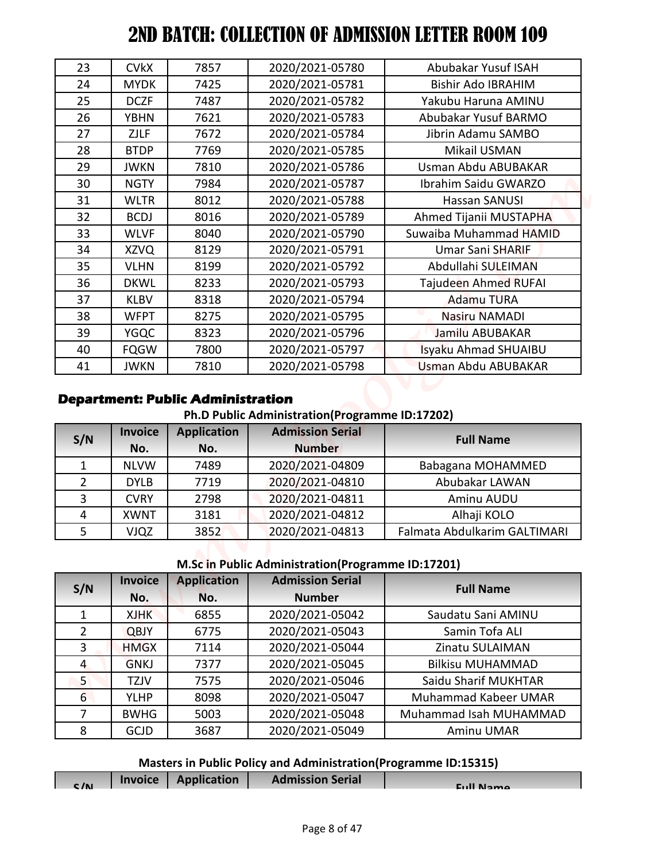| 8               | <b>GCJD</b>                | 3687                                     | 2020/2021-05049                                                           | Aminu UMAR                                     |
|-----------------|----------------------------|------------------------------------------|---------------------------------------------------------------------------|------------------------------------------------|
| $\overline{7}$  | <b>BWHG</b>                | 5003                                     | 2020/2021-05048                                                           | Muhammad Isah MUHAMMAD                         |
| $6\overline{6}$ | <b>YLHP</b>                | 8098                                     | 2020/2021-05047                                                           | Muhammad Kabeer UMAR                           |
| 5 <sup>1</sup>  | <b>TZJV</b>                | 7575                                     | 2020/2021-05046                                                           | Saidu Sharif MUKHTAR                           |
| $\overline{4}$  | <b>GNKJ</b>                | 7377                                     | 2020/2021-05045                                                           | <b>Bilkisu MUHAMMAD</b>                        |
| 3               | <b>HMGX</b>                | 7114                                     | 2020/2021-05044                                                           | Zinatu SULAIMAN                                |
| $\overline{2}$  | <b>QBJY</b>                | 6775                                     | 2020/2021-05043                                                           | Samin Tofa ALI                                 |
| $\mathbf{1}$    | No.<br><b>XJHK</b>         | No.<br>6855                              | <b>Number</b><br>2020/2021-05042                                          | Saudatu Sani AMINU                             |
| S/N             | <b>Invoice</b>             | <b>Application</b>                       | <b>Admission Serial</b>                                                   | <b>Full Name</b>                               |
|                 |                            |                                          | M.Sc in Public Administration(Programme ID:17201)                         |                                                |
| 5               | <b>VJQZ</b>                | 3852                                     | 2020/2021-04813                                                           | Falmata Abdulkarim GALTIMARI                   |
| $\overline{4}$  | <b>XWNT</b>                | 3181                                     | 2020/2021-04812                                                           | Alhaji KOLO                                    |
| $\overline{3}$  | <b>CVRY</b>                | 2798                                     | 2020/2021-04811                                                           | Aminu AUDU                                     |
| $\overline{2}$  | <b>DYLB</b>                | 7719                                     | 2020/2021-04810                                                           | Abubakar LAWAN                                 |
| $\mathbf{1}$    | <b>NLVW</b>                | 7489                                     | 2020/2021-04809                                                           | Babagana MOHAMMED                              |
|                 | No.                        | No.                                      | <b>Number</b>                                                             |                                                |
| S/N             | <b>Invoice</b>             | <b>Application</b>                       | Ph.D Public Administration(Programme ID:17202)<br><b>Admission Serial</b> | <b>Full Name</b>                               |
|                 |                            | <b>Department: Public Administration</b> |                                                                           |                                                |
| 41              | <b>JWKN</b>                | 7810                                     | 2020/2021-05798                                                           | Usman Abdu ABUBAKAR                            |
| 40              | <b>FQGW</b>                | 7800                                     | 2020/2021-05797                                                           | Isyaku Ahmad SHUAIBU                           |
| 39              | <b>YGQC</b>                | 8323                                     | 2020/2021-05796                                                           | Jamilu ABUBAKAR                                |
| 38              | <b>WFPT</b>                | 8275                                     | 2020/2021-05795                                                           | <b>Nasiru NAMADI</b>                           |
| 37              | <b>KLBV</b>                | 8318                                     | 2020/2021-05794                                                           | <b>Adamu TURA</b>                              |
| 36              | <b>DKWL</b>                | 8233                                     | 2020/2021-05793                                                           | Tajudeen Ahmed RUFAI                           |
| 35              | <b>VLHN</b>                | 8199                                     | 2020/2021-05792                                                           | Abdullahi SULEIMAN                             |
| 34              | <b>XZVQ</b>                | 8129                                     | 2020/2021-05791                                                           | Umar Sani SHARIF                               |
| 33              | <b>WLVF</b>                | 8040                                     | 2020/2021-05790                                                           | Suwaiba Muhammad HAMID                         |
| 31<br>32        | <b>WLTR</b><br><b>BCDJ</b> | 8016                                     | 2020/2021-05788<br>2020/2021-05789                                        | <b>Hassan SANUSI</b><br>Ahmed Tijanii MUSTAPHA |
| 30              | <b>NGTY</b>                | 7984<br>8012                             | 2020/2021-05787                                                           | Ibrahim Saidu GWARZO                           |
| 29              | <b>JWKN</b>                | 7810                                     | 2020/2021-05786                                                           | Usman Abdu ABUBAKAR                            |
| 28              | <b>BTDP</b>                | 7769                                     | 2020/2021-05785                                                           | Mikail USMAN                                   |
| 27              | <b>ZJLF</b>                | 7672                                     | 2020/2021-05784                                                           | Jibrin Adamu SAMBO                             |
| 26              | <b>YBHN</b>                | 7621                                     | 2020/2021-05783                                                           | Abubakar Yusuf BARMO                           |
| 25              | <b>DCZF</b>                | 7487                                     | 2020/2021-05782                                                           | Yakubu Haruna AMINU                            |
| 24              | <b>MYDK</b>                | 7425                                     | 2020/2021-05781                                                           | <b>Bishir Ado IBRAHIM</b>                      |
|                 | <b>CVkX</b>                | 7857                                     | 2020/2021-05780                                                           | Abubakar Yusuf ISAH                            |

## **Department: Public Administration**

**Ph.D Public Administration(Programme ID:17202)**

| S/N            | <b>Invoice</b> | <b>Application</b> | <b>Admission Serial</b> | <b>Full Name</b>             |
|----------------|----------------|--------------------|-------------------------|------------------------------|
|                | No.            | No.                | <b>Number</b>           |                              |
|                | <b>NLVW</b>    | 7489               | 2020/2021-04809         | Babagana MOHAMMED            |
| $\overline{2}$ | <b>DYLB</b>    | 7719               | 2020/2021-04810         | Abubakar LAWAN               |
| 3              | <b>CVRY</b>    | 2798               | 2020/2021-04811         | Aminu AUDU                   |
| 4              | <b>XWNT</b>    | 3181               | 2020/2021-04812         | Alhaji KOLO                  |
|                | <b>VJQZ</b>    | 3852               | 2020/2021-04813         | Falmata Abdulkarim GALTIMARI |

#### **M.Sc in Public Administration(Programme ID:17201)**

| S/N            | <b>Invoice</b><br>No. | <b>Application</b><br>No. | <b>Admission Serial</b><br><b>Number</b> | <b>Full Name</b>            |
|----------------|-----------------------|---------------------------|------------------------------------------|-----------------------------|
|                | <b>XJHK</b>           | 6855                      | 2020/2021-05042                          | Saudatu Sani AMINU          |
| $\overline{2}$ | <b>QBJY</b>           | 6775                      | 2020/2021-05043                          | Samin Tofa ALI              |
| 3              | <b>HMGX</b>           | 7114                      | 2020/2021-05044                          | Zinatu SULAIMAN             |
| 4              | <b>GNKJ</b>           | 7377                      | 2020/2021-05045                          | <b>Bilkisu MUHAMMAD</b>     |
| $5^{\circ}$    | <b>TZJV</b>           | 7575                      | 2020/2021-05046                          | Saidu Sharif MUKHTAR        |
| 6              | <b>YLHP</b>           | 8098                      | 2020/2021-05047                          | <b>Muhammad Kabeer UMAR</b> |
| 7              | <b>BWHG</b>           | 5003                      | 2020/2021-05048                          | Muhammad Isah MUHAMMAD      |
| 8              | <b>GCJD</b>           | 3687                      | 2020/2021-05049                          | Aminu UMAR                  |

# **Masters in Public Policy and Administration(Programme ID:15315)**

| C/N | <b>Invoice</b> | Application | <b>Admission Serial</b> | <b>Euli Name</b> |
|-----|----------------|-------------|-------------------------|------------------|
|     |                |             |                         |                  |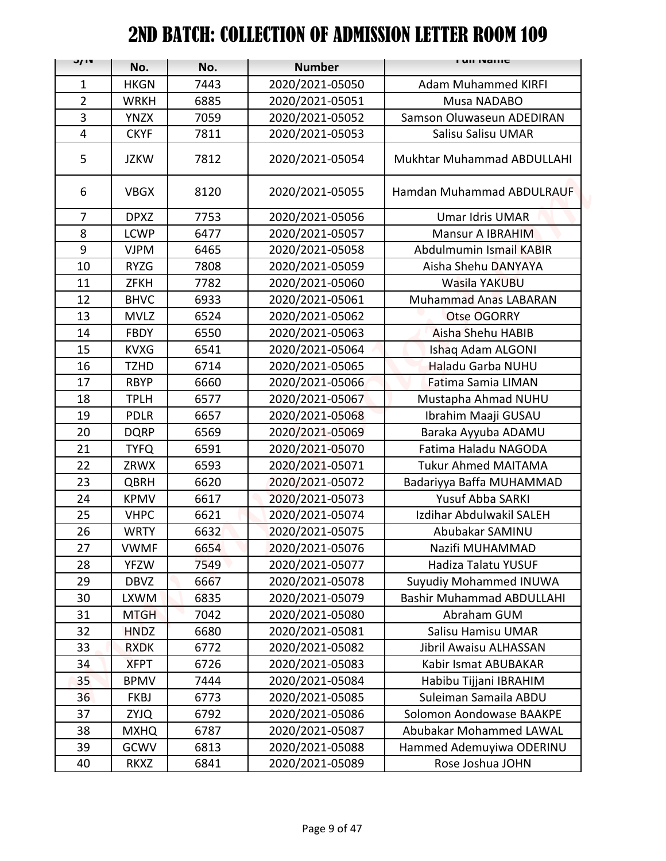| J/ IV          | No.         | No.  | <b>Number</b>   | гин тангс                        |
|----------------|-------------|------|-----------------|----------------------------------|
| $\mathbf{1}$   | <b>HKGN</b> | 7443 | 2020/2021-05050 | <b>Adam Muhammed KIRFI</b>       |
| $\overline{2}$ | <b>WRKH</b> | 6885 | 2020/2021-05051 | Musa NADABO                      |
| 3              | <b>YNZX</b> | 7059 | 2020/2021-05052 | Samson Oluwaseun ADEDIRAN        |
| 4              | <b>CKYF</b> | 7811 | 2020/2021-05053 | Salisu Salisu UMAR               |
| 5              | <b>JZKW</b> | 7812 | 2020/2021-05054 | Mukhtar Muhammad ABDULLAHI       |
| 6              | <b>VBGX</b> | 8120 | 2020/2021-05055 | Hamdan Muhammad ABDULRAUF        |
| $\overline{7}$ | <b>DPXZ</b> | 7753 | 2020/2021-05056 | Umar Idris UMAR                  |
| 8              | <b>LCWP</b> | 6477 | 2020/2021-05057 | Mansur A IBRAHIM                 |
| 9              | <b>VJPM</b> | 6465 | 2020/2021-05058 | Abdulmumin Ismail KABIR          |
| 10             | <b>RYZG</b> | 7808 | 2020/2021-05059 | Aisha Shehu DANYAYA              |
| 11             | <b>ZFKH</b> | 7782 | 2020/2021-05060 | Wasila YAKUBU                    |
| 12             | <b>BHVC</b> | 6933 | 2020/2021-05061 | <b>Muhammad Anas LABARAN</b>     |
| 13             | <b>MVLZ</b> | 6524 | 2020/2021-05062 | Otse OGORRY                      |
| 14             | <b>FBDY</b> | 6550 | 2020/2021-05063 | <b>Aisha Shehu HABIB</b>         |
| 15             | <b>KVXG</b> | 6541 | 2020/2021-05064 | Ishaq Adam ALGONI                |
| 16             | <b>TZHD</b> | 6714 | 2020/2021-05065 | Haladu Garba NUHU                |
| 17             | <b>RBYP</b> | 6660 | 2020/2021-05066 | Fatima Samia LIMAN               |
| 18             | <b>TPLH</b> | 6577 | 2020/2021-05067 | Mustapha Ahmad NUHU              |
| 19             | <b>PDLR</b> | 6657 | 2020/2021-05068 | Ibrahim Maaji GUSAU              |
| 20             | <b>DQRP</b> | 6569 | 2020/2021-05069 | Baraka Ayyuba ADAMU              |
| 21             | <b>TYFQ</b> | 6591 | 2020/2021-05070 | Fatima Haladu NAGODA             |
| 22             | ZRWX        | 6593 | 2020/2021-05071 | <b>Tukur Ahmed MAITAMA</b>       |
| 23             | QBRH        | 6620 | 2020/2021-05072 | Badariyya Baffa MUHAMMAD         |
| 24             | <b>KPMV</b> | 6617 | 2020/2021-05073 | Yusuf Abba SARKI                 |
| 25             | <b>VHPC</b> | 6621 | 2020/2021-05074 | Izdihar Abdulwakil SALEH         |
| 26             | <b>WRTY</b> | 6632 | 2020/2021-05075 | Abubakar SAMINU                  |
| 27             | <b>VWMF</b> | 6654 | 2020/2021-05076 | Nazifi MUHAMMAD                  |
| 28             | <b>YFZW</b> | 7549 | 2020/2021-05077 | Hadiza Talatu YUSUF              |
| 29             | DBVZ        | 6667 | 2020/2021-05078 | Suyudiy Mohammed INUWA           |
| 30             | <b>LXWM</b> | 6835 | 2020/2021-05079 | <b>Bashir Muhammad ABDULLAHI</b> |
| 31             | <b>MTGH</b> | 7042 | 2020/2021-05080 | Abraham GUM                      |
| 32             | <b>HNDZ</b> | 6680 | 2020/2021-05081 | Salisu Hamisu UMAR               |
| 33             | <b>RXDK</b> | 6772 | 2020/2021-05082 | Jibril Awaisu ALHASSAN           |
| 34             | <b>XFPT</b> | 6726 | 2020/2021-05083 | Kabir Ismat ABUBAKAR             |
| 35             | <b>BPMV</b> | 7444 | 2020/2021-05084 | Habibu Tijjani IBRAHIM           |
| 36             | <b>FKBJ</b> | 6773 | 2020/2021-05085 | Suleiman Samaila ABDU            |
| 37             | <b>ZYJQ</b> | 6792 | 2020/2021-05086 | Solomon Aondowase BAAKPE         |
| 38             | <b>MXHQ</b> | 6787 | 2020/2021-05087 | Abubakar Mohammed LAWAL          |
| 39             | GCWV        | 6813 | 2020/2021-05088 | Hammed Ademuyiwa ODERINU         |
| 40             | <b>RKXZ</b> | 6841 | 2020/2021-05089 | Rose Joshua JOHN                 |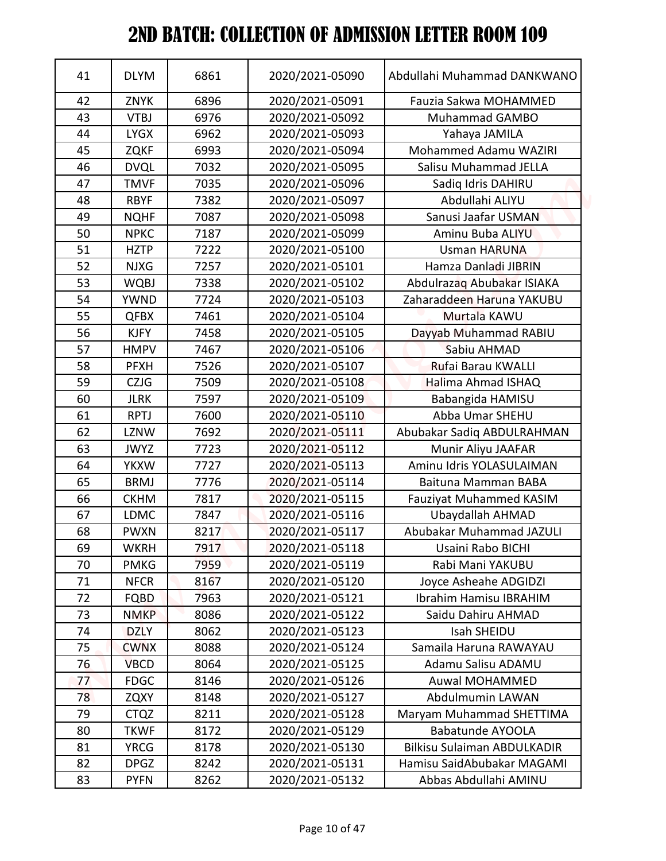| 41       | <b>DLYM</b> | 6861 | 2020/2021-05090 | Abdullahi Muhammad DANKWANO        |
|----------|-------------|------|-----------------|------------------------------------|
| 42       | <b>ZNYK</b> | 6896 | 2020/2021-05091 | Fauzia Sakwa MOHAMMED              |
| 43       | <b>VTBJ</b> | 6976 | 2020/2021-05092 | Muhammad GAMBO                     |
| 44       | <b>LYGX</b> | 6962 | 2020/2021-05093 | Yahaya JAMILA                      |
| 45       | <b>ZQKF</b> | 6993 | 2020/2021-05094 | Mohammed Adamu WAZIRI              |
| 46       | <b>DVQL</b> | 7032 | 2020/2021-05095 | Salisu Muhammad JELLA              |
| 47       | <b>TMVF</b> | 7035 | 2020/2021-05096 | Sadiq Idris DAHIRU                 |
| 48       | <b>RBYF</b> | 7382 | 2020/2021-05097 | Abdullahi ALIYU                    |
| 49       | <b>NQHF</b> | 7087 | 2020/2021-05098 | Sanusi Jaafar USMAN                |
| 50       | <b>NPKC</b> | 7187 | 2020/2021-05099 | Aminu Buba ALIYU                   |
| 51       | <b>HZTP</b> | 7222 | 2020/2021-05100 | <b>Usman HARUNA</b>                |
| 52       | <b>NJXG</b> | 7257 | 2020/2021-05101 | Hamza Danladi JIBRIN               |
| 53       | <b>WQBJ</b> | 7338 | 2020/2021-05102 | Abdulrazaq Abubakar ISIAKA         |
| 54       | <b>YWND</b> | 7724 | 2020/2021-05103 | Zaharaddeen Haruna YAKUBU          |
| 55       | <b>QFBX</b> | 7461 | 2020/2021-05104 | Murtala KAWU                       |
| 56       | <b>KJFY</b> | 7458 | 2020/2021-05105 | Dayyab Muhammad RABIU              |
| 57       | <b>HMPV</b> | 7467 | 2020/2021-05106 | Sabiu AHMAD                        |
| 58       | <b>PFXH</b> | 7526 | 2020/2021-05107 | Rufai Barau KWALLI                 |
| 59       | <b>CZJG</b> | 7509 | 2020/2021-05108 | Halima Ahmad ISHAQ                 |
| 60       | <b>JLRK</b> | 7597 | 2020/2021-05109 | Babangida HAMISU                   |
| 61       | <b>RPTJ</b> | 7600 | 2020/2021-05110 | Abba Umar SHEHU                    |
| 62       | <b>LZNW</b> | 7692 | 2020/2021-05111 | Abubakar Sadiq ABDULRAHMAN         |
| 63       | <b>JWYZ</b> | 7723 | 2020/2021-05112 | Munir Aliyu JAAFAR                 |
| 64       | <b>YKXW</b> | 7727 | 2020/2021-05113 | Aminu Idris YOLASULAIMAN           |
| 65       | <b>BRMJ</b> | 7776 | 2020/2021-05114 | Baituna Mamman BABA                |
| 66       | <b>CKHM</b> | 7817 | 2020/2021-05115 | <b>Fauziyat Muhammed KASIM</b>     |
| 67       | <b>LDMC</b> | 7847 | 2020/2021-05116 | Ubaydallah AHMAD                   |
| 68       | <b>PWXN</b> | 8217 | 2020/2021-05117 | Abubakar Muhammad JAZULI           |
| 69       | WKRH        | 7917 | 2020/2021-05118 | Usaini Rabo BICHI                  |
| 70       | <b>PMKG</b> | 7959 | 2020/2021-05119 | Rabi Mani YAKUBU                   |
| 71       | <b>NFCR</b> | 8167 | 2020/2021-05120 | Joyce Asheahe ADGIDZI              |
| 72       | <b>FQBD</b> | 7963 | 2020/2021-05121 | Ibrahim Hamisu IBRAHIM             |
| 73       | <b>NMKP</b> | 8086 | 2020/2021-05122 | Saidu Dahiru AHMAD                 |
| 74       | <b>DZLY</b> | 8062 | 2020/2021-05123 | Isah SHEIDU                        |
| 75       | <b>CWNX</b> | 8088 | 2020/2021-05124 | Samaila Haruna RAWAYAU             |
| 76       | <b>VBCD</b> | 8064 | 2020/2021-05125 | Adamu Salisu ADAMU                 |
| 77       | <b>FDGC</b> | 8146 | 2020/2021-05126 | Auwal MOHAMMED                     |
| 78       | <b>ZQXY</b> | 8148 | 2020/2021-05127 | Abdulmumin LAWAN                   |
| 79       | <b>CTQZ</b> | 8211 | 2020/2021-05128 | Maryam Muhammad SHETTIMA           |
| 80       | <b>TKWF</b> | 8172 | 2020/2021-05129 | <b>Babatunde AYOOLA</b>            |
| 81       | <b>YRCG</b> | 8178 | 2020/2021-05130 | <b>Bilkisu Sulaiman ABDULKADIR</b> |
| 82<br>83 | <b>DPGZ</b> | 8242 | 2020/2021-05131 | Hamisu SaidAbubakar MAGAMI         |
|          | <b>PYFN</b> | 8262 | 2020/2021-05132 | Abbas Abdullahi AMINU              |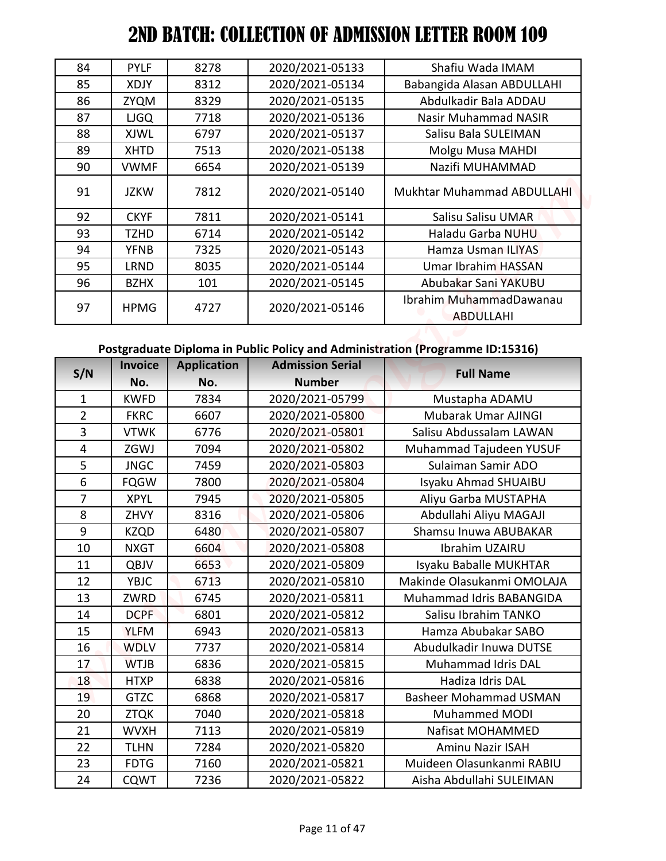| 84 | <b>PYLF</b> | 8278 | 2020/2021-05133 | Shafiu Wada IMAM                            |
|----|-------------|------|-----------------|---------------------------------------------|
| 85 | XDJY        | 8312 | 2020/2021-05134 | Babangida Alasan ABDULLAHI                  |
| 86 | <b>ZYQM</b> | 8329 | 2020/2021-05135 | Abdulkadir Bala ADDAU                       |
| 87 | <b>LJGQ</b> | 7718 | 2020/2021-05136 | <b>Nasir Muhammad NASIR</b>                 |
| 88 | <b>XJWL</b> | 6797 | 2020/2021-05137 | Salisu Bala SULEIMAN                        |
| 89 | <b>XHTD</b> | 7513 | 2020/2021-05138 | Molgu Musa MAHDI                            |
| 90 | <b>VWMF</b> | 6654 | 2020/2021-05139 | Nazifi MUHAMMAD                             |
| 91 | <b>JZKW</b> | 7812 | 2020/2021-05140 | Mukhtar Muhammad ABDULLAHI                  |
| 92 | <b>CKYF</b> | 7811 | 2020/2021-05141 | Salisu Salisu UMAR                          |
| 93 | <b>TZHD</b> | 6714 | 2020/2021-05142 | Haladu Garba NUHU                           |
| 94 | <b>YFNB</b> | 7325 | 2020/2021-05143 | Hamza Usman ILIYAS                          |
| 95 | <b>LRND</b> | 8035 | 2020/2021-05144 | Umar Ibrahim HASSAN                         |
| 96 | <b>BZHX</b> | 101  | 2020/2021-05145 | Abubakar Sani YAKUBU                        |
| 97 | <b>HPMG</b> | 4727 | 2020/2021-05146 | Ibrahim MuhammadDawanau<br><b>ABDULLAHI</b> |

## **Postgraduate Diploma in Public Policy and Administration (Programme ID:15316)**

| 84             | <b>PYLF</b>         | 8278               | 2020/2021-05133                    | Shafiu Wada IMAM                                                              |
|----------------|---------------------|--------------------|------------------------------------|-------------------------------------------------------------------------------|
| 85             | <b>XDJY</b>         | 8312               | 2020/2021-05134                    | Babangida Alasan ABDULLAHI                                                    |
|                |                     | 8329               | 2020/2021-05135                    | Abdulkadir Bala ADDAU                                                         |
| 86<br>87       | ZYQM                | 7718               | 2020/2021-05136                    | <b>Nasir Muhammad NASIR</b>                                                   |
|                | <b>LJGQ</b>         |                    |                                    |                                                                               |
| 88             | XJWL                | 6797               | 2020/2021-05137                    | Salisu Bala SULEIMAN                                                          |
| 89             | <b>XHTD</b>         | 7513               | 2020/2021-05138                    | Molgu Musa MAHDI                                                              |
| 90             | <b>VWMF</b>         | 6654               | 2020/2021-05139                    | Nazifi MUHAMMAD                                                               |
| 91             | <b>JZKW</b>         | 7812               | 2020/2021-05140                    | Mukhtar Muhammad ABDULLAHI                                                    |
| 92             | <b>CKYF</b>         | 7811               | 2020/2021-05141                    | Salisu Salisu UMAR                                                            |
| 93             | <b>TZHD</b>         | 6714               | 2020/2021-05142                    | Haladu Garba NUHU                                                             |
| 94             | <b>YFNB</b>         | 7325               | 2020/2021-05143                    | Hamza Usman ILIYAS                                                            |
| 95             | LRND                | 8035               | 2020/2021-05144                    | <b>Umar Ibrahim HASSAN</b>                                                    |
| 96             | <b>BZHX</b>         | 101                | 2020/2021-05145                    | Abubakar Sani YAKUBU                                                          |
| 97             | <b>HPMG</b>         | 4727               | 2020/2021-05146                    | Ibrahim MuhammadDawanau<br><b>ABDULLAHI</b>                                   |
|                |                     |                    |                                    |                                                                               |
|                |                     |                    |                                    | Postgraduate Diploma in Public Policy and Administration (Programme ID:15316) |
|                |                     |                    |                                    |                                                                               |
| S/N            | <b>Invoice</b>      | <b>Application</b> | <b>Admission Serial</b>            | <b>Full Name</b>                                                              |
|                | No.                 | No.                | <b>Number</b>                      |                                                                               |
| $\mathbf{1}$   | <b>KWFD</b>         | 7834               | 2020/2021-05799                    | Mustapha ADAMU                                                                |
| $\overline{2}$ | <b>FKRC</b>         | 6607               | 2020/2021-05800                    | Mubarak Umar AJINGI                                                           |
| 3              | <b>VTWK</b>         | 6776               | 2020/2021-05801                    | Salisu Abdussalam LAWAN                                                       |
| 4              | ZGWJ                | 7094               | 2020/2021-05802                    | Muhammad Tajudeen YUSUF                                                       |
| 5              | <b>JNGC</b>         | 7459               | 2020/2021-05803                    | Sulaiman Samir ADO                                                            |
| 6              | <b>FQGW</b>         | 7800               | 2020/2021-05804                    | Isyaku Ahmad SHUAIBU                                                          |
| $\overline{7}$ | <b>XPYL</b>         | 7945               | 2020/2021-05805                    | Aliyu Garba MUSTAPHA                                                          |
| 8              | ZHVY                | 8316               | 2020/2021-05806                    | Abdullahi Aliyu MAGAJI                                                        |
| 9              | <b>KZQD</b>         | 6480               | 2020/2021-05807                    | Shamsu Inuwa ABUBAKAR                                                         |
| 10             | <b>NXGT</b>         | 6604               | 2020/2021-05808                    | Ibrahim UZAIRU                                                                |
| 11             | QBJV                | 6653               | 2020/2021-05809                    | Isyaku Baballe MUKHTAR                                                        |
| 12             | <b>YBJC</b>         | 6713               | 2020/2021-05810                    | Makinde Olasukanmi OMOLAJA                                                    |
| 13             | ZWRD                | 6745               | 2020/2021-05811                    | Muhammad Idris BABANGIDA                                                      |
| 14             | DCPF                | 6801               | 2020/2021-05812                    | Salisu Ibrahim TANKO                                                          |
| 15             | <b>YLFM</b>         | 6943               | 2020/2021-05813                    | Hamza Abubakar SABO                                                           |
| 16             | <b>WDLV</b>         | 7737               | 2020/2021-05814                    | Abudulkadir Inuwa DUTSE                                                       |
| 17             | <b>WTJB</b>         | 6836               | 2020/2021-05815                    | Muhammad Idris DAL                                                            |
| 18             | <b>HTXP</b>         | 6838               | 2020/2021-05816                    | Hadiza Idris DAL                                                              |
| 19             | <b>GTZC</b>         | 6868               | 2020/2021-05817                    | <b>Basheer Mohammad USMAN</b>                                                 |
| 20             | <b>ZTQK</b>         | 7040               | 2020/2021-05818                    | Muhammed MODI                                                                 |
| 21             | <b>WVXH</b>         | 7113               | 2020/2021-05819                    | Nafisat MOHAMMED                                                              |
| 22<br>23       | TLHN<br><b>FDTG</b> | 7284<br>7160       | 2020/2021-05820<br>2020/2021-05821 | <b>Aminu Nazir ISAH</b><br>Muideen Olasunkanmi RABIU                          |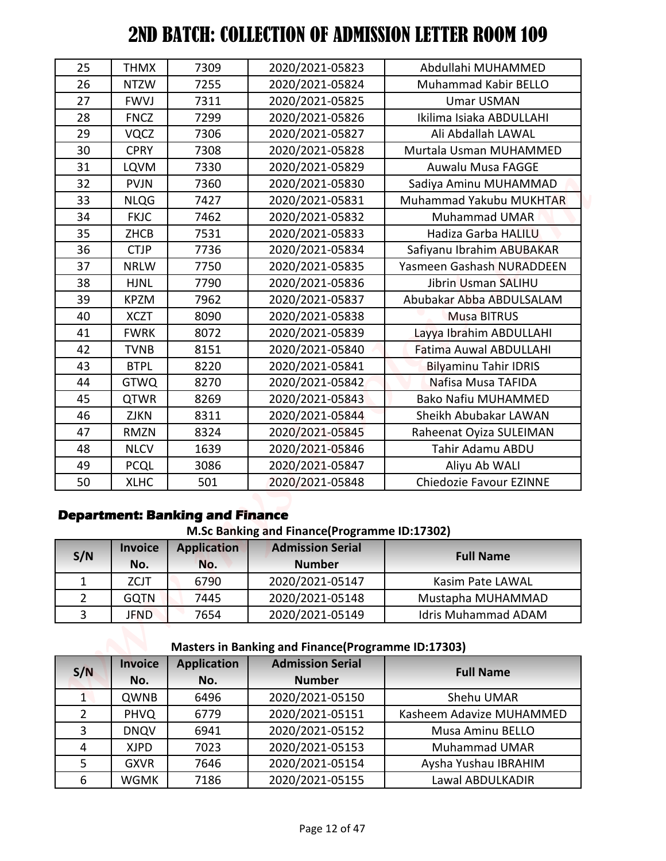| 25             | <b>THMX</b>                | 7309                                                         | 2020/2021-05823                                                               | Abdullahi MUHAMMED                           |
|----------------|----------------------------|--------------------------------------------------------------|-------------------------------------------------------------------------------|----------------------------------------------|
| 26             | <b>NTZW</b>                | 7255                                                         | 2020/2021-05824                                                               | Muhammad Kabir BELLO                         |
| 27             | <b>FWVJ</b>                | 7311                                                         | 2020/2021-05825                                                               | <b>Umar USMAN</b>                            |
| 28             | <b>FNCZ</b>                | 7299                                                         | 2020/2021-05826                                                               | Ikilima Isiaka ABDULLAHI                     |
| 29             | <b>VQCZ</b>                | 7306                                                         | 2020/2021-05827                                                               | Ali Abdallah LAWAL                           |
| 30             | <b>CPRY</b>                | 7308                                                         | 2020/2021-05828                                                               | Murtala Usman MUHAMMED                       |
| 31             | <b>LQVM</b>                | 7330                                                         | 2020/2021-05829                                                               | <b>Auwalu Musa FAGGE</b>                     |
| 32             | <b>PVJN</b>                | 7360                                                         | 2020/2021-05830                                                               | Sadiya Aminu MUHAMMAD                        |
| 33             | <b>NLQG</b>                | 7427                                                         | 2020/2021-05831                                                               | Muhammad Yakubu MUKHTAR                      |
| 34             | <b>FKJC</b>                | 7462                                                         | 2020/2021-05832                                                               | <b>Muhammad UMAR</b>                         |
| 35             | <b>ZHCB</b>                | 7531                                                         | 2020/2021-05833                                                               | Hadiza Garba HALILU                          |
| 36             | <b>CTJP</b>                | 7736                                                         | 2020/2021-05834                                                               | Safiyanu Ibrahim ABUBAKAR                    |
| 37             | <b>NRLW</b>                | 7750                                                         | 2020/2021-05835                                                               | Yasmeen Gashash NURADDEEN                    |
| 38             | <b>HJNL</b>                | 7790                                                         | 2020/2021-05836                                                               | Jibrin Usman SALIHU                          |
| 39             | <b>KPZM</b>                | 7962                                                         | 2020/2021-05837                                                               | Abubakar Abba ABDULSALAM                     |
| 40             | <b>XCZT</b>                | 8090                                                         | 2020/2021-05838                                                               | <b>Musa BITRUS</b>                           |
| 41             | <b>FWRK</b>                | 8072                                                         | 2020/2021-05839                                                               | Layya Ibrahim ABDULLAHI                      |
| 42             | TVNB                       | 8151                                                         | 2020/2021-05840                                                               | <b>Fatima Auwal ABDULLAHI</b>                |
| 43             | <b>BTPL</b>                | 8220                                                         | 2020/2021-05841                                                               | <b>Bilyaminu Tahir IDRIS</b>                 |
| 44             | <b>GTWQ</b>                | 8270                                                         | 2020/2021-05842                                                               | Nafisa Musa TAFIDA                           |
| 45             | <b>QTWR</b>                | 8269                                                         | 2020/2021-05843                                                               | <b>Bako Nafiu MUHAMMED</b>                   |
| 46             | ZJKN                       | 8311                                                         | 2020/2021-05844                                                               | Sheikh Abubakar LAWAN                        |
| 47             | RMZN                       | 8324                                                         | 2020/2021-05845                                                               | Raheenat Oyiza SULEIMAN                      |
| 48             | <b>NLCV</b>                | 1639                                                         | 2020/2021-05846                                                               | Tahir Adamu ABDU                             |
| 49             | <b>PCQL</b>                | 3086                                                         | 2020/2021-05847                                                               | Aliyu Ab WALI                                |
| 50             | <b>XLHC</b>                | 501                                                          | 2020/2021-05848                                                               | Chiedozie Favour EZINNE                      |
|                | <b>Invoice</b>             | <b>Department: Banking and Finance</b><br><b>Application</b> | M.Sc Banking and Finance(Programme ID:17302)<br><b>Admission Serial</b>       |                                              |
| S/N            | No.                        | No.                                                          | <b>Number</b>                                                                 | <b>Full Name</b>                             |
|                | <b>ZCJT</b>                | 6790                                                         | 2020/2021-05147                                                               | Kasim Pate LAWAL                             |
|                |                            |                                                              |                                                                               |                                              |
| $\mathbf{1}$   |                            |                                                              |                                                                               |                                              |
| $\overline{2}$ | <b>GQTN</b>                | 7445                                                         | 2020/2021-05148                                                               | Mustapha MUHAMMAD                            |
| 3              | <b>JFND</b>                | 7654                                                         | 2020/2021-05149<br><b>Masters in Banking and Finance (Programme ID:17303)</b> | <b>Idris Muhammad ADAM</b>                   |
| S/N            | <b>Invoice</b>             | <b>Application</b>                                           | <b>Admission Serial</b>                                                       | <b>Full Name</b>                             |
|                | No.                        | No.                                                          | <b>Number</b>                                                                 |                                              |
| $\mathbf{1}$   | QWNB                       | 6496                                                         | 2020/2021-05150                                                               | Shehu UMAR                                   |
| $\overline{2}$ | <b>PHVQ</b>                | 6779                                                         | 2020/2021-05151                                                               | Kasheem Adavize MUHAMMED                     |
| 3              | <b>DNQV</b>                | 6941                                                         | 2020/2021-05152                                                               | Musa Aminu BELLO                             |
| 4<br>5         | <b>XJPD</b><br><b>GXVR</b> | 7023<br>7646                                                 | 2020/2021-05153<br>2020/2021-05154                                            | <b>Muhammad UMAR</b><br>Aysha Yushau IBRAHIM |

## **Department: Banking and Finance**

**M.Sc Banking and Finance(Programme ID:17302)**

| S/N | <b>Invoice</b><br>No. | <b>Application</b><br>No. | <b>Admission Serial</b><br><b>Number</b> | <b>Full Name</b>           |
|-----|-----------------------|---------------------------|------------------------------------------|----------------------------|
|     | ZCJT                  | 6790                      | 2020/2021-05147                          | Kasim Pate LAWAL           |
|     | <b>GQTN</b>           | 7445                      | 2020/2021-05148                          | Mustapha MUHAMMAD          |
|     | <b>JFND</b>           | 7654                      | 2020/2021-05149                          | <b>Idris Muhammad ADAM</b> |

# **Masters in Banking and Finance(Programme ID:17303)**

| S/N            | <b>Invoice</b> | <b>Application</b> | <b>Admission Serial</b> | <b>Full Name</b>         |
|----------------|----------------|--------------------|-------------------------|--------------------------|
|                | No.            | No.                | <b>Number</b>           |                          |
|                | <b>QWNB</b>    | 6496               | 2020/2021-05150         | Shehu UMAR               |
| $\overline{2}$ | <b>PHVQ</b>    | 6779               | 2020/2021-05151         | Kasheem Adavize MUHAMMED |
| 3              | <b>DNQV</b>    | 6941               | 2020/2021-05152         | Musa Aminu BELLO         |
| 4              | <b>XJPD</b>    | 7023               | 2020/2021-05153         | <b>Muhammad UMAR</b>     |
| 5              | <b>GXVR</b>    | 7646               | 2020/2021-05154         | Aysha Yushau IBRAHIM     |
| 6              | <b>WGMK</b>    | 7186               | 2020/2021-05155         | Lawal ABDULKADIR         |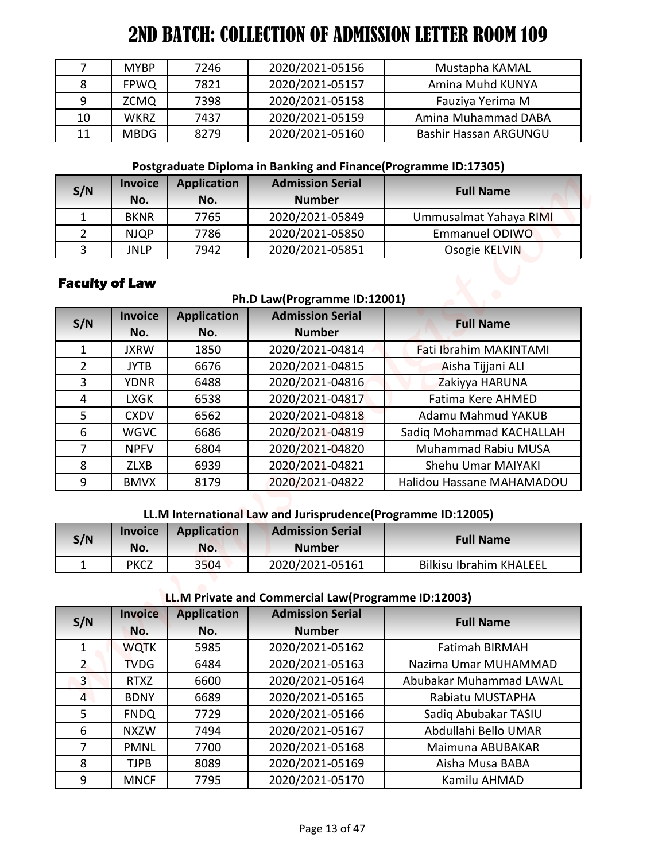|    | <b>MYBP</b> | 7246 | 2020/2021-05156 | Mustapha KAMAL               |
|----|-------------|------|-----------------|------------------------------|
| 8  | <b>FPWQ</b> | 7821 | 2020/2021-05157 | Amina Muhd KUNYA             |
| q  | <b>ZCMQ</b> | 7398 | 2020/2021-05158 | Fauziya Yerima M             |
| 10 | <b>WKRZ</b> | 7437 | 2020/2021-05159 | Amina Muhammad DABA          |
| 11 | <b>MBDG</b> | 8279 | 2020/2021-05160 | <b>Bashir Hassan ARGUNGU</b> |

## **Postgraduate Diploma in Banking and Finance(Programme ID:17305)**

| S/N | <b>Invoice</b><br>No. | <b>Application</b><br>No. | <b>Admission Serial</b><br><b>Number</b> | <b>Full Name</b>       |
|-----|-----------------------|---------------------------|------------------------------------------|------------------------|
|     | <b>BKNR</b>           | 7765                      | 2020/2021-05849                          | Ummusalmat Yahaya RIMI |
|     | <b>NJQP</b>           | 7786                      | 2020/2021-05850                          | <b>Emmanuel ODIWO</b>  |
|     | JNLP                  | 7942                      | 2020/2021-05851                          | Osogie KELVIN          |

## **Faculty of Law**

#### **Ph.D Law(Programme ID:12001)**

| S/N            | <b>Invoice</b> | <b>Application</b> | <b>Admission Serial</b> | <b>Full Name</b>          |
|----------------|----------------|--------------------|-------------------------|---------------------------|
|                | No.            | No.                | <b>Number</b>           |                           |
|                | <b>JXRW</b>    | 1850               | 2020/2021-04814         | Fati Ibrahim MAKINTAMI    |
| $\overline{2}$ | <b>JYTB</b>    | 6676               | 2020/2021-04815         | Aisha Tijjani ALI         |
| 3              | <b>YDNR</b>    | 6488               | 2020/2021-04816         | Zakiyya HARUNA            |
| 4              | <b>LXGK</b>    | 6538               | 2020/2021-04817         | Fatima Kere AHMED         |
| 5.             | <b>CXDV</b>    | 6562               | 2020/2021-04818         | Adamu Mahmud YAKUB        |
| 6              | <b>WGVC</b>    | 6686               | 2020/2021-04819         | Sadiq Mohammad KACHALLAH  |
|                | <b>NPFV</b>    | 6804               | 2020/2021-04820         | Muhammad Rabiu MUSA       |
| 8              | <b>ZLXB</b>    | 6939               | 2020/2021-04821         | Shehu Umar MAIYAKI        |
| 9              | <b>BMVX</b>    | 8179               | 2020/2021-04822         | Halidou Hassane MAHAMADOU |

## **LL.M International Law and Jurisprudence(Programme ID:12005)**

| S/N | <b>Invoice</b><br>No. | Application<br>No. | <b>Admission Serial</b><br><b>Number</b> | <b>Full Name</b>        |
|-----|-----------------------|--------------------|------------------------------------------|-------------------------|
|     | <b>PKCZ</b>           | 3504               | 2020/2021-05161                          | Bilkisu Ibrahim KHALEEL |

## **LL.M Private and Commercial Law(Programme ID:12003)**

| 7              | <b>MYBP</b>           | 7246               | 2020/2021-05156                                                 | Mustapha KAMAL                 |
|----------------|-----------------------|--------------------|-----------------------------------------------------------------|--------------------------------|
| 8              | <b>FPWQ</b>           | 7821               | 2020/2021-05157                                                 | Amina Muhd KUNYA               |
| 9              | <b>ZCMQ</b>           | 7398               | 2020/2021-05158                                                 | Fauziya Yerima M               |
| 10             | <b>WKRZ</b>           | 7437               | 2020/2021-05159                                                 | Amina Muhammad DABA            |
| 11             | <b>MBDG</b>           | 8279               | 2020/2021-05160                                                 | Bashir Hassan ARGUNGU          |
|                |                       |                    | Postgraduate Diploma in Banking and Finance(Programme ID:17305) |                                |
| S/N            | <b>Invoice</b>        | <b>Application</b> | <b>Admission Serial</b>                                         | <b>Full Name</b>               |
|                | No.                   | No.                | <b>Number</b>                                                   |                                |
| $\mathbf{1}$   | <b>BKNR</b>           | 7765               | 2020/2021-05849                                                 | Ummusalmat Yahaya RIMI         |
| $\overline{2}$ | <b>NJQP</b>           | 7786               | 2020/2021-05850                                                 | <b>Emmanuel ODIWO</b>          |
| 3              | <b>JNLP</b>           | 7942               | 2020/2021-05851                                                 | Osogie KELVIN                  |
|                | <b>Faculty of Law</b> |                    |                                                                 |                                |
|                |                       |                    | Ph.D Law(Programme ID:12001)                                    |                                |
|                | <b>Invoice</b>        | <b>Application</b> | <b>Admission Serial</b>                                         |                                |
| S/N            | No.                   | No.                | <b>Number</b>                                                   | <b>Full Name</b>               |
| 1              | <b>JXRW</b>           | 1850               | 2020/2021-04814                                                 | Fati Ibrahim MAKINTAMI         |
| $\overline{2}$ | <b>JYTB</b>           | 6676               | 2020/2021-04815                                                 | Aisha Tijjani ALI              |
| 3              | <b>YDNR</b>           | 6488               | 2020/2021-04816                                                 | Zakiyya HARUNA                 |
| $\overline{4}$ | <b>LXGK</b>           | 6538               | 2020/2021-04817                                                 | <b>Fatima Kere AHMED</b>       |
| 5              | <b>CXDV</b>           | 6562               | 2020/2021-04818                                                 | Adamu Mahmud YAKUB             |
| 6              | <b>WGVC</b>           | 6686               | 2020/2021-04819                                                 | Sadiq Mohammad KACHALLAH       |
| $\overline{7}$ | <b>NPFV</b>           | 6804               | 2020/2021-04820                                                 | <b>Muhammad Rabiu MUSA</b>     |
| 8              | <b>ZLXB</b>           | 6939               | 2020/2021-04821                                                 | Shehu Umar MAIYAKI             |
| 9              | <b>BMVX</b>           | 8179               | 2020/2021-04822                                                 | Halidou Hassane MAHAMADOU      |
|                |                       |                    | LL.M International Law and Jurisprudence(Programme ID:12005)    |                                |
|                | <b>Invoice</b>        | <b>Application</b> | <b>Admission Serial</b>                                         |                                |
| S/N            | No.                   | No.                | <b>Number</b>                                                   | <b>Full Name</b>               |
| $\mathbf{1}$   | <b>PKCZ</b>           | 3504               | 2020/2021-05161                                                 | <b>Bilkisu Ibrahim KHALEEL</b> |
|                |                       |                    | LL.M Private and Commercial Law(Programme ID:12003)             |                                |
|                | <b>Invoice</b>        | <b>Application</b> | <b>Admission Serial</b>                                         |                                |
| S/N            | No.                   | No.                | <b>Number</b>                                                   | <b>Full Name</b>               |
| 1              | <b>WQTK</b>           | 5985               | 2020/2021-05162                                                 | <b>Fatimah BIRMAH</b>          |
| $\overline{2}$ | <b>TVDG</b>           | 6484               | 2020/2021-05163                                                 | Nazima Umar MUHAMMAD           |
| $\overline{3}$ | <b>RTXZ</b>           | 6600               | 2020/2021-05164                                                 | Abubakar Muhammad LAWAL        |
| $\overline{4}$ | <b>BDNY</b>           | 6689               | 2020/2021-05165                                                 | Rabiatu MUSTAPHA               |
| 5              | <b>FNDQ</b>           | 7729               | 2020/2021-05166                                                 | Sadiq Abubakar TASIU           |
| 6              | <b>NXZW</b>           | 7494               | 2020/2021-05167                                                 | Abdullahi Bello UMAR           |
| $\overline{7}$ | <b>PMNL</b>           | 7700               | 2020/2021-05168                                                 | Maimuna ABUBAKAR               |
|                |                       |                    |                                                                 |                                |
| 8              | <b>TJPB</b>           | 8089               | 2020/2021-05169                                                 | Aisha Musa BABA                |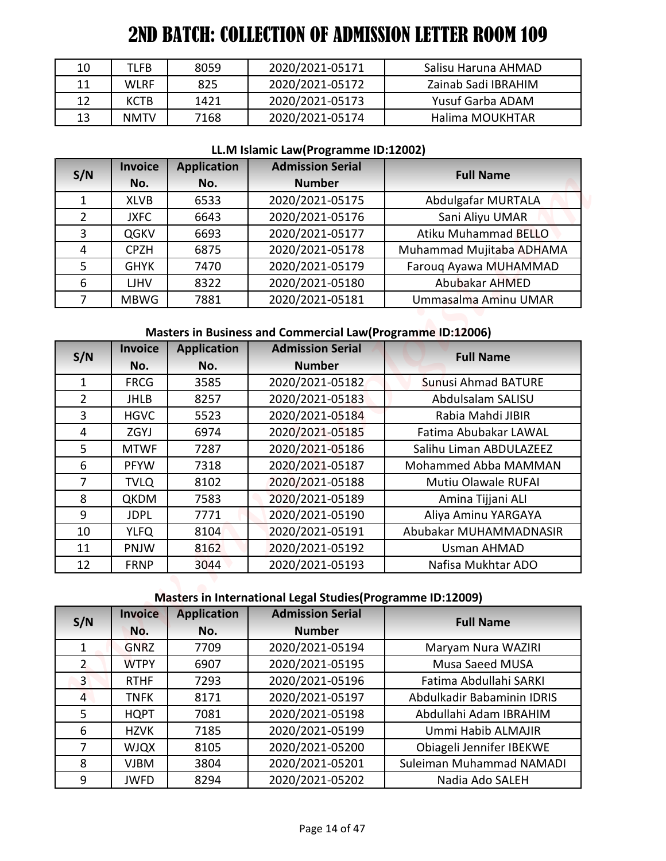| 10 | TLFB        | 8059 | 2020/2021-05171 | Salisu Haruna AHMAD |
|----|-------------|------|-----------------|---------------------|
| 11 | <b>WLRF</b> | 825  | 2020/2021-05172 | Zainab Sadi IBRAHIM |
| 12 | <b>KCTB</b> | 1421 | 2020/2021-05173 | Yusuf Garba ADAM    |
| 13 | <b>NMTV</b> | 7168 | 2020/2021-05174 | Halima MOUKHTAR     |

#### **LL.M Islamic Law(Programme ID:12002)**

| S/N            | <b>Invoice</b> | <b>Application</b> | <b>Admission Serial</b> | <b>Full Name</b>            |
|----------------|----------------|--------------------|-------------------------|-----------------------------|
|                | No.            | No.                | <b>Number</b>           |                             |
|                | <b>XLVB</b>    | 6533               | 2020/2021-05175         | Abdulgafar MURTALA          |
| $\overline{2}$ | <b>JXFC</b>    | 6643               | 2020/2021-05176         | Sani Aliyu UMAR             |
| 3              | QGKV           | 6693               | 2020/2021-05177         | <b>Atiku Muhammad BELLO</b> |
| 4              | <b>CPZH</b>    | 6875               | 2020/2021-05178         | Muhammad Mujitaba ADHAMA    |
| 5              | <b>GHYK</b>    | 7470               | 2020/2021-05179         | Faroug Ayawa MUHAMMAD       |
| 6              | <b>LJHV</b>    | 8322               | 2020/2021-05180         | <b>Abubakar AHMED</b>       |
|                | <b>MBWG</b>    | 7881               | 2020/2021-05181         | Ummasalma Aminu UMAR        |

# **Masters in Business and Commercial Law(Programme ID:12006)**

| 10             | <b>TLFB</b>    | 8059               | 2020/2021-05171                                             | Salisu Haruna AHMAD        |
|----------------|----------------|--------------------|-------------------------------------------------------------|----------------------------|
| 11             | <b>WLRF</b>    | 825                | 2020/2021-05172                                             | Zainab Sadi IBRAHIM        |
| 12             | <b>KCTB</b>    | 1421               | 2020/2021-05173                                             | Yusuf Garba ADAM           |
| 13             |                |                    |                                                             | Halima MOUKHTAR            |
|                | <b>NMTV</b>    | 7168               | 2020/2021-05174                                             |                            |
|                |                |                    | LL.M Islamic Law(Programme ID:12002)                        |                            |
| S/N            | <b>Invoice</b> | <b>Application</b> | <b>Admission Serial</b>                                     | <b>Full Name</b>           |
|                | No.            | No.                | <b>Number</b>                                               |                            |
| $\mathbf{1}$   | <b>XLVB</b>    | 6533               | 2020/2021-05175                                             | Abdulgafar MURTALA         |
| $\overline{2}$ | <b>JXFC</b>    | 6643               | 2020/2021-05176                                             | Sani Aliyu UMAR            |
| $\overline{3}$ | QGKV           | 6693               | 2020/2021-05177                                             | Atiku Muhammad BELLO       |
| 4              | <b>CPZH</b>    | 6875               | 2020/2021-05178                                             | Muhammad Mujitaba ADHAMA   |
| 5              | <b>GHYK</b>    | 7470               | 2020/2021-05179                                             | Farouq Ayawa MUHAMMAD      |
| 6              | <b>LJHV</b>    | 8322               | 2020/2021-05180                                             | Abubakar AHMED             |
| $\overline{7}$ | <b>MBWG</b>    | 7881               | 2020/2021-05181                                             | Ummasalma Aminu UMAR       |
|                |                |                    | Masters in Business and Commercial Law(Programme ID:12006)  |                            |
| S/N            | <b>Invoice</b> | <b>Application</b> | <b>Admission Serial</b>                                     | <b>Full Name</b>           |
|                | No.            | No.                | <b>Number</b>                                               |                            |
| 1              | <b>FRCG</b>    | 3585               | 2020/2021-05182                                             | <b>Sunusi Ahmad BATURE</b> |
| $\overline{2}$ | <b>JHLB</b>    | 8257               | 2020/2021-05183                                             | Abdulsalam SALISU          |
| $\overline{3}$ | <b>HGVC</b>    | 5523               | 2020/2021-05184                                             | Rabia Mahdi JIBIR          |
| 4              | ZGYJ           | 6974               | 2020/2021-05185                                             | Fatima Abubakar LAWAL      |
| 5              | <b>MTWF</b>    | 7287               | 2020/2021-05186                                             | Salihu Liman ABDULAZEEZ    |
| 6              | <b>PFYW</b>    | 7318               | 2020/2021-05187                                             | Mohammed Abba MAMMAN       |
| $\overline{7}$ | <b>TVLQ</b>    | 8102               | 2020/2021-05188                                             | Mutiu Olawale RUFAI        |
| 8              | QKDM           | 7583               | 2020/2021-05189                                             | Amina Tijjani ALI          |
| $\overline{9}$ | <b>JDPL</b>    | 7771               | 2020/2021-05190                                             | Aliya Aminu YARGAYA        |
| 10             | <b>YLFQ</b>    | 8104               | 2020/2021-05191                                             | Abubakar MUHAMMADNASIR     |
| 11             | PNJW           | 8162               | 2020/2021-05192                                             | <b>Usman AHMAD</b>         |
| 12             | <b>FRNP</b>    | 3044               | 2020/2021-05193                                             | Nafisa Mukhtar ADO         |
|                |                |                    | Masters in International Legal Studies (Programme ID:12009) |                            |
|                | <b>Invoice</b> | <b>Application</b> | <b>Admission Serial</b>                                     | <b>Full Name</b>           |
| S/N            | No.            | No.                | <b>Number</b>                                               |                            |
| 1              | <b>GNRZ</b>    | 7709               | 2020/2021-05194                                             | Maryam Nura WAZIRI         |
| $\overline{2}$ | <b>WTPY</b>    | 6907               | 2020/2021-05195                                             | Musa Saeed MUSA            |
| $\overline{3}$ | <b>RTHF</b>    | 7293               | 2020/2021-05196                                             | Fatima Abdullahi SARKI     |
| $\overline{4}$ | <b>TNFK</b>    | 8171               | 2020/2021-05197                                             | Abdulkadir Babaminin IDRIS |
| 5              | <b>HQPT</b>    | 7081               | 2020/2021-05198                                             | Abdullahi Adam IBRAHIM     |
| 6              | <b>HZVK</b>    | 7185               | 2020/2021-05199                                             | Ummi Habib ALMAJIR         |
| $\overline{7}$ | <b>WJQX</b>    | 8105               | 2020/2021-05200                                             | Obiageli Jennifer IBEKWE   |
|                |                | 3804               | 2020/2021-05201                                             | Suleiman Muhammad NAMADI   |
| 8              | <b>VJBM</b>    |                    |                                                             |                            |

## **Masters in International Legal Studies(Programme ID:12009)**

| S/N            | <b>Invoice</b> | <b>Application</b> | <b>Admission Serial</b> | <b>Full Name</b>           |
|----------------|----------------|--------------------|-------------------------|----------------------------|
|                | No.            | No.                | <b>Number</b>           |                            |
|                | <b>GNRZ</b>    | 7709               | 2020/2021-05194         | Maryam Nura WAZIRI         |
| $\mathbf{2}$   | <b>WTPY</b>    | 6907               | 2020/2021-05195         | Musa Saeed MUSA            |
| 3 <sup>1</sup> | <b>RTHF</b>    | 7293               | 2020/2021-05196         | Fatima Abdullahi SARKI     |
| 4              | <b>TNFK</b>    | 8171               | 2020/2021-05197         | Abdulkadir Babaminin IDRIS |
| 5.             | <b>HQPT</b>    | 7081               | 2020/2021-05198         | Abdullahi Adam IBRAHIM     |
| 6              | <b>HZVK</b>    | 7185               | 2020/2021-05199         | Ummi Habib ALMAJIR         |
|                | <b>WJQX</b>    | 8105               | 2020/2021-05200         | Obiageli Jennifer IBEKWE   |
| 8              | <b>VJBM</b>    | 3804               | 2020/2021-05201         | Suleiman Muhammad NAMADI   |
| 9              | <b>JWFD</b>    | 8294               | 2020/2021-05202         | Nadia Ado SALEH            |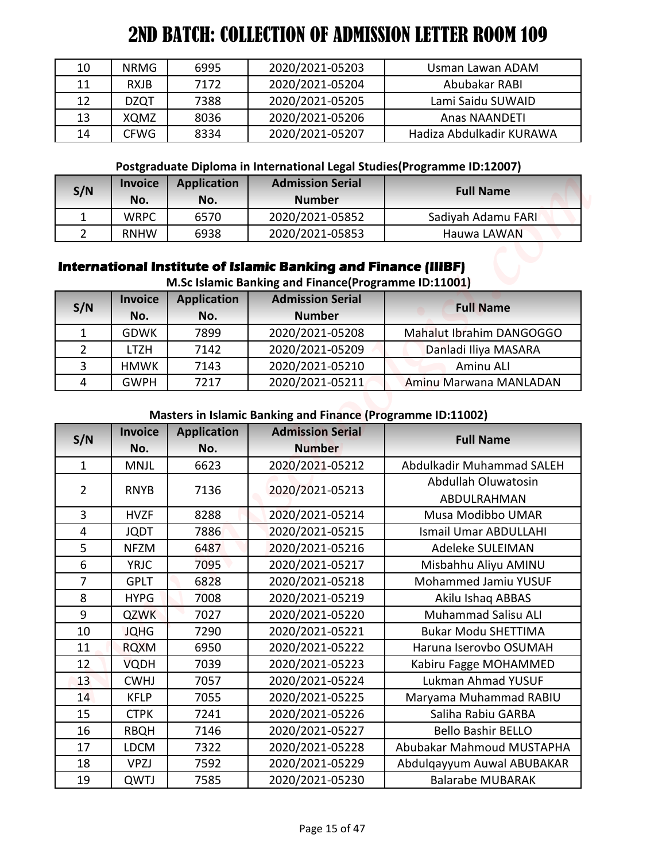| 10 | <b>NRMG</b> | 6995 | 2020/2021-05203 | Usman Lawan ADAM         |
|----|-------------|------|-----------------|--------------------------|
| 11 | <b>RXJB</b> | 7172 | 2020/2021-05204 | Abubakar RABI            |
| 12 | <b>DZQT</b> | 7388 | 2020/2021-05205 | Lami Saidu SUWAID        |
| 13 | XQMZ        | 8036 | 2020/2021-05206 | Anas NAANDETI            |
| 14 | <b>CFWG</b> | 8334 | 2020/2021-05207 | Hadiza Abdulkadir KURAWA |

#### **Postgraduate Diploma in International Legal Studies(Programme ID:12007)**

| S/N | <b>Invoice</b><br>No. | <b>Application</b><br>No. | <b>Admission Serial</b><br><b>Number</b> | <b>Full Name</b>   |
|-----|-----------------------|---------------------------|------------------------------------------|--------------------|
|     | <b>WRPC</b>           | 6570                      | 2020/2021-05852                          | Sadiyah Adamu FARI |
|     | <b>RNHW</b>           | 6938                      | 2020/2021-05853                          | Hauwa LAWAN        |

## **International Institute of Islamic Banking and Finance (IIIBF)**

| S/N | <b>Invoice</b><br>No. | <b>Application</b><br>No. | <b>Admission Serial</b><br><b>Number</b> | <b>Full Name</b>         |
|-----|-----------------------|---------------------------|------------------------------------------|--------------------------|
|     | <b>GDWK</b>           | 7899                      | 2020/2021-05208                          | Mahalut Ibrahim DANGOGGO |
|     | LTZH                  | 7142                      | 2020/2021-05209                          | Danladi Iliya MASARA     |
|     | <b>HMWK</b>           | 7143                      | 2020/2021-05210                          | Aminu ALI                |
| 4   | <b>GWPH</b>           | 7217                      | 2020/2021-05211                          | Aminu Marwana MANLADAN   |

#### **Masters in Islamic Banking and Finance (Programme ID:11002)**

| <b>NRMG</b><br>6995<br>2020/2021-05203<br>10<br>Usman Lawan ADAM<br>11<br><b>RXJB</b><br>7172<br>2020/2021-05204<br>Abubakar RABI<br>7388<br>2020/2021-05205<br>Lami Saidu SUWAID<br><b>DZQT</b><br>8036<br>2020/2021-05206<br>XQMZ<br>Anas NAANDETI<br><b>CFWG</b><br>8334<br>2020/2021-05207<br>Hadiza Abdulkadir KURAWA<br>Postgraduate Diploma in International Legal Studies(Programme ID:12007)<br><b>Admission Serial</b><br><b>Invoice</b><br><b>Application</b><br><b>Full Name</b><br><b>Number</b><br>No.<br>No. |
|-----------------------------------------------------------------------------------------------------------------------------------------------------------------------------------------------------------------------------------------------------------------------------------------------------------------------------------------------------------------------------------------------------------------------------------------------------------------------------------------------------------------------------|
| 12<br>13<br>14<br>S/N                                                                                                                                                                                                                                                                                                                                                                                                                                                                                                       |
|                                                                                                                                                                                                                                                                                                                                                                                                                                                                                                                             |
|                                                                                                                                                                                                                                                                                                                                                                                                                                                                                                                             |
|                                                                                                                                                                                                                                                                                                                                                                                                                                                                                                                             |
|                                                                                                                                                                                                                                                                                                                                                                                                                                                                                                                             |
|                                                                                                                                                                                                                                                                                                                                                                                                                                                                                                                             |
|                                                                                                                                                                                                                                                                                                                                                                                                                                                                                                                             |
|                                                                                                                                                                                                                                                                                                                                                                                                                                                                                                                             |
| <b>WRPC</b><br>2020/2021-05852<br>$\mathbf{1}$<br>6570<br>Sadiyah Adamu FARI                                                                                                                                                                                                                                                                                                                                                                                                                                                |
| $\overline{2}$<br>2020/2021-05853<br>Hauwa LAWAN<br><b>RNHW</b><br>6938                                                                                                                                                                                                                                                                                                                                                                                                                                                     |
| International Institute of Islamic Banking and Finance (IIIBF)<br>M.Sc Islamic Banking and Finance(Programme ID:11001)                                                                                                                                                                                                                                                                                                                                                                                                      |
| <b>Admission Serial</b><br><b>Application</b><br><b>Invoice</b><br>S/N<br><b>Full Name</b>                                                                                                                                                                                                                                                                                                                                                                                                                                  |
| <b>Number</b><br>No.<br>No.                                                                                                                                                                                                                                                                                                                                                                                                                                                                                                 |
| 2020/2021-05208<br>Mahalut Ibrahim DANGOGGO<br>$\mathbf{1}$<br><b>GDWK</b><br>7899                                                                                                                                                                                                                                                                                                                                                                                                                                          |
| 2<br><b>LTZH</b><br>2020/2021-05209<br>7142<br>Danladi Iliya MASARA                                                                                                                                                                                                                                                                                                                                                                                                                                                         |
| 3<br><b>HMWK</b><br>7143<br>2020/2021-05210<br>Aminu ALI                                                                                                                                                                                                                                                                                                                                                                                                                                                                    |
| 4<br><b>GWPH</b><br>7217<br>2020/2021-05211<br>Aminu Marwana MANLADAN                                                                                                                                                                                                                                                                                                                                                                                                                                                       |
| <b>Masters in Islamic Banking and Finance (Programme ID:11002)</b>                                                                                                                                                                                                                                                                                                                                                                                                                                                          |
|                                                                                                                                                                                                                                                                                                                                                                                                                                                                                                                             |
| <b>Application</b><br><b>Admission Serial</b><br><b>Invoice</b><br><b>Full Name</b>                                                                                                                                                                                                                                                                                                                                                                                                                                         |
| No.<br><b>Number</b><br>No.                                                                                                                                                                                                                                                                                                                                                                                                                                                                                                 |
| S/N<br>$\mathbf{1}$<br>2020/2021-05212<br>Abdulkadir Muhammad SALEH<br><b>MNJL</b><br>6623                                                                                                                                                                                                                                                                                                                                                                                                                                  |
| Abdullah Oluwatosin<br>$\overline{2}$<br><b>RNYB</b><br>7136                                                                                                                                                                                                                                                                                                                                                                                                                                                                |
| 2020/2021-05213<br>ABDULRAHMAN                                                                                                                                                                                                                                                                                                                                                                                                                                                                                              |
| $\overline{3}$<br>8288<br>2020/2021-05214<br><b>HVZF</b><br>Musa Modibbo UMAR                                                                                                                                                                                                                                                                                                                                                                                                                                               |
| 4<br><b>JQDT</b><br>7886<br>2020/2021-05215<br><b>Ismail Umar ABDULLAHI</b>                                                                                                                                                                                                                                                                                                                                                                                                                                                 |
| 5<br>Adeleke SULEIMAN<br><b>NFZM</b><br>6487<br>2020/2021-05216                                                                                                                                                                                                                                                                                                                                                                                                                                                             |
| 6<br><b>YRJC</b><br>7095<br>2020/2021-05217<br>Misbahhu Aliyu AMINU                                                                                                                                                                                                                                                                                                                                                                                                                                                         |
| $\overline{7}$<br>Mohammed Jamiu YUSUF<br><b>GPLT</b><br>6828<br>2020/2021-05218                                                                                                                                                                                                                                                                                                                                                                                                                                            |
| 8<br>Akilu Ishaq ABBAS<br><b>HYPG</b><br>7008<br>2020/2021-05219                                                                                                                                                                                                                                                                                                                                                                                                                                                            |
| 9<br>2020/2021-05220<br><b>Muhammad Salisu ALI</b><br><b>QZWK</b><br>7027                                                                                                                                                                                                                                                                                                                                                                                                                                                   |
| <b>Bukar Modu SHETTIMA</b><br>10<br><b>JQHG</b><br>2020/2021-05221<br>7290                                                                                                                                                                                                                                                                                                                                                                                                                                                  |
| 11<br><b>RQXM</b><br>6950<br>2020/2021-05222<br>Haruna Iserovbo OSUMAH                                                                                                                                                                                                                                                                                                                                                                                                                                                      |
| 12<br>2020/2021-05223<br>Kabiru Fagge MOHAMMED<br><b>VQDH</b><br>7039                                                                                                                                                                                                                                                                                                                                                                                                                                                       |
| Lukman Ahmad YUSUF<br>2020/2021-05224<br>13<br><b>CWHJ</b><br>7057                                                                                                                                                                                                                                                                                                                                                                                                                                                          |
| Maryama Muhammad RABIU<br>14<br><b>KFLP</b><br>7055<br>2020/2021-05225                                                                                                                                                                                                                                                                                                                                                                                                                                                      |
| 15<br><b>CTPK</b><br>7241<br>2020/2021-05226<br>Saliha Rabiu GARBA                                                                                                                                                                                                                                                                                                                                                                                                                                                          |
| <b>Bello Bashir BELLO</b><br>7146<br>2020/2021-05227<br>16<br><b>RBQH</b>                                                                                                                                                                                                                                                                                                                                                                                                                                                   |
| Abubakar Mahmoud MUSTAPHA<br><b>LDCM</b><br>7322<br>2020/2021-05228<br>17<br>2020/2021-05229<br>18<br><b>VPZJ</b><br>7592<br>Abdulqayyum Auwal ABUBAKAR                                                                                                                                                                                                                                                                                                                                                                     |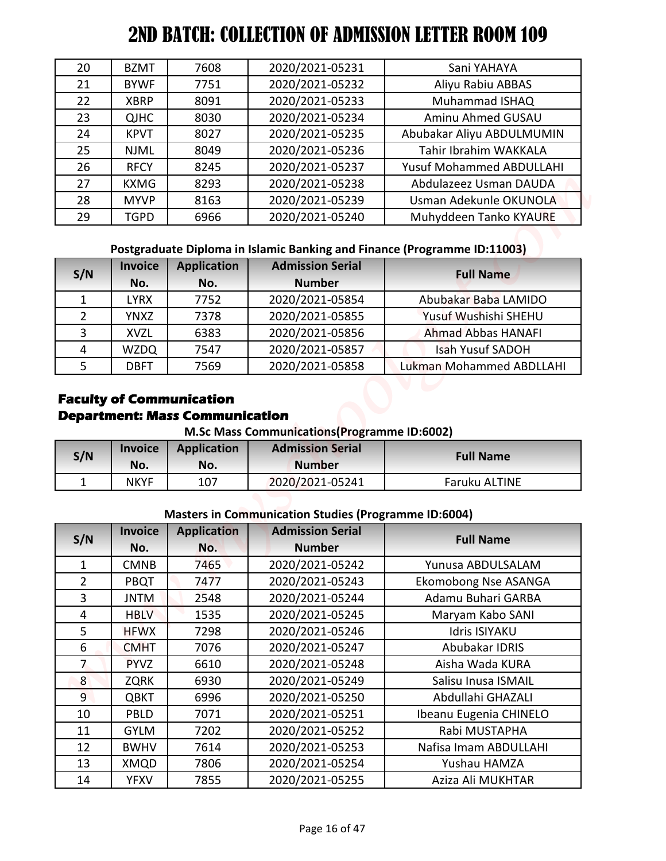| 20 | <b>BZMT</b> | 7608 | 2020/2021-05231 | Sani YAHAYA                     |
|----|-------------|------|-----------------|---------------------------------|
| 21 | <b>BYWF</b> | 7751 | 2020/2021-05232 | Aliyu Rabiu ABBAS               |
| 22 | <b>XBRP</b> | 8091 | 2020/2021-05233 | Muhammad ISHAQ                  |
| 23 | <b>QJHC</b> | 8030 | 2020/2021-05234 | Aminu Ahmed GUSAU               |
| 24 | <b>KPVT</b> | 8027 | 2020/2021-05235 | Abubakar Aliyu ABDULMUMIN       |
| 25 | <b>NJML</b> | 8049 | 2020/2021-05236 | Tahir Ibrahim WAKKALA           |
| 26 | <b>RFCY</b> | 8245 | 2020/2021-05237 | <b>Yusuf Mohammed ABDULLAHI</b> |
| 27 | <b>KXMG</b> | 8293 | 2020/2021-05238 | Abdulazeez Usman DAUDA          |
| 28 | <b>MYVP</b> | 8163 | 2020/2021-05239 | Usman Adekunle OKUNOLA          |
| 29 | <b>TGPD</b> | 6966 | 2020/2021-05240 | Muhyddeen Tanko KYAURE          |

**Postgraduate Diploma in Islamic Banking and Finance (Programme ID:11003)**

| S/N | <b>Invoice</b> | <b>Application</b> | <b>Admission Serial</b> | <b>Full Name</b>          |  |
|-----|----------------|--------------------|-------------------------|---------------------------|--|
|     | No.            | No.                | <b>Number</b>           |                           |  |
|     | LYRX           | 7752               | 2020/2021-05854         | Abubakar Baba LAMIDO      |  |
|     | <b>YNXZ</b>    | 7378               | 2020/2021-05855         | Yusuf Wushishi SHEHU      |  |
| 3   | <b>XVZL</b>    | 6383               | 2020/2021-05856         | <b>Ahmad Abbas HANAFI</b> |  |
|     | <b>WZDQ</b>    | 7547               | 2020/2021-05857         | <b>Isah Yusuf SADOH</b>   |  |
|     | <b>DBFT</b>    | 7569               | 2020/2021-05858         | Lukman Mohammed ABDLLAHI  |  |

## **Faculty of Communication Department: Mass Communication**

**M.Sc Mass Communications(Programme ID:6002)**

| S/N | <b>Invoice</b><br>No. | <b>Application</b><br>No. | <b>Admission Serial</b><br><b>Number</b> | <b>Full Name</b> |
|-----|-----------------------|---------------------------|------------------------------------------|------------------|
| -   | <b>NKYF</b>           | 107                       | 2020/2021-05241                          | Faruku ALTINE    |

#### **Masters in Communication Studies (Programme ID:6004)**

|                     | 2ND BATCH: COLLECTION OF ADMISSION LETTER ROOM 109 |                                                                                  |                                                                        |                                            |
|---------------------|----------------------------------------------------|----------------------------------------------------------------------------------|------------------------------------------------------------------------|--------------------------------------------|
| 20                  | <b>BZMT</b>                                        | 7608                                                                             | 2020/2021-05231                                                        | Sani YAHAYA                                |
| 21                  | <b>BYWF</b>                                        | 7751                                                                             | 2020/2021-05232                                                        | Aliyu Rabiu ABBAS                          |
| 22                  | <b>XBRP</b>                                        | 8091                                                                             | 2020/2021-05233                                                        | Muhammad ISHAQ                             |
| 23                  | <b>QJHC</b>                                        | 8030                                                                             | 2020/2021-05234                                                        | Aminu Ahmed GUSAU                          |
| 24                  | <b>KPVT</b>                                        | 8027                                                                             | 2020/2021-05235                                                        | Abubakar Aliyu ABDULMUMIN                  |
| 25                  | <b>NJML</b>                                        | 8049                                                                             | 2020/2021-05236                                                        | Tahir Ibrahim WAKKALA                      |
| 26                  | <b>RFCY</b>                                        | 8245                                                                             | 2020/2021-05237                                                        | <b>Yusuf Mohammed ABDULLAHI</b>            |
| 27                  | <b>KXMG</b>                                        | 8293                                                                             | 2020/2021-05238                                                        | Abdulazeez Usman DAUDA                     |
| 28                  | <b>MYVP</b>                                        | 8163                                                                             | 2020/2021-05239                                                        | Usman Adekunle OKUNOLA                     |
| 29                  | <b>TGPD</b>                                        | 6966                                                                             | 2020/2021-05240                                                        | Muhyddeen Tanko KYAURE                     |
| S/N<br>$\mathbf{1}$ | <b>Invoice</b><br>No.<br><b>LYRX</b>               | <b>Application</b><br>No.<br>7752                                                | <b>Admission Serial</b><br><b>Number</b><br>2020/2021-05854            | <b>Full Name</b><br>Abubakar Baba LAMIDO   |
| $\overline{2}$      | <b>YNXZ</b>                                        | 7378                                                                             | 2020/2021-05855                                                        | Yusuf Wushishi SHEHU                       |
| 3                   | <b>XVZL</b>                                        | 6383                                                                             | 2020/2021-05856                                                        | <b>Ahmad Abbas HANAFI</b>                  |
|                     |                                                    |                                                                                  |                                                                        |                                            |
| 4                   | <b>WZDQ</b>                                        | 7547                                                                             | 2020/2021-05857                                                        | <b>Isah Yusuf SADOH</b>                    |
| 5                   | <b>DBFT</b>                                        | 7569<br><b>Faculty of Communication</b><br><b>Department: Mass Communication</b> | 2020/2021-05858<br><b>M.Sc Mass Communications (Programme ID:6002)</b> | <b>Lukman Mohammed ABDLLAHI</b>            |
|                     | <b>Invoice</b>                                     | <b>Application</b>                                                               | <b>Admission Serial</b>                                                |                                            |
|                     | No.                                                | No.                                                                              | <b>Number</b>                                                          | <b>Full Name</b>                           |
| $\mathbf{1}$        | <b>NKYF</b>                                        | 107                                                                              | 2020/2021-05241                                                        | Faruku ALTINE                              |
|                     |                                                    |                                                                                  |                                                                        |                                            |
|                     |                                                    |                                                                                  | <b>Masters in Communication Studies (Programme ID:6004)</b>            |                                            |
|                     | <b>Invoice</b>                                     | <b>Application</b>                                                               | <b>Admission Serial</b>                                                | <b>Full Name</b>                           |
| 1                   | No.                                                | No.<br>7465                                                                      | <b>Number</b>                                                          | Yunusa ABDULSALAM                          |
| $\overline{2}$      | <b>CMNB</b>                                        | 7477                                                                             | 2020/2021-05242                                                        |                                            |
| 3                   | PBQT<br><b>JNTM</b>                                | 2548                                                                             | 2020/2021-05243<br>2020/2021-05244                                     | Ekomobong Nse ASANGA<br>Adamu Buhari GARBA |
| $\overline{4}$      | <b>HBLV</b>                                        | 1535                                                                             | 2020/2021-05245                                                        |                                            |
| 5                   | <b>HFWX</b>                                        | 7298                                                                             | 2020/2021-05246                                                        | Maryam Kabo SANI<br><b>Idris ISIYAKU</b>   |
| 6                   | <b>CMHT</b>                                        | 7076                                                                             | 2020/2021-05247                                                        | Abubakar IDRIS                             |
| $\overline{7}$      | <b>PYVZ</b>                                        | 6610                                                                             | 2020/2021-05248                                                        | Aisha Wada KURA                            |
| 8 <sup>°</sup>      | <b>ZQRK</b>                                        | 6930                                                                             | 2020/2021-05249                                                        | Salisu Inusa ISMAIL                        |
| 9 <sup>°</sup>      | <b>QBKT</b>                                        | 6996                                                                             | 2020/2021-05250                                                        | Abdullahi GHAZALI                          |
| 10                  | PBLD                                               | 7071                                                                             | 2020/2021-05251                                                        | Ibeanu Eugenia CHINELO                     |
| S/N<br>S/N<br>11    | <b>GYLM</b>                                        | 7202                                                                             | 2020/2021-05252                                                        | Rabi MUSTAPHA                              |
| 12                  | <b>BWHV</b>                                        | 7614                                                                             | 2020/2021-05253                                                        | Nafisa Imam ABDULLAHI                      |
| 13                  | XMQD                                               | 7806                                                                             | 2020/2021-05254                                                        | Yushau HAMZA                               |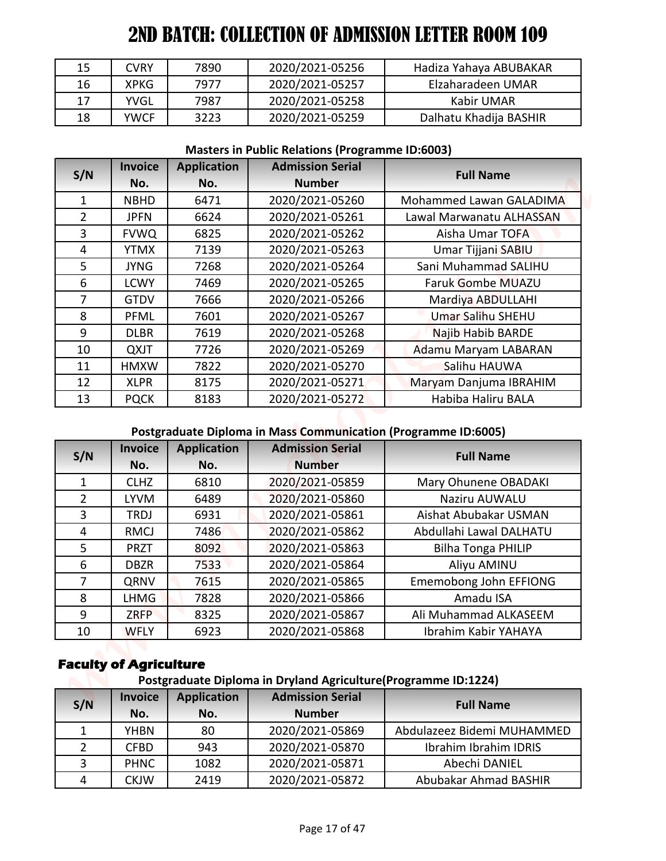| 15 | CVRY        | 7890 | 2020/2021-05256 | Hadiza Yahaya ABUBAKAR |
|----|-------------|------|-----------------|------------------------|
| 16 | <b>XPKG</b> | 7977 | 2020/2021-05257 | Elzaharadeen UMAR      |
| 17 | YVGL        | 7987 | 2020/2021-05258 | Kabir UMAR             |
| 18 | <b>YWCF</b> | 3223 | 2020/2021-05259 | Dalhatu Khadija BASHIR |

#### **Masters in Public Relations (Programme ID:6003)**

| 15             | <b>CVRY</b>                   | 7890               | 2020/2021-05256                                                       | Hadiza Yahaya ABUBAKAR     |
|----------------|-------------------------------|--------------------|-----------------------------------------------------------------------|----------------------------|
| 16             | <b>XPKG</b>                   | 7977               | 2020/2021-05257                                                       | Elzaharadeen UMAR          |
|                |                               |                    |                                                                       | <b>Kabir UMAR</b>          |
| 17             | <b>YVGL</b>                   | 7987               | 2020/2021-05258                                                       |                            |
| 18             | <b>YWCF</b>                   | 3223               | 2020/2021-05259                                                       | Dalhatu Khadija BASHIR     |
|                |                               |                    | <b>Masters in Public Relations (Programme ID:6003)</b>                |                            |
| S/N            | <b>Invoice</b>                | <b>Application</b> | <b>Admission Serial</b>                                               | <b>Full Name</b>           |
|                | No.                           | No.                | <b>Number</b>                                                         |                            |
| $\mathbf{1}$   | <b>NBHD</b>                   | 6471               | 2020/2021-05260                                                       | Mohammed Lawan GALADIMA    |
| $\overline{2}$ | <b>JPFN</b>                   | 6624               | 2020/2021-05261                                                       | Lawal Marwanatu ALHASSAN   |
| $\overline{3}$ | <b>FVWQ</b>                   | 6825               | 2020/2021-05262                                                       | Aisha Umar TOFA            |
| 4              | <b>YTMX</b>                   | 7139               | 2020/2021-05263                                                       | Umar Tijjani SABIU         |
| 5              | <b>JYNG</b>                   | 7268               | 2020/2021-05264                                                       | Sani Muhammad SALIHU       |
| 6              | <b>LCWY</b>                   | 7469               | 2020/2021-05265                                                       | <b>Faruk Gombe MUAZU</b>   |
| $\overline{7}$ | <b>GTDV</b>                   | 7666               | 2020/2021-05266                                                       | Mardiya ABDULLAHI          |
| 8              | <b>PFML</b>                   | 7601               | 2020/2021-05267                                                       | Umar Salihu SHEHU          |
| 9              | <b>DLBR</b>                   | 7619               | 2020/2021-05268                                                       | <b>Najib Habib BARDE</b>   |
| 10             | <b>QXJT</b>                   | 7726               | 2020/2021-05269                                                       | Adamu Maryam LABARAN       |
|                |                               | 7822               | 2020/2021-05270                                                       | Salihu HAUWA               |
| 11             | <b>HMXW</b>                   |                    |                                                                       |                            |
| 12             | <b>XLPR</b>                   | 8175               | 2020/2021-05271                                                       | Maryam Danjuma IBRAHIM     |
| 13             | <b>PQCK</b>                   | 8183               | 2020/2021-05272                                                       | Habiba Haliru BALA         |
|                |                               |                    | <b>Postgraduate Diploma in Mass Communication (Programme ID:6005)</b> |                            |
|                | <b>Invoice</b>                | <b>Application</b> | <b>Admission Serial</b>                                               | <b>Full Name</b>           |
| S/N            | No.                           | No.                | <b>Number</b>                                                         |                            |
| $\mathbf{1}$   | <b>CLHZ</b>                   | 6810               | 2020/2021-05859                                                       | Mary Ohunene OBADAKI       |
| $\overline{2}$ | <b>LYVM</b>                   | 6489               | 2020/2021-05860                                                       | Naziru AUWALU              |
| $\overline{3}$ | <b>TRDJ</b>                   | 6931               | 2020/2021-05861                                                       | Aishat Abubakar USMAN      |
| 4              | <b>RMCJ</b>                   | 7486               | 2020/2021-05862                                                       | Abdullahi Lawal DALHATU    |
| 5              | <b>PRZT</b>                   | 8092               | 2020/2021-05863                                                       | <b>Bilha Tonga PHILIP</b>  |
| 6              | <b>DBZR</b>                   | 7533               | 2020/2021-05864                                                       | Aliyu AMINU                |
| 7              | QRNV                          | 7615               | 2020/2021-05865                                                       | Ememobong John EFFIONG     |
| 8              | LHMG                          | 7828               | 2020/2021-05866                                                       | Amadu ISA                  |
| 9              | <b>ZRFP</b>                   | 8325               | 2020/2021-05867                                                       | Ali Muhammad ALKASEEM      |
| 10             | <b>WFLY</b>                   | 6923               | 2020/2021-05868                                                       | Ibrahim Kabir YAHAYA       |
|                | <b>Faculty of Agriculture</b> |                    | Postgraduate Diploma in Dryland Agriculture(Programme ID:1224)        |                            |
|                | <b>Invoice</b>                | <b>Application</b> | <b>Admission Serial</b>                                               |                            |
| S/N            | No.                           | No.                | <b>Number</b>                                                         | <b>Full Name</b>           |
| $\mathbf{1}$   | <b>YHBN</b>                   | 80                 | 2020/2021-05869                                                       | Abdulazeez Bidemi MUHAMMED |
| $\overline{2}$ | <b>CFBD</b>                   | 943                | 2020/2021-05870                                                       | Ibrahim Ibrahim IDRIS      |
| 3              | <b>PHNC</b>                   | 1082               | 2020/2021-05871                                                       | Abechi DANIEL              |

# **Postgraduate Diploma in Mass Communication (Programme ID:6005)**

| S/N            | <b>Invoice</b><br>No. | <b>Application</b><br>No. | <b>Admission Serial</b><br><b>Number</b> | <b>Full Name</b>          |
|----------------|-----------------------|---------------------------|------------------------------------------|---------------------------|
| 1              | <b>CLHZ</b>           | 6810                      | 2020/2021-05859                          | Mary Ohunene OBADAKI      |
| $\overline{2}$ | <b>LYVM</b>           | 6489                      | 2020/2021-05860                          | Naziru AUWALU             |
| 3              | TRDJ                  | 6931                      | 2020/2021-05861                          | Aishat Abubakar USMAN     |
| 4              | <b>RMCJ</b>           | 7486                      | 2020/2021-05862                          | Abdullahi Lawal DALHATU   |
| 5              | <b>PRZT</b>           | 8092                      | 2020/2021-05863                          | <b>Bilha Tonga PHILIP</b> |
| 6              | <b>DBZR</b>           | 7533                      | 2020/2021-05864                          | Aliyu AMINU               |
| 7              | QRNV                  | 7615                      | 2020/2021-05865                          | Ememobong John EFFIONG    |
| 8              | <b>LHMG</b>           | 7828                      | 2020/2021-05866                          | Amadu ISA                 |
| 9              | <b>ZRFP</b>           | 8325                      | 2020/2021-05867                          | Ali Muhammad ALKASEEM     |
| 10             | <b>WFLY</b>           | 6923                      | 2020/2021-05868                          | Ibrahim Kabir YAHAYA      |

# **Faculty of Agriculture**

## **Postgraduate Diploma in Dryland Agriculture(Programme ID:1224)**

| S/N | <b>Invoice</b><br>No. | <b>Application</b><br>No. | <b>Admission Serial</b><br><b>Number</b> | <b>Full Name</b>           |
|-----|-----------------------|---------------------------|------------------------------------------|----------------------------|
|     | <b>YHBN</b>           | 80                        | 2020/2021-05869                          | Abdulazeez Bidemi MUHAMMED |
|     | <b>CFBD</b>           | 943                       | 2020/2021-05870                          | Ibrahim Ibrahim IDRIS      |
| 3   | <b>PHNC</b>           | 1082                      | 2020/2021-05871                          | Abechi DANIEL              |
| 4   | <b>CKJW</b>           | 2419                      | 2020/2021-05872                          | Abubakar Ahmad BASHIR      |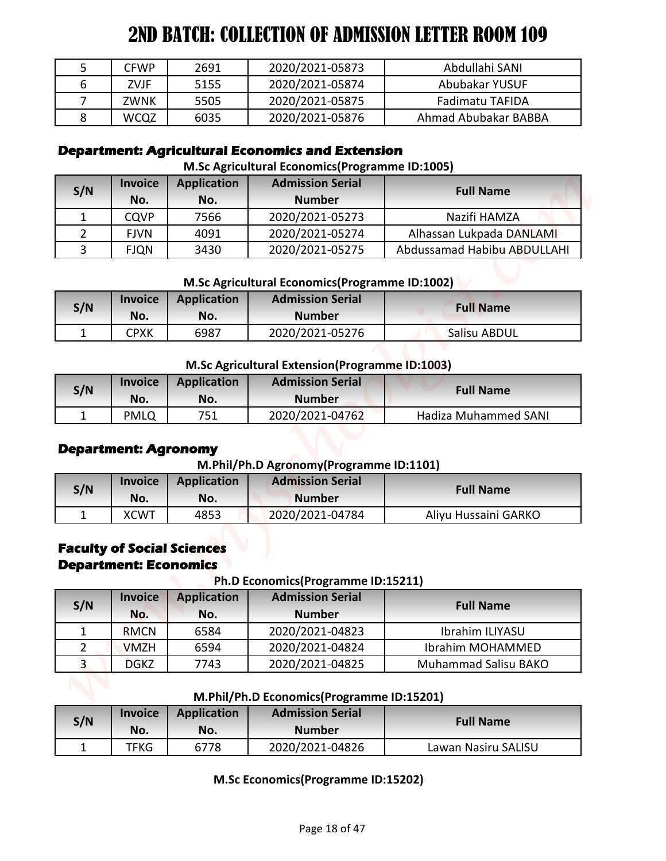|   | <b>CFWP</b> | 2691 | 2020/2021-05873 | Abdullahi SANI       |
|---|-------------|------|-----------------|----------------------|
| b | ZVJF        | 5155 | 2020/2021-05874 | Abubakar YUSUF       |
|   | ZWNK        | 5505 | 2020/2021-05875 | Fadimatu TAFIDA      |
|   | <b>WCQZ</b> | 6035 | 2020/2021-05876 | Ahmad Abubakar BABBA |

## **Department: Agricultural Economics and Extension**

#### **M.Sc Agricultural Economics(Programme ID:1005)**

| S/N | <b>Invoice</b><br>No. | <b>Application</b><br>No. | <b>Admission Serial</b><br><b>Number</b> | <b>Full Name</b>            |
|-----|-----------------------|---------------------------|------------------------------------------|-----------------------------|
|     | <b>CQVP</b>           | 7566                      | 2020/2021-05273                          | Nazifi HAMZA                |
|     | <b>FIVN</b>           | 4091                      | 2020/2021-05274                          | Alhassan Lukpada DANLAMI    |
|     | <b>FJQN</b>           | 3430                      | 2020/2021-05275                          | Abdussamad Habibu ABDULLAHI |

#### **M.Sc Agricultural Economics(Programme ID:1002)**

| S/N | <b>Invoice</b> | <b>Application</b> | <b>Admission Serial</b> | <b>Full Name</b> |
|-----|----------------|--------------------|-------------------------|------------------|
|     | No.            | No.                | <b>Number</b>           |                  |
|     | СРХК           | 6987               | 2020/2021-05276         | Salisu ABDUL     |

#### **M.Sc Agricultural Extension(Programme ID:1003)**

| S/N | <b>Invoice</b> | <b>Application</b> | <b>Admission Serial</b> | <b>Full Name</b>     |
|-----|----------------|--------------------|-------------------------|----------------------|
|     | No.            | No.                | <b>Number</b>           |                      |
|     | PMLQ           | 751                | 2020/2021-04762         | Hadiza Muhammed SANI |

## **Department: Agronomy**

## **M.Phil/Ph.D Agronomy(Programme ID:1101)**

| S/N | <b>Invoice</b> | <b>Application</b> | <b>Admission Serial</b> | <b>Full Name</b>     |
|-----|----------------|--------------------|-------------------------|----------------------|
|     | No.            | No.                | <b>Number</b>           |                      |
|     | <b>XCWT</b>    | 4853               | 2020/2021-04784         | Aliyu Hussaini GARKO |

#### **Faculty of Social Sciences Department: Economics**

**Ph.D Economics(Programme ID:15211)**

| 5<br>6<br>7    | <b>CFWP</b><br><b>ZVJF</b>                    | 2691                              |                                                                            | Abdullahi SANI                                 |
|----------------|-----------------------------------------------|-----------------------------------|----------------------------------------------------------------------------|------------------------------------------------|
| 8              |                                               |                                   | 2020/2021-05873                                                            |                                                |
|                |                                               | 5155                              | 2020/2021-05874                                                            | Abubakar YUSUF                                 |
|                | <b>ZWNK</b>                                   | 5505                              | 2020/2021-05875                                                            | <b>Fadimatu TAFIDA</b><br>Ahmad Abubakar BABBA |
|                | <b>WCQZ</b>                                   | 6035                              | 2020/2021-05876<br><b>Department: Agricultural Economics and Extension</b> |                                                |
|                |                                               |                                   | M.Sc Agricultural Economics (Programme ID:1005)                            |                                                |
|                | <b>Invoice</b>                                | <b>Application</b>                | <b>Admission Serial</b>                                                    |                                                |
| S/N            | No.                                           | No.                               | <b>Number</b>                                                              | <b>Full Name</b>                               |
| $\mathbf{1}$   | <b>CQVP</b>                                   | 7566                              | 2020/2021-05273                                                            | Nazifi HAMZA                                   |
| $\overline{2}$ | <b>FJVN</b>                                   | 4091                              | 2020/2021-05274                                                            | Alhassan Lukpada DANLAMI                       |
| 3              | <b>FJQN</b>                                   | 3430                              | 2020/2021-05275                                                            | Abdussamad Habibu ABDULLAHI                    |
|                |                                               |                                   |                                                                            |                                                |
|                |                                               |                                   | M.Sc Agricultural Economics (Programme ID:1002)                            |                                                |
| S/N            | <b>Invoice</b>                                | <b>Application</b>                | <b>Admission Serial</b>                                                    | <b>Full Name</b>                               |
|                | No.                                           | No.                               | <b>Number</b>                                                              |                                                |
| $\mathbf{1}$   | <b>CPXK</b>                                   | 6987                              | 2020/2021-05276                                                            | Salisu ABDUL                                   |
|                |                                               |                                   | M.Sc Agricultural Extension(Programme ID:1003)                             |                                                |
|                | <b>Invoice</b>                                | <b>Application</b>                | <b>Admission Serial</b>                                                    |                                                |
| S/N            | No.                                           | No.                               | <b>Number</b>                                                              | <b>Full Name</b>                               |
| $\mathbf{1}$   | <b>PMLQ</b>                                   | 751                               | 2020/2021-04762                                                            | <b>Hadiza Muhammed SANI</b>                    |
|                |                                               |                                   |                                                                            |                                                |
|                | <b>Department: Agronomy</b><br><b>Invoice</b> |                                   | M.Phil/Ph.D Agronomy(Programme ID:1101)<br><b>Admission Serial</b>         |                                                |
| S/N            | No.                                           | <b>Application</b><br>No.         | <b>Number</b>                                                              | <b>Full Name</b>                               |
| $\mathbf{1}$   | <b>XCWT</b>                                   | 4853                              | 2020/2021-04784                                                            | Aliyu Hussaini GARKO                           |
|                | <b>Department: Economics</b>                  | <b>Faculty of Social Sciences</b> | Ph.D Economics(Programme ID:15211)<br><b>Admission Serial</b>              |                                                |
| S/N            | <b>Invoice</b><br>No.                         | <b>Application</b><br>No.         | <b>Number</b>                                                              | <b>Full Name</b>                               |
| 1              | <b>RMCN</b>                                   | 6584                              | 2020/2021-04823                                                            | Ibrahim ILIYASU                                |
| $\overline{2}$ | <b>VMZH</b>                                   | 6594                              | 2020/2021-04824                                                            | Ibrahim MOHAMMED                               |
| $\overline{3}$ | <b>DGKZ</b>                                   | 7743                              | 2020/2021-04825                                                            | Muhammad Salisu BAKO                           |
|                |                                               |                                   |                                                                            |                                                |
|                |                                               |                                   | M.Phil/Ph.D Economics(Programme ID:15201)                                  |                                                |
| S/N            | <b>Invoice</b><br>No.                         | <b>Application</b><br>No.         | <b>Admission Serial</b><br><b>Number</b>                                   | <b>Full Name</b>                               |

**M.Phil/Ph.D Economics(Programme ID:15201)**

| S/N | <b>Invoice</b><br>No. | <b>Application</b><br>No. | <b>Admission Serial</b><br><b>Number</b> | <b>Full Name</b>    |
|-----|-----------------------|---------------------------|------------------------------------------|---------------------|
|     | TFKG                  | 6778                      | 2020/2021-04826                          | Lawan Nasiru SALISU |

#### **M.Sc Economics(Programme ID:15202)**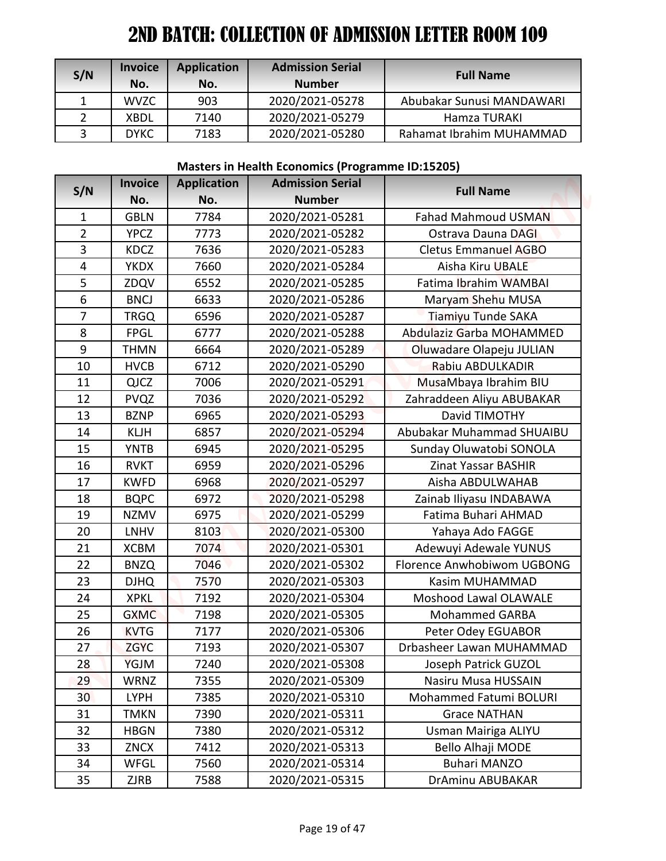| S/N | <b>Invoice</b><br>No. | <b>Application</b><br>No. | <b>Admission Serial</b><br><b>Number</b> | <b>Full Name</b>          |
|-----|-----------------------|---------------------------|------------------------------------------|---------------------------|
|     | <b>WVZC</b>           | 903                       | 2020/2021-05278                          | Abubakar Sunusi MANDAWARI |
|     | XBDL                  | 7140                      | 2020/2021-05279                          | Hamza TURAKI              |
| ર   | <b>DYKC</b>           | 7183                      | 2020/2021-05280                          | Rahamat Ibrahim MUHAMMAD  |

#### **Masters in Health Economics (Programme ID:15205)**

| S/N             | <b>Invoice</b> | <b>Application</b> | <b>Admission Serial</b>                                 | <b>Full Name</b>            |
|-----------------|----------------|--------------------|---------------------------------------------------------|-----------------------------|
|                 | No.            | No.                | <b>Number</b>                                           |                             |
| 1               | <b>WVZC</b>    | 903                | 2020/2021-05278                                         | Abubakar Sunusi MANDAWARI   |
| $\overline{2}$  | <b>XBDL</b>    | 7140               | 2020/2021-05279                                         | Hamza TURAKI                |
| 3               | <b>DYKC</b>    | 7183               | 2020/2021-05280                                         | Rahamat Ibrahim MUHAMMAD    |
|                 |                |                    | <b>Masters in Health Economics (Programme ID:15205)</b> |                             |
|                 | <b>Invoice</b> | <b>Application</b> | <b>Admission Serial</b>                                 |                             |
| S/N             | No.            | No.                | <b>Number</b>                                           | <b>Full Name</b>            |
| $\mathbf{1}$    | <b>GBLN</b>    | 7784               | 2020/2021-05281                                         | <b>Fahad Mahmoud USMAN</b>  |
| $\overline{2}$  | <b>YPCZ</b>    | 7773               | 2020/2021-05282                                         | Ostrava Dauna DAGI          |
| 3               | <b>KDCZ</b>    | 7636               | 2020/2021-05283                                         | <b>Cletus Emmanuel AGBO</b> |
| 4               | <b>YKDX</b>    | 7660               | 2020/2021-05284                                         | Aisha Kiru UBALE            |
| 5               | ZDQV           | 6552               | 2020/2021-05285                                         | Fatima Ibrahim WAMBAI       |
| 6               | <b>BNCJ</b>    | 6633               | 2020/2021-05286                                         | Maryam Shehu MUSA           |
| 7               | <b>TRGQ</b>    | 6596               | 2020/2021-05287                                         | Tiamiyu Tunde SAKA          |
| 8               | <b>FPGL</b>    | 6777               | 2020/2021-05288                                         | Abdulaziz Garba MOHAMMED    |
| 9               | THMN           | 6664               | 2020/2021-05289                                         | Oluwadare Olapeju JULIAN    |
| 10              | <b>HVCB</b>    | 6712               | 2020/2021-05290                                         | Rabiu ABDULKADIR            |
| 11              | <b>QJCZ</b>    | 7006               | 2020/2021-05291                                         | MusaMbaya Ibrahim BIU       |
| 12              | <b>PVQZ</b>    | 7036               | 2020/2021-05292                                         | Zahraddeen Aliyu ABUBAKAR   |
| 13              | <b>BZNP</b>    | 6965               | 2020/2021-05293                                         | David TIMOTHY               |
| 14              | <b>KLJH</b>    | 6857               | 2020/2021-05294                                         | Abubakar Muhammad SHUAIBU   |
| 15              | <b>YNTB</b>    | 6945               | 2020/2021-05295                                         | Sunday Oluwatobi SONOLA     |
| 16              | <b>RVKT</b>    | 6959               | 2020/2021-05296                                         | Zinat Yassar BASHIR         |
| 17              | <b>KWFD</b>    | 6968               | 2020/2021-05297                                         | Aisha ABDULWAHAB            |
| 18              | <b>BQPC</b>    | 6972               | 2020/2021-05298                                         | Zainab Iliyasu INDABAWA     |
| 19              | <b>NZMV</b>    | 6975               | 2020/2021-05299                                         | Fatima Buhari AHMAD         |
| 20              | <b>LNHV</b>    | 8103               | 2020/2021-05300                                         | Yahaya Ado FAGGE            |
| 21              | <b>XCBM</b>    | 7074               | 2020/2021-05301                                         | Adewuyi Adewale YUNUS       |
| 22              | <b>BNZQ</b>    | 7046               | 2020/2021-05302                                         | Florence Anwhobiwom UGBONG  |
| 23              | <b>DJHQ</b>    | 7570               | 2020/2021-05303                                         | Kasim MUHAMMAD              |
| 24              | <b>XPKL</b>    | 7192               | 2020/2021-05304                                         | Moshood Lawal OLAWALE       |
| 25              | <b>GXMC</b>    | 7198               | 2020/2021-05305                                         | <b>Mohammed GARBA</b>       |
| 26              | <b>KVTG</b>    | 7177               | 2020/2021-05306                                         | Peter Odey EGUABOR          |
| 27              | <b>ZGYC</b>    | 7193               | 2020/2021-05307                                         | Drbasheer Lawan MUHAMMAD    |
| 28              | YGJM           | 7240               | 2020/2021-05308                                         | Joseph Patrick GUZOL        |
| 29              | <b>WRNZ</b>    | 7355               | 2020/2021-05309                                         | Nasiru Musa HUSSAIN         |
| 30 <sup>°</sup> | <b>LYPH</b>    | 7385               | 2020/2021-05310                                         | Mohammed Fatumi BOLURI      |
| 31              | <b>TMKN</b>    | 7390               | 2020/2021-05311                                         | <b>Grace NATHAN</b>         |
| 32              | <b>HBGN</b>    | 7380               | 2020/2021-05312                                         | Usman Mairiga ALIYU         |
| 33              | ZNCX           | 7412               | 2020/2021-05313                                         | Bello Alhaji MODE           |
| 34              | WFGL           | 7560               | 2020/2021-05314                                         | <b>Buhari MANZO</b>         |
| 35              | ZJRB           | 7588               | 2020/2021-05315                                         | DrAminu ABUBAKAR            |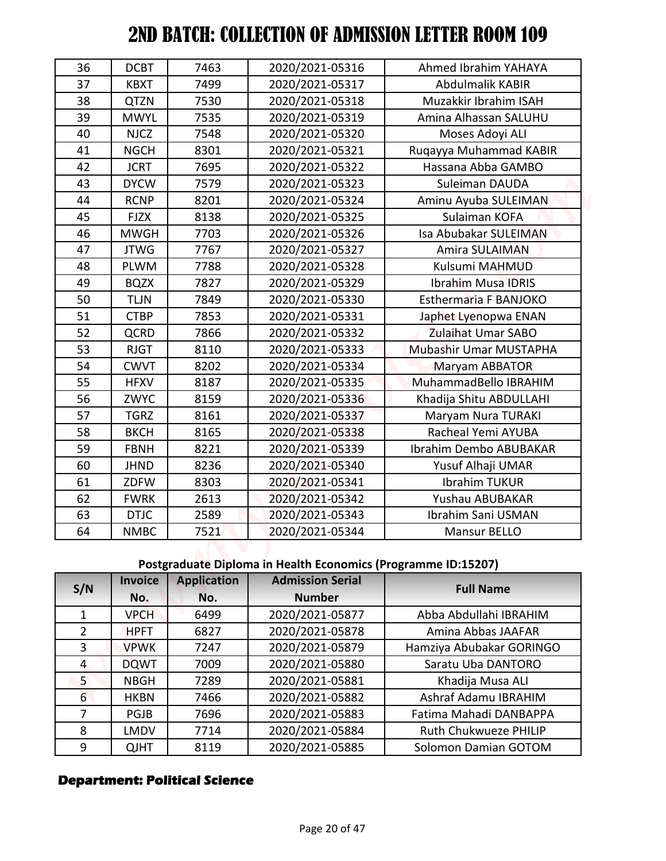| 36              | <b>DCBT</b>    | 7463               | 2020/2021-05316                                               | Ahmed Ibrahim YAHAYA         |
|-----------------|----------------|--------------------|---------------------------------------------------------------|------------------------------|
| 37              | <b>KBXT</b>    | 7499               | 2020/2021-05317                                               | Abdulmalik KABIR             |
| 38              | QTZN           | 7530               | 2020/2021-05318                                               | Muzakkir Ibrahim ISAH        |
| 39              | <b>MWYL</b>    | 7535               | 2020/2021-05319                                               | Amina Alhassan SALUHU        |
| 40              | <b>NJCZ</b>    | 7548               | 2020/2021-05320                                               | Moses Adoyi ALI              |
| 41              | <b>NGCH</b>    | 8301               | 2020/2021-05321                                               | Ruqayya Muhammad KABIR       |
| 42              | <b>JCRT</b>    | 7695               | 2020/2021-05322                                               | Hassana Abba GAMBO           |
| 43              | <b>DYCW</b>    | 7579               | 2020/2021-05323                                               | Suleiman DAUDA               |
| 44              | <b>RCNP</b>    | 8201               | 2020/2021-05324                                               | Aminu Ayuba SULEIMAN         |
| 45              | <b>FJZX</b>    | 8138               | 2020/2021-05325                                               | Sulaiman KOFA                |
| 46              | <b>MWGH</b>    | 7703               | 2020/2021-05326                                               | Isa Abubakar SULEIMAN        |
| 47              | <b>JTWG</b>    | 7767               | 2020/2021-05327                                               | Amira SULAIMAN               |
| 48              | <b>PLWM</b>    | 7788               | 2020/2021-05328                                               | Kulsumi MAHMUD               |
| 49              | <b>BQZX</b>    | 7827               | 2020/2021-05329                                               | <b>Ibrahim Musa IDRIS</b>    |
| 50              | <b>TLJN</b>    | 7849               | 2020/2021-05330                                               | <b>Esthermaria F BANJOKO</b> |
| 51              | <b>CTBP</b>    | 7853               | 2020/2021-05331                                               | Japhet Lyenopwa ENAN         |
| 52              | <b>QCRD</b>    | 7866               | 2020/2021-05332                                               | <b>Zulaihat Umar SABO</b>    |
| 53              | <b>RJGT</b>    | 8110               | 2020/2021-05333                                               | Mubashir Umar MUSTAPHA       |
| 54              | <b>CWVT</b>    | 8202               | 2020/2021-05334                                               | Maryam ABBATOR               |
| 55              | <b>HFXV</b>    | 8187               | 2020/2021-05335                                               | MuhammadBello IBRAHIM        |
| 56              | ZWYC           | 8159               | 2020/2021-05336                                               | Khadija Shitu ABDULLAHI      |
| 57              | <b>TGRZ</b>    | 8161               | 2020/2021-05337                                               | Maryam Nura TURAKI           |
| 58              | <b>BKCH</b>    | 8165               | 2020/2021-05338                                               | Racheal Yemi AYUBA           |
| 59              | <b>FBNH</b>    | 8221               | 2020/2021-05339                                               | Ibrahim Dembo ABUBAKAR       |
| 60              | <b>JHND</b>    | 8236               | 2020/2021-05340                                               | Yusuf Alhaji UMAR            |
| 61              | ZDFW           | 8303               | 2020/2021-05341                                               | Ibrahim TUKUR                |
| 62              | <b>FWRK</b>    | 2613               | 2020/2021-05342                                               | Yushau ABUBAKAR              |
| 63              | <b>DTJC</b>    | 2589               | 2020/2021-05343                                               | Ibrahim Sani USMAN           |
| 64              | <b>NMBC</b>    | 7521               | 2020/2021-05344                                               | Mansur BELLO                 |
|                 |                |                    |                                                               |                              |
|                 |                |                    | Postgraduate Diploma in Health Economics (Programme ID:15207) |                              |
| S/N             | <b>Invoice</b> | <b>Application</b> | <b>Admission Serial</b>                                       | <b>Full Name</b>             |
|                 | No.            | No.                | <b>Number</b>                                                 |                              |
| $\mathbf{1}$    | <b>VPCH</b>    | 6499               | 2020/2021-05877                                               | Abba Abdullahi IBRAHIM       |
| $\overline{2}$  | <b>HPFT</b>    | 6827               | 2020/2021-05878                                               | Amina Abbas JAAFAR           |
| 3               | <b>VPWK</b>    | 7247               | 2020/2021-05879                                               | Hamziya Abubakar GORINGO     |
| $\overline{4}$  | <b>DQWT</b>    | 7009               | 2020/2021-05880                                               | Saratu Uba DANTORO           |
| 5 <sup>1</sup>  | <b>NBGH</b>    | 7289               | 2020/2021-05881                                               | Khadija Musa ALI             |
| $6\overline{6}$ | <b>HKBN</b>    | 7466               | 2020/2021-05882                                               | Ashraf Adamu IBRAHIM         |
| $\overline{7}$  | PGJB           | 7696               | 2020/2021-05883                                               | Fatima Mahadi DANBAPPA       |
| 8               | LMDV           | 7714               | 2020/2021-05884                                               | Ruth Chukwueze PHILIP        |
| 9               | <b>QJHT</b>    | 8119               | 2020/2021-05885                                               | Solomon Damian GOTOM         |

# **Postgraduate Diploma in Health Economics (Programme ID:15207)**

| S/N | <b>Invoice</b> | <b>Application</b> | <b>Admission Serial</b> | <b>Full Name</b>         |
|-----|----------------|--------------------|-------------------------|--------------------------|
|     | No.            | No.                | <b>Number</b>           |                          |
| 1   | <b>VPCH</b>    | 6499               | 2020/2021-05877         | Abba Abdullahi IBRAHIM   |
| 2   | <b>HPFT</b>    | 6827               | 2020/2021-05878         | Amina Abbas JAAFAR       |
| 3   | <b>VPWK</b>    | 7247               | 2020/2021-05879         | Hamziya Abubakar GORINGO |
| 4   | <b>DQWT</b>    | 7009               | 2020/2021-05880         | Saratu Uba DANTORO       |
| 5.  | <b>NBGH</b>    | 7289               | 2020/2021-05881         | Khadija Musa ALI         |
| 6   | <b>HKBN</b>    | 7466               | 2020/2021-05882         | Ashraf Adamu IBRAHIM     |
|     | <b>PGJB</b>    | 7696               | 2020/2021-05883         | Fatima Mahadi DANBAPPA   |
| 8   | <b>LMDV</b>    | 7714               | 2020/2021-05884         | Ruth Chukwueze PHILIP    |
| 9   | <b>QJHT</b>    | 8119               | 2020/2021-05885         | Solomon Damian GOTOM     |

## **Department: Political Science**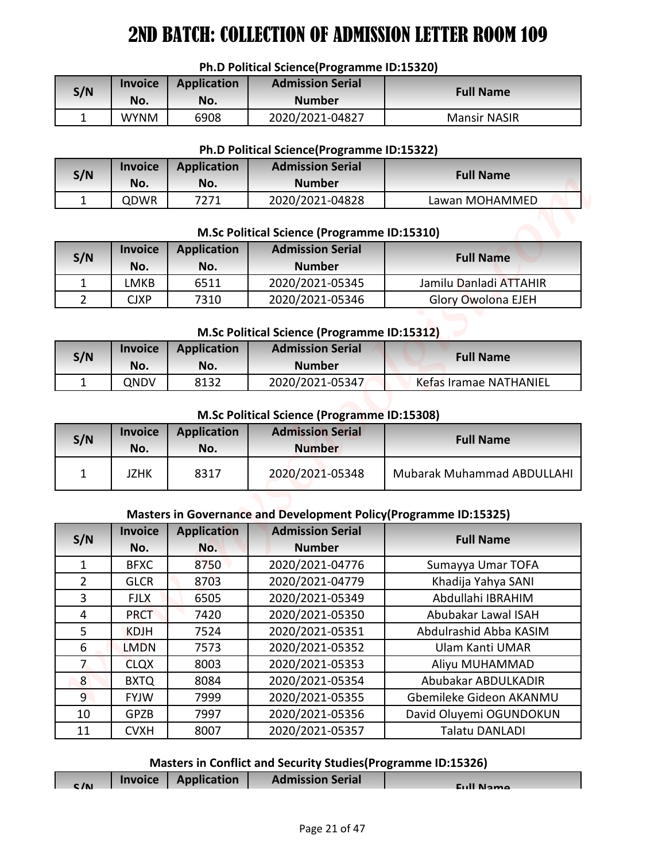#### **Ph.D Political Science(Programme ID:15320)**

| S/N | <b>Invoice</b><br>No. | Application<br>No. | <b>Admission Serial</b><br><b>Number</b> | <b>Full Name</b>    |
|-----|-----------------------|--------------------|------------------------------------------|---------------------|
|     | <b>WYNM</b>           | 6908               | 2020/2021-04827                          | <b>Mansir NASIR</b> |

#### **Ph.D Political Science(Programme ID:15322)**

| S/N | <b>Invoice</b><br>No. | <b>Application</b><br>No. | <b>Admission Serial</b><br><b>Number</b> | <b>Full Name</b> |
|-----|-----------------------|---------------------------|------------------------------------------|------------------|
|     | ODWR                  | 7271                      | 2020/2021-04828                          | Lawan MOHAMMED   |

#### **M.Sc Political Science (Programme ID:15310)**

| S/N | <b>Invoice</b><br>No. | Application<br>No. | <b>Admission Serial</b><br><b>Number</b> | <b>Full Name</b>          |
|-----|-----------------------|--------------------|------------------------------------------|---------------------------|
|     | MKB-                  | 6511               | 2020/2021-05345                          | Jamilu Danladi ATTAHIR    |
|     | CJXP                  | 7310               | 2020/2021-05346                          | <b>Glory Owolona EJEH</b> |

#### **M.Sc Political Science (Programme ID:15312)**

| S/N | <b>Invoice</b><br>No. | <b>Application</b><br>No. | <b>Admission Serial</b><br><b>Number</b> | <b>Full Name</b>       |
|-----|-----------------------|---------------------------|------------------------------------------|------------------------|
|     | ONDV                  | 8132                      | 2020/2021-05347                          | Kefas Iramae NATHANIEL |

#### **M.Sc Political Science (Programme ID:15308)**

| S/N | <b>Invoice</b><br>No. | Application<br>No. | <b>Admission Serial</b><br><b>Number</b> | <b>Full Name</b>                  |
|-----|-----------------------|--------------------|------------------------------------------|-----------------------------------|
|     | JZHK                  | 8317               | 2020/2021-05348                          | <b>Mubarak Muhammad ABDULLAHI</b> |

#### **Masters in Governance and Development Policy(Programme ID:15325)**

|                                                                 |                |                    | Ph.D Political Science(Programme ID:15320)                    |                                                                   |  |  |  |
|-----------------------------------------------------------------|----------------|--------------------|---------------------------------------------------------------|-------------------------------------------------------------------|--|--|--|
| <b>Admission Serial</b><br><b>Invoice</b><br><b>Application</b> |                |                    |                                                               |                                                                   |  |  |  |
| S/N                                                             | No.            | No.                | <b>Number</b>                                                 | <b>Full Name</b>                                                  |  |  |  |
| $\mathbf{1}$                                                    | <b>WYNM</b>    | 6908               | 2020/2021-04827                                               | <b>Mansir NASIR</b>                                               |  |  |  |
|                                                                 |                |                    |                                                               |                                                                   |  |  |  |
|                                                                 |                |                    | Ph.D Political Science(Programme ID:15322)                    |                                                                   |  |  |  |
| S/N                                                             | <b>Invoice</b> | <b>Application</b> | <b>Admission Serial</b>                                       | <b>Full Name</b>                                                  |  |  |  |
|                                                                 | No.            | No.                | <b>Number</b>                                                 |                                                                   |  |  |  |
| 1                                                               | QDWR           | 7271               | 2020/2021-04828                                               | Lawan MOHAMMED                                                    |  |  |  |
|                                                                 |                |                    | M.Sc Political Science (Programme ID:15310)                   |                                                                   |  |  |  |
|                                                                 | <b>Invoice</b> | <b>Application</b> | <b>Admission Serial</b>                                       |                                                                   |  |  |  |
| S/N                                                             | No.            | No.                | <b>Number</b>                                                 | <b>Full Name</b>                                                  |  |  |  |
| $\mathbf{1}$                                                    | <b>LMKB</b>    | 6511               | 2020/2021-05345                                               | Jamilu Danladi ATTAHIR                                            |  |  |  |
| $\overline{2}$                                                  | <b>CJXP</b>    | 7310               | 2020/2021-05346                                               | <b>Glory Owolona EJEH</b>                                         |  |  |  |
|                                                                 |                |                    |                                                               |                                                                   |  |  |  |
|                                                                 |                |                    | M.Sc Political Science (Programme ID:15312)                   |                                                                   |  |  |  |
| S/N                                                             | <b>Invoice</b> | <b>Application</b> | <b>Admission Serial</b>                                       | <b>Full Name</b>                                                  |  |  |  |
| 1                                                               | No.<br>QNDV    | No.<br>8132        | <b>Number</b><br>2020/2021-05347                              | Kefas Iramae NATHANIEL                                            |  |  |  |
|                                                                 |                |                    |                                                               |                                                                   |  |  |  |
|                                                                 |                |                    | M.Sc Political Science (Programme ID:15308)                   |                                                                   |  |  |  |
| S/N                                                             | <b>Invoice</b> | <b>Application</b> | <b>Admission Serial</b>                                       | <b>Full Name</b>                                                  |  |  |  |
|                                                                 | No.            | No.                | <b>Number</b>                                                 |                                                                   |  |  |  |
|                                                                 |                |                    |                                                               |                                                                   |  |  |  |
| 1                                                               | <b>JZHK</b>    | 8317               | 2020/2021-05348                                               | <b>Mubarak Muhammad ABDULLAHI</b>                                 |  |  |  |
|                                                                 |                |                    |                                                               |                                                                   |  |  |  |
|                                                                 |                |                    |                                                               | Masters in Governance and Development Policy (Programme ID:15325) |  |  |  |
|                                                                 | <b>Invoice</b> | <b>Application</b> | <b>Admission Serial</b>                                       |                                                                   |  |  |  |
| S/N                                                             | No.            | No.                | <b>Number</b>                                                 | <b>Full Name</b>                                                  |  |  |  |
| 1                                                               | <b>BFXC</b>    | 8750               | 2020/2021-04776                                               | Sumayya Umar TOFA                                                 |  |  |  |
| $\overline{2}$                                                  | <b>GLCR</b>    | 8703               | 2020/2021-04779                                               | Khadija Yahya SANI                                                |  |  |  |
| 3                                                               | <b>FJLX</b>    | 6505               | 2020/2021-05349                                               | Abdullahi IBRAHIM                                                 |  |  |  |
| $\overline{4}$                                                  | <b>PRCT</b>    | 7420               | 2020/2021-05350                                               | Abubakar Lawal ISAH                                               |  |  |  |
| 5                                                               | <b>KDJH</b>    | 7524               | 2020/2021-05351                                               | Abdulrashid Abba KASIM                                            |  |  |  |
| 6                                                               | <b>LMDN</b>    | 7573               | 2020/2021-05352                                               | Ulam Kanti UMAR                                                   |  |  |  |
| $\overline{7}$                                                  | <b>CLQX</b>    | 8003               | 2020/2021-05353                                               | Aliyu MUHAMMAD                                                    |  |  |  |
| 8 <sup>°</sup>                                                  | <b>BXTQ</b>    | 8084               | 2020/2021-05354                                               | Abubakar ABDULKADIR                                               |  |  |  |
| 9 <sup>°</sup>                                                  | <b>FYJW</b>    | 7999               | 2020/2021-05355                                               | Gbemileke Gideon AKANMU                                           |  |  |  |
| 10                                                              | <b>GPZB</b>    | 7997               | 2020/2021-05356                                               | David Oluyemi OGUNDOKUN                                           |  |  |  |
| 11                                                              | <b>CVXH</b>    | 8007               | 2020/2021-05357                                               | <b>Talatu DANLADI</b>                                             |  |  |  |
|                                                                 |                |                    | Masters in Conflict and Security Studies (Programme ID:15326) |                                                                   |  |  |  |

# **Masters in Conflict and Security Studies(Programme ID:15326)**

| C/N | Invoice   Application | <b>Admission Serial</b> | Eull Namo |
|-----|-----------------------|-------------------------|-----------|
|     |                       |                         |           |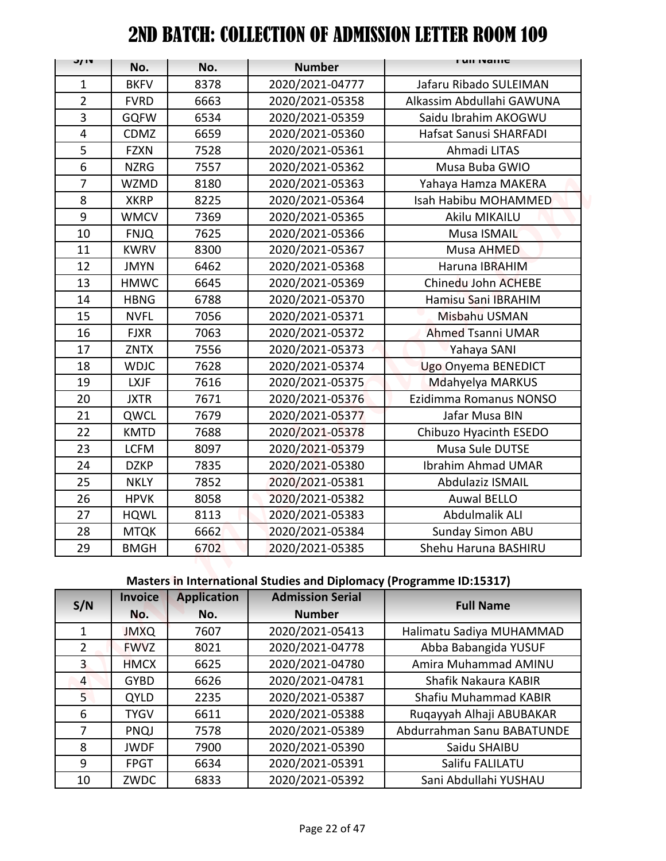| J/ IV          |                |                    |                         | <b>FUILIVAILLE</b>                                                  |
|----------------|----------------|--------------------|-------------------------|---------------------------------------------------------------------|
|                | No.            | No.                | <b>Number</b>           |                                                                     |
| $\mathbf{1}$   | <b>BKFV</b>    | 8378               | 2020/2021-04777         | Jafaru Ribado SULEIMAN                                              |
| $\overline{2}$ | <b>FVRD</b>    | 6663               | 2020/2021-05358         | Alkassim Abdullahi GAWUNA                                           |
| 3              | <b>GQFW</b>    | 6534               | 2020/2021-05359         | Saidu Ibrahim AKOGWU                                                |
| 4              | <b>CDMZ</b>    | 6659               | 2020/2021-05360         | Hafsat Sanusi SHARFADI                                              |
| 5              | <b>FZXN</b>    | 7528               | 2020/2021-05361         | Ahmadi LITAS                                                        |
| 6              | <b>NZRG</b>    | 7557               | 2020/2021-05362         | Musa Buba GWIO                                                      |
| $\overline{7}$ | <b>WZMD</b>    | 8180               | 2020/2021-05363         | Yahaya Hamza MAKERA                                                 |
| 8              | <b>XKRP</b>    | 8225               | 2020/2021-05364         | Isah Habibu MOHAMMED                                                |
| 9              | <b>WMCV</b>    | 7369               | 2020/2021-05365         | Akilu MIKAILU                                                       |
| 10             | <b>FNJQ</b>    | 7625               | 2020/2021-05366         | Musa ISMAIL                                                         |
| 11             | <b>KWRV</b>    | 8300               | 2020/2021-05367         | Musa AHMED                                                          |
| 12             | <b>JMYN</b>    | 6462               | 2020/2021-05368         | Haruna IBRAHIM                                                      |
| 13             | <b>HMWC</b>    | 6645               | 2020/2021-05369         | Chinedu John ACHEBE                                                 |
| 14             | <b>HBNG</b>    | 6788               | 2020/2021-05370         | Hamisu Sani IBRAHIM                                                 |
| 15             | <b>NVFL</b>    | 7056               | 2020/2021-05371         | Misbahu USMAN                                                       |
| 16             | <b>FJXR</b>    | 7063               | 2020/2021-05372         | <b>Ahmed Tsanni UMAR</b>                                            |
| 17             | <b>ZNTX</b>    | 7556               | 2020/2021-05373         | Yahaya SANI                                                         |
| 18             | <b>WDJC</b>    | 7628               | 2020/2021-05374         | Ugo Onyema BENEDICT                                                 |
| 19             | <b>LXJF</b>    | 7616               | 2020/2021-05375         | Mdahyelya MARKUS                                                    |
| 20             | <b>JXTR</b>    | 7671               | 2020/2021-05376         | Ezidimma Romanus NONSO                                              |
| 21             | QWCL           | 7679               | 2020/2021-05377         | Jafar Musa BIN                                                      |
| 22             | <b>KMTD</b>    | 7688               | 2020/2021-05378         | Chibuzo Hyacinth ESEDO                                              |
| 23             | <b>LCFM</b>    | 8097               | 2020/2021-05379         | Musa Sule DUTSE                                                     |
| 24             | <b>DZKP</b>    | 7835               | 2020/2021-05380         | Ibrahim Ahmad UMAR                                                  |
| 25             | <b>NKLY</b>    | 7852               | 2020/2021-05381         | <b>Abdulaziz ISMAIL</b>                                             |
| 26             | <b>HPVK</b>    | 8058               | 2020/2021-05382         | <b>Auwal BELLO</b>                                                  |
| 27             | <b>HQWL</b>    | 8113               | 2020/2021-05383         | Abdulmalik ALI                                                      |
| 28             | <b>MTQK</b>    | 6662               | 2020/2021-05384         | Sunday Simon ABU                                                    |
| 29             | <b>BMGH</b>    | 6702               | 2020/2021-05385         | Shehu Haruna BASHIRU                                                |
|                |                |                    |                         | Masters in International Studies and Diplomacy (Programme ID:15317) |
|                | <b>Invoice</b> | <b>Application</b> | <b>Admission Serial</b> |                                                                     |
| S/N            | No.            | No.                | <b>Number</b>           | <b>Full Name</b>                                                    |
| $\mathbf{1}$   | <b>JMXQ</b>    | 7607               | 2020/2021-05413         | Halimatu Sadiya MUHAMMAD                                            |
| $\overline{2}$ | <b>FWVZ</b>    | 8021               | 2020/2021-04778         | Abba Babangida YUSUF                                                |
| $\overline{3}$ | <b>HMCX</b>    | 6625               | 2020/2021-04780         | Amira Muhammad AMINU                                                |
| $\overline{4}$ | <b>GYBD</b>    | 6626               | 2020/2021-04781         | Shafik Nakaura KABIR                                                |
| 5 <sub>1</sub> | <b>QYLD</b>    | 2235               | 2020/2021-05387         | Shafiu Muhammad KABIR                                               |
| 6              | <b>TYGV</b>    | 6611               | 2020/2021-05388         | Ruqayyah Alhaji ABUBAKAR                                            |
| $\overline{7}$ | <b>PNQJ</b>    | 7578               | 2020/2021-05389         | Abdurrahman Sanu BABATUNDE                                          |
| 8              | <b>JWDF</b>    | 7900               | 2020/2021-05390         | Saidu SHAIBU                                                        |
| 9              | <b>FPGT</b>    | 6634               | 2020/2021-05391         | Salifu FALILATU                                                     |
|                |                |                    |                         |                                                                     |

# **Masters in International Studies and Diplomacy (Programme ID:15317)**

| <b>Invoice</b><br>S/N |             | <b>Application</b> | <b>Admission Serial</b> | <b>Full Name</b>           |
|-----------------------|-------------|--------------------|-------------------------|----------------------------|
|                       | No.         | No.                | <b>Number</b>           |                            |
| 1                     | <b>JMXQ</b> | 7607               | 2020/2021-05413         | Halimatu Sadiya MUHAMMAD   |
| $\overline{2}$        | <b>FWVZ</b> | 8021               | 2020/2021-04778         | Abba Babangida YUSUF       |
| 3                     | <b>HMCX</b> | 6625               | 2020/2021-04780         | Amira Muhammad AMINU       |
| 4                     | <b>GYBD</b> | 6626               | 2020/2021-04781         | Shafik Nakaura KABIR       |
| 5.                    | QYLD        | 2235               | 2020/2021-05387         | Shafiu Muhammad KABIR      |
| 6                     | <b>TYGV</b> | 6611               | 2020/2021-05388         | Ruqayyah Alhaji ABUBAKAR   |
| 7                     | PNQJ        | 7578               | 2020/2021-05389         | Abdurrahman Sanu BABATUNDE |
| 8                     | <b>JWDF</b> | 7900               | 2020/2021-05390         | Saidu SHAIBU               |
| 9                     | <b>FPGT</b> | 6634               | 2020/2021-05391         | Salifu FALILATU            |
| 10                    | ZWDC        | 6833               | 2020/2021-05392         | Sani Abdullahi YUSHAU      |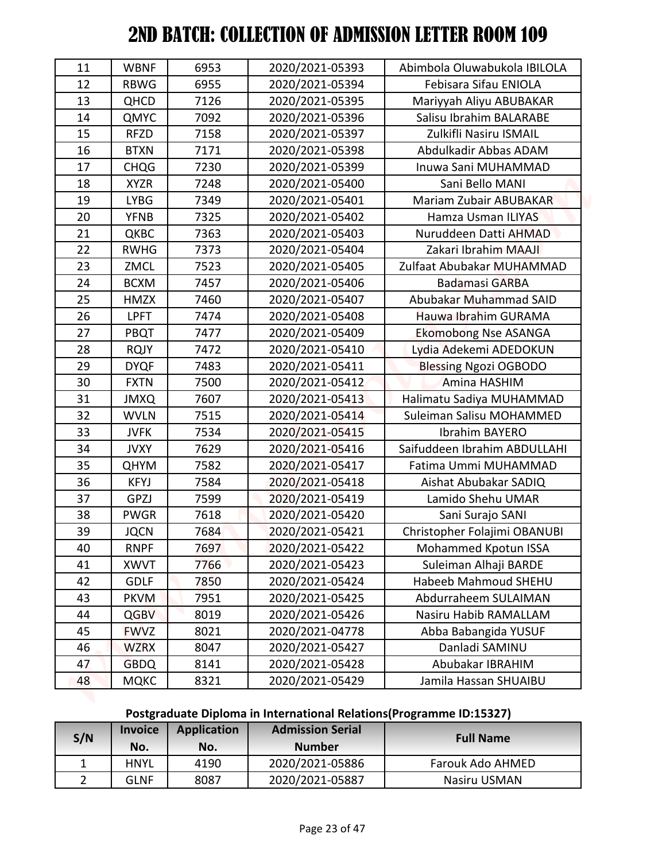| 11           | <b>WBNF</b>    | 6953               | 2020/2021-05393         | Abimbola Oluwabukola IBILOLA                                        |
|--------------|----------------|--------------------|-------------------------|---------------------------------------------------------------------|
| 12           | <b>RBWG</b>    | 6955               | 2020/2021-05394         | Febisara Sifau ENIOLA                                               |
| 13           | <b>QHCD</b>    | 7126               | 2020/2021-05395         | Mariyyah Aliyu ABUBAKAR                                             |
| 14           | QMYC           | 7092               | 2020/2021-05396         | Salisu Ibrahim BALARABE                                             |
| 15           | <b>RFZD</b>    | 7158               | 2020/2021-05397         | Zulkifli Nasiru ISMAIL                                              |
| 16           | <b>BTXN</b>    | 7171               | 2020/2021-05398         | Abdulkadir Abbas ADAM                                               |
| 17           | <b>CHQG</b>    | 7230               | 2020/2021-05399         | Inuwa Sani MUHAMMAD                                                 |
| 18           | <b>XYZR</b>    | 7248               | 2020/2021-05400         | Sani Bello MANI                                                     |
| 19           | <b>LYBG</b>    | 7349               | 2020/2021-05401         | Mariam Zubair ABUBAKAR                                              |
| 20           | <b>YFNB</b>    | 7325               | 2020/2021-05402         | Hamza Usman ILIYAS                                                  |
| 21           | <b>QKBC</b>    | 7363               | 2020/2021-05403         | Nuruddeen Datti AHMAD                                               |
| 22           | <b>RWHG</b>    | 7373               | 2020/2021-05404         | Zakari Ibrahim MAAJI                                                |
| 23           | ZMCL           | 7523               | 2020/2021-05405         | Zulfaat Abubakar MUHAMMAD                                           |
| 24           | <b>BCXM</b>    | 7457               | 2020/2021-05406         | <b>Badamasi GARBA</b>                                               |
| 25           | <b>HMZX</b>    | 7460               | 2020/2021-05407         | Abubakar Muhammad SAID                                              |
| 26           | <b>LPFT</b>    | 7474               | 2020/2021-05408         | Hauwa Ibrahim GURAMA                                                |
| 27           | PBQT           | 7477               | 2020/2021-05409         | <b>Ekomobong Nse ASANGA</b>                                         |
| 28           | <b>RQJY</b>    | 7472               | 2020/2021-05410         | Lydia Adekemi ADEDOKUN                                              |
| 29           | <b>DYQF</b>    | 7483               | 2020/2021-05411         | <b>Blessing Ngozi OGBODO</b>                                        |
| 30           | <b>FXTN</b>    | 7500               | 2020/2021-05412         | Amina HASHIM                                                        |
| 31           | <b>JMXQ</b>    | 7607               | 2020/2021-05413         | Halimatu Sadiya MUHAMMAD                                            |
| 32           | <b>WVLN</b>    | 7515               | 2020/2021-05414         | Suleiman Salisu MOHAMMED                                            |
| 33           | <b>JVFK</b>    | 7534               | 2020/2021-05415         | Ibrahim BAYERO                                                      |
| 34           | <b>JVXY</b>    | 7629               | 2020/2021-05416         | Saifuddeen Ibrahim ABDULLAHI                                        |
| 35           | <b>QHYM</b>    | 7582               | 2020/2021-05417         | Fatima Ummi MUHAMMAD                                                |
| 36           | <b>KFYJ</b>    | 7584               | 2020/2021-05418         | Aishat Abubakar SADIQ                                               |
| 37           | <b>GPZJ</b>    | 7599               | 2020/2021-05419         | Lamido Shehu UMAR                                                   |
| 38           | <b>PWGR</b>    | 7618               | 2020/2021-05420         | Sani Surajo SANI                                                    |
| 39           | <b>JQCN</b>    | 7684               | 2020/2021-05421         | Christopher Folajimi OBANUBI                                        |
| 40           | <b>RNPF</b>    | 7697               | 2020/2021-05422         | Mohammed Kpotun ISSA                                                |
| 41           | <b>XWVT</b>    | 7766               | 2020/2021-05423         | Suleiman Alhaji BARDE                                               |
| 42           | <b>GDLF</b>    | 7850               | 2020/2021-05424         | Habeeb Mahmoud SHEHU                                                |
| 43           | <b>PKVM</b>    | 7951               | 2020/2021-05425         | Abdurraheem SULAIMAN                                                |
| 44           | <b>QGBV</b>    | 8019               | 2020/2021-05426         | Nasiru Habib RAMALLAM                                               |
| 45           | <b>FWVZ</b>    | 8021               | 2020/2021-04778         | Abba Babangida YUSUF                                                |
| 46           | <b>WZRX</b>    | 8047               | 2020/2021-05427         | Danladi SAMINU                                                      |
| 47           | <b>GBDQ</b>    | 8141               | 2020/2021-05428         | Abubakar IBRAHIM                                                    |
| 48           | <b>MQKC</b>    | 8321               | 2020/2021-05429         | Jamila Hassan SHUAIBU                                               |
|              |                |                    |                         | Postgraduate Diploma in International Relations(Programme ID:15327) |
|              | <b>Invoice</b> | <b>Application</b> | <b>Admission Serial</b> |                                                                     |
| S/N          | No.            | No.                | <b>Number</b>           | <b>Full Name</b>                                                    |
| $\mathbf{1}$ | <b>HNYL</b>    | 4190               | 2020/2021-05886         | Farouk Ado AHMED                                                    |
| $2^{\circ}$  | <b>GLNF</b>    | 8087               | 2020/2021-05887         | Nasiru USMAN                                                        |

# **Postgraduate Diploma in International Relations(Programme ID:15327)**

| S/N | <b>Invoice</b><br>No. | Application<br>No. | <b>Admission Serial</b><br><b>Number</b> | <b>Full Name</b> |
|-----|-----------------------|--------------------|------------------------------------------|------------------|
|     | HNYL                  | 4190               | 2020/2021-05886                          | Farouk Ado AHMED |
|     | GLNF                  | 8087               | 2020/2021-05887                          | Nasiru USMAN     |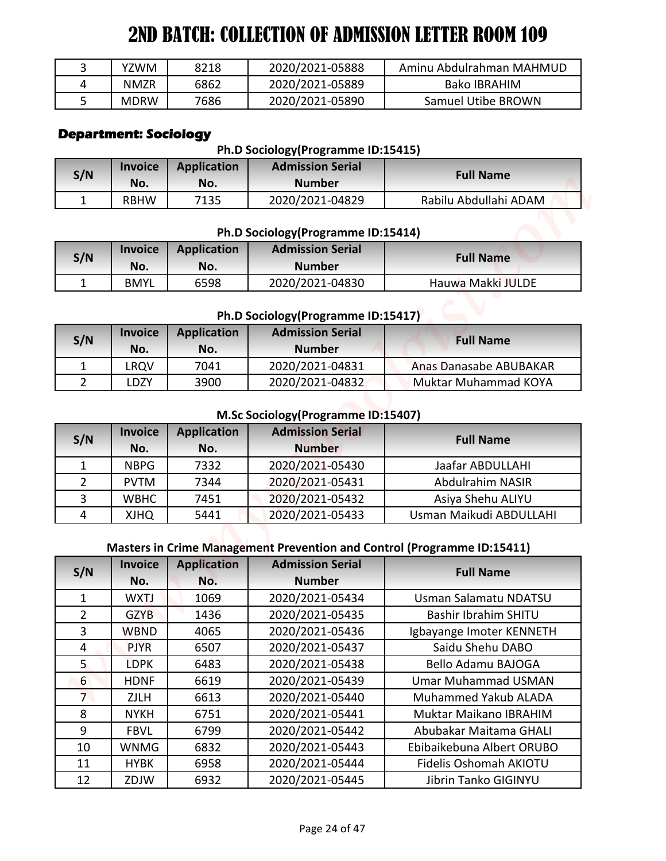| YZWM        | 8218 | 2020/2021-05888 | Aminu Abdulrahman MAHMUD |
|-------------|------|-----------------|--------------------------|
| <b>NMZR</b> | 6862 | 2020/2021-05889 | Bako IBRAHIM             |
| <b>MDRW</b> | 7686 | 2020/2021-05890 | Samuel Utibe BROWN       |

# **Department: Sociology**

#### **Ph.D Sociology(Programme ID:15415)**

| S/N | <b>Invoice</b><br>No. | <b>Application</b><br>No. | <b>Admission Serial</b><br><b>Number</b> | <b>Full Name</b>      |
|-----|-----------------------|---------------------------|------------------------------------------|-----------------------|
|     | <b>RBHW</b>           | 7135                      | 2020/2021-04829                          | Rabilu Abdullahi ADAM |

#### **Ph.D Sociology(Programme ID:15414)**

| S/N | <b>Invoice</b><br>No. | <b>Application</b><br>No. | <b>Admission Serial</b><br><b>Number</b> | <b>Full Name</b>  |
|-----|-----------------------|---------------------------|------------------------------------------|-------------------|
|     | <b>BMYL</b>           | 6598                      | 2020/2021-04830                          | Hauwa Makki JULDE |

## **Ph.D Sociology(Programme ID:15417)**

| S/N | <b>Invoice</b><br>No. | <b>Application</b><br>No. | <b>Admission Serial</b><br><b>Number</b> | <b>Full Name</b>              |
|-----|-----------------------|---------------------------|------------------------------------------|-------------------------------|
|     | .RQV                  | 7041                      | 2020/2021-04831                          | <b>Anas Danasabe ABUBAKAR</b> |
|     | .DZY                  | 3900                      | 2020/2021-04832                          | <b>Muktar Muhammad KOYA</b>   |

#### **M.Sc Sociology(Programme ID:15407)**

| S/N | <b>Invoice</b><br>No. | <b>Application</b><br>No. | <b>Admission Serial</b><br><b>Number</b> | <b>Full Name</b>        |
|-----|-----------------------|---------------------------|------------------------------------------|-------------------------|
|     | <b>NBPG</b>           | 7332                      | 2020/2021-05430                          | Jaafar ABDULLAHI        |
|     | <b>PVTM</b>           | 7344                      | 2020/2021-05431                          | Abdulrahim NASIR        |
| 3   | <b>WBHC</b>           | 7451                      | 2020/2021-05432                          | Asiya Shehu ALIYU       |
| 4   | <b>QHLX</b>           | 5441                      | 2020/2021-05433                          | Usman Maikudi ABDULLAHI |

## **Masters in Crime Management Prevention and Control (Programme ID:15411)**

| 3              | <b>YZWM</b>                                    | 8218               | 2020/2021-05888                                               | Aminu Abdulrahman MAHMUD                                                |
|----------------|------------------------------------------------|--------------------|---------------------------------------------------------------|-------------------------------------------------------------------------|
| 4              | <b>NMZR</b>                                    | 6862               | 2020/2021-05889                                               | <b>Bako IBRAHIM</b>                                                     |
| 5              | <b>MDRW</b>                                    | 7686               | 2020/2021-05890                                               | Samuel Utibe BROWN                                                      |
|                | <b>Department: Sociology</b><br><b>Invoice</b> | <b>Application</b> | Ph.D Sociology(Programme ID:15415)<br><b>Admission Serial</b> |                                                                         |
| S/N            | No.                                            | No.                | <b>Number</b>                                                 | <b>Full Name</b>                                                        |
| 1              | <b>RBHW</b>                                    | 7135               | 2020/2021-04829                                               | Rabilu Abdullahi ADAM                                                   |
|                |                                                |                    | Ph.D Sociology(Programme ID:15414)                            |                                                                         |
|                | <b>Invoice</b>                                 | <b>Application</b> | <b>Admission Serial</b>                                       |                                                                         |
| S/N            | No.                                            | No.                | <b>Number</b>                                                 | <b>Full Name</b>                                                        |
| $\mathbf{1}$   | <b>BMYL</b>                                    | 6598               | 2020/2021-04830                                               | Hauwa Makki JULDE                                                       |
|                |                                                |                    |                                                               |                                                                         |
|                |                                                |                    | Ph.D Sociology(Programme ID:15417)                            |                                                                         |
| S/N            | <b>Invoice</b>                                 | <b>Application</b> | <b>Admission Serial</b>                                       | <b>Full Name</b>                                                        |
|                | No.                                            | No.                | <b>Number</b>                                                 |                                                                         |
| $\mathbf{1}$   | <b>LRQV</b>                                    | 7041               | 2020/2021-04831                                               | <b>Anas Danasabe ABUBAKAR</b>                                           |
| $\overline{2}$ | LDZY                                           | 3900               | 2020/2021-04832                                               | Muktar Muhammad KOYA                                                    |
|                |                                                |                    |                                                               |                                                                         |
|                |                                                |                    |                                                               |                                                                         |
|                | <b>Invoice</b>                                 | <b>Application</b> | M.Sc Sociology(Programme ID:15407)<br><b>Admission Serial</b> |                                                                         |
| S/N            | No.                                            | No.                | <b>Number</b>                                                 | <b>Full Name</b>                                                        |
| $\mathbf{1}$   | <b>NBPG</b>                                    | 7332               | 2020/2021-05430                                               | Jaafar ABDULLAHI                                                        |
| $\overline{2}$ | <b>PVTM</b>                                    | 7344               | 2020/2021-05431                                               | Abdulrahim NASIR                                                        |
| $\overline{3}$ | <b>WBHC</b>                                    | 7451               | 2020/2021-05432                                               | Asiya Shehu ALIYU                                                       |
| $\overline{4}$ | <b>QHLX</b>                                    | 5441               | 2020/2021-05433                                               | Usman Maikudi ABDULLAHI                                                 |
|                |                                                |                    |                                                               | Masters in Crime Management Prevention and Control (Programme ID:15411) |
|                | <b>Invoice</b>                                 | <b>Application</b> | <b>Admission Serial</b>                                       |                                                                         |
| S/N            | No.                                            | No.                | <b>Number</b>                                                 | <b>Full Name</b>                                                        |
| 1              | <b>WXTJ</b>                                    | 1069               | 2020/2021-05434                                               | Usman Salamatu NDATSU                                                   |
| $\overline{2}$ | <b>GZYB</b>                                    | 1436               | 2020/2021-05435                                               | <b>Bashir Ibrahim SHITU</b>                                             |
| $\overline{3}$ | <b>WBND</b>                                    | 4065               | 2020/2021-05436                                               | Igbayange Imoter KENNETH                                                |
| 4              | <b>PJYR</b>                                    | 6507               | 2020/2021-05437                                               | Saidu Shehu DABO                                                        |
| 5 <sub>1</sub> | <b>LDPK</b>                                    | 6483               | 2020/2021-05438                                               | <b>Bello Adamu BAJOGA</b>                                               |
| 6              | <b>HDNF</b>                                    | 6619               | 2020/2021-05439                                               | <b>Umar Muhammad USMAN</b>                                              |
| 7 <sup>1</sup> | <b>ZJLH</b>                                    | 6613               | 2020/2021-05440                                               | Muhammed Yakub ALADA                                                    |
| 8              | <b>NYKH</b>                                    | 6751               | 2020/2021-05441                                               | Muktar Maikano IBRAHIM                                                  |
| 9              | <b>FBVL</b>                                    | 6799               | 2020/2021-05442                                               | Abubakar Maitama GHALI                                                  |
| 10<br>11       | WNMG<br><b>HYBK</b>                            | 6832<br>6958       | 2020/2021-05443<br>2020/2021-05444                            | Ebibaikebuna Albert ORUBO<br>Fidelis Oshomah AKIOTU                     |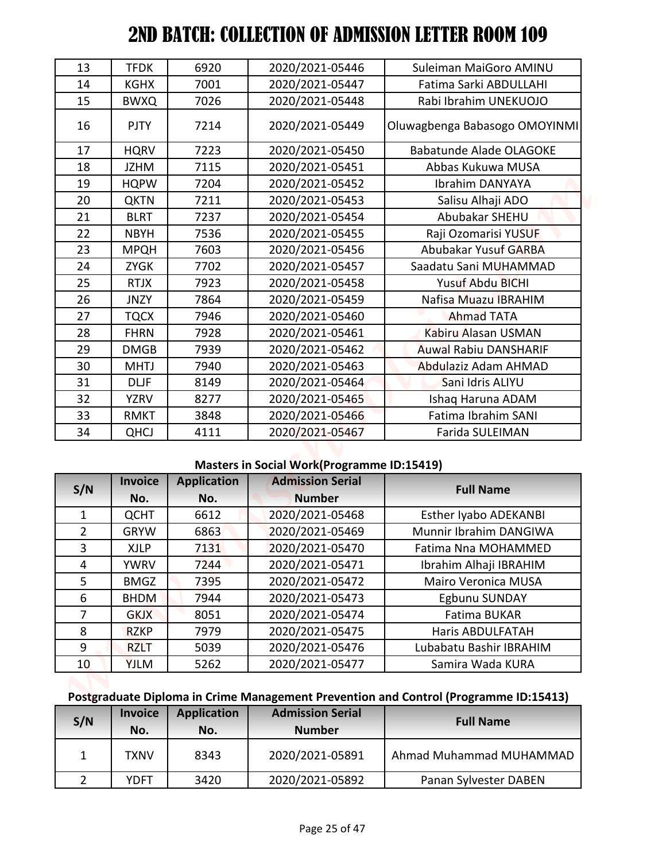| 13             | <b>TFDK</b>           | 6920                      | 2020/2021-05446                                   | Suleiman MaiGoro AMINU                                                               |
|----------------|-----------------------|---------------------------|---------------------------------------------------|--------------------------------------------------------------------------------------|
| 14             | <b>KGHX</b>           | 7001                      | 2020/2021-05447                                   | Fatima Sarki ABDULLAHI                                                               |
| 15             | <b>BWXQ</b>           | 7026                      | 2020/2021-05448                                   | Rabi Ibrahim UNEKUOJO                                                                |
| 16             | <b>PJTY</b>           | 7214                      | 2020/2021-05449                                   | Oluwagbenga Babasogo OMOYINMI                                                        |
| 17             | <b>HQRV</b>           | 7223                      | 2020/2021-05450                                   | <b>Babatunde Alade OLAGOKE</b>                                                       |
| 18             | <b>JZHM</b>           | 7115                      | 2020/2021-05451                                   | Abbas Kukuwa MUSA                                                                    |
| 19             | <b>HQPW</b>           | 7204                      | 2020/2021-05452                                   | Ibrahim DANYAYA                                                                      |
| 20             | <b>QKTN</b>           | 7211                      | 2020/2021-05453                                   | Salisu Alhaji ADO                                                                    |
| 21             | <b>BLRT</b>           | 7237                      | 2020/2021-05454                                   | Abubakar SHEHU                                                                       |
| 22             | <b>NBYH</b>           | 7536                      | 2020/2021-05455                                   | Raji Ozomarisi YUSUF                                                                 |
| 23             | <b>MPQH</b>           | 7603                      | 2020/2021-05456                                   | Abubakar Yusuf GARBA                                                                 |
| 24             | <b>ZYGK</b>           | 7702                      | 2020/2021-05457                                   | Saadatu Sani MUHAMMAD                                                                |
| 25             | <b>RTJX</b>           | 7923                      | 2020/2021-05458                                   | <b>Yusuf Abdu BICHI</b>                                                              |
| 26             | <b>JNZY</b>           | 7864                      | 2020/2021-05459                                   | Nafisa Muazu IBRAHIM                                                                 |
| 27             | <b>TQCX</b>           | 7946                      | 2020/2021-05460                                   | <b>Ahmad TATA</b>                                                                    |
| 28             | <b>FHRN</b>           | 7928                      | 2020/2021-05461                                   | Kabiru Alasan USMAN                                                                  |
| 29             | <b>DMGB</b>           | 7939                      | 2020/2021-05462                                   | <b>Auwal Rabiu DANSHARIF</b>                                                         |
| 30             | <b>MHTJ</b>           | 7940                      | 2020/2021-05463                                   | Abdulaziz Adam AHMAD                                                                 |
| 31             | <b>DLJF</b>           | 8149                      | 2020/2021-05464                                   | Sani Idris ALIYU                                                                     |
| 32             | <b>YZRV</b>           | 8277                      | 2020/2021-05465                                   | Ishaq Haruna ADAM                                                                    |
| 33             | <b>RMKT</b>           | 3848                      | 2020/2021-05466                                   | Fatima Ibrahim SANI                                                                  |
| 34             | <b>QHCJ</b>           | 4111                      | 2020/2021-05467                                   | Farida SULEIMAN                                                                      |
|                |                       |                           | <b>Masters in Social Work(Programme ID:15419)</b> |                                                                                      |
|                | <b>Invoice</b>        | <b>Application</b>        | <b>Admission Serial</b>                           |                                                                                      |
| S/N            | No.                   | No.                       | <b>Number</b>                                     | <b>Full Name</b>                                                                     |
| $\mathbf{1}$   | <b>QCHT</b>           | 6612                      | 2020/2021-05468                                   | Esther Iyabo ADEKANBI                                                                |
|                | <b>GRYW</b>           | 6863                      | 2020/2021-05469                                   | Munnir Ibrahim DANGIWA                                                               |
| $\overline{2}$ |                       | 7131                      | 2020/2021-05470                                   | Fatima Nna MOHAMMED                                                                  |
| 3              | <b>XJLP</b>           |                           |                                                   |                                                                                      |
| 4              | <b>YWRV</b>           | 7244                      | 2020/2021-05471                                   | Ibrahim Alhaji IBRAHIM                                                               |
| 5              | <b>BMGZ</b>           | 7395                      | 2020/2021-05472                                   | Mairo Veronica MUSA                                                                  |
| 6              | <b>BHDM</b>           | 7944                      | 2020/2021-05473                                   | Egbunu SUNDAY                                                                        |
| $\overline{7}$ | <b>GKJX</b>           | 8051                      | 2020/2021-05474                                   | Fatima BUKAR                                                                         |
| 8              | <b>RZKP</b>           | 7979                      | 2020/2021-05475                                   | Haris ABDULFATAH                                                                     |
| 9              | <b>RZLT</b>           | 5039                      | 2020/2021-05476                                   | Lubabatu Bashir IBRAHIM                                                              |
| 10             | <b>YJLM</b>           | 5262                      | 2020/2021-05477                                   | Samira Wada KURA                                                                     |
|                |                       |                           |                                                   |                                                                                      |
|                |                       |                           |                                                   | Postgraduate Diploma in Crime Management Prevention and Control (Programme ID:15413) |
| S/N            | <b>Invoice</b><br>No. | <b>Application</b><br>No. | <b>Admission Serial</b><br><b>Number</b>          | <b>Full Name</b>                                                                     |
| 1              | <b>TXNV</b>           | 8343                      | 2020/2021-05891                                   | Ahmad Muhammad MUHAMMAD                                                              |

## **Masters in Social Work(Programme ID:15419)**

| S/N            | <b>Invoice</b> | <b>Application</b> | <b>Admission Serial</b> | <b>Full Name</b>             |
|----------------|----------------|--------------------|-------------------------|------------------------------|
|                | No.            | No.                | <b>Number</b>           |                              |
| 1              | <b>QCHT</b>    | 6612               | 2020/2021-05468         | <b>Esther Iyabo ADEKANBI</b> |
| $\overline{2}$ | <b>GRYW</b>    | 6863               | 2020/2021-05469         | Munnir Ibrahim DANGIWA       |
| 3              | <b>XJLP</b>    | 7131               | 2020/2021-05470         | Fatima Nna MOHAMMED          |
| 4              | <b>YWRV</b>    | 7244               | 2020/2021-05471         | Ibrahim Alhaji IBRAHIM       |
| 5.             | <b>BMGZ</b>    | 7395               | 2020/2021-05472         | <b>Mairo Veronica MUSA</b>   |
| 6              | <b>BHDM</b>    | 7944               | 2020/2021-05473         | Egbunu SUNDAY                |
| 7              | <b>GKJX</b>    | 8051               | 2020/2021-05474         | Fatima BUKAR                 |
| 8              | <b>RZKP</b>    | 7979               | 2020/2021-05475         | <b>Haris ABDULFATAH</b>      |
| 9              | <b>RZLT</b>    | 5039               | 2020/2021-05476         | Lubabatu Bashir IBRAHIM      |
| 10             | <b>YJLM</b>    | 5262               | 2020/2021-05477         | Samira Wada KURA             |

## **Postgraduate Diploma in Crime Management Prevention and Control (Programme ID:15413)**

| S/N | <b>Invoice</b><br>No. | <b>Application</b><br>No. | <b>Admission Serial</b><br><b>Number</b> | <b>Full Name</b>        |
|-----|-----------------------|---------------------------|------------------------------------------|-------------------------|
|     | TXNV                  | 8343                      | 2020/2021-05891                          | Ahmad Muhammad MUHAMMAD |
|     | <b>YDFT</b>           | 3420                      | 2020/2021-05892                          | Panan Sylvester DABEN   |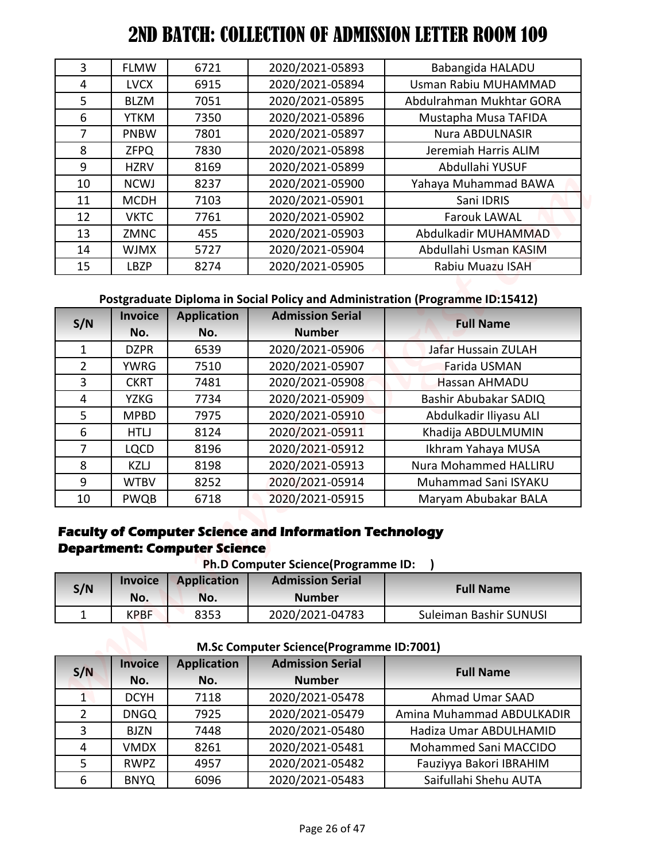| 3              | <b>FLMW</b>           | 6721                                                      | 2020/2021-05893                                                                                                                 | Babangida HALADU                                                              |
|----------------|-----------------------|-----------------------------------------------------------|---------------------------------------------------------------------------------------------------------------------------------|-------------------------------------------------------------------------------|
| 4              | <b>LVCX</b>           | 6915                                                      | 2020/2021-05894                                                                                                                 | Usman Rabiu MUHAMMAD                                                          |
| 5              | <b>BLZM</b>           | 7051                                                      | 2020/2021-05895                                                                                                                 | Abdulrahman Mukhtar GORA                                                      |
| 6              | <b>YTKM</b>           | 7350                                                      | 2020/2021-05896                                                                                                                 | Mustapha Musa TAFIDA                                                          |
| $\overline{7}$ | <b>PNBW</b>           | 7801                                                      | 2020/2021-05897                                                                                                                 | <b>Nura ABDULNASIR</b>                                                        |
| 8              | <b>ZFPQ</b>           | 7830                                                      | 2020/2021-05898                                                                                                                 | Jeremiah Harris ALIM                                                          |
| 9              | <b>HZRV</b>           | 8169                                                      | 2020/2021-05899                                                                                                                 | Abdullahi YUSUF                                                               |
| 10             | <b>NCWJ</b>           | 8237                                                      | 2020/2021-05900                                                                                                                 | Yahaya Muhammad BAWA                                                          |
| 11             | <b>MCDH</b>           | 7103                                                      | 2020/2021-05901                                                                                                                 | Sani IDRIS                                                                    |
| 12             | <b>VKTC</b>           | 7761                                                      | 2020/2021-05902                                                                                                                 | <b>Farouk LAWAL</b>                                                           |
| 13             | <b>ZMNC</b>           | 455                                                       | 2020/2021-05903                                                                                                                 | Abdulkadir MUHAMMAD                                                           |
| 14             | <b>WJMX</b>           | 5727                                                      | 2020/2021-05904                                                                                                                 | Abdullahi Usman KASIM                                                         |
| 15             | <b>LBZP</b>           | 8274                                                      | 2020/2021-05905                                                                                                                 | Rabiu Muazu ISAH                                                              |
|                |                       |                                                           |                                                                                                                                 |                                                                               |
|                |                       |                                                           |                                                                                                                                 | Postgraduate Diploma in Social Policy and Administration (Programme ID:15412) |
|                | <b>Invoice</b>        | <b>Application</b>                                        | <b>Admission Serial</b>                                                                                                         |                                                                               |
| S/N            | No.                   | No.                                                       | <b>Number</b>                                                                                                                   | <b>Full Name</b>                                                              |
| 1              | <b>DZPR</b>           | 6539                                                      | 2020/2021-05906                                                                                                                 | Jafar Hussain ZULAH                                                           |
| $\overline{2}$ | <b>YWRG</b>           | 7510                                                      | 2020/2021-05907                                                                                                                 | Farida USMAN                                                                  |
| 3              | <b>CKRT</b>           | 7481                                                      | 2020/2021-05908                                                                                                                 | Hassan AHMADU                                                                 |
| $\overline{4}$ | <b>YZKG</b>           | 7734                                                      | 2020/2021-05909                                                                                                                 | Bashir Abubakar SADIQ                                                         |
| 5              | <b>MPBD</b>           | 7975                                                      | 2020/2021-05910                                                                                                                 | Abdulkadir Iliyasu ALI                                                        |
| 6              | <b>HTLJ</b>           | 8124                                                      | 2020/2021-05911                                                                                                                 | Khadija ABDULMUMIN                                                            |
| $\overline{7}$ | <b>LQCD</b>           | 8196                                                      | 2020/2021-05912                                                                                                                 | Ikhram Yahaya MUSA                                                            |
| 8              | <b>KZLJ</b>           | 8198                                                      | 2020/2021-05913                                                                                                                 | Nura Mohammed HALLIRU                                                         |
| 9              | <b>WTBV</b>           | 8252                                                      | 2020/2021-05914                                                                                                                 | Muhammad Sani ISYAKU                                                          |
|                | PWQB                  | 6718                                                      | 2020/2021-05915                                                                                                                 | Maryam Abubakar BALA                                                          |
| 10             |                       |                                                           |                                                                                                                                 |                                                                               |
|                | <b>Invoice</b>        | <b>Department: Computer Science</b><br><b>Application</b> | <b>Faculty of Computer Science and Information Technology</b><br>Ph.D Computer Science(Programme ID:<br><b>Admission Serial</b> |                                                                               |
| S/N            | No.                   | No.                                                       | <b>Number</b>                                                                                                                   | <b>Full Name</b>                                                              |
| $\mathbf{1}$   | <b>KPBF</b>           | 8353                                                      | 2020/2021-04783                                                                                                                 | Suleiman Bashir SUNUSI                                                        |
|                |                       |                                                           | M.Sc Computer Science(Programme ID:7001)                                                                                        |                                                                               |
| S/N            | <b>Invoice</b><br>No. | <b>Application</b><br>No.                                 | <b>Admission Serial</b><br><b>Number</b>                                                                                        | <b>Full Name</b>                                                              |
| $\mathbf{1}$   | <b>DCYH</b>           | 7118                                                      | 2020/2021-05478                                                                                                                 | Ahmad Umar SAAD                                                               |
| $\overline{2}$ | <b>DNGQ</b>           | 7925                                                      | 2020/2021-05479                                                                                                                 | Amina Muhammad ABDULKADIR                                                     |
| 3              | <b>BJZN</b>           | 7448                                                      | 2020/2021-05480                                                                                                                 | Hadiza Umar ABDULHAMID                                                        |
| 4              | <b>VMDX</b>           | 8261                                                      | 2020/2021-05481                                                                                                                 | Mohammed Sani MACCIDO                                                         |
| 5              | <b>RWPZ</b>           | 4957                                                      | 2020/2021-05482                                                                                                                 | Fauziyya Bakori IBRAHIM                                                       |

## **Postgraduate Diploma in Social Policy and Administration (Programme ID:15412)**

| S/N            | <b>Invoice</b> | <b>Application</b> | <b>Admission Serial</b> | <b>Full Name</b>       |  |
|----------------|----------------|--------------------|-------------------------|------------------------|--|
|                | No.            | No.                | <b>Number</b>           |                        |  |
| 1              | <b>DZPR</b>    | 6539               | 2020/2021-05906         | Jafar Hussain ZULAH    |  |
| $\overline{2}$ | <b>YWRG</b>    | 7510               | 2020/2021-05907         | Farida USMAN           |  |
| 3              | <b>CKRT</b>    | 7481               | 2020/2021-05908         | <b>Hassan AHMADU</b>   |  |
| 4              | <b>YZKG</b>    | 7734               | 2020/2021-05909         | Bashir Abubakar SADIQ  |  |
| 5.             | <b>MPBD</b>    | 7975               | 2020/2021-05910         | Abdulkadir Iliyasu ALI |  |
| 6              | HTLJ           | 8124               | 2020/2021-05911         | Khadija ABDULMUMIN     |  |
| 7              | <b>LQCD</b>    | 8196               | 2020/2021-05912         | Ikhram Yahaya MUSA     |  |
| 8              | <b>KZLJ</b>    | 8198               | 2020/2021-05913         | Nura Mohammed HALLIRU  |  |
| 9              | <b>WTBV</b>    | 8252               | 2020/2021-05914         | Muhammad Sani ISYAKU   |  |
| 10             | <b>PWQB</b>    | 6718               | 2020/2021-05915         | Maryam Abubakar BALA   |  |

#### **Faculty of Computer Science and Information Technology Department: Computer Science Ph.D Computer Science(Programme ID: )**

| <b>PII.D COMPUTE: SCIENCE PROGRAMME ID.</b> |                       |                    |                                          |                        |  |  |  |
|---------------------------------------------|-----------------------|--------------------|------------------------------------------|------------------------|--|--|--|
| S/N                                         | <b>Invoice</b><br>No. | Application<br>No. | <b>Admission Serial</b><br><b>Number</b> | <b>Full Name</b>       |  |  |  |
|                                             | <b>KPBF</b>           | 8353               | 2020/2021-04783                          | Suleiman Bashir SUNUSI |  |  |  |

**M.Sc Computer Science(Programme ID:7001)**

| S/N           | <b>Invoice</b> | <b>Application</b> | <b>Admission Serial</b> | <b>Full Name</b>          |  |
|---------------|----------------|--------------------|-------------------------|---------------------------|--|
|               | No.            | No.                | <b>Number</b>           |                           |  |
|               | <b>DCYH</b>    | 7118               | 2020/2021-05478         | Ahmad Umar SAAD           |  |
| $\mathcal{P}$ | <b>DNGQ</b>    | 7925               | 2020/2021-05479         | Amina Muhammad ABDULKADIR |  |
| 3             | <b>BJZN</b>    | 7448               | 2020/2021-05480         | Hadiza Umar ABDULHAMID    |  |
| 4             | <b>VMDX</b>    | 8261               | 2020/2021-05481         | Mohammed Sani MACCIDO     |  |
| 5             | <b>RWPZ</b>    | 4957               | 2020/2021-05482         | Fauziyya Bakori IBRAHIM   |  |
| 6             | <b>BNYQ</b>    | 6096               | 2020/2021-05483         | Saifullahi Shehu AUTA     |  |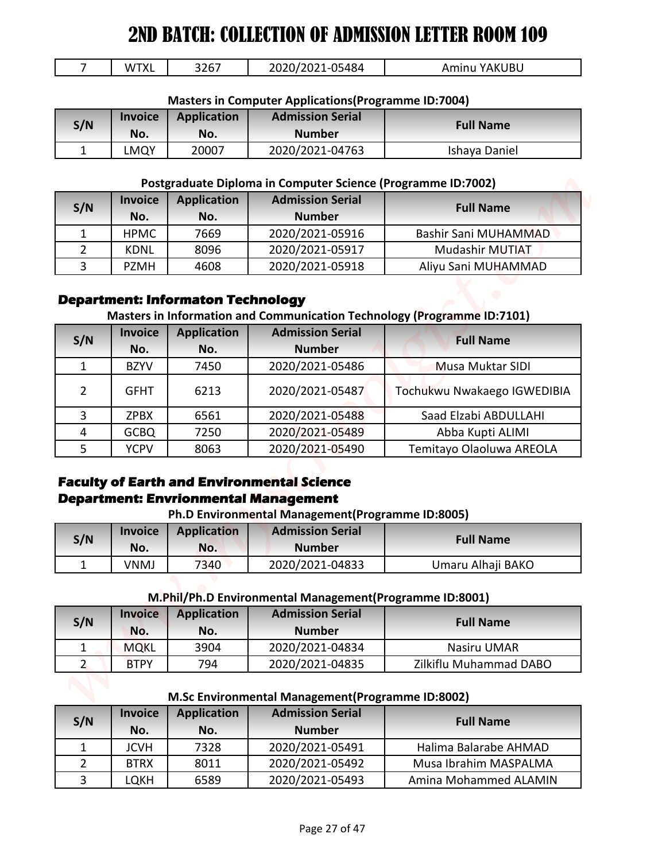| `XL<br>w | 3267 | 05484<br>רו<br>' −∪⊸<br>.<br>ZUZU | YAKUBU<br><b>Aminu</b> |
|----------|------|-----------------------------------|------------------------|
|          |      |                                   | $\sim$ $\sim$          |

|  |  | <b>Masters in Computer Applications (Programme ID:7004)</b> |  |  |
|--|--|-------------------------------------------------------------|--|--|
|--|--|-------------------------------------------------------------|--|--|

| S/N | <b>Invoice</b><br>No. | <b>Application</b><br>No. | <b>Admission Serial</b><br><b>Number</b> | <b>Full Name</b> |
|-----|-----------------------|---------------------------|------------------------------------------|------------------|
|     | LMQY                  | 20007                     | 2020/2021-04763                          | Ishaya Daniel    |

#### **Postgraduate Diploma in Computer Science (Programme ID:7002)**

| S/N | <b>Invoice</b><br>No. | <b>Application</b><br>No. | <b>Admission Serial</b><br><b>Number</b> | <b>Full Name</b>       |
|-----|-----------------------|---------------------------|------------------------------------------|------------------------|
|     | <b>HPMC</b>           | 7669                      | 2020/2021-05916                          | Bashir Sani MUHAMMAD   |
|     | KDNL                  | 8096                      | 2020/2021-05917                          | <b>Mudashir MUTIAT</b> |
|     | <b>PZMH</b>           | 4608                      | 2020/2021-05918                          | Aliyu Sani MUHAMMAD    |

#### **Department: Informaton Technology**

#### **Masters in Information and Communication Technology (Programme ID:7101)**

| 7              | <b>WTXL</b>        | 3267                                     | 2020/2021-05484                                                                                                                                                                 | Aminu YAKUBU                                                            |
|----------------|--------------------|------------------------------------------|---------------------------------------------------------------------------------------------------------------------------------------------------------------------------------|-------------------------------------------------------------------------|
|                |                    |                                          | <b>Masters in Computer Applications (Programme ID:7004)</b>                                                                                                                     |                                                                         |
|                | <b>Invoice</b>     | <b>Application</b>                       | <b>Admission Serial</b>                                                                                                                                                         |                                                                         |
| S/N            | No.                | No.                                      | <b>Number</b>                                                                                                                                                                   | <b>Full Name</b>                                                        |
| $\mathbf{1}$   | <b>LMQY</b>        | 20007                                    | 2020/2021-04763                                                                                                                                                                 | Ishaya Daniel                                                           |
|                |                    |                                          |                                                                                                                                                                                 |                                                                         |
|                |                    |                                          | Postgraduate Diploma in Computer Science (Programme ID:7002)                                                                                                                    |                                                                         |
| S/N            | <b>Invoice</b>     | <b>Application</b>                       | <b>Admission Serial</b>                                                                                                                                                         | <b>Full Name</b>                                                        |
|                | No.                | No.                                      | <b>Number</b>                                                                                                                                                                   |                                                                         |
| $\mathbf{1}$   | <b>HPMC</b>        | 7669                                     | 2020/2021-05916                                                                                                                                                                 | Bashir Sani MUHAMMAD                                                    |
| 2              | <b>KDNL</b>        | 8096                                     | 2020/2021-05917                                                                                                                                                                 | <b>Mudashir MUTIAT</b>                                                  |
| 3              | <b>PZMH</b>        | 4608                                     | 2020/2021-05918                                                                                                                                                                 | Aliyu Sani MUHAMMAD                                                     |
|                |                    |                                          |                                                                                                                                                                                 |                                                                         |
|                |                    | <b>Department: Informaton Technology</b> |                                                                                                                                                                                 |                                                                         |
|                | <b>Invoice</b>     | <b>Application</b>                       | <b>Admission Serial</b>                                                                                                                                                         | Masters in Information and Communication Technology (Programme ID:7101) |
| S/N            | No.                | No.                                      | <b>Number</b>                                                                                                                                                                   | <b>Full Name</b>                                                        |
| $\mathbf{1}$   | <b>BZYV</b>        | 7450                                     | 2020/2021-05486                                                                                                                                                                 | Musa Muktar SIDI                                                        |
|                |                    |                                          |                                                                                                                                                                                 |                                                                         |
| $\overline{2}$ | <b>GFHT</b>        | 6213                                     | 2020/2021-05487                                                                                                                                                                 | Tochukwu Nwakaego IGWEDIBIA                                             |
|                |                    |                                          |                                                                                                                                                                                 |                                                                         |
| 3              | <b>ZPBX</b>        | 6561                                     | 2020/2021-05488                                                                                                                                                                 | Saad Elzabi ABDULLAHI                                                   |
| 4              | <b>GCBQ</b>        | 7250                                     | 2020/2021-05489                                                                                                                                                                 | Abba Kupti ALIMI                                                        |
| 5              | <b>YCPV</b>        | 8063                                     | 2020/2021-05490                                                                                                                                                                 | Temitayo Olaoluwa AREOLA                                                |
| S/N            | <b>Invoice</b>     | <b>Application</b>                       | <b>Faculty of Earth and Environmental Science</b><br><b>Department: Envrionmental Management</b><br>Ph.D Environmental Management(Programme ID:8005)<br><b>Admission Serial</b> | <b>Full Name</b>                                                        |
| 1              | No.<br><b>VNMJ</b> | No.                                      | <b>Number</b>                                                                                                                                                                   |                                                                         |
|                |                    | 7340                                     | 2020/2021-04833<br>M.Phil/Ph.D Environmental Management(Programme ID:8001)                                                                                                      | Umaru Alhaji BAKO                                                       |
|                | <b>Invoice</b>     | <b>Application</b>                       | <b>Admission Serial</b>                                                                                                                                                         |                                                                         |
| S/N            | No.                | No.                                      | <b>Number</b>                                                                                                                                                                   | <b>Full Name</b>                                                        |
| 1              | <b>MQKL</b>        | 3904                                     | 2020/2021-04834                                                                                                                                                                 | Nasiru UMAR                                                             |
| $\overline{2}$ | <b>BTPY</b>        | 794                                      | 2020/2021-04835                                                                                                                                                                 | Zilkiflu Muhammad DABO                                                  |
|                |                    |                                          | M.Sc Environmental Management (Programme ID:8002)                                                                                                                               |                                                                         |
|                | <b>Invoice</b>     | <b>Application</b>                       | <b>Admission Serial</b>                                                                                                                                                         |                                                                         |
| S/N            | No.                | No.                                      | <b>Number</b>                                                                                                                                                                   | <b>Full Name</b>                                                        |
| 1              | <b>JCVH</b>        | 7328                                     | 2020/2021-05491                                                                                                                                                                 | Halima Balarabe AHMAD                                                   |
| $\overline{2}$ | <b>BTRX</b>        | 8011                                     | 2020/2021-05492                                                                                                                                                                 | Musa Ibrahim MASPALMA                                                   |

## **Faculty of Earth and Environmental Science Department: Envrionmental Management**

#### **Ph.D Environmental Management(Programme ID:8005)**

| S/N | <b>Invoice</b><br>No. | Application<br>No. | <b>Admission Serial</b><br><b>Number</b> | <b>Full Name</b>  |
|-----|-----------------------|--------------------|------------------------------------------|-------------------|
|     | VNMJ                  | 7340               | 2020/2021-04833                          | Umaru Alhaji BAKO |

#### **M.Phil/Ph.D Environmental Management(Programme ID:8001)**

| S/N | <b>Invoice</b><br>No. | <b>Application</b><br>No. | <b>Admission Serial</b><br><b>Number</b> | <b>Full Name</b>       |
|-----|-----------------------|---------------------------|------------------------------------------|------------------------|
|     | <b>MQKL</b>           | 3904                      | 2020/2021-04834                          | Nasiru UMAR            |
|     | <b>BTPY</b>           | 794                       | 2020/2021-04835                          | Zilkiflu Muhammad DABO |

#### **M.Sc Environmental Management(Programme ID:8002)**

| S/N | <b>Invoice</b><br>No. | <b>Application</b><br>No. | <b>Admission Serial</b><br><b>Number</b> | <b>Full Name</b>      |
|-----|-----------------------|---------------------------|------------------------------------------|-----------------------|
|     | JCVH                  | 7328                      | 2020/2021-05491                          | Halima Balarabe AHMAD |
|     | <b>BTRX</b>           | 8011                      | 2020/2021-05492                          | Musa Ibrahim MASPALMA |
| 3   | LQKH                  | 6589                      | 2020/2021-05493                          | Amina Mohammed ALAMIN |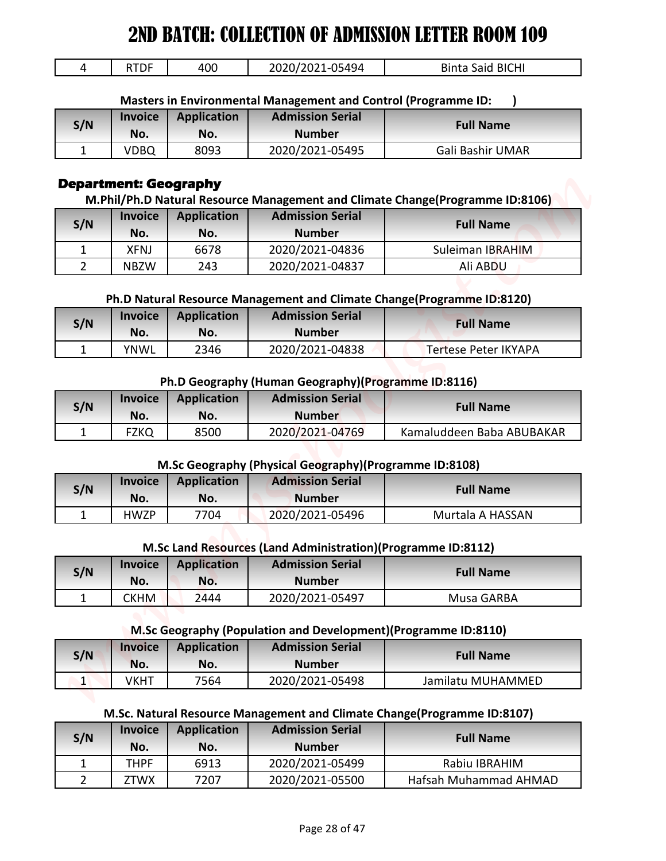| -- -<br>11 L L | 400 | 1 L A O A<br>ιq⊿<br>. באר | .<br>' BICH <sub>I</sub><br>$\sim$<br>odil.<br><b>A</b> |
|----------------|-----|---------------------------|---------------------------------------------------------|
|                |     |                           |                                                         |

| S/N | <b>Invoice</b><br>No. | <b>Application</b><br>No. | <b>Admission Serial</b><br><b>Number</b> | <b>Full Name</b> |
|-----|-----------------------|---------------------------|------------------------------------------|------------------|
|     | VDBQ                  | 8093                      | 2020/2021-05495                          | Gali Bashir UMAR |

#### **Department: Geography**

| 4                           |                              |                           |                                                                 |                                                                               |
|-----------------------------|------------------------------|---------------------------|-----------------------------------------------------------------|-------------------------------------------------------------------------------|
|                             | <b>RTDF</b>                  | 400                       | 2020/2021-05494                                                 | <b>Binta Said BICHI</b>                                                       |
|                             |                              |                           | Masters in Environmental Management and Control (Programme ID:  |                                                                               |
|                             | <b>Invoice</b>               | <b>Application</b>        | <b>Admission Serial</b>                                         |                                                                               |
| S/N                         | No.                          | No.                       | <b>Number</b>                                                   | <b>Full Name</b>                                                              |
| 1                           | <b>VDBQ</b>                  | 8093                      | 2020/2021-05495                                                 | Gali Bashir UMAR                                                              |
|                             | <b>Department: Geography</b> |                           |                                                                 |                                                                               |
|                             |                              |                           |                                                                 | M.Phil/Ph.D Natural Resource Management and Climate Change(Programme ID:8106) |
| S/N                         | <b>Invoice</b>               | <b>Application</b>        | <b>Admission Serial</b>                                         | <b>Full Name</b>                                                              |
|                             | No.                          | No.                       | <b>Number</b>                                                   |                                                                               |
| 1                           | <b>XFNJ</b>                  | 6678                      | 2020/2021-04836                                                 | Suleiman IBRAHIM                                                              |
| $\overline{2}$              | <b>NBZW</b>                  | 243                       | 2020/2021-04837                                                 | Ali ABDU                                                                      |
|                             |                              |                           |                                                                 |                                                                               |
|                             | <b>Invoice</b>               |                           | <b>Admission Serial</b>                                         | Ph.D Natural Resource Management and Climate Change(Programme ID:8120)        |
| S/N                         | No.                          | <b>Application</b><br>No. | <b>Number</b>                                                   | <b>Full Name</b>                                                              |
| 1                           | <b>YNWL</b>                  | 2346                      | 2020/2021-04838                                                 | <b>Tertese Peter IKYAPA</b>                                                   |
|                             |                              |                           |                                                                 |                                                                               |
|                             |                              |                           | Ph.D Geography (Human Geography)(Programme ID:8116)             |                                                                               |
|                             | <b>Invoice</b>               | <b>Application</b>        | <b>Admission Serial</b>                                         |                                                                               |
| S/N                         | No.                          | No.                       | <b>Number</b>                                                   | <b>Full Name</b>                                                              |
| 1                           | <b>FZKQ</b>                  | 8500                      | 2020/2021-04769                                                 | Kamaluddeen Baba ABUBAKAR                                                     |
|                             |                              |                           |                                                                 |                                                                               |
|                             |                              |                           | M.Sc Geography (Physical Geography)(Programme ID:8108)          |                                                                               |
| S/N                         | <b>Invoice</b>               | <b>Application</b>        | <b>Admission Serial</b>                                         | <b>Full Name</b>                                                              |
|                             | No.                          | No.                       | <b>Number</b>                                                   |                                                                               |
| $\mathbf{1}$                | <b>HWZP</b>                  | 7704                      | 2020/2021-05496                                                 | Murtala A HASSAN                                                              |
|                             |                              |                           |                                                                 |                                                                               |
|                             |                              |                           | M.Sc Land Resources (Land Administration)(Programme ID:8112)    |                                                                               |
|                             | <b>Invoice</b>               | <b>Application</b>        | <b>Admission Serial</b>                                         | <b>Full Name</b>                                                              |
|                             | No.                          | No.                       | <b>Number</b>                                                   |                                                                               |
| S/N                         |                              |                           |                                                                 |                                                                               |
| $\mathbf{1}$                | <b>CKHM</b>                  | 2444                      | 2020/2021-05497                                                 | Musa GARBA                                                                    |
|                             |                              |                           |                                                                 |                                                                               |
|                             |                              |                           | M.Sc Geography (Population and Development) (Programme ID:8110) |                                                                               |
| S/N                         | <b>Invoice</b>               | <b>Application</b>        | <b>Admission Serial</b>                                         | <b>Full Name</b>                                                              |
|                             | No.                          | No.                       | <b>Number</b>                                                   |                                                                               |
| $\vert$ 1                   | <b>VKHT</b>                  | 7564                      | 2020/2021-05498                                                 | Jamilatu MUHAMMED                                                             |
|                             |                              |                           |                                                                 |                                                                               |
|                             |                              |                           |                                                                 | M.Sc. Natural Resource Management and Climate Change(Programme ID:8107)       |
| S/N                         | <b>Invoice</b>               | <b>Application</b>        | <b>Admission Serial</b>                                         | <b>Full Name</b>                                                              |
|                             | No.                          | No.                       | <b>Number</b>                                                   |                                                                               |
| $\mathbf{1}$<br>$2^{\circ}$ | <b>THPF</b><br>ZTWX          | 6913<br>7207              | 2020/2021-05499<br>2020/2021-05500                              | Rabiu IBRAHIM<br>Hafsah Muhammad AHMAD                                        |

| S/N | <b>Invoice</b> | Application | <b>Admission Serial</b> | <b>Full Name</b>     |
|-----|----------------|-------------|-------------------------|----------------------|
|     | No.            | No.         | <b>Number</b>           |                      |
|     | <b>YNWL</b>    | 2346        | 2020/2021-04838         | Tertese Peter IKYAPA |

#### **Ph.D Geography (Human Geography)(Programme ID:8116)**

| S/N | <b>Invoice</b><br>No. | Application<br>No. | <b>Admission Serial</b><br><b>Number</b> | <b>Full Name</b>          |
|-----|-----------------------|--------------------|------------------------------------------|---------------------------|
|     | FZKQ                  | 8500               | 2020/2021-04769                          | Kamaluddeen Baba ABUBAKAR |

#### **M.Sc Geography (Physical Geography)(Programme ID:8108)**

| S/N | <b>Invoice</b> | <b>Application</b> | <b>Admission Serial</b> | <b>Full Name</b> |
|-----|----------------|--------------------|-------------------------|------------------|
|     | No.            | No.                | <b>Number</b>           |                  |
|     | <b>HWZP</b>    | 7704               | 2020/2021-05496         | Murtala A HASSAN |

#### **M.Sc Land Resources (Land Administration)(Programme ID:8112)**

| S/N | <b>Invoice</b><br>No. | <b>Application</b><br>No. | <b>Admission Serial</b><br><b>Number</b> | <b>Full Name</b> |
|-----|-----------------------|---------------------------|------------------------------------------|------------------|
|     | СКНМ                  | <u>ን444</u>               | 2020/2021-05497                          | Musa GARBA       |

#### **M.Sc Geography (Population and Development)(Programme ID:8110)**

| S/N | <b>Invoice</b><br>No. | <b>Application</b><br>No. | <b>Admission Serial</b><br><b>Number</b> | <b>Full Name</b>  |
|-----|-----------------------|---------------------------|------------------------------------------|-------------------|
| ∸   | √KHT                  | 7564                      | 2020/2021-05498                          | Jamilatu MUHAMMED |

#### **M.Sc. Natural Resource Management and Climate Change(Programme ID:8107)**

| S/N | <b>Invoice</b><br>No. | Application<br>No. | <b>Admission Serial</b><br><b>Number</b> | <b>Full Name</b>      |
|-----|-----------------------|--------------------|------------------------------------------|-----------------------|
|     | THPF                  | 6913               | 2020/2021-05499                          | Rabiu IBRAHIM         |
|     | ZTWX                  | 7207               | 2020/2021-05500                          | Hafsah Muhammad AHMAD |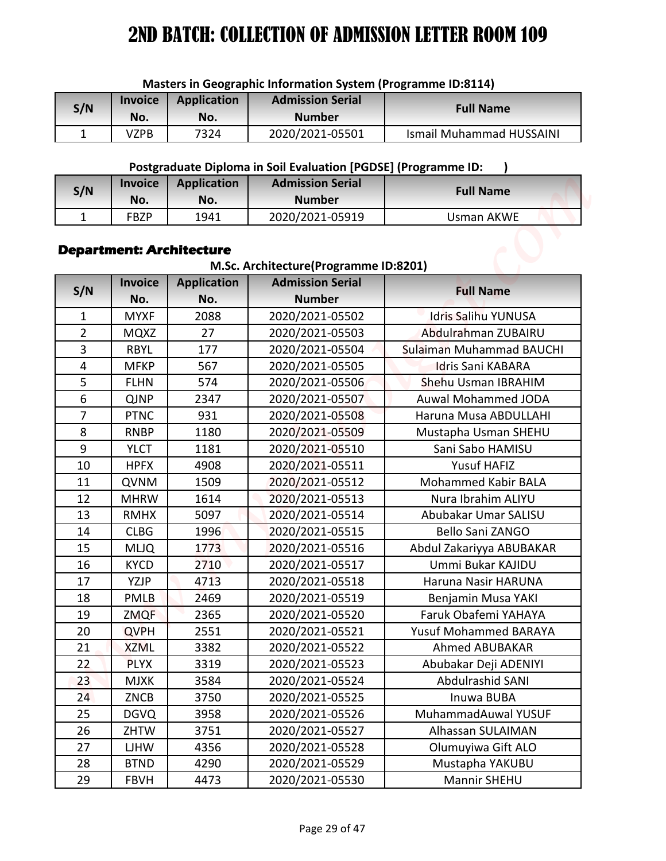| S/N | <b>Invoice</b><br>No. | <b>Application</b><br>No. | <b>Admission Serial</b><br><b>Number</b> | <b>Full Name</b>                |  |
|-----|-----------------------|---------------------------|------------------------------------------|---------------------------------|--|
|     | VZPB                  | 7324                      | 2020/2021-05501                          | <b>Ismail Muhammad HUSSAINI</b> |  |

## **Postgraduate Diploma in Soil Evaluation [PGDSE] (Programme ID: )**

| S/N | <b>Invoice</b> | <b>Application</b> | <b>Admission Serial</b> | <b>Full Name</b> |
|-----|----------------|--------------------|-------------------------|------------------|
|     | No.            | No.                | <b>Number</b>           |                  |
|     | FBZP           | 1941               | 2020/2021-05919         | Usman AKWE       |

#### **Department: Architecture**

## **M.Sc. Architecture(Programme ID:8201)**

| Masters in Geographic Information System (Programme ID:8114) |                            |                                 |                                                                                           |                                          |  |  |
|--------------------------------------------------------------|----------------------------|---------------------------------|-------------------------------------------------------------------------------------------|------------------------------------------|--|--|
| S/N                                                          | <b>Invoice</b>             | <b>Application</b>              | <b>Admission Serial</b>                                                                   | <b>Full Name</b>                         |  |  |
|                                                              | No.                        | No.                             | <b>Number</b>                                                                             |                                          |  |  |
| 1                                                            | <b>VZPB</b>                | 7324                            | 2020/2021-05501                                                                           | <b>Ismail Muhammad HUSSAINI</b>          |  |  |
|                                                              |                            |                                 |                                                                                           |                                          |  |  |
|                                                              | <b>Invoice</b>             | <b>Application</b>              | Postgraduate Diploma in Soil Evaluation [PGDSE] (Programme ID:<br><b>Admission Serial</b> |                                          |  |  |
| S/N                                                          | No.                        | No.                             | <b>Number</b>                                                                             | <b>Full Name</b>                         |  |  |
| $\mathbf{1}$                                                 | <b>FBZP</b>                | 1941                            | 2020/2021-05919                                                                           | <b>Usman AKWE</b>                        |  |  |
|                                                              |                            |                                 |                                                                                           |                                          |  |  |
|                                                              |                            | <b>Department: Architecture</b> |                                                                                           |                                          |  |  |
|                                                              |                            |                                 | M.Sc. Architecture(Programme ID:8201)                                                     |                                          |  |  |
|                                                              | <b>Invoice</b>             | <b>Application</b>              | <b>Admission Serial</b>                                                                   | <b>Full Name</b>                         |  |  |
| S/N                                                          | No.                        | No.                             | <b>Number</b>                                                                             |                                          |  |  |
| 1                                                            | <b>MYXF</b>                | 2088                            | 2020/2021-05502                                                                           | <b>Idris Salihu YUNUSA</b>               |  |  |
| $\overline{2}$                                               | <b>MQXZ</b>                | 27                              | 2020/2021-05503                                                                           | Abdulrahman ZUBAIRU                      |  |  |
| 3                                                            | <b>RBYL</b>                | 177                             | 2020/2021-05504                                                                           | Sulaiman Muhammad BAUCHI                 |  |  |
| 4                                                            | <b>MFKP</b>                | 567                             | 2020/2021-05505                                                                           | <b>Idris Sani KABARA</b>                 |  |  |
| 5                                                            | <b>FLHN</b>                | 574                             | 2020/2021-05506                                                                           | Shehu Usman IBRAHIM                      |  |  |
| 6                                                            | <b>QJNP</b>                | 2347                            | 2020/2021-05507                                                                           | <b>Auwal Mohammed JODA</b>               |  |  |
| $\overline{7}$<br>8                                          | <b>PTNC</b><br><b>RNBP</b> | 931<br>1180                     | 2020/2021-05508                                                                           | Haruna Musa ABDULLAHI                    |  |  |
| 9                                                            | <b>YLCT</b>                | 1181                            | 2020/2021-05509<br>2020/2021-05510                                                        | Mustapha Usman SHEHU<br>Sani Sabo HAMISU |  |  |
| 10                                                           | <b>HPFX</b>                | 4908                            | 2020/2021-05511                                                                           | Yusuf HAFIZ                              |  |  |
| 11                                                           | QVNM                       | 1509                            | 2020/2021-05512                                                                           | Mohammed Kabir BALA                      |  |  |
| 12                                                           | <b>MHRW</b>                | 1614                            | 2020/2021-05513                                                                           | Nura Ibrahim ALIYU                       |  |  |
| 13                                                           | <b>RMHX</b>                | 5097                            | 2020/2021-05514                                                                           | Abubakar Umar SALISU                     |  |  |
| 14                                                           | <b>CLBG</b>                | 1996                            | 2020/2021-05515                                                                           | Bello Sani ZANGO                         |  |  |
| 15                                                           | <b>MLJQ</b>                | 1773                            | 2020/2021-05516                                                                           | Abdul Zakariyya ABUBAKAR                 |  |  |
| 16                                                           | <b>KYCD</b>                | 2710                            | 2020/2021-05517                                                                           | Ummi Bukar KAJIDU                        |  |  |
| 17                                                           | YZJP                       | 4713                            | 2020/2021-05518                                                                           | Haruna Nasir HARUNA                      |  |  |
| 18                                                           | PMLB                       | 2469                            | 2020/2021-05519                                                                           | Benjamin Musa YAKI                       |  |  |
| 19                                                           | <b>ZMQF</b>                | 2365                            | 2020/2021-05520                                                                           | Faruk Obafemi YAHAYA                     |  |  |
| 20                                                           | <b>QVPH</b>                | 2551                            | 2020/2021-05521                                                                           | Yusuf Mohammed BARAYA                    |  |  |
| 21                                                           | <b>XZML</b>                | 3382                            | 2020/2021-05522                                                                           | Ahmed ABUBAKAR                           |  |  |
| 22                                                           | <b>PLYX</b>                | 3319                            | 2020/2021-05523                                                                           | Abubakar Deji ADENIYI                    |  |  |
| 23                                                           | <b>MJXK</b>                | 3584                            | 2020/2021-05524                                                                           | Abdulrashid SANI                         |  |  |
| 24                                                           | ZNCB                       | 3750                            | 2020/2021-05525                                                                           | Inuwa BUBA                               |  |  |
| 25                                                           | <b>DGVQ</b>                | 3958                            | 2020/2021-05526                                                                           | MuhammadAuwal YUSUF                      |  |  |
| 26<br>27                                                     | ZHTW<br>LJHW               | 3751<br>4356                    | 2020/2021-05527<br>2020/2021-05528                                                        | Alhassan SULAIMAN<br>Olumuyiwa Gift ALO  |  |  |
| 28                                                           | <b>BTND</b>                | 4290                            | 2020/2021-05529                                                                           | Mustapha YAKUBU                          |  |  |
| 29                                                           | <b>FBVH</b>                | 4473                            | 2020/2021-05530                                                                           | Mannir SHEHU                             |  |  |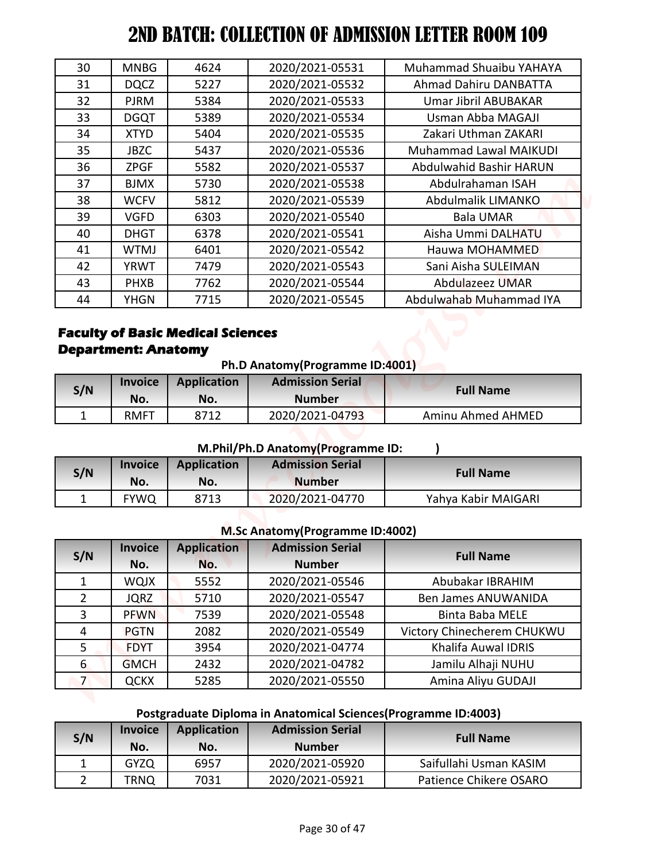|                                   | 2ND BATCH: COLLECTION OF ADMISSION LETTER ROOM 109 |                    |                                                                 |                                                   |
|-----------------------------------|----------------------------------------------------|--------------------|-----------------------------------------------------------------|---------------------------------------------------|
| 30                                | <b>MNBG</b>                                        | 4624               | 2020/2021-05531                                                 | Muhammad Shuaibu YAHAYA                           |
| 31                                | <b>DQCZ</b>                                        | 5227               | 2020/2021-05532                                                 | <b>Ahmad Dahiru DANBATTA</b>                      |
| 32                                | <b>PJRM</b>                                        | 5384               | 2020/2021-05533                                                 | <b>Umar Jibril ABUBAKAR</b>                       |
| 33                                | <b>DGQT</b>                                        | 5389               | 2020/2021-05534                                                 | Usman Abba MAGAJI                                 |
| 34                                | <b>XTYD</b>                                        | 5404               | 2020/2021-05535                                                 | Zakari Uthman ZAKARI                              |
| 35                                | <b>JBZC</b>                                        | 5437               | 2020/2021-05536                                                 | <b>Muhammad Lawal MAIKUDI</b>                     |
| 36                                | <b>ZPGF</b>                                        | 5582               | 2020/2021-05537                                                 | Abdulwahid Bashir HARUN                           |
| 37                                | <b>BJMX</b>                                        | 5730               | 2020/2021-05538                                                 | Abdulrahaman ISAH                                 |
| 38                                | <b>WCFV</b>                                        | 5812               | 2020/2021-05539                                                 | Abdulmalik LIMANKO                                |
| 39                                | <b>VGFD</b>                                        | 6303               | 2020/2021-05540                                                 | <b>Bala UMAR</b>                                  |
| 40                                | <b>DHGT</b>                                        | 6378               | 2020/2021-05541                                                 | Aisha Ummi DALHATU                                |
| 41                                | <b>WTMJ</b>                                        | 6401               | 2020/2021-05542                                                 | Hauwa MOHAMMED                                    |
| 42                                | <b>YRWT</b>                                        | 7479               | 2020/2021-05543                                                 | Sani Aisha SULEIMAN                               |
| 43                                | <b>PHXB</b>                                        | 7762               | 2020/2021-05544                                                 | <b>Abdulazeez UMAR</b>                            |
| 44                                | <b>YHGN</b>                                        | 7715               | 2020/2021-05545                                                 | Abdulwahab Muhammad IYA                           |
|                                   |                                                    |                    | Ph.D Anatomy (Programme ID:4001)                                |                                                   |
| <b>Department: Anatomy</b><br>S/N | <b>Invoice</b>                                     | <b>Application</b> | <b>Admission Serial</b>                                         | <b>Full Name</b>                                  |
| 1                                 | No.<br><b>RMFT</b>                                 | No.<br>8712        | <b>Number</b><br>2020/2021-04793                                | Aminu Ahmed AHMED                                 |
|                                   | <b>Invoice</b>                                     | <b>Application</b> | M.Phil/Ph.D Anatomy(Programme ID:<br><b>Admission Serial</b>    |                                                   |
|                                   | No.                                                | No.                | <b>Number</b>                                                   | <b>Full Name</b>                                  |
| $\mathbf{1}$                      | <b>FYWQ</b>                                        | 8713               | 2020/2021-04770                                                 | Yahya Kabir MAIGARI                               |
|                                   |                                                    |                    |                                                                 |                                                   |
| S/N                               |                                                    |                    | M.Sc Anatomy (Programme ID:4002)                                |                                                   |
| S/N                               | <b>Invoice</b>                                     | <b>Application</b> | <b>Admission Serial</b><br><b>Number</b>                        | <b>Full Name</b>                                  |
| $\mathbf{1}$                      | No.                                                | No.                |                                                                 | Abubakar IBRAHIM                                  |
| $\overline{2}$                    | <b>WQJX</b>                                        | 5552<br>5710       | 2020/2021-05546                                                 | Ben James ANUWANIDA                               |
|                                   | <b>JQRZ</b>                                        |                    | 2020/2021-05547                                                 |                                                   |
| $\overline{\mathbf{3}}$<br>4      | <b>PFWN</b><br><b>PGTN</b>                         | 7539<br>2082       | 2020/2021-05548<br>2020/2021-05549                              | <b>Binta Baba MELE</b>                            |
| 5                                 | <b>FDYT</b>                                        | 3954               | 2020/2021-04774                                                 | Victory Chinecherem CHUKWU<br>Khalifa Auwal IDRIS |
| 6                                 | <b>GMCH</b>                                        | 2432               | 2020/2021-04782                                                 | Jamilu Alhaji NUHU                                |
| 7 <sup>2</sup>                    |                                                    |                    |                                                                 |                                                   |
|                                   | <b>QCKX</b>                                        | 5285               | 2020/2021-05550                                                 | Amina Aliyu GUDAJI                                |
|                                   |                                                    |                    | Postgraduate Diploma in Anatomical Sciences (Programme ID:4003) |                                                   |
| S/N                               | <b>Invoice</b>                                     | <b>Application</b> | <b>Admission Serial</b>                                         | <b>Full Name</b>                                  |
| $\mathbf{1}$                      | No.<br><b>GYZQ</b>                                 | No.<br>6957        | <b>Number</b><br>2020/2021-05920                                | Saifullahi Usman KASIM                            |

## **Faculty of Basic Medical Sciences Department: Anatomy**

| Ph.D Anatomy (Programme ID:4001) |                |             |                         |                  |  |
|----------------------------------|----------------|-------------|-------------------------|------------------|--|
| S/N                              | <b>Invoice</b> | Application | <b>Admission Serial</b> | <b>Full Name</b> |  |
|                                  | No.            | No.         | <b>Number</b>           |                  |  |
|                                  |                |             |                         |                  |  |

#### **M.Phil/Ph.D Anatomy(Programme ID: )**

| S/N | <b>Invoice</b><br>No. | Application<br>No. | <b>Admission Serial</b><br><b>Number</b> | <b>Full Name</b>    |
|-----|-----------------------|--------------------|------------------------------------------|---------------------|
|     | <b>FYWO</b>           | 8713               | 2020/2021-04770                          | Yahya Kabir MAIGARI |

#### **M.Sc Anatomy(Programme ID:4002)**

| S/N            | <b>Invoice</b> | <b>Application</b> | <b>Admission Serial</b> | <b>Full Name</b>           |
|----------------|----------------|--------------------|-------------------------|----------------------------|
|                | No.            | No.                | <b>Number</b>           |                            |
|                | <b>WQJX</b>    | 5552               | 2020/2021-05546         | Abubakar IBRAHIM           |
| $\overline{2}$ | <b>JQRZ</b>    | 5710               | 2020/2021-05547         | <b>Ben James ANUWANIDA</b> |
| 3              | <b>PFWN</b>    | 7539               | 2020/2021-05548         | <b>Binta Baba MELE</b>     |
| 4              | <b>PGTN</b>    | 2082               | 2020/2021-05549         | Victory Chinecherem CHUKWU |
| 5              | <b>FDYT</b>    | 3954               | 2020/2021-04774         | Khalifa Auwal IDRIS        |
| 6              | <b>GMCH</b>    | 2432               | 2020/2021-04782         | Jamilu Alhaji NUHU         |
| 7              | <b>QCKX</b>    | 5285               | 2020/2021-05550         | Amina Aliyu GUDAJI         |

# **Postgraduate Diploma in Anatomical Sciences(Programme ID:4003)**

| S/N | <b>Invoice</b><br>No. | <b>Application</b><br>No. | <b>Admission Serial</b><br><b>Number</b> | <b>Full Name</b>       |
|-----|-----------------------|---------------------------|------------------------------------------|------------------------|
|     | <b>GYZQ</b>           | 6957                      | 2020/2021-05920                          | Saifullahi Usman KASIM |
|     | TRNQ                  | 7031                      | 2020/2021-05921                          | Patience Chikere OSARO |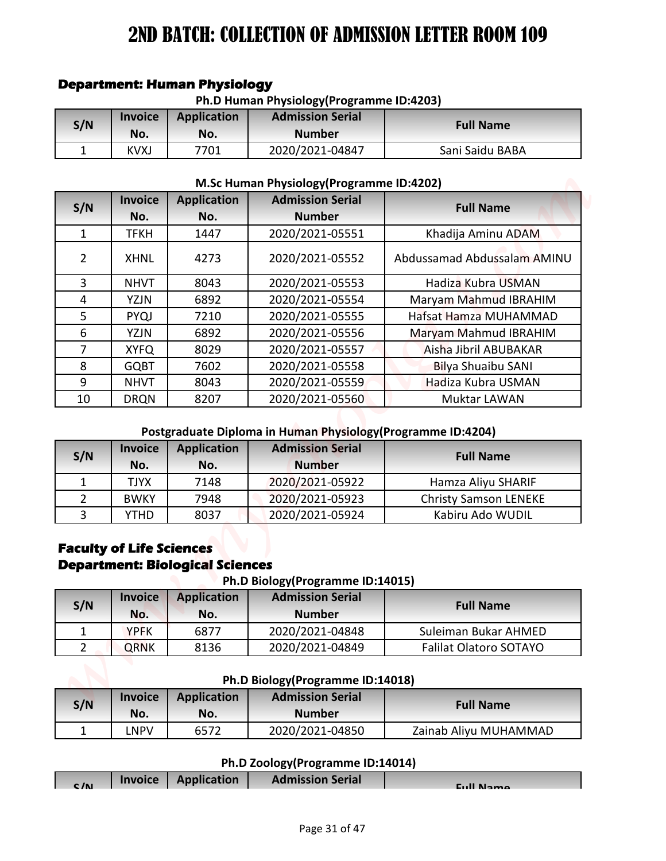| Ph.D Human Physiology (Programme ID:4203) |                       |                           |                                          |                  |  |
|-------------------------------------------|-----------------------|---------------------------|------------------------------------------|------------------|--|
| S/N                                       | <b>Invoice</b><br>No. | <b>Application</b><br>No. | <b>Admission Serial</b><br><b>Number</b> | <b>Full Name</b> |  |
|                                           | KVXJ                  | 7701                      | 2020/2021-04847                          | Sani Saidu BABA  |  |

#### **Department: Human Physiology**

**M.Sc Human Physiology(Programme ID:4202)**

|                |                | <b>Department: Human Physiology</b>                          |                                                                                         |                               |
|----------------|----------------|--------------------------------------------------------------|-----------------------------------------------------------------------------------------|-------------------------------|
|                |                |                                                              | Ph.D Human Physiology (Programme ID:4203)                                               |                               |
| S/N            | <b>Invoice</b> | <b>Application</b>                                           | <b>Admission Serial</b>                                                                 | <b>Full Name</b>              |
|                | No.            | No.                                                          | <b>Number</b>                                                                           |                               |
| $\mathbf{1}$   | <b>KVXJ</b>    | 7701                                                         | 2020/2021-04847                                                                         | Sani Saidu BABA               |
|                |                |                                                              | M.Sc Human Physiology (Programme ID:4202)                                               |                               |
|                | <b>Invoice</b> | <b>Application</b>                                           | <b>Admission Serial</b>                                                                 |                               |
| S/N            | No.            | No.                                                          | <b>Number</b>                                                                           | <b>Full Name</b>              |
| $\mathbf{1}$   | <b>TFKH</b>    | 1447                                                         | 2020/2021-05551                                                                         | Khadija Aminu ADAM            |
| $\overline{2}$ | <b>XHNL</b>    | 4273                                                         | 2020/2021-05552                                                                         | Abdussamad Abdussalam AMINU   |
| $\overline{3}$ | <b>NHVT</b>    | 8043                                                         | 2020/2021-05553                                                                         | Hadiza Kubra USMAN            |
| 4              | <b>YZJN</b>    | 6892                                                         | 2020/2021-05554                                                                         | Maryam Mahmud IBRAHIM         |
| 5              | PYQJ           | 7210                                                         | 2020/2021-05555                                                                         | Hafsat Hamza MUHAMMAD         |
| 6              | <b>YZJN</b>    | 6892                                                         | 2020/2021-05556                                                                         | Maryam Mahmud IBRAHIM         |
| $\overline{7}$ | <b>XYFQ</b>    | 8029                                                         | 2020/2021-05557                                                                         | Aisha Jibril ABUBAKAR         |
| 8              | <b>GQBT</b>    | 7602                                                         | 2020/2021-05558                                                                         | <b>Bilya Shuaibu SANI</b>     |
| 9              | <b>NHVT</b>    | 8043                                                         | 2020/2021-05559                                                                         | Hadiza Kubra USMAN            |
| 10             | <b>DRQN</b>    | 8207                                                         | 2020/2021-05560                                                                         | <b>Muktar LAWAN</b>           |
| S/N            | <b>Invoice</b> | <b>Application</b>                                           | Postgraduate Diploma in Human Physiology (Programme ID:4204)<br><b>Admission Serial</b> | <b>Full Name</b>              |
|                | No.            | No.                                                          | <b>Number</b>                                                                           |                               |
| $\mathbf{1}$   | <b>TJYX</b>    | 7148                                                         | 2020/2021-05922                                                                         | Hamza Aliyu SHARIF            |
| $\overline{2}$ | <b>BWKY</b>    | 7948                                                         | 2020/2021-05923                                                                         | <b>Christy Samson LENEKE</b>  |
| 3              | <b>YTHD</b>    | 8037                                                         | 2020/2021-05924                                                                         | Kabiru Ado WUDIL              |
|                |                | <b>Faculty of Life Sciences</b>                              |                                                                                         |                               |
|                | <b>Invoice</b> | <b>Department: Biological Sciences</b><br><b>Application</b> | Ph.D Biology (Programme ID:14015)<br><b>Admission Serial</b>                            |                               |
| S/N            | No.            | No.                                                          | <b>Number</b>                                                                           | <b>Full Name</b>              |
| $\mathbf{1}$   | <b>YPFK</b>    | 6877                                                         | 2020/2021-04848                                                                         | Suleiman Bukar AHMED          |
| $\overline{2}$ | <b>QRNK</b>    | 8136                                                         | 2020/2021-04849                                                                         | <b>Falilat Olatoro SOTAYO</b> |
|                |                |                                                              | Ph.D Biology(Programme ID:14018)                                                        |                               |
|                | <b>Invoice</b> | <b>Application</b>                                           | <b>Admission Serial</b>                                                                 |                               |
| S/N            | No.            | No.                                                          | <b>Number</b>                                                                           | <b>Full Name</b>              |
| $\mathbf{1}$   | <b>LNPV</b>    | 6572                                                         | 2020/2021-04850                                                                         | Zainab Aliyu MUHAMMAD         |
|                |                |                                                              | Ph.D Zoology(Programme ID:14014)<br><b>Admission Serial</b>                             |                               |

## **Postgraduate Diploma in Human Physiology(Programme ID:4204)**

| S/N | <b>Invoice</b><br>No. | <b>Application</b><br>No. | <b>Admission Serial</b><br><b>Number</b> | <b>Full Name</b>             |
|-----|-----------------------|---------------------------|------------------------------------------|------------------------------|
|     | TJYX                  | 7148                      | 2020/2021-05922                          | Hamza Aliyu SHARIF           |
|     | <b>BWKY</b>           | 7948                      | 2020/2021-05923                          | <b>Christy Samson LENEKE</b> |
|     | YTHD                  | 8037                      | 2020/2021-05924                          | Kabiru Ado WUDIL             |

#### **Faculty of Life Sciences Department: Biological Sciences**

**Ph.D Biology(Programme ID:14015)**

| S/N | <b>Invoice</b><br>No. | <b>Application</b><br>No. | <b>Admission Serial</b><br><b>Number</b> | <b>Full Name</b>              |
|-----|-----------------------|---------------------------|------------------------------------------|-------------------------------|
|     | <b>YPFK</b>           | 6877                      | 2020/2021-04848                          | Suleiman Bukar AHMED          |
|     | <b>QRNK</b>           | 8136                      | 2020/2021-04849                          | <b>Falilat Olatoro SOTAYO</b> |

#### **Ph.D Biology(Programme ID:14018)**

| S/N | <b>Invoice</b><br>No. | Application<br>No. | <b>Admission Serial</b><br><b>Number</b> | <b>Full Name</b>      |
|-----|-----------------------|--------------------|------------------------------------------|-----------------------|
|     | NPV-                  | 6572               | 2020/2021-04850                          | Zainab Aliyu MUHAMMAD |

#### **Ph.D Zoology(Programme ID:14014)**

| C/N | <b>Invoice Application</b> | <b>Admission Serial</b> | Eull Namo |
|-----|----------------------------|-------------------------|-----------|
|     |                            |                         |           |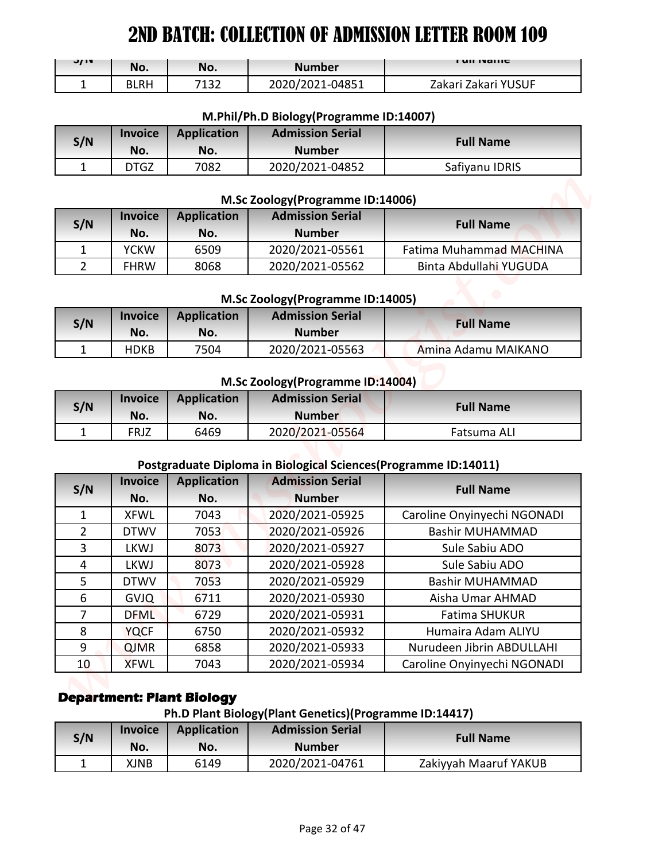| J/IV | No.  | No.  | <b>Number</b>   | <b>FUILIVALLIC</b>  |
|------|------|------|-----------------|---------------------|
| -    | BLRH | 7132 | 2020/2021-04851 | Zakari Zakari YUSUF |

#### **M.Phil/Ph.D Biology(Programme ID:14007)**

| S/N | <b>Invoice</b> | <b>Application</b> | <b>Admission Serial</b> | <b>Full Name</b> |
|-----|----------------|--------------------|-------------------------|------------------|
|     | No.            | No.                | <b>Number</b>           |                  |
|     | DTGZ           | 7082               | 2020/2021-04852         | Safiyanu IDRIS   |

#### **M.Sc Zoology(Programme ID:14006)**

| S/N | <b>Invoice</b><br>No. | <b>Application</b><br>No. | <b>Admission Serial</b><br><b>Number</b> | <b>Full Name</b>        |
|-----|-----------------------|---------------------------|------------------------------------------|-------------------------|
|     | <b>YCKW</b>           | 6509                      | 2020/2021-05561                          | Fatima Muhammad MACHINA |
|     | <b>FHRW</b>           | 8068                      | 2020/2021-05562                          | Binta Abdullahi YUGUDA  |

#### **M.Sc Zoology(Programme ID:14005)**

| S/N | <b>Invoice</b><br>No. | <b>Application</b><br>No. | <b>Admission Serial</b><br><b>Number</b> | <b>Full Name</b>    |
|-----|-----------------------|---------------------------|------------------------------------------|---------------------|
|     | <b>HDKB</b>           | 7504                      | 2020/2021-05563                          | Amina Adamu MAIKANO |

#### **M.Sc Zoology(Programme ID:14004)**

| S/N | <b>Invoice</b><br>No. | Application<br>No. | <b>Admission Serial</b><br><b>Number</b> | <b>Full Name</b> |
|-----|-----------------------|--------------------|------------------------------------------|------------------|
|     | FRJZ                  | 6469               | 2020/2021-05564                          | Fatsuma ALI      |

#### **Postgraduate Diploma in Biological Sciences(Programme ID:14011)**

| J/ IV          | No.                        | No.                              | <b>Number</b>                                                    | <b>FUILIVAILLE</b>                                    |
|----------------|----------------------------|----------------------------------|------------------------------------------------------------------|-------------------------------------------------------|
| $\mathbf{1}$   | <b>BLRH</b>                | 7132                             | 2020/2021-04851                                                  | Zakari Zakari YUSUF                                   |
|                |                            |                                  |                                                                  |                                                       |
|                |                            |                                  | M.Phil/Ph.D Biology(Programme ID:14007)                          |                                                       |
| S/N            | <b>Invoice</b>             | <b>Application</b>               | <b>Admission Serial</b>                                          | <b>Full Name</b>                                      |
|                | No.                        | No.                              | <b>Number</b>                                                    |                                                       |
| $\mathbf{1}$   | <b>DTGZ</b>                | 7082                             | 2020/2021-04852                                                  | Safiyanu IDRIS                                        |
|                |                            |                                  | M.Sc Zoology(Programme ID:14006)                                 |                                                       |
|                | <b>Invoice</b>             | <b>Application</b>               | <b>Admission Serial</b>                                          |                                                       |
| S/N            | No.                        | No.                              | <b>Number</b>                                                    | <b>Full Name</b>                                      |
| 1              | <b>YCKW</b>                | 6509                             | 2020/2021-05561                                                  | <b>Fatima Muhammad MACHINA</b>                        |
| $\overline{2}$ | <b>FHRW</b>                | 8068                             | 2020/2021-05562                                                  | Binta Abdullahi YUGUDA                                |
|                |                            |                                  |                                                                  |                                                       |
|                |                            |                                  | M.Sc Zoology(Programme ID:14005)                                 |                                                       |
| S/N            | <b>Invoice</b><br>No.      | <b>Application</b><br>No.        | <b>Admission Serial</b><br><b>Number</b>                         | <b>Full Name</b>                                      |
| 1              | <b>HDKB</b>                | 7504                             | 2020/2021-05563                                                  | Amina Adamu MAIKANO                                   |
|                |                            |                                  |                                                                  |                                                       |
|                |                            |                                  | M.Sc Zoology(Programme ID:14004)                                 |                                                       |
|                |                            |                                  |                                                                  |                                                       |
|                | <b>Invoice</b>             | <b>Application</b>               | <b>Admission Serial</b>                                          |                                                       |
|                | No.                        | No.                              | <b>Number</b>                                                    | <b>Full Name</b>                                      |
| 1              | <b>FRJZ</b>                | 6469                             | 2020/2021-05564                                                  | Fatsuma ALI                                           |
|                |                            |                                  |                                                                  |                                                       |
|                |                            |                                  | Postgraduate Diploma in Biological Sciences (Programme ID:14011) |                                                       |
|                | <b>Invoice</b>             | <b>Application</b>               | <b>Admission Serial</b>                                          | <b>Full Name</b>                                      |
| $\mathbf{1}$   | No.                        | No.<br>7043                      | <b>Number</b>                                                    |                                                       |
| $\overline{2}$ | <b>XFWL</b><br><b>DTWV</b> | 7053                             | 2020/2021-05925<br>2020/2021-05926                               | Caroline Onyinyechi NGONADI<br><b>Bashir MUHAMMAD</b> |
| 3              | <b>LKWJ</b>                | 8073                             | 2020/2021-05927                                                  | Sule Sabiu ADO                                        |
| 4              | LKWJ                       | 8073                             | 2020/2021-05928                                                  | Sule Sabiu ADO                                        |
| 5              | <b>DTWV</b>                | 7053                             | 2020/2021-05929                                                  | <b>Bashir MUHAMMAD</b>                                |
| 6              | <b>GVJQ</b>                | 6711                             | 2020/2021-05930                                                  | Aisha Umar AHMAD                                      |
| $\overline{7}$ | <b>DFML</b>                | 6729                             | 2020/2021-05931                                                  | Fatima SHUKUR                                         |
| 8              | <b>YQCF</b>                | 6750                             | 2020/2021-05932                                                  | Humaira Adam ALIYU                                    |
| S/N<br>9       | <b>QJMR</b>                | 6858                             | 2020/2021-05933                                                  | Nurudeen Jibrin ABDULLAHI                             |
| 10             | <b>XFWL</b>                | 7043                             | 2020/2021-05934                                                  | Caroline Onyinyechi NGONADI                           |
| S/N            |                            | <b>Department: Plant Biology</b> |                                                                  |                                                       |
|                |                            |                                  | Ph.D Plant Biology(Plant Genetics)(Programme ID:14417)           |                                                       |
| S/N            | <b>Invoice</b><br>No.      | <b>Application</b><br>No.        | <b>Admission Serial</b><br><b>Number</b>                         | <b>Full Name</b>                                      |

# **Department: Plant Biology**

# **Ph.D Plant Biology(Plant Genetics)(Programme ID:14417)**

| S/N | <b>Invoice</b> | <b>Application</b> | <b>Admission Serial</b> | <b>Full Name</b>      |
|-----|----------------|--------------------|-------------------------|-----------------------|
|     | No.            | No.                | <b>Number</b>           |                       |
|     | XJNB           | 6149               | 2020/2021-04761         | Zakiyyah Maaruf YAKUB |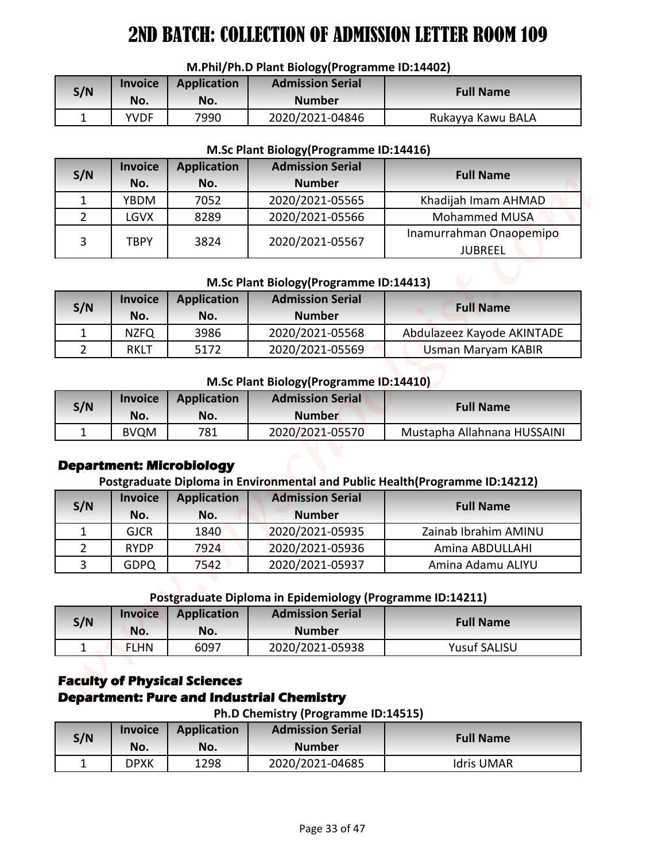#### **M.Phil/Ph.D Plant Biology(Programme ID:14402)**

| S/N | <i><u><b>Invoice</b></u></i><br>No. | <b>Application</b><br>No. | <b>Admission Serial</b><br><b>Number</b> | <b>Full Name</b>  |
|-----|-------------------------------------|---------------------------|------------------------------------------|-------------------|
|     | <b>YVDF</b>                         | 7990                      | 2020/2021-04846                          | Rukayya Kawu BALA |

#### **M.Sc Plant Biology(Programme ID:14416)**

| <b>Invoice</b><br><b>Admission Serial</b><br><b>Application</b><br>S/N<br><b>Full Name</b><br><b>Number</b><br>No.<br>No.<br>2020/2021-04846<br>$\mathbf{1}$<br>7990<br>Rukayya Kawu BALA<br><b>YVDF</b><br>M.Sc Plant Biology (Programme ID:14416)<br><b>Admission Serial</b><br><b>Invoice</b><br><b>Application</b><br>S/N<br><b>Full Name</b><br><b>Number</b><br>No.<br>No.<br>7052<br>2020/2021-05565<br>$\mathbf{1}$<br><b>YBDM</b><br>Khadijah Imam AHMAD<br>$\overline{2}$<br><b>Mohammed MUSA</b><br><b>LGVX</b><br>8289<br>2020/2021-05566<br>Inamurrahman Onaopemipo<br>3<br>2020/2021-05567<br><b>TBPY</b><br>3824<br><b>JUBREEL</b><br>M.Sc Plant Biology (Programme ID:14413)<br><b>Admission Serial</b><br><b>Application</b><br><b>Invoice</b><br>S/N<br><b>Full Name</b><br>No.<br><b>Number</b><br>No.<br>3986<br>2020/2021-05568<br>Abdulazeez Kayode AKINTADE<br>$\mathbf{1}$<br><b>NZFQ</b><br>$\overline{2}$<br>2020/2021-05569<br><b>RKLT</b><br>5172<br><b>Usman Maryam KABIR</b><br>M.Sc Plant Biology (Programme ID:14410)<br><b>Application</b><br><b>Admission Serial</b><br><b>Invoice</b><br>S/N<br><b>Full Name</b><br><b>Number</b><br>No.<br>No.<br>$\mathbf{1}$<br>781<br>2020/2021-05570<br>Mustapha Allahnana HUSSAINI<br><b>BVQM</b> |
|----------------------------------------------------------------------------------------------------------------------------------------------------------------------------------------------------------------------------------------------------------------------------------------------------------------------------------------------------------------------------------------------------------------------------------------------------------------------------------------------------------------------------------------------------------------------------------------------------------------------------------------------------------------------------------------------------------------------------------------------------------------------------------------------------------------------------------------------------------------------------------------------------------------------------------------------------------------------------------------------------------------------------------------------------------------------------------------------------------------------------------------------------------------------------------------------------------------------------------------------------------------------------|
|                                                                                                                                                                                                                                                                                                                                                                                                                                                                                                                                                                                                                                                                                                                                                                                                                                                                                                                                                                                                                                                                                                                                                                                                                                                                            |
|                                                                                                                                                                                                                                                                                                                                                                                                                                                                                                                                                                                                                                                                                                                                                                                                                                                                                                                                                                                                                                                                                                                                                                                                                                                                            |
|                                                                                                                                                                                                                                                                                                                                                                                                                                                                                                                                                                                                                                                                                                                                                                                                                                                                                                                                                                                                                                                                                                                                                                                                                                                                            |
|                                                                                                                                                                                                                                                                                                                                                                                                                                                                                                                                                                                                                                                                                                                                                                                                                                                                                                                                                                                                                                                                                                                                                                                                                                                                            |
|                                                                                                                                                                                                                                                                                                                                                                                                                                                                                                                                                                                                                                                                                                                                                                                                                                                                                                                                                                                                                                                                                                                                                                                                                                                                            |
|                                                                                                                                                                                                                                                                                                                                                                                                                                                                                                                                                                                                                                                                                                                                                                                                                                                                                                                                                                                                                                                                                                                                                                                                                                                                            |
|                                                                                                                                                                                                                                                                                                                                                                                                                                                                                                                                                                                                                                                                                                                                                                                                                                                                                                                                                                                                                                                                                                                                                                                                                                                                            |
|                                                                                                                                                                                                                                                                                                                                                                                                                                                                                                                                                                                                                                                                                                                                                                                                                                                                                                                                                                                                                                                                                                                                                                                                                                                                            |
|                                                                                                                                                                                                                                                                                                                                                                                                                                                                                                                                                                                                                                                                                                                                                                                                                                                                                                                                                                                                                                                                                                                                                                                                                                                                            |
|                                                                                                                                                                                                                                                                                                                                                                                                                                                                                                                                                                                                                                                                                                                                                                                                                                                                                                                                                                                                                                                                                                                                                                                                                                                                            |
|                                                                                                                                                                                                                                                                                                                                                                                                                                                                                                                                                                                                                                                                                                                                                                                                                                                                                                                                                                                                                                                                                                                                                                                                                                                                            |
|                                                                                                                                                                                                                                                                                                                                                                                                                                                                                                                                                                                                                                                                                                                                                                                                                                                                                                                                                                                                                                                                                                                                                                                                                                                                            |
|                                                                                                                                                                                                                                                                                                                                                                                                                                                                                                                                                                                                                                                                                                                                                                                                                                                                                                                                                                                                                                                                                                                                                                                                                                                                            |
|                                                                                                                                                                                                                                                                                                                                                                                                                                                                                                                                                                                                                                                                                                                                                                                                                                                                                                                                                                                                                                                                                                                                                                                                                                                                            |
|                                                                                                                                                                                                                                                                                                                                                                                                                                                                                                                                                                                                                                                                                                                                                                                                                                                                                                                                                                                                                                                                                                                                                                                                                                                                            |
|                                                                                                                                                                                                                                                                                                                                                                                                                                                                                                                                                                                                                                                                                                                                                                                                                                                                                                                                                                                                                                                                                                                                                                                                                                                                            |
|                                                                                                                                                                                                                                                                                                                                                                                                                                                                                                                                                                                                                                                                                                                                                                                                                                                                                                                                                                                                                                                                                                                                                                                                                                                                            |
|                                                                                                                                                                                                                                                                                                                                                                                                                                                                                                                                                                                                                                                                                                                                                                                                                                                                                                                                                                                                                                                                                                                                                                                                                                                                            |
|                                                                                                                                                                                                                                                                                                                                                                                                                                                                                                                                                                                                                                                                                                                                                                                                                                                                                                                                                                                                                                                                                                                                                                                                                                                                            |
| <b>Department: Microbiology</b><br>Postgraduate Diploma in Environmental and Public Health(Programme ID:14212)                                                                                                                                                                                                                                                                                                                                                                                                                                                                                                                                                                                                                                                                                                                                                                                                                                                                                                                                                                                                                                                                                                                                                             |
| <b>Application</b><br><b>Admission Serial</b><br><b>Invoice</b><br>S/N<br><b>Full Name</b><br><b>Number</b><br>No.<br>No.                                                                                                                                                                                                                                                                                                                                                                                                                                                                                                                                                                                                                                                                                                                                                                                                                                                                                                                                                                                                                                                                                                                                                  |
| 2020/2021-05935<br><b>GJCR</b><br>1840<br>Zainab Ibrahim AMINU<br>1                                                                                                                                                                                                                                                                                                                                                                                                                                                                                                                                                                                                                                                                                                                                                                                                                                                                                                                                                                                                                                                                                                                                                                                                        |
| $\overline{2}$<br>2020/2021-05936<br><b>RYDP</b><br>7924<br>Amina ABDULLAHI                                                                                                                                                                                                                                                                                                                                                                                                                                                                                                                                                                                                                                                                                                                                                                                                                                                                                                                                                                                                                                                                                                                                                                                                |
| $\overline{3}$<br>2020/2021-05937<br>Amina Adamu ALIYU<br><b>GDPQ</b><br>7542                                                                                                                                                                                                                                                                                                                                                                                                                                                                                                                                                                                                                                                                                                                                                                                                                                                                                                                                                                                                                                                                                                                                                                                              |
| Postgraduate Diploma in Epidemiology (Programme ID:14211)                                                                                                                                                                                                                                                                                                                                                                                                                                                                                                                                                                                                                                                                                                                                                                                                                                                                                                                                                                                                                                                                                                                                                                                                                  |
| <b>Admission Serial</b><br><b>Invoice</b><br><b>Application</b>                                                                                                                                                                                                                                                                                                                                                                                                                                                                                                                                                                                                                                                                                                                                                                                                                                                                                                                                                                                                                                                                                                                                                                                                            |
| S/N<br><b>Full Name</b><br><b>Number</b><br>No.<br>No.                                                                                                                                                                                                                                                                                                                                                                                                                                                                                                                                                                                                                                                                                                                                                                                                                                                                                                                                                                                                                                                                                                                                                                                                                     |
| <b>Yusuf SALISU</b><br>1<br>6097<br>2020/2021-05938<br><b>FLHN</b>                                                                                                                                                                                                                                                                                                                                                                                                                                                                                                                                                                                                                                                                                                                                                                                                                                                                                                                                                                                                                                                                                                                                                                                                         |

#### **M.Sc Plant Biology(Programme ID:14413)**

| S/N | <b>Invoice</b><br>No. | <b>Application</b><br>No. | <b>Admission Serial</b><br><b>Number</b> | <b>Full Name</b>           |
|-----|-----------------------|---------------------------|------------------------------------------|----------------------------|
|     | <b>NZFO</b>           | 3986                      | 2020/2021-05568                          | Abdulazeez Kayode AKINTADE |
|     | RKLT                  | 5172                      | 2020/2021-05569                          | <b>Usman Maryam KABIR</b>  |

#### **M.Sc Plant Biology(Programme ID:14410)**

| S/N | <b>Invoice</b><br>No. | <b>Application</b><br>No. | <b>Admission Serial</b><br><b>Number</b> | <b>Full Name</b>            |
|-----|-----------------------|---------------------------|------------------------------------------|-----------------------------|
|     | <b>BVQM</b>           | 781                       | 2020/2021-05570                          | Mustapha Allahnana HUSSAINI |

## **Department: Microbiology**

# **Postgraduate Diploma in Environmental and Public Health(Programme ID:14212)**

| S/N | <b>Invoice</b><br>No. | <b>Application</b><br>No. | <b>Admission Serial</b><br><b>Number</b> | <b>Full Name</b>     |
|-----|-----------------------|---------------------------|------------------------------------------|----------------------|
|     | <b>GJCR</b>           | 1840                      | 2020/2021-05935                          | Zainab Ibrahim AMINU |
|     | <b>RYDP</b>           | 7924                      | 2020/2021-05936                          | Amina ABDULLAHI      |
|     | <b>GDPQ</b>           | 7542                      | 2020/2021-05937                          | Amina Adamu ALIYU    |

## **Postgraduate Diploma in Epidemiology (Programme ID:14211)**

| S/N | <b>Invoice</b><br>No. | <b>Application</b><br>No. | <b>Admission Serial</b><br>Number | <b>Full Name</b>    |
|-----|-----------------------|---------------------------|-----------------------------------|---------------------|
|     | <b>FLHN</b>           | 6097                      | 2020/2021-05938                   | <b>Yusuf SALISU</b> |

# **Faculty of Physical Sciences Department: Pure and Industrial Chemistry**

| S/N | <b>Invoice</b><br>No. | <b>Application</b><br>No. | <b>Admission Serial</b><br><b>Number</b> | <b>Full Name</b>  |
|-----|-----------------------|---------------------------|------------------------------------------|-------------------|
|     | DPXK                  | 1298                      | 2020/2021-04685                          | <b>Idris UMAR</b> |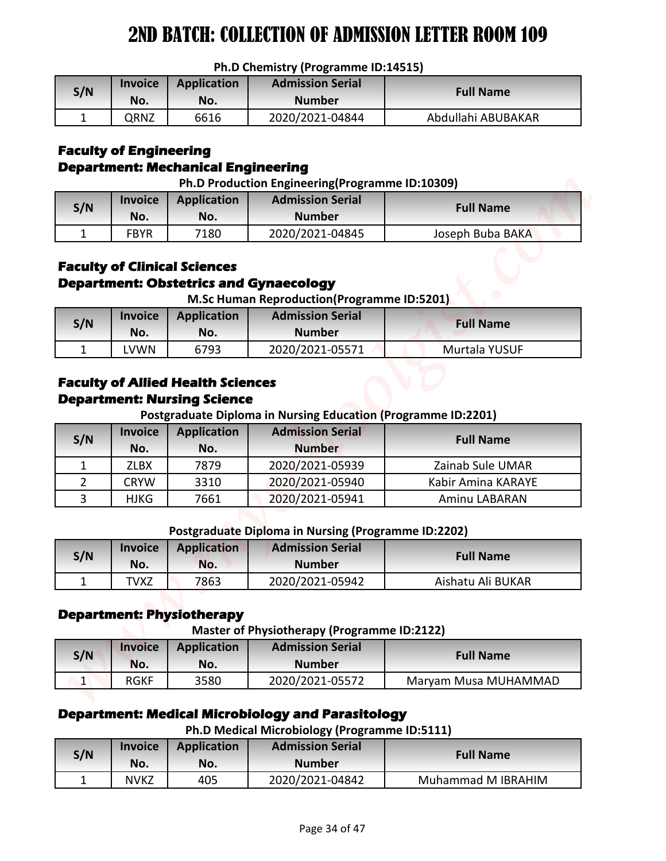|  |  |  | Ph.D Chemistry (Programme ID:14515) |  |
|--|--|--|-------------------------------------|--|
|--|--|--|-------------------------------------|--|

| S/N | <b>Invoice</b><br>No. | <b>Application</b><br>No. | <b>Admission Serial</b><br><b>Number</b> | <b>Full Name</b>   |
|-----|-----------------------|---------------------------|------------------------------------------|--------------------|
|     | QRNZ                  | 6616                      | 2020/2021-04844                          | Abdullahi ABUBAKAR |

## **Faculty of Engineering Department: Mechanical Engineering**

| Ph.D Production Engineering(Programme ID:10309) |  |
|-------------------------------------------------|--|

|     | <u>. 6 + 1000000011 Engineering trogramme 18.109097</u> |                           |                                          |                  |  |  |
|-----|---------------------------------------------------------|---------------------------|------------------------------------------|------------------|--|--|
| S/N | <b>Invoice</b><br>No.                                   | <b>Application</b><br>No. | <b>Admission Serial</b><br><b>Number</b> | <b>Full Name</b> |  |  |
|     | FBYR                                                    | 7180                      | 2020/2021-04845                          | Joseph Buba BAKA |  |  |

# **Faculty of Clinical Sciences Department: Obstetrics and Gynaecology**

| S/N | <b>Invoice</b><br>No. | Application<br>No. | <b>Admission Serial</b><br><b>Number</b> | <b>Full Name</b>     |
|-----|-----------------------|--------------------|------------------------------------------|----------------------|
|     | LVWN                  | 6793               | 2020/2021-05571                          | <b>Murtala YUSUF</b> |

## **Faculty of Allied Health Sciences Department: Nursing Science**

**Postgraduate Diploma in Nursing Education (Programme ID:2201)**

|                |                               |                                                                                        | Ph.D Chemistry (Programme ID:14515)                                                                                                  |                      |
|----------------|-------------------------------|----------------------------------------------------------------------------------------|--------------------------------------------------------------------------------------------------------------------------------------|----------------------|
| S/N            | <b>Invoice</b>                | <b>Application</b>                                                                     | <b>Admission Serial</b>                                                                                                              | <b>Full Name</b>     |
|                | No.                           | No.                                                                                    | <b>Number</b>                                                                                                                        |                      |
| $\mathbf{1}$   | QRNZ                          | 6616                                                                                   | 2020/2021-04844                                                                                                                      | Abdullahi ABUBAKAR   |
|                | <b>Faculty of Engineering</b> | <b>Department: Mechanical Engineering</b>                                              | Ph.D Production Engineering(Programme ID:10309)                                                                                      |                      |
| S/N            | <b>Invoice</b>                | <b>Application</b>                                                                     | <b>Admission Serial</b>                                                                                                              | <b>Full Name</b>     |
|                | No.                           | No.                                                                                    | <b>Number</b>                                                                                                                        |                      |
| $\mathbf{1}$   | <b>FBYR</b>                   | 7180                                                                                   | 2020/2021-04845                                                                                                                      | Joseph Buba BAKA     |
|                |                               | <b>Faculty of Clinical Sciences</b>                                                    | <b>Department: Obstetrics and Gynaecology</b><br><b>M.Sc Human Reproduction(Programme ID:5201)</b>                                   |                      |
| S/N            | <b>Invoice</b>                | <b>Application</b>                                                                     | <b>Admission Serial</b>                                                                                                              | <b>Full Name</b>     |
|                | No.                           | No.                                                                                    | <b>Number</b>                                                                                                                        |                      |
| 1              | <b>LVWN</b>                   | 6793<br><b>Faculty of Allied Health Sciences</b><br><b>Department: Nursing Science</b> | 2020/2021-05571                                                                                                                      | Murtala YUSUF        |
| S/N            | <b>Invoice</b>                | <b>Application</b>                                                                     | Postgraduate Diploma in Nursing Education (Programme ID:2201)<br><b>Admission Serial</b>                                             | <b>Full Name</b>     |
|                | No.                           | No.                                                                                    | <b>Number</b>                                                                                                                        |                      |
| 1              | <b>ZLBX</b>                   | 7879                                                                                   | 2020/2021-05939                                                                                                                      | Zainab Sule UMAR     |
| $\overline{2}$ | <b>CRYW</b>                   | 3310                                                                                   | 2020/2021-05940                                                                                                                      | Kabir Amina KARAYE   |
| $\overline{3}$ | <b>HJKG</b>                   | 7661                                                                                   | 2020/2021-05941                                                                                                                      | Aminu LABARAN        |
|                |                               |                                                                                        | Postgraduate Diploma in Nursing (Programme ID:2202)                                                                                  |                      |
| S/N            | <b>Invoice</b>                | <b>Application</b>                                                                     | <b>Admission Serial</b>                                                                                                              | <b>Full Name</b>     |
| $\mathbf{1}$   | No.<br><b>TVXZ</b>            | No.<br>7863                                                                            | <b>Number</b><br>2020/2021-05942                                                                                                     | Aishatu Ali BUKAR    |
|                | <b>Invoice</b>                | <b>Department: Physiotherapy</b><br><b>Application</b>                                 | <b>Master of Physiotherapy (Programme ID:2122)</b><br><b>Admission Serial</b>                                                        |                      |
| S/N            | No.                           | No.                                                                                    | <b>Number</b>                                                                                                                        | <b>Full Name</b>     |
| $\vert$        | <b>RGKF</b>                   | 3580                                                                                   | 2020/2021-05572                                                                                                                      | Maryam Musa MUHAMMAD |
| S/N            | <b>Invoice</b>                | <b>Application</b>                                                                     | <b>Department: Medical Microbiology and Parasitology</b><br>Ph.D Medical Microbiology (Programme ID:5111)<br><b>Admission Serial</b> | <b>Full Name</b>     |
| $\mathbf{1}$   | No.<br><b>NVKZ</b>            | No.<br>405                                                                             | <b>Number</b><br>2020/2021-04842                                                                                                     | Muhammad M IBRAHIM   |

#### **Postgraduate Diploma in Nursing (Programme ID:2202)**

| S/N | <b>Invoice</b> | <b>Application</b> | <b>Admission Serial</b> | <b>Full Name</b>  |
|-----|----------------|--------------------|-------------------------|-------------------|
|     | No.            | No.                | <b>Number</b>           |                   |
|     | 'VXZ           | 7863               | 2020/2021-05942         | Aishatu Ali BUKAR |

## **Department: Physiotherapy**

**Master of Physiotherapy (Programme ID:2122)**

| S/N | <b>Invoice</b><br>No. | <b>Application</b><br>No. | <b>Admission Serial</b><br><b>Number</b> | <b>Full Name</b>     |
|-----|-----------------------|---------------------------|------------------------------------------|----------------------|
|     | <b>RGKF</b>           | 3580                      | 2020/2021-05572                          | Maryam Musa MUHAMMAD |

# **Department: Medical Microbiology and Parasitology**

**Ph.D Medical Microbiology (Programme ID:5111)**

| S/N | <b>Invoice</b><br>No. | <b>Application</b><br>No. | <b>Admission Serial</b><br><b>Number</b> | <b>Full Name</b>   |
|-----|-----------------------|---------------------------|------------------------------------------|--------------------|
|     | <b>NVKZ</b>           | 405                       | 2020/2021-04842                          | Muhammad M IBRAHIM |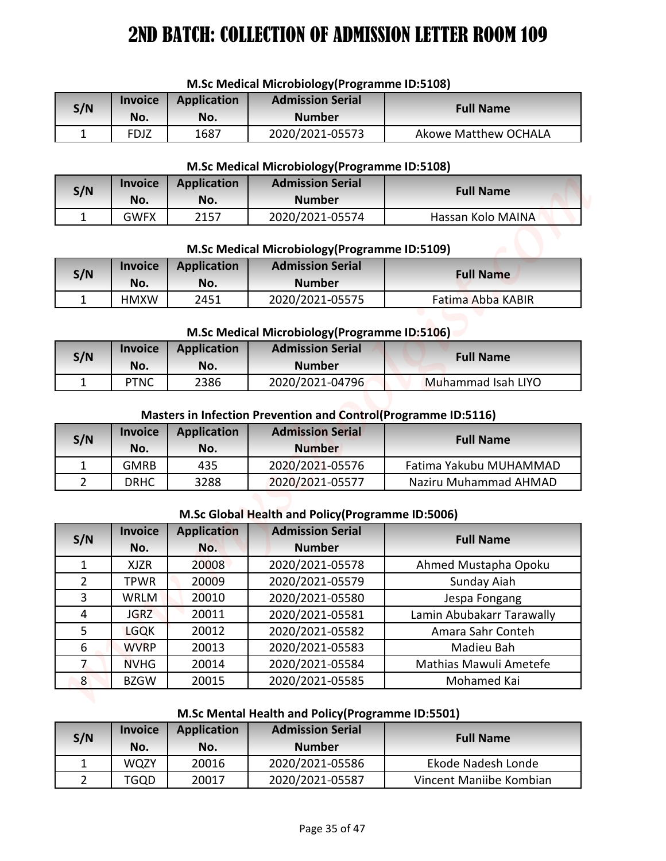| <b>IVI.SC IVICUICAL IVIICI ODIOIOGYTT IOGIAIIIIIIC ID.SILOOJ</b> |      |             |                         |                      |
|------------------------------------------------------------------|------|-------------|-------------------------|----------------------|
| <b>Invoice</b><br>S/N                                            |      | Application | <b>Admission Serial</b> | <b>Full Name</b>     |
|                                                                  | No.  | No.         | <b>Number</b>           |                      |
|                                                                  | FDJZ | 1687        | 2020/2021-05573         | Akowe Matthew OCHALA |

## **M.Sc Medical Microbiology(Programme ID:5108)**

#### **M.Sc Medical Microbiology(Programme ID:5108)**

| S/N | <b>Invoice</b><br>No. | Application<br>No. | <b>Admission Serial</b><br><b>Number</b> | <b>Full Name</b>  |
|-----|-----------------------|--------------------|------------------------------------------|-------------------|
|     | <b>GWFX</b>           | 2157               | 2020/2021-05574                          | Hassan Kolo MAINA |

#### **M.Sc Medical Microbiology(Programme ID:5109)**

| S/N | <b>Invoice</b><br>No. | <b>Application</b><br>No. | <b>Admission Serial</b><br><b>Number</b> | <b>Full Name</b>  |
|-----|-----------------------|---------------------------|------------------------------------------|-------------------|
|     | <b>HMXW</b>           | 2451                      | 2020/2021-05575                          | Fatima Abba KABIR |

#### **M.Sc Medical Microbiology(Programme ID:5106)**

| S/N | <b>Invoice</b><br>No. | <b>Application</b><br>No. | <b>Admission Serial</b><br><b>Number</b> | <b>Full Name</b>   |
|-----|-----------------------|---------------------------|------------------------------------------|--------------------|
|     | PTNC                  | 2386                      | 2020/2021-04796                          | Muhammad Isah LIYO |

#### **Masters in Infection Prevention and Control(Programme ID:5116)**

| S/N | <b>Invoice</b><br>No. | <b>Application</b><br>No. | <b>Admission Serial</b><br><b>Number</b> | <b>Full Name</b>       |
|-----|-----------------------|---------------------------|------------------------------------------|------------------------|
|     | <b>GMRB</b>           | 435                       | 2020/2021-05576                          | Fatima Yakubu MUHAMMAD |
|     | <b>DRHC</b>           | 3288                      | 2020/2021-05577                          | Naziru Muhammad AHMAD  |

#### **M.Sc Global Health and Policy(Programme ID:5006)**

|                         | <b>Invoice</b>     |                           | M.Sc Medical Microbiology (Programme ID:5108)<br><b>Admission Serial</b> |                             |  |
|-------------------------|--------------------|---------------------------|--------------------------------------------------------------------------|-----------------------------|--|
| S/N                     | No.                | <b>Application</b><br>No. | <b>Number</b>                                                            | <b>Full Name</b>            |  |
| 1                       | <b>FDJZ</b>        | 1687                      | 2020/2021-05573                                                          | <b>Akowe Matthew OCHALA</b> |  |
|                         |                    |                           |                                                                          |                             |  |
|                         |                    |                           | M.Sc Medical Microbiology (Programme ID:5108)                            |                             |  |
| S/N                     | <b>Invoice</b>     | <b>Application</b>        | <b>Admission Serial</b>                                                  | <b>Full Name</b>            |  |
|                         | No.                | No.                       | <b>Number</b>                                                            |                             |  |
| $\mathbf{1}$            | <b>GWFX</b>        | 2157                      | 2020/2021-05574                                                          | Hassan Kolo MAINA           |  |
|                         |                    |                           | M.Sc Medical Microbiology (Programme ID:5109)                            |                             |  |
|                         | <b>Invoice</b>     | <b>Application</b>        | <b>Admission Serial</b>                                                  |                             |  |
| S/N                     | No.                | No.                       | <b>Number</b>                                                            | <b>Full Name</b>            |  |
| $\mathbf{1}$            | <b>HMXW</b>        | 2451                      | 2020/2021-05575                                                          | Fatima Abba KABIR           |  |
|                         |                    |                           |                                                                          |                             |  |
|                         |                    |                           | M.Sc Medical Microbiology (Programme ID:5106)                            |                             |  |
| S/N                     | <b>Invoice</b>     | <b>Application</b>        | <b>Admission Serial</b>                                                  | <b>Full Name</b>            |  |
|                         | No.                | No.                       | <b>Number</b>                                                            |                             |  |
| 1                       | <b>PTNC</b>        | 2386                      | 2020/2021-04796                                                          | Muhammad Isah LIYO          |  |
|                         |                    |                           |                                                                          |                             |  |
|                         |                    |                           |                                                                          |                             |  |
|                         |                    |                           | Masters in Infection Prevention and Control(Programme ID:5116)           |                             |  |
|                         | <b>Invoice</b>     | <b>Application</b>        | <b>Admission Serial</b>                                                  | <b>Full Name</b>            |  |
|                         | No.                | No.                       | <b>Number</b>                                                            |                             |  |
| 1<br>$\overline{2}$     | <b>GMRB</b>        | 435                       | 2020/2021-05576                                                          | Fatima Yakubu MUHAMMAD      |  |
|                         | <b>DRHC</b>        | 3288                      | 2020/2021-05577                                                          | Naziru Muhammad AHMAD       |  |
| S/N                     |                    |                           | M.Sc Global Health and Policy (Programme ID:5006)                        |                             |  |
|                         | <b>Invoice</b>     | <b>Application</b>        | <b>Admission Serial</b>                                                  |                             |  |
|                         | No.                | No.                       | <b>Number</b>                                                            | <b>Full Name</b>            |  |
| $\mathbf 1$             | <b>XJZR</b>        | 20008                     | 2020/2021-05578                                                          | Ahmed Mustapha Opoku        |  |
| $\overline{2}$          | <b>TPWR</b>        | 20009                     | 2020/2021-05579                                                          | Sunday Aiah                 |  |
| 3                       | <b>WRLM</b>        | 20010                     | 2020/2021-05580                                                          | Jespa Fongang               |  |
| $\overline{\mathbf{4}}$ | <b>JGRZ</b>        | 20011                     | 2020/2021-05581                                                          | Lamin Abubakarr Tarawally   |  |
| 5                       | <b>LGQK</b>        | 20012                     | 2020/2021-05582                                                          | Amara Sahr Conteh           |  |
| 6                       | <b>WVRP</b>        | 20013                     | 2020/2021-05583                                                          | Madieu Bah                  |  |
| $\overline{7}$          | <b>NVHG</b>        | 20014                     | 2020/2021-05584                                                          | Mathias Mawuli Ametefe      |  |
| 8                       | <b>BZGW</b>        | 20015                     | 2020/2021-05585                                                          | Mohamed Kai                 |  |
|                         |                    |                           |                                                                          |                             |  |
| S/N                     |                    |                           | M.Sc Mental Health and Policy (Programme ID:5501)                        |                             |  |
| S/N                     | <b>Invoice</b>     | <b>Application</b>        | <b>Admission Serial</b>                                                  | <b>Full Name</b>            |  |
| $\mathbf{1}$            | No.<br><b>WQZY</b> | No.<br>20016              | <b>Number</b><br>2020/2021-05586                                         | Ekode Nadesh Londe          |  |

#### **M.Sc Mental Health and Policy(Programme ID:5501)**

| S/N | <b>Invoice</b><br>No. | <b>Application</b><br>No. | <b>Admission Serial</b><br><b>Number</b> | <b>Full Name</b>        |
|-----|-----------------------|---------------------------|------------------------------------------|-------------------------|
|     | <b>WQZY</b>           | 20016                     | 2020/2021-05586                          | Ekode Nadesh Londe      |
|     | TGQD                  | 20017                     | 2020/2021-05587                          | Vincent Maniibe Kombian |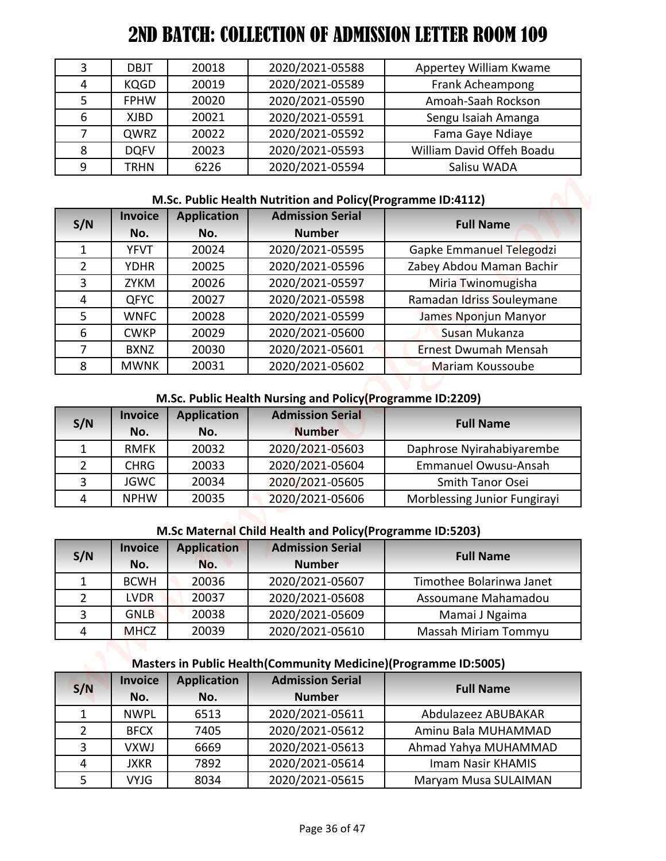| 3 | DBJT        | 20018 | 2020/2021-05588 | Appertey William Kwame    |
|---|-------------|-------|-----------------|---------------------------|
| 4 | <b>KQGD</b> | 20019 | 2020/2021-05589 | Frank Acheampong          |
|   | <b>FPHW</b> | 20020 | 2020/2021-05590 | Amoah-Saah Rockson        |
| 6 | XJBD        | 20021 | 2020/2021-05591 | Sengu Isaiah Amanga       |
|   | QWRZ        | 20022 | 2020/2021-05592 | Fama Gaye Ndiaye          |
| 8 | <b>DOFV</b> | 20023 | 2020/2021-05593 | William David Offeh Boadu |
| 9 | <b>TRHN</b> | 6226  | 2020/2021-05594 | Salisu WADA               |

## **M.Sc. Public Health Nutrition and Policy(Programme ID:4112)**

| 3<br>4              | <b>DBJT</b>                | 20018                     | 2020/2021-05588                                                                         | Appertey William Kwame                        |
|---------------------|----------------------------|---------------------------|-----------------------------------------------------------------------------------------|-----------------------------------------------|
|                     |                            | 20019                     | 2020/2021-05589                                                                         |                                               |
|                     | <b>KQGD</b>                |                           |                                                                                         | Frank Acheampong                              |
| 5                   | <b>FPHW</b>                | 20020                     | 2020/2021-05590                                                                         | Amoah-Saah Rockson                            |
| 6                   | <b>XJBD</b>                | 20021                     | 2020/2021-05591                                                                         | Sengu Isaiah Amanga                           |
| 7                   | QWRZ                       | 20022                     | 2020/2021-05592                                                                         | Fama Gaye Ndiaye<br>William David Offeh Boadu |
| 8<br>9              | <b>DQFV</b><br><b>TRHN</b> | 20023<br>6226             | 2020/2021-05593<br>2020/2021-05594                                                      | Salisu WADA                                   |
|                     |                            |                           |                                                                                         |                                               |
|                     | <b>Invoice</b>             | <b>Application</b>        | M.Sc. Public Health Nutrition and Policy (Programme ID:4112)<br><b>Admission Serial</b> |                                               |
| S/N                 | No.                        | No.                       | <b>Number</b>                                                                           | <b>Full Name</b>                              |
| $\mathbf{1}$        | <b>YFVT</b>                | 20024                     | 2020/2021-05595                                                                         | Gapke Emmanuel Telegodzi                      |
| $\overline{2}$      | <b>YDHR</b>                | 20025                     | 2020/2021-05596                                                                         | Zabey Abdou Maman Bachir                      |
| 3                   | <b>ZYKM</b>                | 20026                     | 2020/2021-05597                                                                         | Miria Twinomugisha                            |
| $\overline{4}$      | <b>QFYC</b>                | 20027                     | 2020/2021-05598                                                                         | Ramadan Idriss Souleymane                     |
| 5                   | <b>WNFC</b>                | 20028                     | 2020/2021-05599                                                                         | James Nponjun Manyor                          |
| 6                   | <b>CWKP</b>                | 20029                     | 2020/2021-05600                                                                         | Susan Mukanza                                 |
| 7                   | <b>BXNZ</b>                | 20030                     | 2020/2021-05601                                                                         | <b>Ernest Dwumah Mensah</b>                   |
| 8                   | <b>MWNK</b>                | 20031                     | 2020/2021-05602                                                                         | Mariam Koussoube                              |
| S/N                 | <b>Invoice</b><br>No.      | <b>Application</b><br>No. | <b>Admission Serial</b><br><b>Number</b>                                                | <b>Full Name</b>                              |
| $\mathbf{1}$        | <b>RMFK</b>                | 20032                     | 2020/2021-05603                                                                         | Daphrose Nyirahabiyarembe                     |
| 2                   | <b>CHRG</b>                | 20033                     | 2020/2021-05604                                                                         | <b>Emmanuel Owusu-Ansah</b>                   |
| 3                   | <b>JGWC</b>                | 20034                     | 2020/2021-05605                                                                         | Smith Tanor Osei                              |
| $\overline{4}$      | <b>NPHW</b>                | 20035                     | 2020/2021-05606                                                                         | Morblessing Junior Fungirayi                  |
|                     |                            |                           | M.Sc Maternal Child Health and Policy (Programme ID:5203)                               |                                               |
|                     | <b>Invoice</b>             | <b>Application</b>        | <b>Admission Serial</b>                                                                 | <b>Full Name</b>                              |
|                     |                            | No.                       | <b>Number</b>                                                                           |                                               |
|                     | No.                        |                           |                                                                                         |                                               |
| S/N<br>$\mathbf{1}$ | <b>BCWH</b>                | 20036                     | 2020/2021-05607                                                                         | Timothee Bolarinwa Janet                      |
| $\overline{2}$      | <b>LVDR</b>                | 20037                     | 2020/2021-05608                                                                         | Assoumane Mahamadou                           |
| 3                   | <b>GNLB</b>                | 20038                     | 2020/2021-05609                                                                         | Mamai J Ngaima                                |
| 4                   | <b>MHCZ</b>                | 20039                     | 2020/2021-05610                                                                         | Massah Miriam Tommyu                          |
|                     |                            |                           | Masters in Public Health (Community Medicine) (Programme ID:5005)                       |                                               |
|                     | <b>Invoice</b>             | <b>Application</b>        | <b>Admission Serial</b>                                                                 |                                               |
| S/N                 | No.                        | No.                       | <b>Number</b>                                                                           | <b>Full Name</b>                              |
| 1                   | <b>NWPL</b>                | 6513                      | 2020/2021-05611                                                                         | Abdulazeez ABUBAKAR                           |
| $\overline{2}$      | <b>BFCX</b>                | 7405                      | 2020/2021-05612                                                                         | Aminu Bala MUHAMMAD                           |
| 3                   | <b>VXWJ</b>                | 6669                      | 2020/2021-05613                                                                         | Ahmad Yahya MUHAMMAD                          |
| 4                   | <b>JXKR</b>                | 7892                      | 2020/2021-05614                                                                         | Imam Nasir KHAMIS                             |

## **M.Sc. Public Health Nursing and Policy(Programme ID:2209)**

| S/N | <b>Invoice</b><br>No. | <b>Application</b><br>No. | <b>Admission Serial</b><br><b>Number</b> | <b>Full Name</b>             |
|-----|-----------------------|---------------------------|------------------------------------------|------------------------------|
|     | <b>RMFK</b>           | 20032                     | 2020/2021-05603                          | Daphrose Nyirahabiyarembe    |
|     | <b>CHRG</b>           | 20033                     | 2020/2021-05604                          | <b>Emmanuel Owusu-Ansah</b>  |
|     | <b>JGWC</b>           | 20034                     | 2020/2021-05605                          | Smith Tanor Osei             |
|     | <b>NPHW</b>           | 20035                     | 2020/2021-05606                          | Morblessing Junior Fungirayi |

#### **M.Sc Maternal Child Health and Policy(Programme ID:5203)**

| S/N | <b>Invoice</b><br>No. | <b>Application</b><br>No. | <b>Admission Serial</b><br><b>Number</b> | <b>Full Name</b>         |
|-----|-----------------------|---------------------------|------------------------------------------|--------------------------|
|     | <b>BCWH</b>           | 20036                     | 2020/2021-05607                          | Timothee Bolarinwa Janet |
|     | <b>LVDR</b>           | 20037                     | 2020/2021-05608                          | Assoumane Mahamadou      |
|     | <b>GNLB</b>           | 20038                     | 2020/2021-05609                          | Mamai J Ngaima           |
|     | <b>MHCZ</b>           | 20039                     | 2020/2021-05610                          | Massah Miriam Tommyu     |

#### **Masters in Public Health(Community Medicine)(Programme ID:5005)**

| S/N            | <b>Invoice</b> | <b>Application</b> | <b>Admission Serial</b> | <b>Full Name</b>     |
|----------------|----------------|--------------------|-------------------------|----------------------|
|                | No.            | No.                | <b>Number</b>           |                      |
|                | <b>NWPL</b>    | 6513               | 2020/2021-05611         | Abdulazeez ABUBAKAR  |
| $\overline{2}$ | <b>BFCX</b>    | 7405               | 2020/2021-05612         | Aminu Bala MUHAMMAD  |
| 3              | VXWJ           | 6669               | 2020/2021-05613         | Ahmad Yahya MUHAMMAD |
| $\overline{4}$ | <b>JXKR</b>    | 7892               | 2020/2021-05614         | Imam Nasir KHAMIS    |
| 5              | <b>VYJG</b>    | 8034               | 2020/2021-05615         | Maryam Musa SULAIMAN |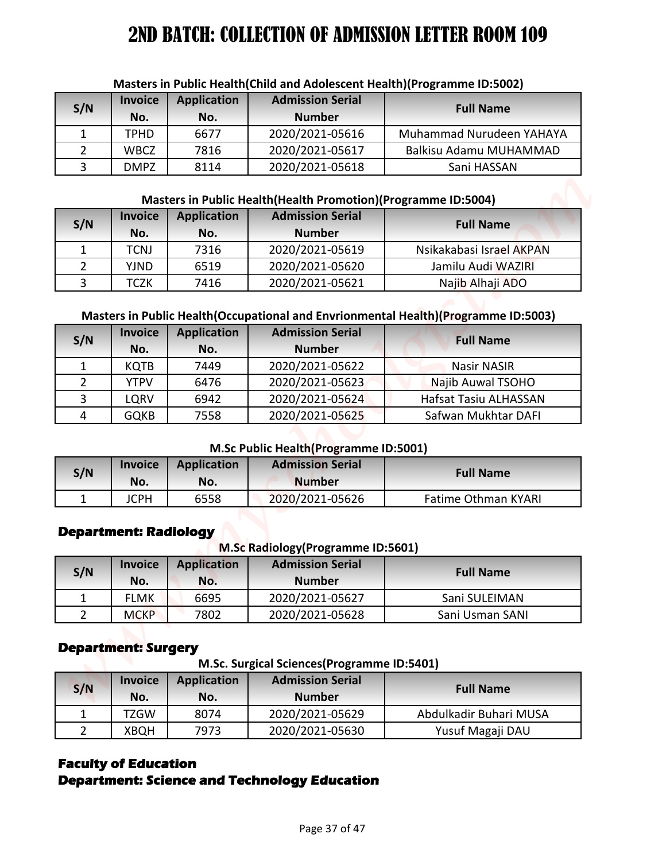| S/N | <b>Invoice</b><br>No. | <b>Application</b><br>No. | <b>Admission Serial</b><br><b>Number</b> | <b>Full Name</b>         |
|-----|-----------------------|---------------------------|------------------------------------------|--------------------------|
|     | TPHD                  | 6677                      | 2020/2021-05616                          | Muhammad Nurudeen YAHAYA |
|     | <b>WBCZ</b>           | 7816                      | 2020/2021-05617                          | Balkisu Adamu MUHAMMAD   |
|     | <b>DMPZ</b>           | 8114                      | 2020/2021-05618                          | Sani HASSAN              |

#### **Masters in Public Health(Child and Adolescent Health)(Programme ID:5002)**

#### **Masters in Public Health(Health Promotion)(Programme ID:5004)**

| S/N | <b>Invoice</b><br>No. | <b>Application</b><br>No. | <b>Admission Serial</b><br><b>Number</b> | <b>Full Name</b>         |
|-----|-----------------------|---------------------------|------------------------------------------|--------------------------|
|     | TCNJ                  | 7316                      | 2020/2021-05619                          | Nsikakabasi Israel AKPAN |
|     | YJND                  | 6519                      | 2020/2021-05620                          | Jamilu Audi WAZIRI       |
|     | гсzк                  | 7416                      | 2020/2021-05621                          | Najib Alhaji ADO         |

#### **Masters in Public Health(Occupational and Envrionmental Health)(Programme ID:5003)**

| S/N<br>1<br>$\overline{2}$ | <b>Invoice</b><br>No.                          | <b>Application</b> | Masters in Public Health(Child and Adolescent Health)(Programme ID:5002)<br><b>Admission Serial</b> |                                                                                      |  |  |  |  |  |
|----------------------------|------------------------------------------------|--------------------|-----------------------------------------------------------------------------------------------------|--------------------------------------------------------------------------------------|--|--|--|--|--|
|                            |                                                | No.                | <b>Number</b>                                                                                       | <b>Full Name</b>                                                                     |  |  |  |  |  |
|                            | <b>TPHD</b>                                    | 6677               | 2020/2021-05616                                                                                     | Muhammad Nurudeen YAHAYA                                                             |  |  |  |  |  |
|                            | <b>WBCZ</b>                                    | 7816               | 2020/2021-05617                                                                                     | Balkisu Adamu MUHAMMAD                                                               |  |  |  |  |  |
| 3                          | <b>DMPZ</b>                                    | 8114               | 2020/2021-05618                                                                                     | Sani HASSAN                                                                          |  |  |  |  |  |
|                            |                                                |                    |                                                                                                     |                                                                                      |  |  |  |  |  |
|                            | <b>Invoice</b>                                 | <b>Application</b> | Masters in Public Health (Health Promotion) (Programme ID:5004)<br><b>Admission Serial</b>          |                                                                                      |  |  |  |  |  |
| S/N                        | No.                                            | No.                | <b>Number</b>                                                                                       | <b>Full Name</b>                                                                     |  |  |  |  |  |
| 1                          | <b>TCNJ</b>                                    | 7316               | 2020/2021-05619                                                                                     | Nsikakabasi Israel AKPAN                                                             |  |  |  |  |  |
| $\overline{2}$             | <b>YJND</b>                                    | 6519               | 2020/2021-05620                                                                                     | Jamilu Audi WAZIRI                                                                   |  |  |  |  |  |
| 3                          | <b>TCZK</b>                                    | 7416               | 2020/2021-05621                                                                                     | Najib Alhaji ADO                                                                     |  |  |  |  |  |
|                            |                                                |                    |                                                                                                     |                                                                                      |  |  |  |  |  |
|                            |                                                |                    |                                                                                                     | Masters in Public Health (Occupational and Envrionmental Health) (Programme ID:5003) |  |  |  |  |  |
| S/N                        | <b>Invoice</b>                                 | <b>Application</b> | <b>Admission Serial</b>                                                                             | <b>Full Name</b>                                                                     |  |  |  |  |  |
|                            | No.                                            | No.                | <b>Number</b>                                                                                       |                                                                                      |  |  |  |  |  |
| $\mathbf{1}$               | <b>KQTB</b>                                    | 7449               | 2020/2021-05622                                                                                     | <b>Nasir NASIR</b>                                                                   |  |  |  |  |  |
| $\overline{2}$             | <b>YTPV</b>                                    | 6476               | 2020/2021-05623                                                                                     | Najib Auwal TSOHO                                                                    |  |  |  |  |  |
| 3                          | LQRV                                           | 6942               | 2020/2021-05624                                                                                     | Hafsat Tasiu ALHASSAN                                                                |  |  |  |  |  |
| 4                          | <b>GQKB</b>                                    | 7558               | 2020/2021-05625                                                                                     | Safwan Mukhtar DAFI                                                                  |  |  |  |  |  |
|                            |                                                |                    | <b>M.Sc Public Health (Programme ID:5001)</b>                                                       |                                                                                      |  |  |  |  |  |
|                            | <b>Invoice</b>                                 | <b>Application</b> | <b>Admission Serial</b>                                                                             |                                                                                      |  |  |  |  |  |
| S/N                        | No.                                            | No.                | <b>Number</b>                                                                                       | <b>Full Name</b>                                                                     |  |  |  |  |  |
| $\mathbf{1}$               | <b>JCPH</b>                                    | 6558               | 2020/2021-05626                                                                                     | <b>Fatime Othman KYARI</b>                                                           |  |  |  |  |  |
| S/N                        | <b>Department: Radiology</b><br><b>Invoice</b> | <b>Application</b> | M.Sc Radiology (Programme ID:5601)<br><b>Admission Serial</b>                                       | <b>Full Name</b>                                                                     |  |  |  |  |  |
|                            | No.                                            | No.                | <b>Number</b>                                                                                       |                                                                                      |  |  |  |  |  |
| 1                          | <b>FLMK</b>                                    | 6695               | 2020/2021-05627                                                                                     | Sani SULEIMAN                                                                        |  |  |  |  |  |
|                            | <b>MCKP</b>                                    | 7802               | 2020/2021-05628                                                                                     | Sani Usman SANI                                                                      |  |  |  |  |  |
| $\overline{2}$             |                                                |                    |                                                                                                     |                                                                                      |  |  |  |  |  |
|                            | <b>Department: Surgery</b>                     |                    | M.Sc. Surgical Sciences(Programme ID:5401)                                                          |                                                                                      |  |  |  |  |  |
| S/N                        | <b>Invoice</b>                                 | <b>Application</b> | <b>Admission Serial</b>                                                                             | <b>Full Name</b>                                                                     |  |  |  |  |  |
| $\mathbf{1}$               | No.<br><b>TZGW</b>                             | No.<br>8074        | <b>Number</b><br>2020/2021-05629                                                                    | Abdulkadir Buhari MUSA                                                               |  |  |  |  |  |

#### **M.Sc Public Health(Programme ID:5001)**

| S/N | <b>Invoice</b><br>No. | <b>Application</b><br>No. | <b>Admission Serial</b><br><b>Number</b> | <b>Full Name</b>    |
|-----|-----------------------|---------------------------|------------------------------------------|---------------------|
|     | <b>JCPH</b>           | 6558                      | 2020/2021-05626                          | Fatime Othman KYARI |

## **Department: Radiology**

**M.Sc Radiology(Programme ID:5601)**

| S/N | <b>Invoice</b><br>No. | <b>Application</b><br>No. | <b>Admission Serial</b><br><b>Number</b> | <b>Full Name</b> |
|-----|-----------------------|---------------------------|------------------------------------------|------------------|
|     | <b>FLMK</b>           | 6695                      | 2020/2021-05627                          | Sani SULEIMAN    |
|     | <b>MCKP</b>           | 7802                      | 2020/2021-05628                          | Sani Usman SANI  |

## **Department: Surgery**

**M.Sc. Surgical Sciences(Programme ID:5401)**

| S/N | <b>Invoice</b><br>No. | <b>Application</b><br>No. | <b>Admission Serial</b><br><b>Number</b> | <b>Full Name</b>       |
|-----|-----------------------|---------------------------|------------------------------------------|------------------------|
|     | TZGW                  | 8074                      | 2020/2021-05629                          | Abdulkadir Buhari MUSA |
|     | <b>XBQH</b>           | 7973                      | 2020/2021-05630                          | Yusuf Magaji DAU       |

## **Faculty of Education**

## **Department: Science and Technology Education**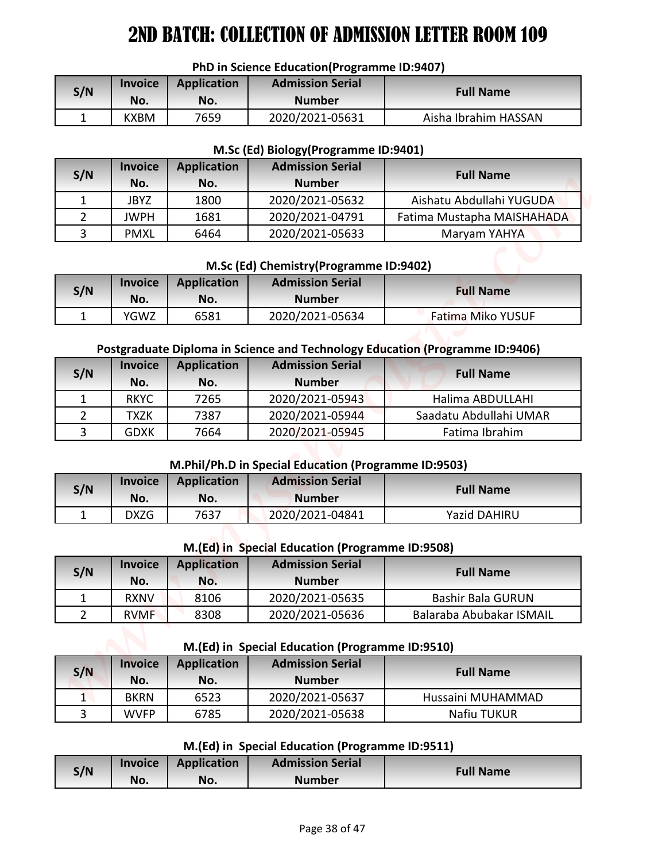#### **PhD in Science Education(Programme ID:9407)**

| S/N | <b>Invoice</b><br>No. | <b>Application</b><br>No. | <b>Admission Serial</b><br><b>Number</b> | <b>Full Name</b>     |
|-----|-----------------------|---------------------------|------------------------------------------|----------------------|
|     | <b>KXBM</b>           | 7659                      | 2020/2021-05631                          | Aisha Ibrahim HASSAN |

#### **M.Sc (Ed) Biology(Programme ID:9401)**

| S/N | <b>Invoice</b><br>No. | <b>Application</b><br>No. | <b>Admission Serial</b><br><b>Number</b> | <b>Full Name</b>           |
|-----|-----------------------|---------------------------|------------------------------------------|----------------------------|
|     | JBYZ                  | 1800                      | 2020/2021-05632                          | Aishatu Abdullahi YUGUDA   |
|     | <b>JWPH</b>           | 1681                      | 2020/2021-04791                          | Fatima Mustapha MAISHAHADA |
|     | <b>PMXL</b>           | 6464                      | 2020/2021-05633                          | Maryam YAHYA               |

#### **M.Sc (Ed) Chemistry(Programme ID:9402)**

| S/N | <b>Invoice</b> | <b>Application</b> | <b>Admission Serial</b> | <b>Full Name</b>         |
|-----|----------------|--------------------|-------------------------|--------------------------|
|     | No.            | No.                | <b>Number</b>           |                          |
|     | YGWZ           | 6581               | 2020/2021-05634         | <b>Fatima Miko YUSUF</b> |

#### **Postgraduate Diploma in Science and Technology Education (Programme ID:9406)**

|                |                    |                    | PhD in Science Education(Programme ID:9407)          |                                                                              |
|----------------|--------------------|--------------------|------------------------------------------------------|------------------------------------------------------------------------------|
| S/N            | <b>Invoice</b>     | <b>Application</b> | <b>Admission Serial</b>                              | <b>Full Name</b>                                                             |
|                | No.                | No.                | <b>Number</b>                                        |                                                                              |
| $\mathbf{1}$   | <b>KXBM</b>        | 7659               | 2020/2021-05631                                      | Aisha Ibrahim HASSAN                                                         |
|                |                    |                    | M.Sc (Ed) Biology (Programme ID:9401)                |                                                                              |
|                | <b>Invoice</b>     | <b>Application</b> | <b>Admission Serial</b>                              |                                                                              |
| S/N            | No.                | No.                | <b>Number</b>                                        | <b>Full Name</b>                                                             |
| $\mathbf{1}$   | <b>JBYZ</b>        | 1800               | 2020/2021-05632                                      | Aishatu Abdullahi YUGUDA                                                     |
| $\overline{2}$ | <b>JWPH</b>        | 1681               | 2020/2021-04791                                      | Fatima Mustapha MAISHAHADA                                                   |
| 3              | <b>PMXL</b>        | 6464               | 2020/2021-05633                                      | Maryam YAHYA                                                                 |
|                |                    |                    | M.Sc (Ed) Chemistry (Programme ID:9402)              |                                                                              |
|                | <b>Invoice</b>     | <b>Application</b> | <b>Admission Serial</b>                              |                                                                              |
| S/N            | No.                | No.                | <b>Number</b>                                        | <b>Full Name</b>                                                             |
| $\mathbf{1}$   | YGWZ               | 6581               | 2020/2021-05634                                      | Fatima Miko YUSUF                                                            |
|                | <b>Invoice</b>     | <b>Application</b> | <b>Admission Serial</b>                              | Postgraduate Diploma in Science and Technology Education (Programme ID:9406) |
| S/N            | No.                | No.                | <b>Number</b>                                        | <b>Full Name</b>                                                             |
| $\mathbf{1}$   | <b>RKYC</b>        | 7265               | 2020/2021-05943                                      | Halima ABDULLAHI                                                             |
| $\overline{2}$ | <b>TXZK</b>        | 7387               | 2020/2021-05944                                      | Saadatu Abdullahi UMAR                                                       |
| 3              | <b>GDXK</b>        | 7664               | 2020/2021-05945                                      | Fatima Ibrahim                                                               |
|                |                    |                    | M.Phil/Ph.D in Special Education (Programme ID:9503) |                                                                              |
|                | <b>Invoice</b>     | <b>Application</b> | <b>Admission Serial</b>                              |                                                                              |
| S/N            | No.                | No.                | <b>Number</b>                                        | <b>Full Name</b>                                                             |
|                |                    |                    | 2020/2021-04841                                      | <b>Yazid DAHIRU</b>                                                          |
|                |                    |                    |                                                      |                                                                              |
| $\mathbf{1}$   | <b>DXZG</b>        | 7637               |                                                      |                                                                              |
|                |                    |                    | M.(Ed) in Special Education (Programme ID:9508)      |                                                                              |
|                | <b>Invoice</b>     | <b>Application</b> | <b>Admission Serial</b>                              |                                                                              |
| S/N            | No.                | No.                | <b>Number</b>                                        | <b>Full Name</b>                                                             |
| $\mathbf{1}$   | RXNV               | 8106               | 2020/2021-05635                                      | <b>Bashir Bala GURUN</b>                                                     |
| $\overline{2}$ | <b>RVMF</b>        | 8308               | 2020/2021-05636                                      | Balaraba Abubakar ISMAIL                                                     |
|                |                    |                    | M.(Ed) in Special Education (Programme ID:9510)      |                                                                              |
| S/N            | <b>Invoice</b>     | <b>Application</b> | <b>Admission Serial</b><br><b>Number</b>             | <b>Full Name</b>                                                             |
| $\mathbf{1}$   | No.<br><b>BKRN</b> | No.<br>6523        |                                                      | Hussaini MUHAMMAD                                                            |
| $\overline{3}$ | <b>WVFP</b>        | 6785               | 2020/2021-05637<br>2020/2021-05638                   | Nafiu TUKUR                                                                  |
|                |                    |                    | M.(Ed) in Special Education (Programme ID:9511)      |                                                                              |
| S/N            | <b>Invoice</b>     | <b>Application</b> | <b>Admission Serial</b>                              | <b>Full Name</b>                                                             |

#### **M.Phil/Ph.D in Special Education (Programme ID:9503)**

| S/N | <b>Invoice</b> | Application | <b>Admission Serial</b> | <b>Full Name</b>    |
|-----|----------------|-------------|-------------------------|---------------------|
|     | No.            | No.         | <b>Number</b>           |                     |
|     | DXZG           | 7637        | 2020/2021-04841         | <b>Yazid DAHIRU</b> |

#### **M.(Ed) in Special Education (Programme ID:9508)**

| S/N | <b>Invoice</b><br>No. | <b>Application</b><br>No. | <b>Admission Serial</b><br><b>Number</b> | <b>Full Name</b>         |
|-----|-----------------------|---------------------------|------------------------------------------|--------------------------|
|     | <b>RXNV</b>           | 8106                      | 2020/2021-05635                          | <b>Bashir Bala GURUN</b> |
|     | <b>RVMF</b>           | 8308                      | 2020/2021-05636                          | Balaraba Abubakar ISMAIL |

#### **M.(Ed) in Special Education (Programme ID:9510)**

| S/N | <b>Invoice</b><br>No. | <b>Application</b><br>No. | <b>Admission Serial</b><br><b>Number</b> | <b>Full Name</b>  |
|-----|-----------------------|---------------------------|------------------------------------------|-------------------|
|     | BKRN                  | 6523                      | 2020/2021-05637                          | Hussaini MUHAMMAD |
|     | <b>WVFP</b>           | 6785                      | 2020/2021-05638                          | Nafiu TUKUR       |

#### **M.(Ed) in Special Education (Programme ID:9511)**

| S/N | <b>Invoice</b> | Application | <b>Admission Serial</b> |                  |
|-----|----------------|-------------|-------------------------|------------------|
|     | No.            | No.         | Number                  | <b>Full Name</b> |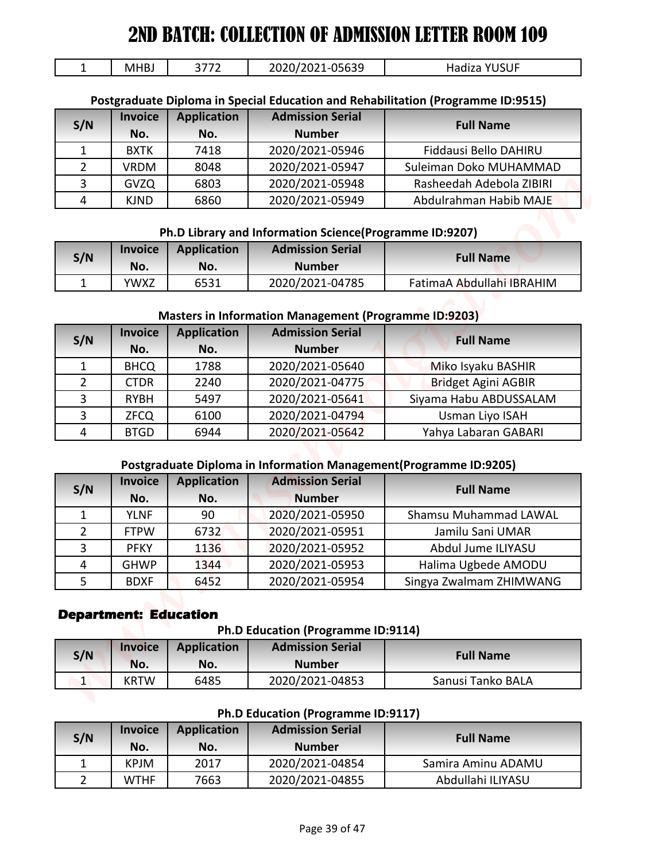| MHBJ | ヽヮヮへ | $\overline{05620}$<br>י ר        | ICIIE<br>$\mathbf{v}$<br>- Haqiza |
|------|------|----------------------------------|-----------------------------------|
|      |      | $-020$<br><u>JJUJJ</u><br>$\sim$ | JJUI                              |

#### **Postgraduate Diploma in Special Education and Rehabilitation (Programme ID:9515)**

| S/N | <b>Invoice</b><br>No. | <b>Application</b><br>No. | <b>Admission Serial</b><br><b>Number</b> | <b>Full Name</b>         |
|-----|-----------------------|---------------------------|------------------------------------------|--------------------------|
|     | <b>BXTK</b>           | 7418                      | 2020/2021-05946                          | Fiddausi Bello DAHIRU    |
|     | <b>VRDM</b>           | 8048                      | 2020/2021-05947                          | Suleiman Doko MUHAMMAD   |
|     | <b>GVZQ</b>           | 6803                      | 2020/2021-05948                          | Rasheedah Adebola ZIBIRI |
| 4   | <b>KJND</b>           | 6860                      | 2020/2021-05949                          | Abdulrahman Habib MAJE   |

#### **Ph.D Library and Information Science(Programme ID:9207)**

| S/N | <b>Invoice</b><br>No. | <b>Application</b><br>No. | <b>Admission Serial</b><br><b>Number</b> | <b>Full Name</b>          |
|-----|-----------------------|---------------------------|------------------------------------------|---------------------------|
|     | YWXZ                  | 6531                      | 2020/2021-04785                          | FatimaA Abdullahi IBRAHIM |

#### **Masters in Information Management (Programme ID:9203)**

| $\mathbf{1}$        | <b>MHBJ</b>                  |                    |                                                                                    |                                                                                  |
|---------------------|------------------------------|--------------------|------------------------------------------------------------------------------------|----------------------------------------------------------------------------------|
| S/N                 |                              | 3772               | 2020/2021-05639                                                                    | Hadiza YUSUF                                                                     |
|                     |                              |                    |                                                                                    |                                                                                  |
|                     | <b>Invoice</b>               | <b>Application</b> | <b>Admission Serial</b>                                                            | Postgraduate Diploma in Special Education and Rehabilitation (Programme ID:9515) |
|                     | No.                          | No.                | <b>Number</b>                                                                      | <b>Full Name</b>                                                                 |
| $\mathbf{1}$        | <b>BXTK</b>                  | 7418               | 2020/2021-05946                                                                    | Fiddausi Bello DAHIRU                                                            |
| $\overline{2}$      | <b>VRDM</b>                  | 8048               | 2020/2021-05947                                                                    | Suleiman Doko MUHAMMAD                                                           |
| 3                   | <b>GVZQ</b>                  | 6803               | 2020/2021-05948                                                                    | Rasheedah Adebola ZIBIRI                                                         |
| 4                   | <b>KJND</b>                  | 6860               | 2020/2021-05949                                                                    | Abdulrahman Habib MAJE                                                           |
|                     |                              |                    |                                                                                    |                                                                                  |
|                     | <b>Invoice</b>               | <b>Application</b> | Ph.D Library and Information Science(Programme ID:9207)<br><b>Admission Serial</b> |                                                                                  |
| S/N                 | No.                          | No.                | <b>Number</b>                                                                      | <b>Full Name</b>                                                                 |
| $\mathbf{1}$        | <b>YWXZ</b>                  | 6531               | 2020/2021-04785                                                                    | FatimaA Abdullahi IBRAHIM                                                        |
|                     |                              |                    |                                                                                    |                                                                                  |
|                     |                              |                    | <b>Masters in Information Management (Programme ID:9203)</b>                       |                                                                                  |
| S/N                 | <b>Invoice</b>               | <b>Application</b> | <b>Admission Serial</b>                                                            | <b>Full Name</b>                                                                 |
|                     | No.                          | No.                | <b>Number</b>                                                                      |                                                                                  |
| $\mathbf{1}$        | <b>BHCQ</b>                  | 1788               | 2020/2021-05640                                                                    | Miko Isyaku BASHIR                                                               |
| $\overline{2}$<br>3 | <b>CTDR</b><br><b>RYBH</b>   | 2240<br>5497       | 2020/2021-04775<br>2020/2021-05641                                                 | <b>Bridget Agini AGBIR</b><br>Siyama Habu ABDUSSALAM                             |
| 3                   | <b>ZFCQ</b>                  | 6100               | 2020/2021-04794                                                                    | Usman Liyo ISAH                                                                  |
| 4                   | <b>BTGD</b>                  | 6944               | 2020/2021-05642                                                                    | Yahya Labaran GABARI                                                             |
|                     |                              |                    |                                                                                    |                                                                                  |
|                     |                              |                    |                                                                                    |                                                                                  |
|                     |                              |                    | Postgraduate Diploma in Information Management(Programme ID:9205)                  |                                                                                  |
|                     | <b>Invoice</b>               | <b>Application</b> | <b>Admission Serial</b>                                                            |                                                                                  |
| S/N                 | No.                          | No.                | <b>Number</b>                                                                      | <b>Full Name</b>                                                                 |
| $\mathbf{1}$        | <b>YLNF</b>                  | 90                 | 2020/2021-05950                                                                    | Shamsu Muhammad LAWAL                                                            |
| $\overline{2}$      | <b>FTPW</b>                  | 6732               | 2020/2021-05951                                                                    | Jamilu Sani UMAR                                                                 |
| 3                   | <b>PFKY</b>                  | 1136               | 2020/2021-05952                                                                    | Abdul Jume ILIYASU                                                               |
| 4                   | <b>GHWP</b>                  | 1344               | 2020/2021-05953                                                                    | Halima Ugbede AMODU                                                              |
| 5                   | <b>BDXF</b>                  | 6452               | 2020/2021-05954                                                                    | Singya Zwalmam ZHIMWANG                                                          |
|                     |                              |                    |                                                                                    |                                                                                  |
|                     | <b>Department: Education</b> |                    |                                                                                    |                                                                                  |
|                     |                              |                    | Ph.D Education (Programme ID:9114)                                                 |                                                                                  |
| S/N                 | <b>Invoice</b>               | <b>Application</b> | <b>Admission Serial</b><br><b>Number</b>                                           | <b>Full Name</b>                                                                 |
|                     | No.                          | No.                |                                                                                    |                                                                                  |
| $\vert$             | <b>KRTW</b>                  | 6485               | 2020/2021-04853                                                                    | Sanusi Tanko BALA                                                                |
|                     |                              |                    | Ph.D Education (Programme ID:9117)                                                 |                                                                                  |
| S/N                 | <b>Invoice</b>               | <b>Application</b> | <b>Admission Serial</b>                                                            | <b>Full Name</b>                                                                 |
| $\mathbf{1}$        | No.<br><b>KPJM</b>           | No.<br>2017        | <b>Number</b><br>2020/2021-04854                                                   | Samira Aminu ADAMU                                                               |

#### **Postgraduate Diploma in Information Management(Programme ID:9205)**

| S/N           | <b>Invoice</b> | <b>Application</b> | <b>Admission Serial</b> | <b>Full Name</b>        |
|---------------|----------------|--------------------|-------------------------|-------------------------|
|               | No.            | No.                | <b>Number</b>           |                         |
|               | <b>YLNF</b>    | 90                 | 2020/2021-05950         | Shamsu Muhammad LAWAL   |
| $\mathcal{P}$ | <b>FTPW</b>    | 6732               | 2020/2021-05951         | Jamilu Sani UMAR        |
| 3             | <b>PFKY</b>    | 1136               | 2020/2021-05952         | Abdul Jume ILIYASU      |
| 4             | <b>GHWP</b>    | 1344               | 2020/2021-05953         | Halima Ugbede AMODU     |
|               | <b>BDXF</b>    | 6452               | 2020/2021-05954         | Singya Zwalmam ZHIMWANG |

#### **Department: Education**

**Ph.D Education (Programme ID:9114)**

| S/N | <b>Invoice</b><br>No. | Application<br>No. | <b>Admission Serial</b><br><b>Number</b> | <b>Full Name</b>  |
|-----|-----------------------|--------------------|------------------------------------------|-------------------|
|     | <b>KRTW</b>           | 6485               | 2020/2021-04853                          | Sanusi Tanko BALA |

#### **Ph.D Education (Programme ID:9117)**

| S/N | <b>Invoice</b><br>No. | <b>Application</b><br>No. | <b>Admission Serial</b><br><b>Number</b> | <b>Full Name</b>   |
|-----|-----------------------|---------------------------|------------------------------------------|--------------------|
|     | <b>KPJM</b>           | 2017                      | 2020/2021-04854                          | Samira Aminu ADAMU |
|     | <b>WTHF</b>           | 7663                      | 2020/2021-04855                          | Abdullahi ILIYASU  |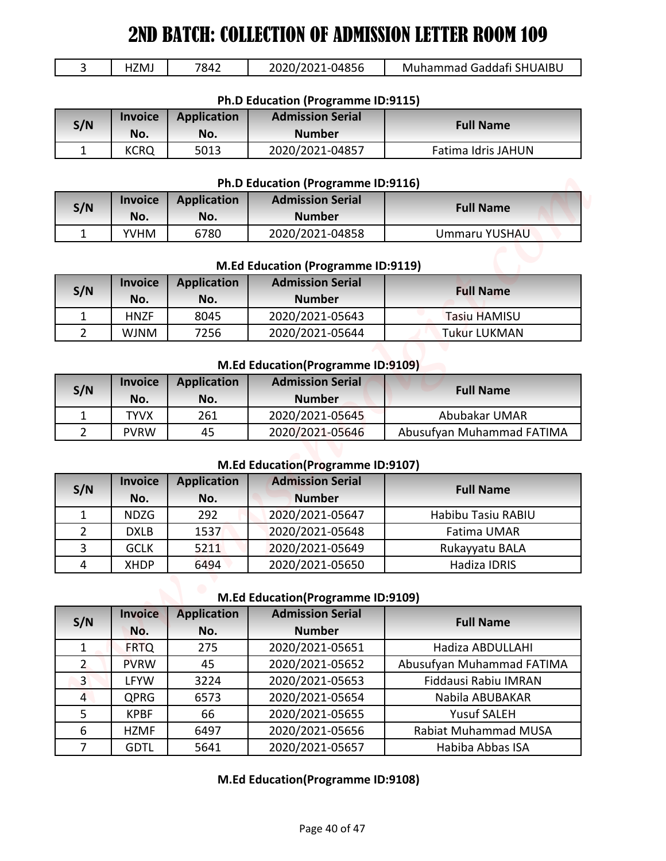| 1ZMJ | 7842 | 2020/2021-04856 | Muhammad Gaddafi SHUAIBU |
|------|------|-----------------|--------------------------|
|      |      |                 |                          |

| Ph.D Education (Programme ID:9115) |                       |                    |                                          |                    |  |
|------------------------------------|-----------------------|--------------------|------------------------------------------|--------------------|--|
| S/N                                | <b>Invoice</b><br>No. | Application<br>No. | <b>Admission Serial</b><br><b>Number</b> | <b>Full Name</b>   |  |
|                                    | <b>KCRQ</b>           | 5013               | 2020/2021-04857                          | Fatima Idris JAHUN |  |

#### **Ph.D Education (Programme ID:9116)**

| S/N | <b>Invoice</b><br>No. | <b>Application</b><br>No. | <b>Admission Serial</b><br><b>Number</b> | <b>Full Name</b> |
|-----|-----------------------|---------------------------|------------------------------------------|------------------|
|     | <b>YVHM</b>           | 6780                      | 2020/2021-04858                          | Ummaru YUSHAU    |

#### **M.Ed Education (Programme ID:9119)**

| S/N | <b>Invoice</b><br>No. | <b>Application</b><br>No. | <b>Admission Serial</b><br><b>Number</b> | <b>Full Name</b>    |
|-----|-----------------------|---------------------------|------------------------------------------|---------------------|
|     | <b>HNZF</b>           | 8045                      | 2020/2021-05643                          | <b>Tasiu HAMISU</b> |
|     | <b>WJNM</b>           | 7256                      | 2020/2021-05644                          | <b>Tukur LUKMAN</b> |

#### **M.Ed Education(Programme ID:9109)**

| S/N | <b>Invoice</b><br>No. | <b>Application</b><br>No. | <b>Admission Serial</b><br><b>Number</b> | <b>Full Name</b>          |
|-----|-----------------------|---------------------------|------------------------------------------|---------------------------|
|     | 'YVX                  | 261                       | 2020/2021-05645                          | Abubakar UMAR             |
|     | <b>PVRW</b>           | 45                        | 2020/2021-05646                          | Abusufyan Muhammad FATIMA |

#### **M.Ed Education(Programme ID:9107)**

| S/N            | <b>Invoice</b><br>No. | <b>Application</b><br>No. | <b>Admission Serial</b><br><b>Number</b> | <b>Full Name</b>   |
|----------------|-----------------------|---------------------------|------------------------------------------|--------------------|
|                | <b>NDZG</b>           | 292                       | 2020/2021-05647                          | Habibu Tasiu RABIU |
|                | <b>DXLB</b>           | 1537                      | 2020/2021-05648                          | Fatima UMAR        |
| $\overline{3}$ | <b>GCLK</b>           | 5211                      | 2020/2021-05649                          | Rukayyatu BALA     |
| 4              | <b>XHDP</b>           | 6494                      | 2020/2021-05650                          | Hadiza IDRIS       |

#### **M.Ed Education(Programme ID:9109)**

|                     | HZMJ                                                            | 7842               | 2020/2021-04856                                               | Muhammad Gaddafi SHUAIBU                          |  |
|---------------------|-----------------------------------------------------------------|--------------------|---------------------------------------------------------------|---------------------------------------------------|--|
|                     |                                                                 |                    | Ph.D Education (Programme ID:9115)                            |                                                   |  |
|                     | <b>Invoice</b>                                                  | <b>Application</b> | <b>Admission Serial</b>                                       |                                                   |  |
| S/N                 | No.                                                             | No.                | <b>Number</b>                                                 | <b>Full Name</b>                                  |  |
| $\mathbf{1}$        | <b>KCRQ</b>                                                     | 5013               | 2020/2021-04857                                               | Fatima Idris JAHUN                                |  |
|                     |                                                                 |                    |                                                               |                                                   |  |
|                     | <b>Invoice</b>                                                  | <b>Application</b> | Ph.D Education (Programme ID:9116)<br><b>Admission Serial</b> |                                                   |  |
| S/N                 | No.                                                             | No.                | <b>Number</b>                                                 | <b>Full Name</b>                                  |  |
| $\mathbf{1}$        | <b>YVHM</b>                                                     | 6780               | 2020/2021-04858                                               | Ummaru YUSHAU                                     |  |
|                     |                                                                 |                    |                                                               |                                                   |  |
|                     |                                                                 |                    | M.Ed Education (Programme ID:9119)                            |                                                   |  |
| S/N                 | <b>Invoice</b>                                                  | <b>Application</b> | <b>Admission Serial</b>                                       | <b>Full Name</b>                                  |  |
|                     | No.                                                             | No.                | <b>Number</b>                                                 |                                                   |  |
| 1                   | <b>HNZF</b>                                                     | 8045               | 2020/2021-05643                                               | <b>Tasiu HAMISU</b>                               |  |
| $\overline{2}$      | <b>WJNM</b>                                                     | 7256               | 2020/2021-05644                                               | <b>Tukur LUKMAN</b>                               |  |
|                     |                                                                 |                    | M.Ed Education (Programme ID:9109)                            |                                                   |  |
|                     | <b>Admission Serial</b><br><b>Application</b><br><b>Invoice</b> |                    |                                                               |                                                   |  |
| S/N                 | No.                                                             | No.                | <b>Number</b>                                                 | <b>Full Name</b>                                  |  |
| $\mathbf{1}$        | <b>TYVX</b>                                                     | 261                | 2020/2021-05645                                               | Abubakar UMAR                                     |  |
| $\overline{2}$      | <b>PVRW</b>                                                     | 45                 | 2020/2021-05646                                               | Abusufyan Muhammad FATIMA                         |  |
|                     |                                                                 |                    |                                                               |                                                   |  |
|                     | <b>Invoice</b>                                                  | <b>Application</b> | M.Ed Education(Programme ID:9107)<br><b>Admission Serial</b>  |                                                   |  |
| S/N                 | No.                                                             | No.                | <b>Number</b>                                                 | <b>Full Name</b>                                  |  |
|                     | <b>NDZG</b>                                                     | 292                | 2020/2021-05647                                               | Habibu Tasiu RABIU                                |  |
|                     | <b>DXLB</b>                                                     | 1537               | 2020/2021-05648                                               | Fatima UMAR                                       |  |
| $\mathbf{1}$        |                                                                 |                    |                                                               |                                                   |  |
| $\overline{2}$      |                                                                 |                    |                                                               |                                                   |  |
| 3<br>$\overline{4}$ | <b>GCLK</b><br><b>XHDP</b>                                      | 5211<br>6494       | 2020/2021-05649                                               | Rukayyatu BALA<br>Hadiza IDRIS                    |  |
|                     |                                                                 |                    | 2020/2021-05650                                               |                                                   |  |
|                     |                                                                 |                    | M.Ed Education(Programme ID:9109)                             |                                                   |  |
| S/N                 | <b>Invoice</b>                                                  | <b>Application</b> | <b>Admission Serial</b>                                       | <b>Full Name</b>                                  |  |
|                     | No.                                                             | No.                | <b>Number</b>                                                 |                                                   |  |
| $\mathbf{1}$        | <b>FRTQ</b>                                                     | 275                | 2020/2021-05651                                               | Hadiza ABDULLAHI                                  |  |
| $\overline{2}$      | <b>PVRW</b>                                                     | 45                 | 2020/2021-05652                                               |                                                   |  |
| $\overline{3}$      | LFYW                                                            | 3224               | 2020/2021-05653                                               | Abusufyan Muhammad FATIMA<br>Fiddausi Rabiu IMRAN |  |
| $\overline{4}$      | QPRG                                                            | 6573               | 2020/2021-05654                                               | Nabila ABUBAKAR                                   |  |
| 5<br>6              | <b>KPBF</b><br><b>HZMF</b>                                      | 66<br>6497         | 2020/2021-05655<br>2020/2021-05656                            | <b>Yusuf SALEH</b><br><b>Rabiat Muhammad MUSA</b> |  |

#### **M.Ed Education(Programme ID:9108)**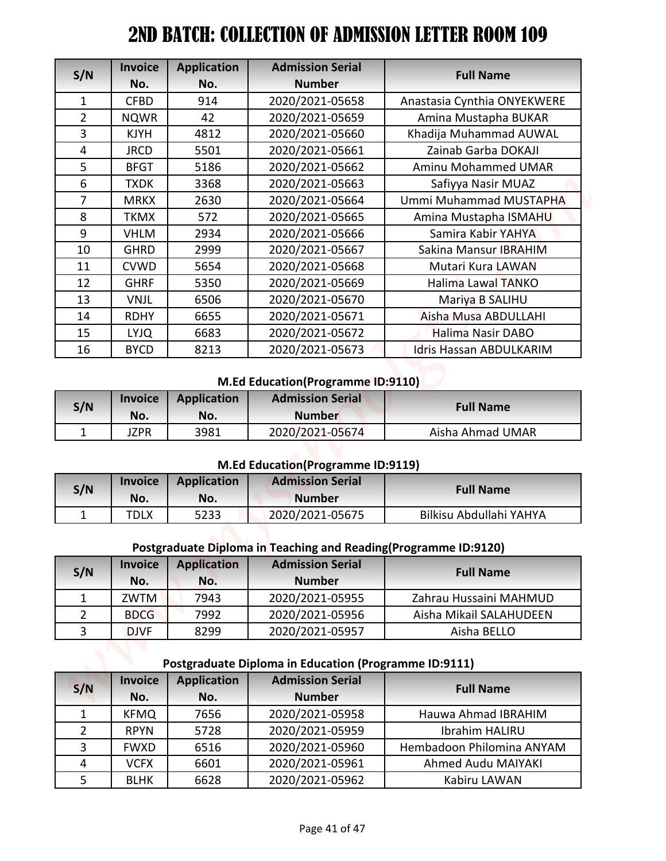| S/N                              | <b>Invoice</b><br>No.      | <b>Application</b><br>No. | <b>Admission Serial</b><br><b>Number</b>                        | <b>Full Name</b>                                       |
|----------------------------------|----------------------------|---------------------------|-----------------------------------------------------------------|--------------------------------------------------------|
|                                  | <b>CFBD</b>                | 914                       |                                                                 |                                                        |
| $\mathbf{1}$<br>$\overline{2}$   |                            | 42                        | 2020/2021-05658                                                 | Anastasia Cynthia ONYEKWERE                            |
| 3                                | <b>NQWR</b><br><b>KJYH</b> | 4812                      | 2020/2021-05659<br>2020/2021-05660                              | Amina Mustapha BUKAR<br>Khadija Muhammad AUWAL         |
| 4                                | <b>JRCD</b>                | 5501                      | 2020/2021-05661                                                 | Zainab Garba DOKAJI                                    |
| 5                                | <b>BFGT</b>                | 5186                      | 2020/2021-05662                                                 | <b>Aminu Mohammed UMAR</b>                             |
| 6                                | <b>TXDK</b>                | 3368                      | 2020/2021-05663                                                 | Safiyya Nasir MUAZ                                     |
| $\overline{7}$                   | <b>MRKX</b>                | 2630                      | 2020/2021-05664                                                 | Ummi Muhammad MUSTAPHA                                 |
| 8                                | <b>TKMX</b>                | 572                       | 2020/2021-05665                                                 | Amina Mustapha ISMAHU                                  |
| 9                                | <b>VHLM</b>                | 2934                      | 2020/2021-05666                                                 | Samira Kabir YAHYA                                     |
| 10                               | <b>GHRD</b>                | 2999                      | 2020/2021-05667                                                 | Sakina Mansur IBRAHIM                                  |
| 11                               | <b>CVWD</b>                | 5654                      | 2020/2021-05668                                                 | Mutari Kura LAWAN                                      |
| 12                               | <b>GHRF</b>                | 5350                      | 2020/2021-05669                                                 | <b>Halima Lawal TANKO</b>                              |
| 13                               | <b>VNJL</b>                | 6506                      | 2020/2021-05670                                                 | Mariya B SALIHU                                        |
| 14                               | <b>RDHY</b>                | 6655                      | 2020/2021-05671                                                 | Aisha Musa ABDULLAHI                                   |
| 15                               | <b>LYJQ</b>                | 6683                      | 2020/2021-05672                                                 | Halima Nasir DABO                                      |
| 16                               | <b>BYCD</b>                | 8213                      | 2020/2021-05673                                                 | Idris Hassan ABDULKARIM                                |
|                                  |                            |                           | M.Ed Education(Programme ID:9110)                               |                                                        |
| S/N                              | <b>Invoice</b><br>No.      | <b>Application</b><br>No. | <b>Admission Serial</b><br><b>Number</b>                        | <b>Full Name</b>                                       |
| $\mathbf{1}$                     | <b>JZPR</b>                | 3981                      | 2020/2021-05674                                                 | Aisha Ahmad UMAR                                       |
|                                  |                            |                           | M.Ed Education(Programme ID:9119)                               |                                                        |
| S/N                              | <b>Invoice</b>             | <b>Application</b>        | <b>Admission Serial</b>                                         | <b>Full Name</b>                                       |
|                                  | No.                        | No.                       | <b>Number</b>                                                   |                                                        |
| $\mathbf{1}$                     | <b>TDLX</b>                | 5233                      | 2020/2021-05675                                                 | Bilkisu Abdullahi YAHYA                                |
|                                  |                            |                           | Postgraduate Diploma in Teaching and Reading(Programme ID:9120) |                                                        |
|                                  | <b>Invoice</b>             | <b>Application</b>        | <b>Admission Serial</b><br><b>Number</b>                        | <b>Full Name</b>                                       |
| $\mathbf{1}$                     | No.<br>ZWTM                | No.<br>7943               | 2020/2021-05955                                                 | Zahrau Hussaini MAHMUD                                 |
| S/N                              | <b>BDCG</b>                | 7992                      |                                                                 | Aisha Mikail SALAHUDEEN                                |
| $\overline{2}$<br>$\overline{3}$ | <b>DJVF</b>                | 8299                      | 2020/2021-05956<br>2020/2021-05957                              | Aisha BELLO                                            |
|                                  |                            |                           |                                                                 |                                                        |
|                                  |                            |                           | <b>Postgraduate Diploma in Education (Programme ID:9111)</b>    |                                                        |
| S/N                              | <b>Invoice</b>             | <b>Application</b>        | <b>Admission Serial</b>                                         | <b>Full Name</b>                                       |
|                                  | No.                        | No.                       | <b>Number</b>                                                   |                                                        |
| 1                                | <b>KFMQ</b>                | 7656                      | 2020/2021-05958                                                 | Hauwa Ahmad IBRAHIM                                    |
| $\overline{2}$                   | <b>RPYN</b>                | 5728                      | 2020/2021-05959                                                 | Ibrahim HALIRU                                         |
| 3<br>4                           | <b>FWXD</b><br><b>VCFX</b> | 6516<br>6601              | 2020/2021-05960<br>2020/2021-05961                              | Hembadoon Philomina ANYAM<br><b>Ahmed Audu MAIYAKI</b> |

#### **M.Ed Education(Programme ID:9110)**

| S/N | <b>Invoice</b><br>No. | <b>Application</b><br>No. | <b>Admission Serial</b><br><b>Number</b> | <b>Full Name</b> |
|-----|-----------------------|---------------------------|------------------------------------------|------------------|
| ۰   | JZPR                  | 3981                      | 2020/2021-05674                          | Aisha Ahmad UMAR |

#### **M.Ed Education(Programme ID:9119)**

| S/N | <b>Invoice</b><br>No. | <b>Application</b><br>No. | <b>Admission Serial</b><br><b>Number</b> | <b>Full Name</b>        |
|-----|-----------------------|---------------------------|------------------------------------------|-------------------------|
|     | "DLX                  | 5233                      | 2020/2021-05675                          | Bilkisu Abdullahi YAHYA |

# **Postgraduate Diploma in Teaching and Reading(Programme ID:9120)**

| S/N | <b>Invoice</b><br>No. | <b>Application</b><br>No. | <b>Admission Serial</b><br><b>Number</b> | <b>Full Name</b>        |
|-----|-----------------------|---------------------------|------------------------------------------|-------------------------|
|     | ZWTM                  | 7943                      | 2020/2021-05955                          | Zahrau Hussaini MAHMUD  |
|     | <b>BDCG</b>           | 7992                      | 2020/2021-05956                          | Aisha Mikail SALAHUDEEN |
|     | <b>DJVF</b>           | 8299                      | 2020/2021-05957                          | Aisha BELLO             |

## **Postgraduate Diploma in Education (Programme ID:9111)**

| S/N | <b>Invoice</b> | <b>Application</b> | <b>Admission Serial</b> | <b>Full Name</b>          |
|-----|----------------|--------------------|-------------------------|---------------------------|
|     | No.            | No.                | <b>Number</b>           |                           |
|     | <b>KFMQ</b>    | 7656               | 2020/2021-05958         | Hauwa Ahmad IBRAHIM       |
|     | <b>RPYN</b>    | 5728               | 2020/2021-05959         | Ibrahim HALIRU            |
|     | <b>FWXD</b>    | 6516               | 2020/2021-05960         | Hembadoon Philomina ANYAM |
| 4   | <b>VCFX</b>    | 6601               | 2020/2021-05961         | Ahmed Audu MAIYAKI        |
|     | <b>BLHK</b>    | 6628               | 2020/2021-05962         | Kabiru LAWAN              |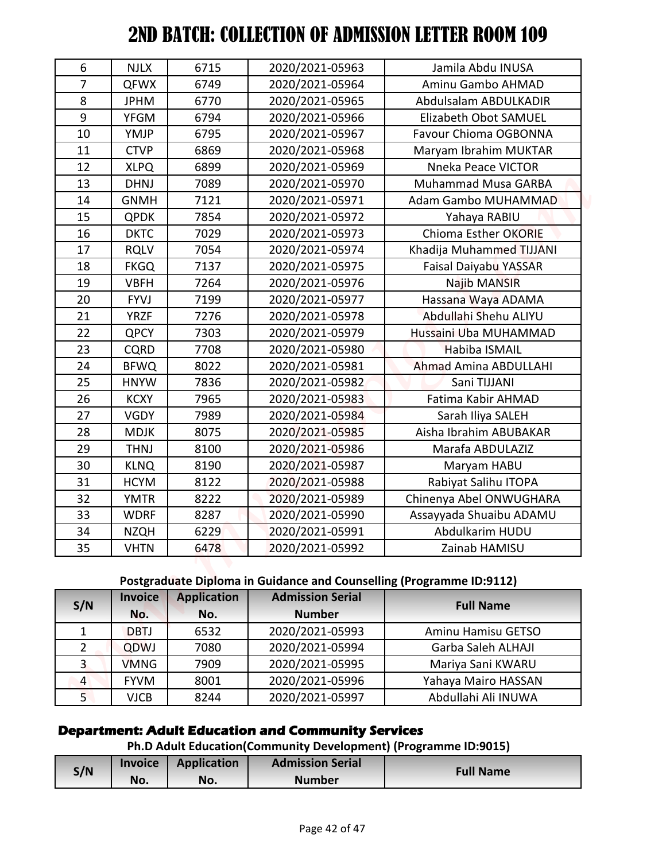| S/N            | No.                        | No.                | <b>Number</b>                                                                              | <b>Full Name</b>                |
|----------------|----------------------------|--------------------|--------------------------------------------------------------------------------------------|---------------------------------|
|                | <b>Invoice</b>             | <b>Application</b> | Ph.D Adult Education(Community Development) (Programme ID:9015)<br><b>Admission Serial</b> |                                 |
|                |                            |                    | <b>Department: Adult Education and Community Services</b>                                  |                                 |
|                |                            |                    |                                                                                            |                                 |
| 5 <sub>1</sub> | <b>VJCB</b>                | 8244               | 2020/2021-05997                                                                            | Abdullahi Ali INUWA             |
| $\overline{4}$ | <b>FYVM</b>                | 8001               | 2020/2021-05996                                                                            | Yahaya Mairo HASSAN             |
| $\overline{3}$ | <b>VMNG</b>                | 7909               | 2020/2021-05995                                                                            | Mariya Sani KWARU               |
| $\overline{2}$ | QDWJ                       | 7080               | 2020/2021-05994                                                                            | Garba Saleh ALHAJI              |
| $\mathbf{1}$   | No.<br><b>DBTJ</b>         | No.<br>6532        | <b>Number</b><br>2020/2021-05993                                                           | Aminu Hamisu GETSO              |
| S/N            | <b>Invoice</b>             | <b>Application</b> | <b>Admission Serial</b>                                                                    | <b>Full Name</b>                |
|                |                            |                    | Postgraduate Diploma in Guidance and Counselling (Programme ID:9112)                       |                                 |
|                |                            |                    |                                                                                            |                                 |
| 35             | <b>VHTN</b>                | 6478               | 2020/2021-05992                                                                            | Zainab HAMISU                   |
| 34             | NZQH                       | 6229               | 2020/2021-05991                                                                            | Abdulkarim HUDU                 |
| 33             | <b>WDRF</b>                | 8287               | 2020/2021-05990                                                                            | Assayyada Shuaibu ADAMU         |
| 32             | <b>YMTR</b>                | 8222               | 2020/2021-05989                                                                            | Chinenya Abel ONWUGHARA         |
| 31             | <b>KLNQ</b><br><b>HCYM</b> | 8122               | 2020/2021-05988                                                                            | Rabiyat Salihu ITOPA            |
| 29<br>30       | <b>THNJ</b>                | 8100<br>8190       | 2020/2021-05986<br>2020/2021-05987                                                         | Marafa ABDULAZIZ<br>Maryam HABU |
| 28             | <b>MDJK</b>                | 8075               | 2020/2021-05985                                                                            | Aisha Ibrahim ABUBAKAR          |
| 27             | <b>VGDY</b>                | 7989               | 2020/2021-05984                                                                            | Sarah Iliya SALEH               |
| 26             | <b>KCXY</b>                | 7965               | 2020/2021-05983                                                                            | Fatima Kabir AHMAD              |
| 25             | <b>HNYW</b>                | 7836               | 2020/2021-05982                                                                            | Sani TIJJANI                    |
| 24             | <b>BFWQ</b>                | 8022               | 2020/2021-05981                                                                            | Ahmad Amina ABDULLAHI           |
| 23             | <b>CQRD</b>                | 7708               | 2020/2021-05980                                                                            | Habiba ISMAIL                   |
| 22             | <b>QPCY</b>                | 7303               | 2020/2021-05979                                                                            | Hussaini Uba MUHAMMAD           |
| 21             | <b>YRZF</b>                | 7276               | 2020/2021-05978                                                                            | Abdullahi Shehu ALIYU           |
| 20             | <b>FYVJ</b>                | 7199               | 2020/2021-05977                                                                            | Hassana Waya ADAMA              |
| 19             | <b>VBFH</b>                | 7264               | 2020/2021-05976                                                                            | Najib MANSIR                    |
| 18             | <b>FKGQ</b>                | 7137               | 2020/2021-05975                                                                            | Faisal Daiyabu YASSAR           |
| 17             | <b>RQLV</b>                | 7054               | 2020/2021-05974                                                                            | Khadija Muhammed TIJJANI        |
| 16             | <b>DKTC</b>                | 7029               | 2020/2021-05973                                                                            | Chioma Esther OKORIE            |
| 15             | <b>QPDK</b>                | 7854               | 2020/2021-05972                                                                            | Yahaya RABIU                    |
| 14             | <b>GNMH</b>                | 7121               | 2020/2021-05971                                                                            | Adam Gambo MUHAMMAD             |
| 13             | <b>DHNJ</b>                | 7089               | 2020/2021-05970                                                                            | Muhammad Musa GARBA             |
| 12             | <b>XLPQ</b>                | 6899               | 2020/2021-05969                                                                            | Nneka Peace VICTOR              |
| 11             | <b>CTVP</b>                | 6869               | 2020/2021-05968                                                                            | Maryam Ibrahim MUKTAR           |
| 10             | YMJP                       | 6795               | 2020/2021-05967                                                                            | Favour Chioma OGBONNA           |
| 9              | <b>YFGM</b>                | 6794               | 2020/2021-05966                                                                            | Elizabeth Obot SAMUEL           |
| 8              | <b>JPHM</b>                | 6770               | 2020/2021-05965                                                                            | Abdulsalam ABDULKADIR           |
| $\overline{7}$ | <b>QFWX</b>                | 6749               | 2020/2021-05964                                                                            | Aminu Gambo AHMAD               |
|                | <b>NJLX</b>                | 6715               | 2020/2021-05963                                                                            | Jamila Abdu INUSA               |

## **Postgraduate Diploma in Guidance and Counselling (Programme ID:9112)**

| S/N            | <b>Invoice</b> | <b>Application</b> | <b>Admission Serial</b> | <b>Full Name</b>    |
|----------------|----------------|--------------------|-------------------------|---------------------|
|                | No.            | No.                | <b>Number</b>           |                     |
| 1              | <b>DBTJ</b>    | 6532               | 2020/2021-05993         | Aminu Hamisu GETSO  |
| $\overline{2}$ | QDWJ           | 7080               | 2020/2021-05994         | Garba Saleh ALHAJI  |
| 3              | <b>VMNG</b>    | 7909               | 2020/2021-05995         | Mariya Sani KWARU   |
| $\overline{4}$ | <b>FYVM</b>    | 8001               | 2020/2021-05996         | Yahaya Mairo HASSAN |
|                | <b>VJCB</b>    | 8244               | 2020/2021-05997         | Abdullahi Ali INUWA |

## **Department: Adult Education and Community Services**

# **Ph.D Adult Education(Community Development) (Programme ID:9015)**

| S/N | <b>Invoice</b> | Application | <b>Admission Serial</b> |                  |
|-----|----------------|-------------|-------------------------|------------------|
|     | No.            | No.         | <b>Number</b>           | <b>Full Name</b> |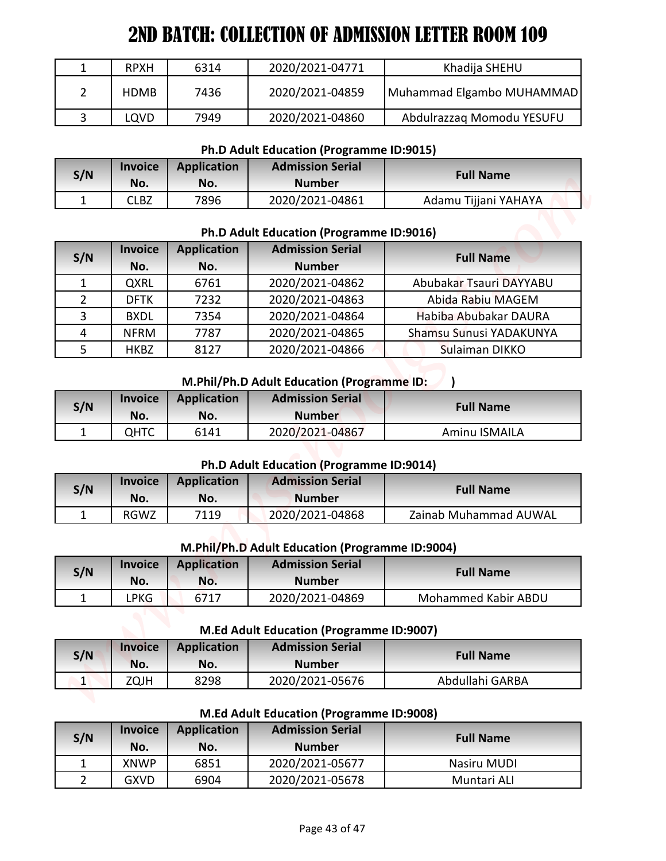| <b>RPXH</b> | 6314 | 2020/2021-04771 | Khadija SHEHU             |
|-------------|------|-----------------|---------------------------|
| <b>HDMB</b> | 7436 | 2020/2021-04859 | Muhammad Elgambo MUHAMMAD |
| <b>LQVD</b> | 7949 | 2020/2021-04860 | Abdulrazzag Momodu YESUFU |

#### **Ph.D Adult Education (Programme ID:9015)**

| S/N | <b>Invoice</b><br>No. | <b>Application</b><br>No. | <b>Admission Serial</b><br><b>Number</b> | <b>Full Name</b>     |
|-----|-----------------------|---------------------------|------------------------------------------|----------------------|
|     | CLBZ                  | 7896                      | 2020/2021-04861                          | Adamu Tijjani YAHAYA |

#### **Ph.D Adult Education (Programme ID:9016)**

|                |                |                    | 2ND BATCH: COLLECTION OF ADMISSION LETTER ROOM 109                  |                           |
|----------------|----------------|--------------------|---------------------------------------------------------------------|---------------------------|
| $\mathbf{1}$   | <b>RPXH</b>    | 6314               | 2020/2021-04771                                                     | Khadija SHEHU             |
| $\overline{2}$ | <b>HDMB</b>    | 7436               | 2020/2021-04859                                                     | Muhammad Elgambo MUHAMMAD |
| 3              | LQVD           | 7949               | 2020/2021-04860                                                     | Abdulrazzaq Momodu YESUFU |
|                |                |                    |                                                                     |                           |
|                | <b>Invoice</b> | <b>Application</b> | Ph.D Adult Education (Programme ID:9015)<br><b>Admission Serial</b> |                           |
| S/N            | No.            | No.                | <b>Number</b>                                                       | <b>Full Name</b>          |
| 1              | <b>CLBZ</b>    | 7896               | 2020/2021-04861                                                     | Adamu Tijjani YAHAYA      |
|                |                |                    |                                                                     |                           |
|                |                |                    | Ph.D Adult Education (Programme ID:9016)                            |                           |
| S/N            | <b>Invoice</b> | <b>Application</b> | <b>Admission Serial</b>                                             | <b>Full Name</b>          |
|                | No.            | No.                | <b>Number</b>                                                       |                           |
| $\mathbf{1}$   | QXRL           | 6761               | 2020/2021-04862                                                     | Abubakar Tsauri DAYYABU   |
| $\overline{2}$ | <b>DFTK</b>    | 7232               | 2020/2021-04863                                                     | Abida Rabiu MAGEM         |
| 3              | <b>BXDL</b>    | 7354               | 2020/2021-04864                                                     | Habiba Abubakar DAURA     |
| 4              | <b>NFRM</b>    | 7787               | 2020/2021-04865                                                     | Shamsu Sunusi YADAKUNYA   |
| 5              | <b>HKBZ</b>    | 8127               | 2020/2021-04866                                                     | Sulaiman DIKKO            |
|                |                |                    | M.Phil/Ph.D Adult Education (Programme ID:                          |                           |
|                | <b>Invoice</b> | <b>Application</b> | <b>Admission Serial</b>                                             |                           |
|                |                |                    |                                                                     |                           |
| S/N            | No.            | No.                | <b>Number</b>                                                       | <b>Full Name</b>          |
| $\mathbf{1}$   | <b>QHTC</b>    | 6141               | 2020/2021-04867                                                     | Aminu ISMAILA             |
|                |                |                    |                                                                     |                           |
|                |                |                    | Ph.D Adult Education (Programme ID:9014)                            |                           |
| S/N            | <b>Invoice</b> | <b>Application</b> | <b>Admission Serial</b>                                             | <b>Full Name</b>          |
|                | No.            | No.                | <b>Number</b>                                                       |                           |
| $\mathbf{1}$   | RGWZ           | 7119               | 2020/2021-04868                                                     | Zainab Muhammad AUWAL     |
|                |                |                    | M.Phil/Ph.D Adult Education (Programme ID:9004)                     |                           |
|                | <b>Invoice</b> | <b>Application</b> | <b>Admission Serial</b>                                             |                           |
| S/N            | No.            | No.                | <b>Number</b>                                                       | <b>Full Name</b>          |
| $\mathbf{1}$   | <b>LPKG</b>    | 6717               | 2020/2021-04869                                                     | Mohammed Kabir ABDU       |
|                |                |                    |                                                                     |                           |
|                |                |                    | M.Ed Adult Education (Programme ID:9007)                            |                           |
| S/N            | <b>Invoice</b> | <b>Application</b> | <b>Admission Serial</b>                                             | <b>Full Name</b>          |
|                | No.            | No.                | <b>Number</b>                                                       |                           |
| $\vert$ 1      | ZQJH           | 8298               | 2020/2021-05676                                                     | Abdullahi GARBA           |
|                |                |                    | <b>M.Ed Adult Education (Programme ID:9008)</b>                     |                           |
|                | <b>Invoice</b> | <b>Application</b> | <b>Admission Serial</b>                                             |                           |
| S/N            | No.            | No.                | <b>Number</b>                                                       | <b>Full Name</b>          |
| $\mathbf{1}$   | <b>XNWP</b>    | 6851               | 2020/2021-05677                                                     | Nasiru MUDI               |

#### **M.Phil/Ph.D Adult Education (Programme ID:** )

| S/N | <b>Invoice</b><br>No. | Application<br>No. | <b>Admission Serial</b><br><b>Number</b> | <b>Full Name</b> |
|-----|-----------------------|--------------------|------------------------------------------|------------------|
|     | ОНТС                  | 6141               | 2020/2021-04867                          | Aminu ISMAILA    |

#### **Ph.D Adult Education (Programme ID:9014)**

| S/N | <b>Invoice</b><br>No. | Application<br>No. | <b>Admission Serial</b><br><b>Number</b> | <b>Full Name</b>      |
|-----|-----------------------|--------------------|------------------------------------------|-----------------------|
|     | RGWZ                  | 7119               | 2020/2021-04868                          | Zainab Muhammad AUWAL |

#### **M.Phil/Ph.D Adult Education (Programme ID:9004)**

| S/N | <b>Invoice</b> | <b>Application</b> | <b>Admission Serial</b> | <b>Full Name</b>    |
|-----|----------------|--------------------|-------------------------|---------------------|
|     | No.            | No.                | <b>Number</b>           |                     |
|     | ∟PKG           | 6717               | 2020/2021-04869         | Mohammed Kabir ABDU |

**M.Ed Adult Education (Programme ID:9007)**

| S/N | <b>Invoice</b><br>No. | <b>Application</b><br>No. | <b>Admission Serial</b><br><b>Number</b> | <b>Full Name</b> |
|-----|-----------------------|---------------------------|------------------------------------------|------------------|
|     | ZQJH                  | 8298                      | 2020/2021-05676                          | Abdullahi GARBA  |

#### **M.Ed Adult Education (Programme ID:9008)**

| S/N | <b>Invoice</b><br>No. | <b>Application</b><br>No. | <b>Admission Serial</b><br><b>Number</b> | <b>Full Name</b> |
|-----|-----------------------|---------------------------|------------------------------------------|------------------|
|     | <b>XNWP</b>           | 6851                      | 2020/2021-05677                          | Nasiru MUDI      |
|     | <b>GXVD</b>           | 6904                      | 2020/2021-05678                          | Muntari ALI      |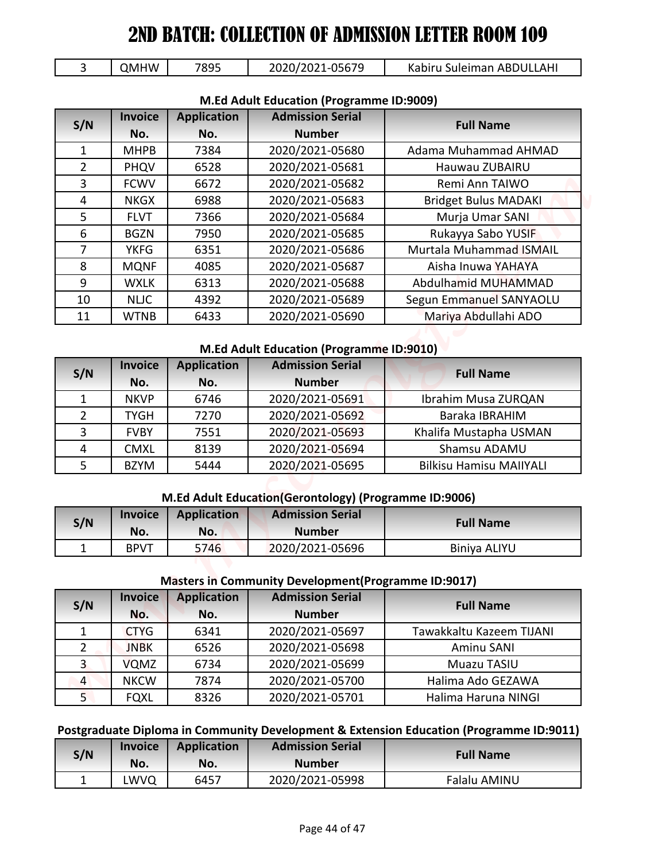|  | <b>QMHW</b> | 7895 | 2020/2021-05679 | Kabiru Suleiman ABDULLAHI |
|--|-------------|------|-----------------|---------------------------|
|--|-------------|------|-----------------|---------------------------|

| 3                   | <b>QMHW</b>    | 7895               | 2020/2021-05679                                                                  | Kabiru Suleiman ABDULLAHI                                                               |
|---------------------|----------------|--------------------|----------------------------------------------------------------------------------|-----------------------------------------------------------------------------------------|
|                     |                |                    | M.Ed Adult Education (Programme ID:9009)                                         |                                                                                         |
|                     | <b>Invoice</b> | <b>Application</b> | <b>Admission Serial</b>                                                          |                                                                                         |
| S/N                 | No.            | No.                | <b>Number</b>                                                                    | <b>Full Name</b>                                                                        |
| $\mathbf{1}$        | <b>MHPB</b>    | 7384               | 2020/2021-05680                                                                  | Adama Muhammad AHMAD                                                                    |
| $\overline{2}$      | PHQV           | 6528               | 2020/2021-05681                                                                  | Hauwau ZUBAIRU                                                                          |
| 3                   | <b>FCWV</b>    | 6672               | 2020/2021-05682                                                                  | Remi Ann TAIWO                                                                          |
| $\overline{4}$      | <b>NKGX</b>    | 6988               | 2020/2021-05683                                                                  | <b>Bridget Bulus MADAKI</b>                                                             |
| 5                   | <b>FLVT</b>    | 7366               | 2020/2021-05684                                                                  | Murja Umar SANI                                                                         |
| 6                   | <b>BGZN</b>    | 7950               | 2020/2021-05685                                                                  | Rukayya Sabo YUSIF                                                                      |
| 7                   | <b>YKFG</b>    | 6351               | 2020/2021-05686                                                                  | Murtala Muhammad ISMAIL                                                                 |
| 8                   | <b>MQNF</b>    | 4085               | 2020/2021-05687                                                                  | Aisha Inuwa YAHAYA                                                                      |
| 9                   | <b>WXLK</b>    | 6313               | 2020/2021-05688                                                                  | Abdulhamid MUHAMMAD                                                                     |
| 10                  | <b>NLIC</b>    | 4392               | 2020/2021-05689                                                                  | Segun Emmanuel SANYAOLU                                                                 |
| 11                  | <b>WTNB</b>    | 6433               | 2020/2021-05690                                                                  | Mariya Abdullahi ADO                                                                    |
|                     |                |                    |                                                                                  |                                                                                         |
|                     |                |                    | M.Ed Adult Education (Programme ID:9010)                                         |                                                                                         |
| S/N                 | <b>Invoice</b> | <b>Application</b> | <b>Admission Serial</b>                                                          | <b>Full Name</b>                                                                        |
|                     | No.            | No.                | <b>Number</b>                                                                    |                                                                                         |
| $\mathbf{1}$        | <b>NKVP</b>    | 6746               | 2020/2021-05691                                                                  | Ibrahim Musa ZURQAN                                                                     |
| $\overline{2}$      | <b>TYGH</b>    | 7270               | 2020/2021-05692                                                                  | Baraka IBRAHIM                                                                          |
| 3                   | <b>FVBY</b>    | 7551               | 2020/2021-05693                                                                  | Khalifa Mustapha USMAN                                                                  |
| 4                   | <b>CMXL</b>    | 8139               | 2020/2021-05694                                                                  | Shamsu ADAMU                                                                            |
| 5                   | <b>BZYM</b>    | 5444               | 2020/2021-05695                                                                  | <b>Bilkisu Hamisu MAIIYALI</b>                                                          |
|                     |                |                    |                                                                                  |                                                                                         |
|                     | <b>Invoice</b> |                    | M.Ed Adult Education(Gerontology) (Programme ID:9006)<br><b>Admission Serial</b> |                                                                                         |
|                     |                | <b>Application</b> |                                                                                  | <b>Full Name</b>                                                                        |
| S/N                 | No.            | No.<br>5746        | <b>Number</b><br>2020/2021-05696                                                 | Biniya ALIYU                                                                            |
|                     |                |                    |                                                                                  |                                                                                         |
| $\mathbf{1}$        | <b>BPVT</b>    |                    |                                                                                  |                                                                                         |
|                     |                |                    | Masters in Community Development (Programme ID:9017)                             |                                                                                         |
|                     | <b>Invoice</b> | <b>Application</b> | <b>Admission Serial</b>                                                          |                                                                                         |
| S/N                 | No.            | No.                | <b>Number</b>                                                                    | <b>Full Name</b>                                                                        |
| $\mathbf{1}$        | <b>CTYG</b>    | 6341               | 2020/2021-05697                                                                  | Tawakkaltu Kazeem TIJANI                                                                |
| $\overline{2}$      | <b>JNBK</b>    | 6526               | 2020/2021-05698                                                                  | Aminu SANI                                                                              |
| $\overline{3}$      | <b>VQMZ</b>    | 6734               | 2020/2021-05699                                                                  | Muazu TASIU                                                                             |
| $\overline{4}$      | <b>NKCW</b>    | 7874               | 2020/2021-05700                                                                  | Halima Ado GEZAWA                                                                       |
| 5 <sub>1</sub>      | <b>FQXL</b>    | 8326               | 2020/2021-05701                                                                  | Halima Haruna NINGI                                                                     |
|                     |                |                    |                                                                                  |                                                                                         |
|                     |                |                    |                                                                                  | Postgraduate Diploma in Community Development & Extension Education (Programme ID:9011) |
|                     | <b>Invoice</b> | <b>Application</b> | <b>Admission Serial</b>                                                          |                                                                                         |
| S/N<br>$\mathbf{1}$ | No.<br>LWVQ    | No.<br>6457        | <b>Number</b><br>2020/2021-05998                                                 | <b>Full Name</b><br>Falalu AMINU                                                        |

#### **M.Ed Adult Education (Programme ID:9009)**

#### **M.Ed Adult Education (Programme ID:9010)**

| S/N | <b>Invoice</b> | <b>Application</b> | <b>Admission Serial</b> | <b>Full Name</b>               |
|-----|----------------|--------------------|-------------------------|--------------------------------|
|     | No.            | No.                | <b>Number</b>           |                                |
|     | <b>NKVP</b>    | 6746               | 2020/2021-05691         | Ibrahim Musa ZURQAN            |
| 2   | <b>TYGH</b>    | 7270               | 2020/2021-05692         | Baraka IBRAHIM                 |
| 3   | <b>FVBY</b>    | 7551               | 2020/2021-05693         | Khalifa Mustapha USMAN         |
| 4   | <b>CMXL</b>    | 8139               | 2020/2021-05694         | Shamsu ADAMU                   |
|     | <b>BZYM</b>    | 5444               | 2020/2021-05695         | <b>Bilkisu Hamisu MAIIYALI</b> |

#### **M.Ed Adult Education(Gerontology) (Programme ID:9006)**

| S/N | <b>Invoice</b> | Application | <b>Admission Serial</b> | <b>Full Name</b>    |
|-----|----------------|-------------|-------------------------|---------------------|
|     | No.            | No.         | <b>Number</b>           |                     |
| -   | <b>BPVT</b>    | 5746        | 2020/2021-05696         | <b>Biniya ALIYU</b> |

#### **Masters in Community Development(Programme ID:9017)**

| S/N            | <b>Invoice</b> | <b>Application</b> | <b>Admission Serial</b> | <b>Full Name</b>         |
|----------------|----------------|--------------------|-------------------------|--------------------------|
|                | No.            | No.                | <b>Number</b>           |                          |
| $\mathbf{1}$   | <b>CTYG</b>    | 6341               | 2020/2021-05697         | Tawakkaltu Kazeem TIJANI |
|                | <b>JNBK</b>    | 6526               | 2020/2021-05698         | Aminu SANI               |
| 3              | <b>VQMZ</b>    | 6734               | 2020/2021-05699         | Muazu TASIU              |
| $\overline{4}$ | <b>NKCW</b>    | 7874               | 2020/2021-05700         | Halima Ado GEZAWA        |
|                | <b>FQXL</b>    | 8326               | 2020/2021-05701         | Halima Haruna NINGI      |

#### **Postgraduate Diploma in Community Development & Extension Education (Programme ID:9011)**

| S/N | <b>Invoice</b><br>No. | <b>Application</b><br>No. | <b>Admission Serial</b><br><b>Number</b> | <b>Full Name</b> |
|-----|-----------------------|---------------------------|------------------------------------------|------------------|
| -   | LWVQ                  | 6457                      | 2020/2021-05998                          | Falalu AMINU     |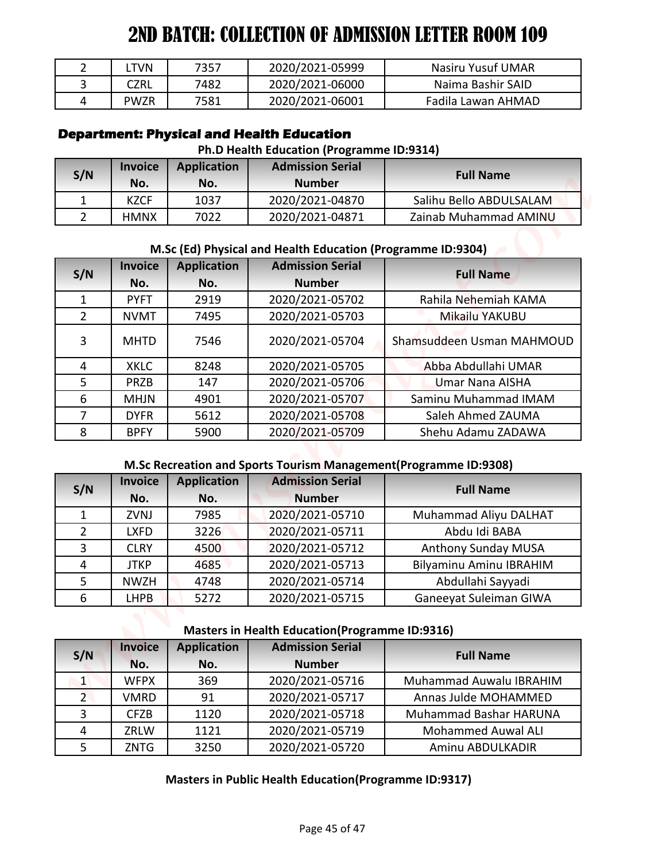| <b>TVN</b>  | 7357 | 2020/2021-05999 | Nasiru Yusuf UMAR  |
|-------------|------|-----------------|--------------------|
| CZRL        | 7482 | 2020/2021-06000 | Naima Bashir SAID  |
| <b>PWZR</b> | 7581 | 2020/2021-06001 | Fadila Lawan AHMAD |

## **Department: Physical and Health Education**

#### **Ph.D Health Education (Programme ID:9314)**

| S/N | <b>Invoice</b><br>No. | <b>Application</b><br>No. | <b>Admission Serial</b><br><b>Number</b> | <b>Full Name</b>        |
|-----|-----------------------|---------------------------|------------------------------------------|-------------------------|
|     | KZCF                  | 1037                      | 2020/2021-04870                          | Salihu Bello ABDULSALAM |
|     | <b>HMNX</b>           | 7022                      | 2020/2021-04871                          | Zainab Muhammad AMINU   |

# **M.Sc (Ed) Physical and Health Education (Programme ID:9304)**

| $\overline{2}$<br>3<br>4 | <b>LTVN</b>           | 7357                      | 2020/2021-05999                                                                                                          | <b>Nasiru Yusuf UMAR</b>                                         |
|--------------------------|-----------------------|---------------------------|--------------------------------------------------------------------------------------------------------------------------|------------------------------------------------------------------|
|                          | <b>CZRL</b>           | 7482                      | 2020/2021-06000                                                                                                          | Naima Bashir SAID                                                |
|                          | <b>PWZR</b>           | 7581                      | 2020/2021-06001                                                                                                          | Fadila Lawan AHMAD                                               |
|                          | <b>Invoice</b>        | <b>Application</b>        | <b>Department: Physical and Health Education</b><br>Ph.D Health Education (Programme ID:9314)<br><b>Admission Serial</b> |                                                                  |
| S/N                      | No.                   | No.                       | <b>Number</b>                                                                                                            | <b>Full Name</b>                                                 |
| 1                        | <b>KZCF</b>           | 1037                      | 2020/2021-04870                                                                                                          | Salihu Bello ABDULSALAM                                          |
| $\overline{2}$           | <b>HMNX</b>           | 7022                      | 2020/2021-04871                                                                                                          | Zainab Muhammad AMINU                                            |
| S/N                      | <b>Invoice</b><br>No. | <b>Application</b><br>No. | M.Sc (Ed) Physical and Health Education (Programme ID:9304)<br><b>Admission Serial</b><br><b>Number</b>                  | <b>Full Name</b>                                                 |
| $\mathbf{1}$             | <b>PYFT</b>           | 2919                      | 2020/2021-05702                                                                                                          | Rahila Nehemiah KAMA                                             |
| $\overline{2}$           | <b>NVMT</b>           | 7495                      | 2020/2021-05703                                                                                                          | Mikailu YAKUBU                                                   |
| 3                        | <b>MHTD</b>           | 7546                      | 2020/2021-05704                                                                                                          | Shamsuddeen Usman MAHMOUD                                        |
| 4                        | <b>XKLC</b>           | 8248                      | 2020/2021-05705                                                                                                          | Abba Abdullahi UMAR                                              |
| 5                        | <b>PRZB</b>           | 147                       | 2020/2021-05706                                                                                                          | <b>Umar Nana AISHA</b>                                           |
| 6                        | <b>MHJN</b>           | 4901                      | 2020/2021-05707                                                                                                          | Saminu Muhammad IMAM                                             |
| $\overline{7}$           | <b>DYFR</b>           | 5612                      | 2020/2021-05708                                                                                                          | Saleh Ahmed ZAUMA                                                |
| 8                        | <b>BPFY</b>           | 5900                      | 2020/2021-05709                                                                                                          | Shehu Adamu ZADAWA                                               |
|                          |                       |                           |                                                                                                                          | M.Sc Recreation and Sports Tourism Management(Programme ID:9308) |
|                          |                       |                           | <b>Admission Serial</b>                                                                                                  |                                                                  |
|                          | <b>Invoice</b>        | <b>Application</b>        |                                                                                                                          |                                                                  |
| S/N                      | No.                   | No.                       | <b>Number</b>                                                                                                            | <b>Full Name</b>                                                 |
| $\mathbf{1}$             | ZVNJ                  | 7985                      | 2020/2021-05710                                                                                                          | Muhammad Aliyu DALHAT                                            |
| $\overline{2}$           | <b>LXFD</b>           | 3226                      | 2020/2021-05711                                                                                                          | Abdu Idi BABA                                                    |
| 3                        | <b>CLRY</b>           | 4500                      | 2020/2021-05712                                                                                                          | Anthony Sunday MUSA                                              |
| 4                        | <b>JTKP</b>           | 4685                      | 2020/2021-05713                                                                                                          | Bilyaminu Aminu IBRAHIM                                          |
| 5                        | <b>NWZH</b>           | 4748                      | 2020/2021-05714                                                                                                          | Abdullahi Sayyadi                                                |
| 6                        | <b>LHPB</b>           | 5272                      | 2020/2021-05715                                                                                                          | Ganeeyat Suleiman GIWA                                           |
|                          |                       |                           | <b>Masters in Health Education (Programme ID:9316)</b>                                                                   |                                                                  |
| S/N                      | <b>Invoice</b>        | <b>Application</b>        | <b>Admission Serial</b>                                                                                                  | <b>Full Name</b>                                                 |
|                          | No.                   | No.                       | <b>Number</b>                                                                                                            |                                                                  |
| $\vert$ 1                | <b>WFPX</b>           | 369                       | 2020/2021-05716                                                                                                          | Muhammad Auwalu IBRAHIM                                          |
| 2 <sup>1</sup>           | <b>VMRD</b>           | 91                        | 2020/2021-05717                                                                                                          | Annas Julde MOHAMMED                                             |
| $\overline{3}$<br>4      | <b>CFZB</b><br>ZRLW   | 1120<br>1121              | 2020/2021-05718<br>2020/2021-05719                                                                                       | Muhammad Bashar HARUNA<br><b>Mohammed Auwal ALI</b>              |

#### **M.Sc Recreation and Sports Tourism Management(Programme ID:9308)**

| S/N           | <b>Invoice</b> | <b>Application</b> | <b>Admission Serial</b> | <b>Full Name</b>        |
|---------------|----------------|--------------------|-------------------------|-------------------------|
|               | No.            | No.                | <b>Number</b>           |                         |
|               | <b>ZVNJ</b>    | 7985               | 2020/2021-05710         | Muhammad Aliyu DALHAT   |
| $\mathcal{P}$ | <b>LXFD</b>    | 3226               | 2020/2021-05711         | Abdu Idi BABA           |
| 3             | <b>CLRY</b>    | 4500               | 2020/2021-05712         | Anthony Sunday MUSA     |
| 4             | <b>JTKP</b>    | 4685               | 2020/2021-05713         | Bilyaminu Aminu IBRAHIM |
|               | <b>NWZH</b>    | 4748               | 2020/2021-05714         | Abdullahi Sayyadi       |
| 6             | <b>LHPB</b>    | 5272               | 2020/2021-05715         | Ganeeyat Suleiman GIWA  |

# **Masters in Health Education(Programme ID:9316)**

| S/N            | <b>Invoice</b> | <b>Application</b> | <b>Admission Serial</b> | <b>Full Name</b>          |
|----------------|----------------|--------------------|-------------------------|---------------------------|
|                | No.            | No.                | <b>Number</b>           |                           |
| $\mathbf{1}$   | <b>WFPX</b>    | 369                | 2020/2021-05716         | Muhammad Auwalu IBRAHIM   |
| $\overline{2}$ | <b>VMRD</b>    | 91                 | 2020/2021-05717         | Annas Julde MOHAMMED      |
|                | <b>CFZB</b>    | 1120               | 2020/2021-05718         | Muhammad Bashar HARUNA    |
|                | ZRLW           | 1121               | 2020/2021-05719         | <b>Mohammed Auwal ALI</b> |
|                | <b>ZNTG</b>    | 3250               | 2020/2021-05720         | Aminu ABDULKADIR          |

#### **Masters in Public Health Education(Programme ID:9317)**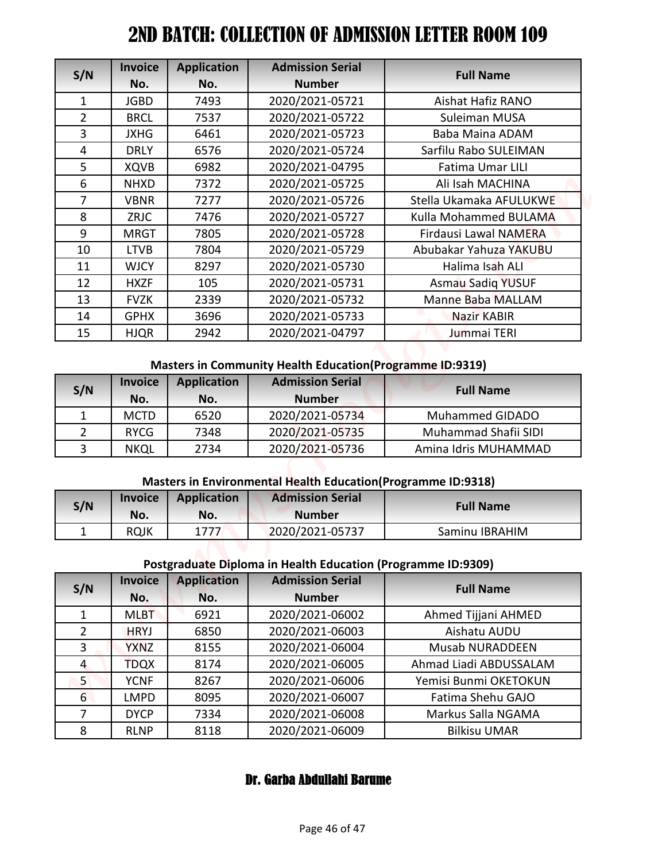| S/N                    | <b>Invoice</b>        | <b>Application</b>        | <b>Admission Serial</b>                                                                                      | <b>Full Name</b>                                 |
|------------------------|-----------------------|---------------------------|--------------------------------------------------------------------------------------------------------------|--------------------------------------------------|
|                        | No.                   | No.                       | <b>Number</b>                                                                                                |                                                  |
| 1                      | <b>JGBD</b>           | 7493                      | 2020/2021-05721                                                                                              | Aishat Hafiz RANO                                |
| $\overline{2}$         | <b>BRCL</b>           | 7537                      | 2020/2021-05722                                                                                              | Suleiman MUSA                                    |
| 3                      | <b>JXHG</b>           | 6461                      | 2020/2021-05723                                                                                              | Baba Maina ADAM                                  |
| 4                      | <b>DRLY</b>           | 6576                      | 2020/2021-05724                                                                                              | Sarfilu Rabo SULEIMAN                            |
| 5                      | <b>XQVB</b>           | 6982                      | 2020/2021-04795                                                                                              | Fatima Umar LILI                                 |
| 6                      | <b>NHXD</b>           | 7372                      | 2020/2021-05725                                                                                              | Ali Isah MACHINA                                 |
| $\overline{7}$         | <b>VBNR</b>           | 7277                      | 2020/2021-05726                                                                                              | Stella Ukamaka AFULUKWE<br>Kulla Mohammed BULAMA |
| 8<br>9                 | ZRJC<br><b>MRGT</b>   | 7476<br>7805              | 2020/2021-05727                                                                                              | <b>Firdausi Lawal NAMERA</b>                     |
| 10                     | <b>LTVB</b>           | 7804                      | 2020/2021-05728<br>2020/2021-05729                                                                           | Abubakar Yahuza YAKUBU                           |
| 11                     | <b>WJCY</b>           | 8297                      | 2020/2021-05730                                                                                              | Halima Isah ALI                                  |
| 12                     | <b>HXZF</b>           | 105                       | 2020/2021-05731                                                                                              |                                                  |
| 13                     | <b>FVZK</b>           | 2339                      | 2020/2021-05732                                                                                              | <b>Asmau Sadiq YUSUF</b><br>Manne Baba MALLAM    |
| 14                     | <b>GPHX</b>           | 3696                      | 2020/2021-05733                                                                                              | Nazir KABIR                                      |
| 15                     | <b>HJQR</b>           | 2942                      | 2020/2021-04797                                                                                              | Jummai TERI                                      |
| S/N                    | <b>Invoice</b><br>No. | <b>Application</b><br>No. | <b>Masters in Community Health Education (Programme ID:9319)</b><br><b>Admission Serial</b><br><b>Number</b> | <b>Full Name</b>                                 |
| $\mathbf{1}$           | <b>MCTD</b>           | 6520                      | 2020/2021-05734                                                                                              | Muhammed GIDADO                                  |
| $\overline{2}$         | <b>RYCG</b>           | 7348                      | 2020/2021-05735                                                                                              | Muhammad Shafii SIDI                             |
| 3                      | <b>NKQL</b>           | 2734                      | 2020/2021-05736                                                                                              | Amina Idris MUHAMMAD                             |
|                        |                       |                           |                                                                                                              |                                                  |
|                        |                       |                           | <b>Masters in Environmental Health Education (Programme ID:9318)</b><br><b>Admission Serial</b>              |                                                  |
| S/N                    | <b>Invoice</b><br>No. | <b>Application</b><br>No. | <b>Number</b>                                                                                                | <b>Full Name</b>                                 |
| $\mathbf 1$            | <b>RQJK</b>           | 1777                      | 2020/2021-05737                                                                                              | Saminu IBRAHIM                                   |
|                        |                       |                           |                                                                                                              |                                                  |
|                        |                       |                           | Postgraduate Diploma in Health Education (Programme ID:9309)                                                 |                                                  |
|                        | <b>Invoice</b>        | <b>Application</b>        | <b>Admission Serial</b>                                                                                      | <b>Full Name</b>                                 |
|                        | No.                   | No.                       | <b>Number</b>                                                                                                |                                                  |
|                        | <b>MLBT</b>           | 6921                      | 2020/2021-06002                                                                                              | Ahmed Tijjani AHMED                              |
| $\mathbf{1}$           |                       | 6850                      | 2020/2021-06003                                                                                              | Aishatu AUDU                                     |
| $\overline{2}$         | <b>HRYJ</b>           |                           |                                                                                                              | <b>Musab NURADDEEN</b>                           |
| 3                      | <b>YXNZ</b>           | 8155                      | 2020/2021-06004                                                                                              |                                                  |
| $\overline{4}$         | <b>TDQX</b>           | 8174                      | 2020/2021-06005                                                                                              | Ahmad Liadi ABDUSSALAM                           |
| 5 <sub>1</sub>         | <b>YCNF</b>           | 8267                      | 2020/2021-06006                                                                                              | Yemisi Bunmi OKETOKUN                            |
| S/N<br>$6\overline{6}$ | <b>LMPD</b>           | 8095                      | 2020/2021-06007                                                                                              | Fatima Shehu GAJO                                |
| $\overline{7}$         | <b>DYCP</b>           | 7334                      | 2020/2021-06008                                                                                              | Markus Salla NGAMA                               |

#### **Masters in Community Health Education(Programme ID:9319)**

| S/N | <b>Invoice</b><br>No. | <b>Application</b><br>No. | <b>Admission Serial</b><br><b>Number</b> | <b>Full Name</b>       |
|-----|-----------------------|---------------------------|------------------------------------------|------------------------|
|     | <b>MCTD</b>           | 6520                      | 2020/2021-05734                          | <b>Muhammed GIDADO</b> |
|     | <b>RYCG</b>           | 7348                      | 2020/2021-05735                          | Muhammad Shafii SIDI   |
| ς   | <b>NKQL</b>           | 2734                      | 2020/2021-05736                          | Amina Idris MUHAMMAD   |

#### **Masters in Environmental Health Education(Programme ID:9318)**

| S/N | <b>Invoice</b><br>No. | <b>Application</b><br>No. | <b>Admission Serial</b><br><b>Number</b> | <b>Full Name</b> |
|-----|-----------------------|---------------------------|------------------------------------------|------------------|
| ∸   | <b>RQJK</b>           | 1777                      | 2020/2021-05737                          | Saminu IBRAHIM   |

# **Postgraduate Diploma in Health Education (Programme ID:9309)**

| S/N            | <b>Invoice</b><br>No. | <b>Application</b><br>No. | <b>Admission Serial</b><br><b>Number</b> | <b>Full Name</b>       |
|----------------|-----------------------|---------------------------|------------------------------------------|------------------------|
|                | <b>MLBT</b>           | 6921                      | 2020/2021-06002                          | Ahmed Tijjani AHMED    |
| $\overline{2}$ | <b>HRYJ</b>           | 6850                      | 2020/2021-06003                          | Aishatu AUDU           |
| 3              | <b>YXNZ</b>           | 8155                      | 2020/2021-06004                          | <b>Musab NURADDEEN</b> |
| 4              | <b>TDQX</b>           | 8174                      | 2020/2021-06005                          | Ahmad Liadi ABDUSSALAM |
| 5              | <b>YCNF</b>           | 8267                      | 2020/2021-06006                          | Yemisi Bunmi OKETOKUN  |
| 6              | <b>LMPD</b>           | 8095                      | 2020/2021-06007                          | Fatima Shehu GAJO      |
| 7              | <b>DYCP</b>           | 7334                      | 2020/2021-06008                          | Markus Salla NGAMA     |
| 8              | <b>RLNP</b>           | 8118                      | 2020/2021-06009                          | <b>Bilkisu UMAR</b>    |

# Dr. Garba Abdullahi Barume